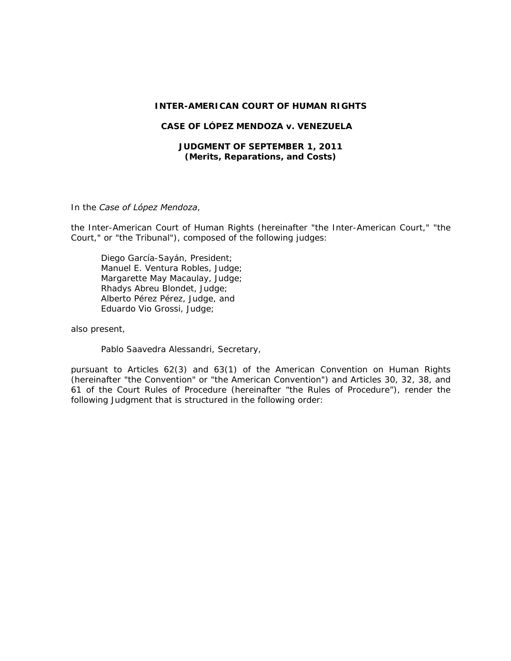#### **INTER-AMERICAN COURT OF HUMAN RIGHTS**

#### **CASE OF LÓPEZ MENDOZA** *v.* **VENEZUELA**

### **JUDGMENT OF SEPTEMBER 1, 2011**  *(Merits, Reparations, and Costs)*

In the *Case of López Mendoza*,

the Inter-American Court of Human Rights (hereinafter "the Inter-American Court," "the Court," or "the Tribunal"), composed of the following judges:

Diego García-Sayán, President; Manuel E. Ventura Robles, Judge; Margarette May Macaulay, Judge; Rhadys Abreu Blondet, Judge; Alberto Pérez Pérez, Judge, and Eduardo Vio Grossi, Judge;

also present,

Pablo Saavedra Alessandri, Secretary,

pursuant to Articles 62(3) and 63(1) of the American Convention on Human Rights (hereinafter "the Convention" or "the American Convention") and Articles 30, 32, 38, and 61 of the Court Rules of Procedure (hereinafter "the Rules of Procedure"), render the following Judgment that is structured in the following order: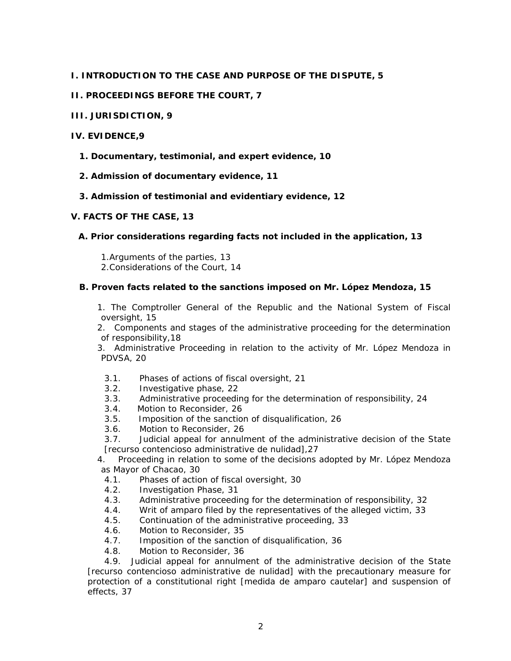## **I. INTRODUCTION TO THE CASE AND PURPOSE OF THE DISPUTE, 5**

## **II. PROCEEDINGS BEFORE THE COURT, 7**

## **III. JURISDICTION, 9**

## **IV. EVIDENCE,9**

**1. Documentary, testimonial, and expert evidence, 10** 

## **2. Admission of documentary evidence, 11**

## **3. Admission of testimonial and evidentiary evidence, 12**

## **V. FACTS OF THE CASE, 13**

## **A. Prior considerations regarding facts not included in the application, 13**

1.Arguments of the parties, 13 2.Considerations of the Court, 14

## **B. Proven facts related to the sanctions imposed on Mr. López Mendoza, 15**

1. The Comptroller General of the Republic and the National System of Fiscal oversight, 15

2. Components and stages of the administrative proceeding for the determination of responsibility,18

3. Administrative Proceeding in relation to the activity of Mr. López Mendoza in PDVSA, 20

- 3.1. Phases of actions of fiscal oversight, 21
- 3.2. Investigative phase, 22
- 3.3. Administrative proceeding for the determination of responsibility, 24
- 3.4. Motion to Reconsider, 26
- 3.5. Imposition of the sanction of disqualification, 26
- 3.6. Motion to Reconsider, 26

3.7. Judicial appeal for annulment of the administrative decision of the State [recurso contencioso administrative de nulidad],27

4. Proceeding in relation to some of the decisions adopted by Mr. López Mendoza as Mayor of Chacao, 30

- 4.1. Phases of action of fiscal oversight, 30
- 4.2. Investigation Phase, 31
- 4.3. Administrative proceeding for the determination of responsibility, 32
- 4.4. Writ of amparo filed by the representatives of the alleged victim, 33
- 4.5. Continuation of the administrative proceeding, 33
- 4.6. Motion to Reconsider, 35
- 4.7. Imposition of the sanction of disqualification, 36
- 4.8. Motion to Reconsider, 36

4.9. Judicial appeal for annulment of the administrative decision of the State [recurso contencioso administrative de nulidad] with the precautionary measure for protection of a constitutional right [medida de amparo cautelar] and suspension of effects, 37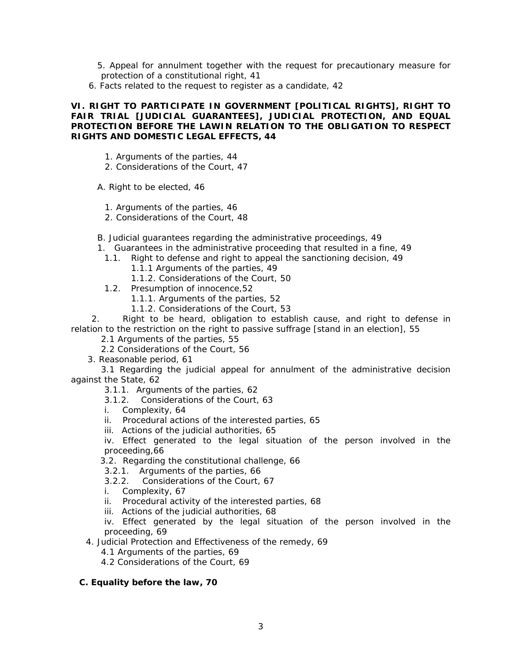- 5. Appeal for annulment together with the request for precautionary measure for protection of a constitutional right, 41
- 6. Facts related to the request to register as a candidate, 42

## **VI. RIGHT TO PARTICIPATE IN GOVERNMENT [POLITICAL RIGHTS], RIGHT TO FAIR TRIAL [JUDICIAL GUARANTEES], JUDICIAL PROTECTION, AND EQUAL PROTECTION BEFORE THE LAWIN RELATION TO THE OBLIGATION TO RESPECT RIGHTS AND DOMESTIC LEGAL EFFECTS, 44**

- 1. Arguments of the parties, 44
- 2. Considerations of the Court, 47

A. Right to be elected, 46

- 1. Arguments of the parties, 46
- 2. Considerations of the Court, 48

B. Judicial guarantees regarding the administrative proceedings, 49

- 1. Guarantees in the administrative proceeding that resulted in a fine, 49
- 1.1. Right to defense and right to appeal the sanctioning decision, 49
	- 1.1.1 Arguments of the parties, 49
	- 1.1.2. Considerations of the Court, 50
- 1.2. Presumption of innocence,52
	- 1.1.1. Arguments of the parties, 52
		- 1.1.2. Considerations of the Court, 53

 2. Right to be heard, obligation to establish cause, and right to defense in relation to the restriction on the right to passive suffrage [stand in an election], 55

2.1 Arguments of the parties, 55

- 2.2 Considerations of the Court, 56
- 3. Reasonable period, 61

 3.1 Regarding the judicial appeal for annulment of the administrative decision against the State, 62

- 3.1.1. Arguments of the parties, 62
- 3.1.2. Considerations of the Court, 63
- i. Complexity, 64
- ii. Procedural actions of the interested parties, 65
- iii. Actions of the judicial authorities, 65

iv. Effect generated to the legal situation of the person involved in the proceeding,66

- 3.2. Regarding the constitutional challenge, 66
- 3.2.1. Arguments of the parties, 66
- 3.2.2. Considerations of the Court, 67
- i. Complexity, 67
- ii. Procedural activity of the interested parties, 68
- iii. Actions of the judicial authorities, 68

iv. Effect generated by the legal situation of the person involved in the proceeding, 69

- 4. Judicial Protection and Effectiveness of the remedy, 69
	- 4.1 Arguments of the parties, 69
	- 4.2 Considerations of the Court, 69

## **C. Equality before the law, 70**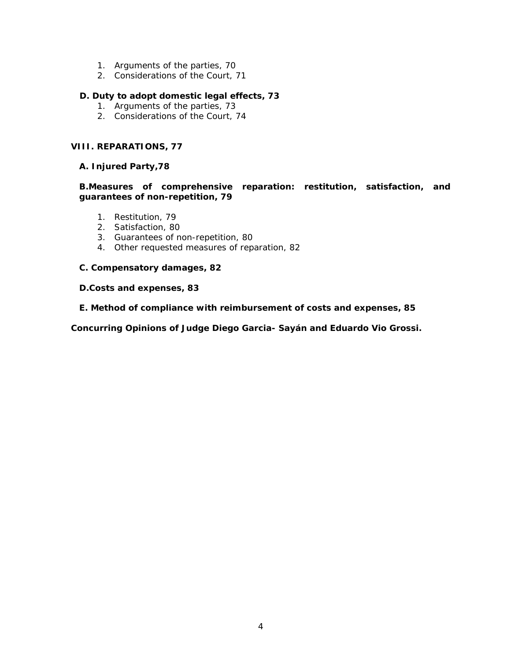- 1. Arguments of the parties, 70
- 2. Considerations of the Court, 71

## **D. Duty to adopt domestic legal effects, 73**

- 1. Arguments of the parties, 73
- 2. Considerations of the Court, 74

## **VIII. REPARATIONS, 77**

## **A. Injured Party,78**

## **B.Measures of comprehensive reparation: restitution, satisfaction, and guarantees of non-repetition, 79**

- 1. Restitution, 79
- 2. Satisfaction, 80
- 3. Guarantees of non-repetition, 80
- 4. Other requested measures of reparation, 82

## **C. Compensatory damages, 82**

## **D.Costs and expenses, 83**

**E. Method of compliance with reimbursement of costs and expenses, 85** 

**Concurring Opinions of Judge Diego Garcia- Sayán and Eduardo Vio Grossi.**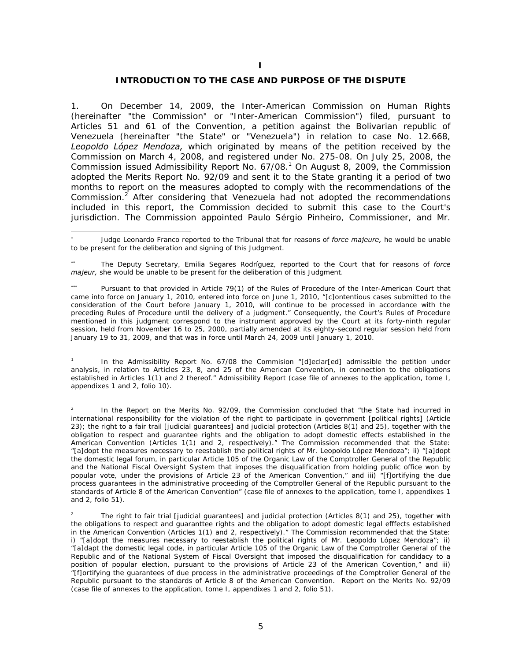#### **INTRODUCTION TO THE CASE AND PURPOSE OF THE DISPUTE**

1. On December 14, 2009, the Inter-American Commission on Human Rights (hereinafter "the Commission" or "Inter-American Commission") filed, pursuant to Articles 51 and 61 of the Convention, a petition against the Bolivarian republic of Venezuela (hereinafter "the State" or "Venezuela") in relation to case No. 12.668, *Leopoldo López Mendoza,* which originated by means of the petition received by the Commission on March 4, 2008, and registered under No. 275-08. On July 25, 2008, the Commission issued Admissibility Report No. 67/08.<sup>1</sup> On August 8, 2009, the Commission adopted the Merits Report No. 92/09 and sent it to the State granting it a period of two months to report on the measures adopted to comply with the recommendations of the Commission. $2$  After considering that Venezuela had not adopted the recommendations included in this report, the Commission decided to submit this case to the Court's jurisdiction. The Commission appointed Paulo Sérgio Pinheiro, Commissioner, and Mr.

-

1 In the Admissibility Report No. 67/08 the Commision "[d]eclar[ed] admissible the petition under analysis, in relation to Articles 23, 8, and 25 of the American Convention, in connection to the obligations established in Articles 1(1) and 2 thereof." Admissibility Report (case file of annexes to the application, tome I, appendixes 1 and 2, folio 10).

2 In the Report on the Merits No. 92/09, the Commission concluded that "the State had incurred in international responsibility for the violation of the right to participate in government [political rights] (Article 23); the right to a fair trail [judicial guarantees] and judicial protection (Articles 8(1) and 25), together with the obligation to respect and guarantee rights and the obligation to adopt domestic effects established in the American Convention (Articles 1(1) and 2, respectively)." The Commission recommended that the State: "[a]dopt the measures necessary to reestablish the political rights of Mr. Leopoldo López Mendoza"; ii) "[a]dopt the domestic legal forum, in particular Article 105 of the Organic Law of the Comptroller General of the Republic and the National Fiscal Oversight System that imposes the disqualification from holding public office won by popular vote, under the provisions of Article 23 of the American Convention," and iii) "[f]ortifying the due process guarantees in the administrative proceeding of the Comptroller General of the Republic pursuant to the standards of Article 8 of the American Convention" (case file of annexes to the application, tome I, appendixes 1 and 2, folio 51).

<sup>∗</sup> Judge Leonardo Franco reported to the Tribunal that for reasons of *force majeure,* he would be unable to be present for the deliberation and signing of this Judgment.

<sup>∗∗</sup> The Deputy Secretary, Emilia Segares Rodríguez, reported to the Court that for reasons of *force majeur,* she would be unable to be present for the deliberation of this Judgment.

<sup>∗∗∗</sup> Pursuant to that provided in Article 79(1) of the Rules of Procedure of the Inter-American Court that came into force on January 1, 2010, entered into force on June 1, 2010, "[c]ontentious cases submitted to the consideration of the Court before January 1, 2010, will continue to be processed in accordance with the preceding Rules of Procedure until the delivery of a judgment." Consequently, the Court's Rules of Procedure mentioned in this judgment correspond to the instrument approved by the Court at its forty-ninth regular session, held from November 16 to 25, 2000, partially amended at its eighty-second regular session held from January 19 to 31, 2009, and that was in force until March 24, 2009 until January 1, 2010.

<sup>2</sup> The right to fair trial [judicial guarantees] and judicial protection (Articles 8(1) and 25), together with the obligations to respect and guaranttee rights and the obligation to adopt domestic legal efffects established in the American Convention (Articles 1(1) and 2, respectively)." The Commission recommended that the State: i) "[a]dopt the measures necessary to reestablish the political rights of Mr. Leopoldo López Mendoza"; ii) "[a]dapt the domestic legal code, in particular Article 105 of the Organic Law of the Comptroller General of the Republic and of the National System of Fiscal Oversight that imposed the disqualification for candidacy to a position of popular election, pursuant to the provisions of Article 23 of the American Covention," and iii) "[f]ortifying the guarantees of due process in the administrative proceedings of the Comptroller General of the Republic pursuant to the standards of Article 8 of the American Convention. Report on the Merits No. 92/09 (case file of annexes to the application, tome I, appendixes 1 and 2, folio 51).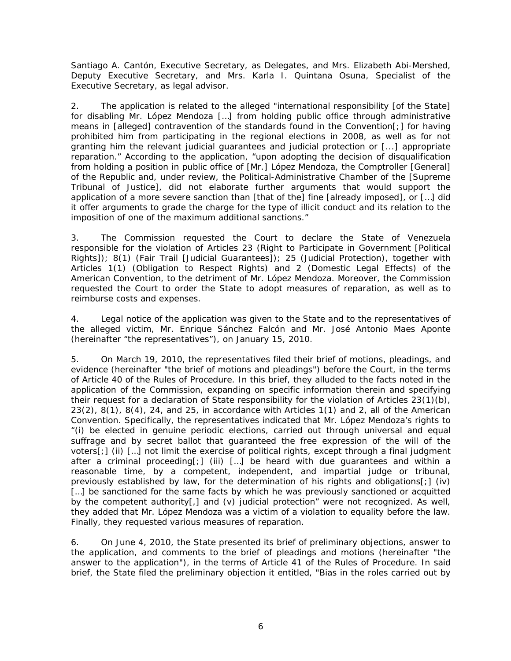Santiago A. Cantón, Executive Secretary, as Delegates, and Mrs. Elizabeth Abi-Mershed, Deputy Executive Secretary, and Mrs. Karla I. Quintana Osuna, Specialist of the Executive Secretary, as legal advisor.

2. The application is related to the alleged "international responsibility [of the State] for disabling Mr. López Mendoza […] from holding public office through administrative means in [alleged] contravention of the standards found in the Convention[;] for having prohibited him from participating in the regional elections in 2008, as well as for not granting him the relevant judicial guarantees and judicial protection or [...] appropriate reparation." According to the application, "upon adopting the decision of disqualification from holding a position in public office of [Mr.] López Mendoza, the Comptroller [General] of the Republic and, under review, the Political-Administrative Chamber of the [Supreme Tribunal of Justice], did not elaborate further arguments that would support the application of a more severe sanction than [that of the] fine [already imposed], or […] did it offer arguments to grade the charge for the type of illicit conduct and its relation to the imposition of one of the maximum additional sanctions."

3. The Commission requested the Court to declare the State of Venezuela responsible for the violation of Articles 23 (Right to Participate in Government [Political Rights]); 8(1) (Fair Trail [Judicial Guarantees]); 25 (Judicial Protection), together with Articles 1(1) (Obligation to Respect Rights) and 2 (Domestic Legal Effects) of the American Convention, to the detriment of Mr. López Mendoza. Moreover, the Commission requested the Court to order the State to adopt measures of reparation, as well as to reimburse costs and expenses.

4. Legal notice of the application was given to the State and to the representatives of the alleged victim, Mr. Enrique Sánchez Falcón and Mr. José Antonio Maes Aponte (hereinafter "the representatives"), on January 15, 2010.

5. On March 19, 2010, the representatives filed their brief of motions, pleadings, and evidence (hereinafter "the brief of motions and pleadings") before the Court, in the terms of Article 40 of the Rules of Procedure. In this brief, they alluded to the facts noted in the application of the Commission, expanding on specific information therein and specifying their request for a declaration of State responsibility for the violation of Articles 23(1)(b), 23(2), 8(1), 8(4), 24, and 25, in accordance with Articles 1(1) and 2, all of the American Convention. Specifically, the representatives indicated that Mr. López Mendoza's rights to "(i) be elected in genuine periodic elections, carried out through universal and equal suffrage and by secret ballot that guaranteed the free expression of the will of the voters[;] (ii) […] not limit the exercise of political rights, except through a final judgment after a criminal proceeding[;] (iii) […] be heard with due guarantees and within a reasonable time, by a competent, independent, and impartial judge or tribunal, previously established by law, for the determination of his rights and obligations[;] (iv) [...] be sanctioned for the same facts by which he was previously sanctioned or acquitted by the competent authority[,] and (v) judicial protection" were not recognized. As well, they added that Mr. López Mendoza was a victim of a violation to equality before the law. Finally, they requested various measures of reparation.

6. On June 4, 2010, the State presented its brief of preliminary objections, answer to the application, and comments to the brief of pleadings and motions (hereinafter "the answer to the application"), in the terms of Article 41 of the Rules of Procedure. In said brief, the State filed the preliminary objection it entitled, "Bias in the roles carried out by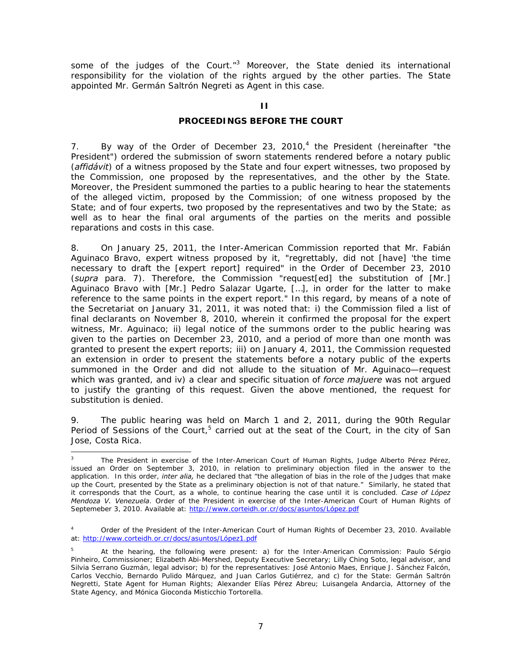some of the judges of the Court." $3$  Moreover, the State denied its international responsibility for the violation of the rights argued by the other parties. The State appointed Mr. Germán Saltrón Negreti as Agent in this case.

## **PROCEEDINGS BEFORE THE COURT**

7. By way of the Order of December 23, 2010,<sup>4</sup> the President (hereinafter "the President") ordered the submission of sworn statements rendered before a notary public (*affidávit*) of a witness proposed by the State and four expert witnesses, two proposed by the Commission, one proposed by the representatives, and the other by the State. Moreover, the President summoned the parties to a public hearing to hear the statements of the alleged victim, proposed by the Commission; of one witness proposed by the State; and of four experts, two proposed by the representatives and two by the State; as well as to hear the final oral arguments of the parties on the merits and possible reparations and costs in this case.

8. On January 25, 2011, the Inter-American Commission reported that Mr. Fabián Aguinaco Bravo, expert witness proposed by it, "regrettably, did not [have] 'the time necessary to draft the [expert report] required" in the Order of December 23, 2010 (*supra* para. 7). Therefore, the Commission "request[ed] the substitution of [Mr.] Aguinaco Bravo with [Mr.] Pedro Salazar Ugarte, […], in order for the latter to make reference to the same points in the expert report." In this regard, by means of a note of the Secretariat on January 31, 2011, it was noted that: i) the Commission filed a list of final declarants on November 8, 2010, wherein it confirmed the proposal for the expert witness, Mr. Aguinaco; ii) legal notice of the summons order to the public hearing was given to the parties on December 23, 2010, and a period of more than one month was granted to present the expert reports; iii) on January 4, 2011, the Commission requested an extension in order to present the statements before a notary public of the experts summoned in the Order and did not allude to the situation of Mr. Aguinaco—request which was granted, and iv) a clear and specific situation of *force majuere* was not argued to justify the granting of this request. Given the above mentioned, the request for substitution is denied.

9. The public hearing was held on March 1 and 2, 2011, during the 90th Regular Period of Sessions of the Court,<sup>5</sup> carried out at the seat of the Court, in the city of San Jose, Costa Rica.

<sup>3</sup> The President in exercise of the Inter-American Court of Human Rights, Judge Alberto Pérez Pérez, issued an Order on September 3, 2010, in relation to preliminary objection filed in the answer to the application. In this order, *inter alia,* he declared that "the allegation of bias in the role of the Judges that make up the Court, presented by the State as a preliminary objection is not of that nature." Similarly, he stated that it corresponds that the Court, as a whole, to continue hearing the case until it is concluded. *Case of López Mendoza V. Venezuela*. Order of the President in exercise of the Inter-American Court of Human Rights of Septemeber 3, 2010. Available at: http://www.corteidh.or.cr/docs/asuntos/López.pdf

<sup>4</sup> Order of the President of the Inter-American Court of Human Rights of December 23, 2010. Available at: http://www.corteidh.or.cr/docs/asuntos/López1.pdf

<sup>5</sup> At the hearing, the following were present: a) for the Inter-American Commission: Paulo Sérgio Pinheiro, Commissioner; Elizabeth Abi-Mershed, Deputy Executive Secretary; Lilly Ching Soto, legal advisor, and Silvia Serrano Guzmán, legal advisor; b) for the representatives: José Antonio Maes, Enrique J. Sánchez Falcón, Carlos Vecchio, Bernardo Pulido Márquez, and Juan Carlos Gutiérrez, and c) for the State: Germán Saltrón Negretti, State Agent for Human Rights; Alexander Elías Pérez Abreu; Luisangela Andarcia, Attorney of the State Agency, and Mónica Gioconda Misticchio Tortorella.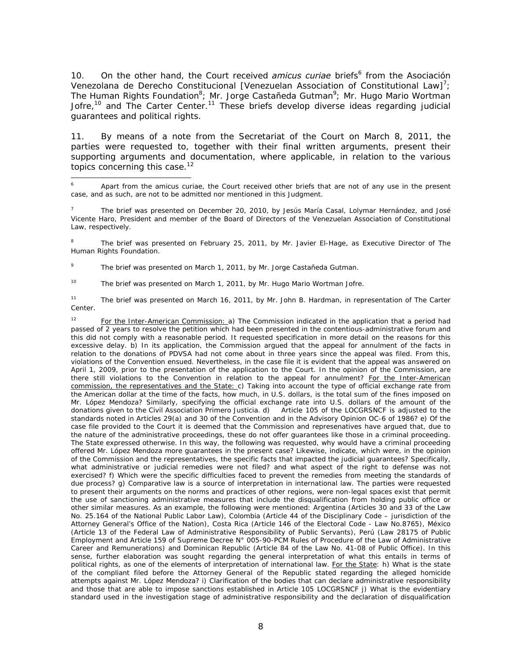10. On the other hand, the Court received *amicus curiae* briefs<sup>6</sup> from the Asociación Venezolana de Derecho Constitucional [Venezuelan Association of Constitutional Law]<sup>7</sup>; The Human Rights Foundation<sup>8</sup>; Mr. Jorge Castañeda Gutman<sup>9</sup>; Mr. Hugo Mario Wortman Jofre,<sup>10</sup> and The Carter Center.<sup>11</sup> These briefs develop diverse ideas regarding judicial guarantees and political rights.

11. By means of a note from the Secretariat of the Court on March 8, 2011, the parties were requested to, together with their final written arguments, present their supporting arguments and documentation, where applicable, in relation to the various topics concerning this case.<sup>12</sup>

8 T The brief was presented on February 25, 2011, by Mr. Javier El-Hage, as Executive Director of The Human Rights Foundation.

9 The brief was presented on March 1, 2011, by Mr. Jorge Castañeda Gutman.

-

<sup>10</sup> The brief was presented on March 1, 2011, by Mr. Hugo Mario Wortman Jofre.

<sup>11</sup> The brief was presented on March 16, 2011, by Mr. John B. Hardman, in representation of The Carter Center.

<sup>12</sup> For the Inter-American Commission: a) The Commission indicated in the application that a period had passed of 2 years to resolve the petition which had been presented in the contentious-administrative forum and this did not comply with a reasonable period. It requested specification in more detail on the reasons for this excessive delay. b) In its application, the Commission argued that the appeal for annulment of the facts in relation to the donations of PDVSA had not come about in three years since the appeal was filed. From this, violations of the Convention ensued. Nevertheless, in the case file it is evident that the appeal was answered on April 1, 2009, prior to the presentation of the application to the Court. In the opinion of the Commission, are there still violations to the Convention in relation to the appeal for annulment? For the Inter-American commission, the representatives and the State: c) Taking into account the type of official exchange rate from the American dollar at the time of the facts, how much, in U.S. dollars, is the total sum of the fines imposed on Mr. López Mendoza? Similarly, specifying the official exchange rate into U.S. dollars of the amount of the donations given to the Civil Association Primero Justicia. d) Article 105 of the LOCGRSNCF is adjusted to the standards noted in Articles 29(a) and 30 of the Convention and in the Advisory Opinion OC-6 of 1986? e) Of the case file provided to the Court it is deemed that the Commission and represenatives have argued that, due to the nature of the administrative proceedings, these do not offer guarantees like those in a criminal proceeding. The State expressed otherwise. In this way, the following was requested, why would have a criminal proceeding offered Mr. López Mendoza more guarantees in the present case? Likewise, indicate, which were, in the opinion of the Commission and the representatives, the specific facts that impacted the judicial guarantees? Specifically, what administrative or judicial remedies were not filed? and what aspect of the right to defense was not exercised? f) Which were the specific difficulties faced to prevent the remedies from meeting the standards of due process? g) Comparative law is a source of interpretation in international law. The parties were requested to present their arguments on the norms and practices of other regions, were non-legal spaces exist that permit the use of sanctioning administrative measures that include the disqualification from holding public office or other similar measures. As an example, the following were mentioned: Argentina (Articles 30 and 33 of the Law No. 25.164 of the National Public Labor Law), Colombia (Article 44 of the Disciplinary Code – jurisdiction of the Attorney General's Office of the Nation), Costa Rica (Article 146 of the Electoral Code - Law No.8765), México (Article 13 of the Federal Law of Administrative Responsibility of Public Servants), Perú (Law 28175 of Public Employment and Article 159 of Supreme Decree N° 005-90-PCM Rules of Procedure of the Law of Administrative Career and Remunerations) and Dominican Republic (Article 84 of the Law No. 41-08 of Public Office). In this sense, further elaboration was sought regarding the general interpretation of what this entails in terms of political rights, as one of the elements of interpretation of international law. For the State: h) What is the state of the compliant filed before the Attorney General of the Republic stated regarding the alleged homicide attempts against Mr. López Mendoza? i) Clarification of the bodies that can declare administrative responsibility and those that are able to impose sanctions established in Article 105 LOCGRSNCF j) What is the evidentiary standard used in the investigation stage of administrative responsibility and the declaration of disqualification

<sup>6</sup> Apart from the amicus curiae, the Court received other briefs that are not of any use in the present case, and as such, are not to be admitted nor mentioned in this Judgment.

<sup>7</sup> The brief was presented on December 20, 2010, by Jesús María Casal, Lolymar Hernández, and José Vicente Haro, President and member of the Board of Directors of the Venezuelan Association of Constitutional Law, respectively.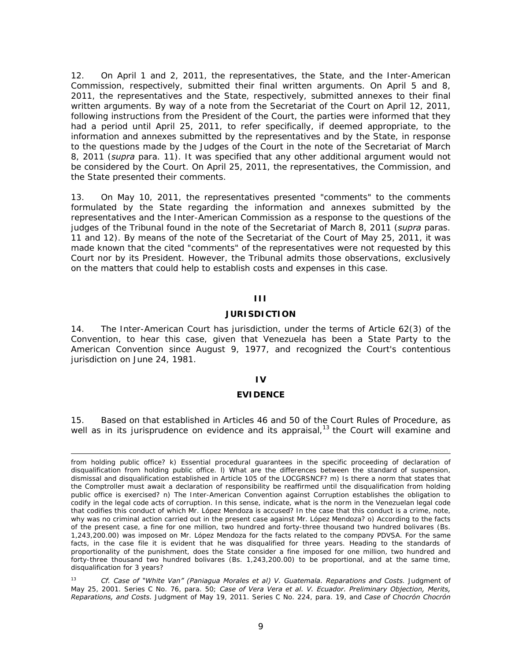12. On April 1 and 2, 2011, the representatives, the State, and the Inter-American Commission, respectively, submitted their final written arguments. On April 5 and 8, 2011, the representatives and the State, respectively, submitted annexes to their final written arguments. By way of a note from the Secretariat of the Court on April 12, 2011, following instructions from the President of the Court, the parties were informed that they had a period until April 25, 2011, to refer specifically, if deemed appropriate, to the information and annexes submitted by the representatives and by the State, in response to the questions made by the Judges of the Court in the note of the Secretariat of March 8, 2011 (*supra* para. 11). It was specified that any other additional argument would not be considered by the Court. On April 25, 2011, the representatives, the Commission, and the State presented their comments.

13. On May 10, 2011, the representatives presented "comments" to the comments formulated by the State regarding the information and annexes submitted by the representatives and the Inter-American Commission as a response to the questions of the judges of the Tribunal found in the note of the Secretariat of March 8, 2011 (*supra* paras. 11 and 12). By means of the note of the Secretariat of the Court of May 25, 2011, it was made known that the cited "comments" of the representatives were not requested by this Court nor by its President. However, the Tribunal admits those observations, exclusively on the matters that could help to establish costs and expenses in this case.

## **III**

### **JURISDICTION**

14. The Inter-American Court has jurisdiction, under the terms of Article 62(3) of the Convention, to hear this case, given that Venezuela has been a State Party to the American Convention since August 9, 1977, and recognized the Court's contentious jurisdiction on June 24, 1981.

#### **IV**

#### **EVIDENCE**

15. Based on that established in Articles 46 and 50 of the Court Rules of Procedure, as well as in its jurisprudence on evidence and its appraisal,<sup>13</sup> the Court will examine and

from holding public office? k) Essential procedural guarantees in the specific proceeding of declaration of disqualification from holding public office. l) What are the differences between the standard of suspension, dismissal and disqualification established in Article 105 of the LOCGRSNCF? m) Is there a norm that states that the Comptroller must await a declaration of responsibility be reaffirmed until the disqualification from holding public office is exercised? n) The Inter-American Convention against Corruption establishes the obligation to codify in the legal code acts of corruption. In this sense, indicate, what is the norm in the Venezuelan legal code that codifies this conduct of which Mr. López Mendoza is accused? In the case that this conduct is a crime, note, why was no criminal action carried out in the present case against Mr. López Mendoza? o) According to the facts of the present case, a fine for one million, two hundred and forty-three thousand two hundred bolivares (Bs. 1,243,200.00) was imposed on Mr. López Mendoza for the facts related to the company PDVSA. For the same facts, in the case file it is evident that he was disqualified for three years. Heading to the standards of proportionality of the punishment, does the State consider a fine imposed for one million, two hundred and forty-three thousand two hundred bolivares (Bs. 1,243,200.00) to be proportional, and at the same time, disqualification for 3 years?

<sup>13</sup> *Cf. Case of "White Van" (Paniagua Morales et al) V. Guatemala. Reparations and Costs*. Judgment of May 25, 2001. Series C No. 76, para. 50; *Case of Vera Vera et al. V. Ecuador. Preliminary Objection, Merits, Reparations, and Costs.* Judgment of May 19, 2011. Series C No. 224, para. 19, and *Case of Chocrón Chocrón*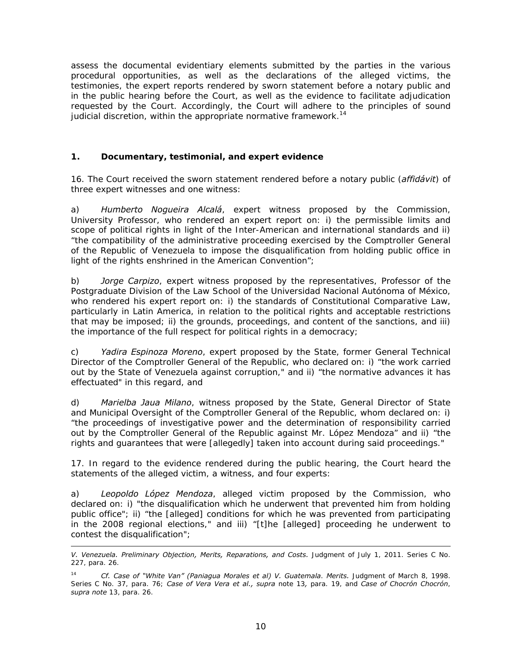assess the documental evidentiary elements submitted by the parties in the various procedural opportunities, as well as the declarations of the alleged victims, the testimonies, the expert reports rendered by sworn statement before a notary public and in the public hearing before the Court, as well as the evidence to facilitate adjudication requested by the Court. Accordingly, the Court will adhere to the principles of sound judicial discretion, within the appropriate normative framework.<sup>14</sup>

# **1. Documentary, testimonial, and expert evidence**

16. The Court received the sworn statement rendered before a notary public (*affidávit*) of three expert witnesses and one witness:

a) *Humberto Nogueira Alcalá*, expert witness proposed by the Commission, University Professor, who rendered an expert report on: i) the permissible limits and scope of political rights in light of the Inter-American and international standards and ii) "the compatibility of the administrative proceeding exercised by the Comptroller General of the Republic of Venezuela to impose the disqualification from holding public office in light of the rights enshrined in the American Convention";

b) *Jorge Carpizo*, expert witness proposed by the representatives, Professor of the Postgraduate Division of the Law School of the Universidad Nacional Autónoma of México, who rendered his expert report on: i) the standards of Constitutional Comparative Law, particularly in Latin America, in relation to the political rights and acceptable restrictions that may be imposed; ii) the grounds, proceedings, and content of the sanctions, and iii) the importance of the full respect for political rights in a democracy;

c) *Yadira Espinoza Moreno*, expert proposed by the State, former General Technical Director of the Comptroller General of the Republic, who declared on: i) "the work carried out by the State of Venezuela against corruption," and ii) "the normative advances it has effectuated" in this regard, and

d) *Marielba Jaua Milano*, witness proposed by the State, General Director of State and Municipal Oversight of the Comptroller General of the Republic, whom declared on: i) "the proceedings of investigative power and the determination of responsibility carried out by the Comptroller General of the Republic against Mr. López Mendoza" and ii) "the rights and guarantees that were [allegedly] taken into account during said proceedings."

17. In regard to the evidence rendered during the public hearing, the Court heard the statements of the alleged victim, a witness, and four experts:

a) *Leopoldo López Mendoza*, alleged victim proposed by the Commission, who declared on: i) "the disqualification which he underwent that prevented him from holding public office"; ii) "the [alleged] conditions for which he was prevented from participating in the 2008 regional elections," and iii) "[t]he [alleged] proceeding he underwent to contest the disqualification";

*V. Venezuela. Preliminary Objection, Merits, Reparations, and Costs.* Judgment of July 1, 2011. Series C No. 227, para. 26.

<sup>14</sup> *Cf. Case of "White Van" (Paniagua Morales et al) V. Guatemala*. *Merits.* Judgment of March 8, 1998. Series C No. 37, para. 76; *Case of Vera Vera et al., supra* note 13*,* para. 19, and *Case of Chocrón Chocrón*, *supra note* 13, para. 26.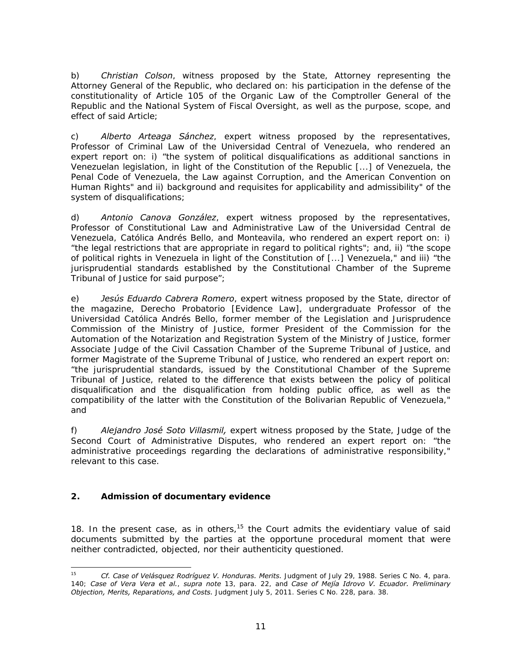b) *Christian Colson*, witness proposed by the State, Attorney representing the Attorney General of the Republic, who declared on: his participation in the defense of the constitutionality of Article 105 of the Organic Law of the Comptroller General of the Republic and the National System of Fiscal Oversight, as well as the purpose, scope, and effect of said Article;

c) *Alberto Arteaga Sánchez*, expert witness proposed by the representatives, Professor of Criminal Law of the Universidad Central of Venezuela, who rendered an expert report on: i) "the system of political disqualifications as additional sanctions in Venezuelan legislation, in light of the Constitution of the Republic [...] of Venezuela, the Penal Code of Venezuela, the Law against Corruption, and the American Convention on Human Rights" and ii) background and requisites for applicability and admissibility" of the system of disqualifications;

d) *Antonio Canova González*, expert witness proposed by the representatives, Professor of Constitutional Law and Administrative Law of the Universidad Central de Venezuela, Católica Andrés Bello, and Monteavila, who rendered an expert report on: i) "the legal restrictions that are appropriate in regard to political rights"; and, ii) "the scope of political rights in Venezuela in light of the Constitution of [...] Venezuela," and iii) "the jurisprudential standards established by the Constitutional Chamber of the Supreme Tribunal of Justice for said purpose";

e) *Jesús Eduardo Cabrera Romero*, expert witness proposed by the State, director of the magazine, Derecho Probatorio [Evidence Law], undergraduate Professor of the Universidad Católica Andrés Bello, former member of the Legislation and Jurisprudence Commission of the Ministry of Justice, former President of the Commission for the Automation of the Notarization and Registration System of the Ministry of Justice, former Associate Judge of the Civil Cassation Chamber of the Supreme Tribunal of Justice, and former Magistrate of the Supreme Tribunal of Justice, who rendered an expert report on: "the jurisprudential standards, issued by the Constitutional Chamber of the Supreme Tribunal of Justice, related to the difference that exists between the policy of political disqualification and the disqualification from holding public office, as well as the compatibility of the latter with the Constitution of the Bolivarian Republic of Venezuela," and

f) *Alejandro José Soto Villasmil,* expert witness proposed by the State, Judge of the Second Court of Administrative Disputes, who rendered an expert report on: "the administrative proceedings regarding the declarations of administrative responsibility," relevant to this case.

# **2. Admission of documentary evidence**

18. In the present case, as in others,  $15$  the Court admits the evidentiary value of said documents submitted by the parties at the opportune procedural moment that were neither contradicted, objected, nor their authenticity questioned.

<sup>15</sup> <sup>15</sup> *Cf. Case of Velásquez Rodríguez V. Honduras. Merits.* Judgment of July 29, 1988. Series C No. 4, para. 140; *Case of Vera Vera et al.*, *supra note* 13, para. 22, and *Case of Mejía Idrovo V. Ecuador. Preliminary Objection, Merits, Reparations, and Costs.* Judgment July 5, 2011. Series C No. 228, para. 38.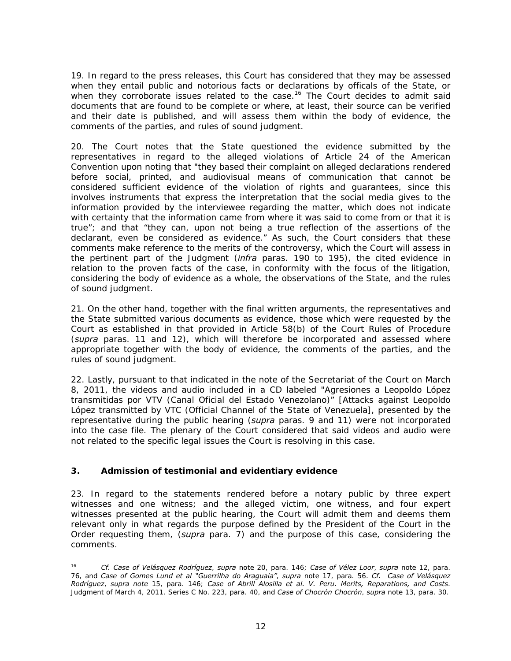19. In regard to the press releases, this Court has considered that they may be assessed when they entail public and notorious facts or declarations by officals of the State, or when they corroborate issues related to the case.<sup>16</sup> The Court decides to admit said documents that are found to be complete or where, at least, their source can be verified and their date is published, and will assess them within the body of evidence, the comments of the parties, and rules of sound judgment.

20. The Court notes that the State questioned the evidence submitted by the representatives in regard to the alleged violations of Article 24 of the American Convention upon noting that "they based their complaint on alleged declarations rendered before social, printed, and audiovisual means of communication that cannot be considered sufficient evidence of the violation of rights and guarantees, since this involves instruments that express the interpretation that the social media gives to the information provided by the interviewee regarding the matter, which does not indicate with certainty that the information came from where it was said to come from or that it is true"; and that "they can, upon not being a true reflection of the assertions of the declarant, even be considered as evidence." As such, the Court considers that these comments make reference to the merits of the controversy, which the Court will assess in the pertinent part of the Judgment (*infra* paras. 190 to 195), the cited evidence in relation to the proven facts of the case, in conformity with the focus of the litigation, considering the body of evidence as a whole, the observations of the State, and the rules of sound judgment.

21. On the other hand, together with the final written arguments, the representatives and the State submitted various documents as evidence, those which were requested by the Court as established in that provided in Article 58(b) of the Court Rules of Procedure (*supra* paras. 11 and 12), which will therefore be incorporated and assessed where appropriate together with the body of evidence, the comments of the parties, and the rules of sound judgment.

22. Lastly, pursuant to that indicated in the note of the Secretariat of the Court on March 8, 2011, the videos and audio included in a CD labeled "Agresiones a Leopoldo López transmitidas por VTV (Canal Oficial del Estado Venezolano)" [Attacks against Leopoldo López transmitted by VTC (Official Channel of the State of Venezuela], presented by the representative during the public hearing (*supra* paras. 9 and 11) were not incorporated into the case file. The plenary of the Court considered that said videos and audio were not related to the specific legal issues the Court is resolving in this case.

# **3. Admission of testimonial and evidentiary evidence**

23. In regard to the statements rendered before a notary public by three expert witnesses and one witness; and the alleged victim, one witness, and four expert witnesses presented at the public hearing, the Court will admit them and deems them relevant only in what regards the purpose defined by the President of the Court in the Order requesting them, (*supra* para. 7) and the purpose of this case, considering the comments.

<sup>16</sup> <sup>16</sup> *Cf. Case of Velásquez Rodríguez*, *supra* note 20, para. 146; *Case of Vélez Loor*, *supra* note 12, para. 76, and *Case of Gomes Lund et al "Guerrilha do Araguaia"*, *supra* note 17, para. 56. *Cf. Case of Velásquez Rodríguez*, *supra note* 15, para. 146; *Case of Abrill Alosilla et al. V. Peru. Merits, Reparations, and Costs*. Judgment of March 4, 2011. Series C No. 223, para. 40, and *Case of Chocrón Chocrón*, *supra* note 13, para. 30.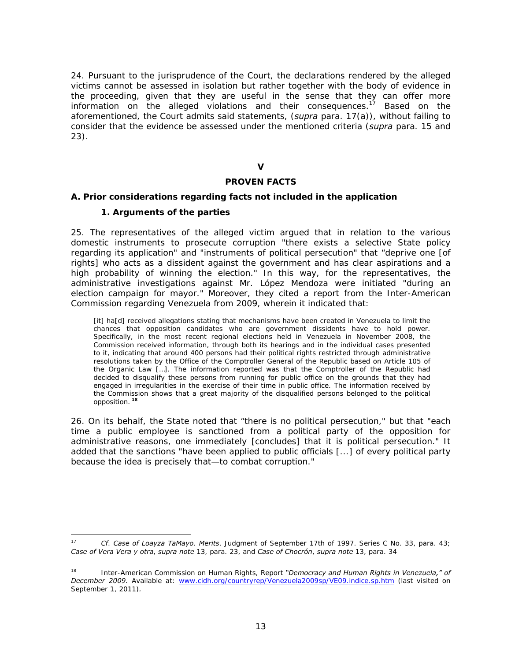24. Pursuant to the jurisprudence of the Court, the declarations rendered by the alleged victims cannot be assessed in isolation but rather together with the body of evidence in the proceeding, given that they are useful in the sense that they can offer more information on the alleged violations and their consequences.<sup>17</sup> Based on the aforementioned, the Court admits said statements, (*supra* para. 17(a)), without failing to consider that the evidence be assessed under the mentioned criteria (*supra* para. 15 and 23).

**V** 

### **PROVEN FACTS**

### **A. Prior considerations regarding facts not included in the application**

### **1. Arguments of the parties**

25. The representatives of the alleged victim argued that in relation to the various domestic instruments to prosecute corruption "there exists a selective State policy regarding its application" and "instruments of political persecution" that "deprive one [of rights] who acts as a dissident against the government and has clear aspirations and a high probability of winning the election." In this way, for the representatives, the administrative investigations against Mr. López Mendoza were initiated "during an election campaign for mayor." Moreover, they cited a report from the Inter-American Commission regarding Venezuela from 2009, wherein it indicated that:

[it] ha[d] received allegations stating that mechanisms have been created in Venezuela to limit the chances that opposition candidates who are government dissidents have to hold power. Specifically, in the most recent regional elections held in Venezuela in November 2008, the Commission received information, through both its hearings and in the individual cases presented to it, indicating that around 400 persons had their political rights restricted through administrative resolutions taken by the Office of the Comptroller General of the Republic based on Article 105 of the Organic Law […]. The information reported was that the Comptroller of the Republic had decided to disqualify these persons from running for public office on the grounds that they had engaged in irregularities in the exercise of their time in public office. The information received by the Commission shows that a great majority of the disqualified persons belonged to the political opposition.**<sup>18</sup>**

26. On its behalf, the State noted that "there is no political persecution," but that "each time a public employee is sanctioned from a political party of the opposition for administrative reasons, one immediately [concludes] that it is political persecution." It added that the sanctions "have been applied to public officials [...] of every political party because the idea is precisely that—to combat corruption."

 $17$ 17 *Cf*. *Case of Loayza TaMayo*. *Merits*. Judgment of September 17th of 1997. Series C No. 33, para. 43; *Case of Vera Vera y otra*, *supra note* 13, para. 23, and *Case of Chocrón*, *supra note* 13, para. 34

<sup>18</sup> Inter-American Commission on Human Rights, Report *"Democracy and Human Rights in Venezuela," of December 2009*. Available at: www.cidh.org/countryrep/Venezuela2009sp/VE09.indice.sp.htm (last visited on September 1, 2011)*.*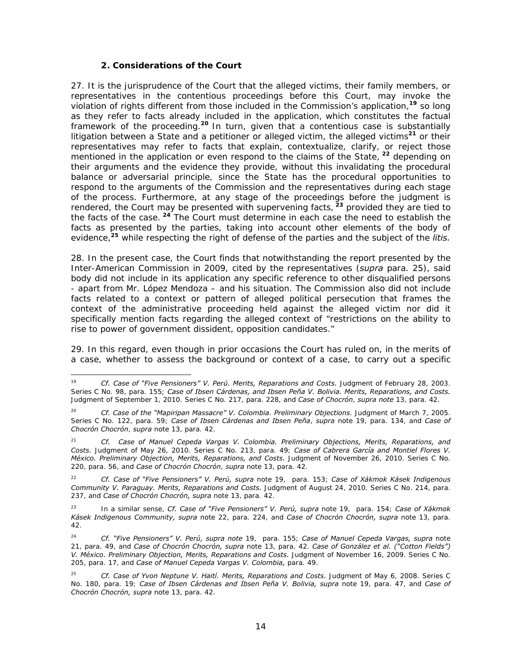#### **2. Considerations of the Court**

-

27. It is the jurisprudence of the Court that the alleged victims, their family members, or representatives in the contentious proceedings before this Court, may invoke the violation of rights different from those included in the Commission's application,**<sup>19</sup>** so long as they refer to facts already included in the application, which constitutes the factual framework of the proceeding.**<sup>20</sup>**In turn, given that a contentious case is substantially litigation between a State and a petitioner or alleged victim, the alleged victims**<sup>21</sup>** or their representatives may refer to facts that explain, contextualize, clarify, or reject those mentioned in the application or even respond to the claims of the State,**<sup>22</sup>** depending on their arguments and the evidence they provide, without this invalidating the procedural balance or adversarial principle, since the State has the procedural opportunities to respond to the arguments of the Commission and the representatives during each stage of the process. Furthermore, at any stage of the proceedings before the judgment is rendered, the Court may be presented with supervening facts,**<sup>23</sup>** provided they are tied to the facts of the case.**<sup>24</sup>** The Court must determine in each case the need to establish the facts as presented by the parties, taking into account other elements of the body of evidence,**<sup>25</sup>** while respecting the right of defense of the parties and the subject of the *litis.* 

28. In the present case, the Court finds that notwithstanding the report presented by the Inter-American Commission in 2009, cited by the representatives (*supra* para. 25), said body did not include in its application any specific reference to other disqualified persons - apart from Mr. López Mendoza – and his situation. The Commission also did not include facts related to a context or pattern of alleged political persecution that frames the context of the administrative proceeding held against the alleged victim nor did it specifically mention facts regarding the alleged context of "restrictions on the ability to rise to power of government dissident, opposition candidates."

29. In this regard, even though in prior occasions the Court has ruled on, in the merits of a case, whether to assess the background or context of a case, to carry out a specific

<sup>19</sup> *Cf. Case of "Five Pensioners" V. Perú. Merits, Reparations and Costs.* Judgment of February 28, 2003. Series C No. 98, para. 155; *Case of Ibsen Cárdenas, and Ibsen Peña V. Bolivia. Merits, Reparations, and Costs.*  Judgment of September 1, 2010. Series C No. 217, para. 228, and *Case of Chocrón*, *supra note* 13, para. 42.

<sup>20</sup> *Cf. Case of the "Mapiripan Massacre" V. Colombia*. *Preliminary Objections*. Judgment of March 7, 2005. Series C No. 122, para. 59; *Case of Ibsen Cárdenas and Ibsen Peña*, *supra* note 19, para. 134, and *Case of Chocrón Chocrón*, *supra* note 13, para. 42.

<sup>21</sup> *Cf. Case of Manuel Cepeda Vargas V. Colombia. Preliminary Objections, Merits, Reparations, and Costs.* Judgment of May 26, 2010. Series C No. 213, para. 49; *Case of Cabrera García and Montiel Flores V. México. Preliminary Objection, Merits, Reparations, and Costs.* Judgment of November 26, 2010. Series C No. 220, para. 56, and *Case of Chocrón Chocrón*, *supra* note 13, para. 42.

<sup>22</sup> *Cf. Case of "Five Pensioners" V. Perú, supra* note 19,para. 153; *Case of Xákmok Kásek Indigenous Community V. Paraguay. Merits, Reparations and Costs.* Judgment of August 24, 2010. Series C No. 214, para. 237, and *Case of Chocrón Chocrón, supra* note 13, para. 42.

<sup>23</sup> In a similar sense, *Cf. Case of "Five Pensioners" V. Perú, supra* note 19, para. 154; *Case of Xákmok Kásek Indigenous Community, supra* note 22, para. 224, and *Case of Chocrón Chocrón, supra* note 13, para. 42.

<sup>24</sup> *Cf. "Five Pensioners" V. Perú, supra note* 19, para. 155; *Case of Manuel Cepeda Vargas, supra* note 21, para. 49, and *Case of Chocrón Chocrón, supra* note 13, para. 42. *Case of González et al. ("Cotton Fields") V. México. Preliminary Objection, Merits, Reparations and Costs.* Judgment of November 16, 2009. Series C No. 205, para. 17, and *Case of Manuel Cepeda Vargas V. Colombia,* para. 49.

<sup>25</sup> *Cf. Case of Yvon Neptune V. Haití. Merits, Reparations and Costs.* Judgment of May 6, 2008. Series C No. 180, para. 19; *Case of Ibsen Cárdenas and Ibsen Peña V. Bolivia, supra* note 19, para. 47, and *Case of Chocrón Chocrón, supra* note 13, para. 42.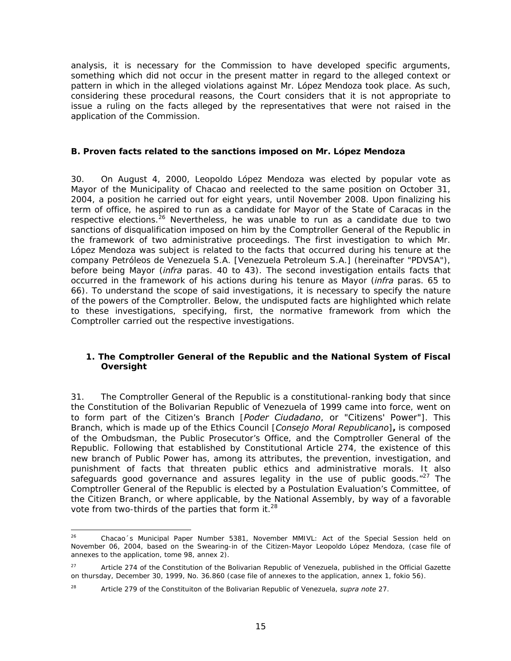analysis, it is necessary for the Commission to have developed specific arguments, something which did not occur in the present matter in regard to the alleged context or pattern in which in the alleged violations against Mr. López Mendoza took place. As such, considering these procedural reasons, the Court considers that it is not appropriate to issue a ruling on the facts alleged by the representatives that were not raised in the application of the Commission.

## **B. Proven facts related to the sanctions imposed on Mr. López Mendoza**

30. On August 4, 2000, Leopoldo López Mendoza was elected by popular vote as Mayor of the Municipality of Chacao and reelected to the same position on October 31, 2004, a position he carried out for eight years, until November 2008. Upon finalizing his term of office, he aspired to run as a candidate for Mayor of the State of Caracas in the respective elections.<sup>26</sup> Nevertheless, he was unable to run as a candidate due to two sanctions of disqualification imposed on him by the Comptroller General of the Republic in the framework of two administrative proceedings. The first investigation to which Mr. López Mendoza was subject is related to the facts that occurred during his tenure at the company Petróleos de Venezuela S.A. [Venezuela Petroleum S.A.] (hereinafter "PDVSA"), before being Mayor (*infra* paras. 40 to 43). The second investigation entails facts that occurred in the framework of his actions during his tenure as Mayor (*infra* paras. 65 to 66). To understand the scope of said investigations, it is necessary to specify the nature of the powers of the Comptroller. Below, the undisputed facts are highlighted which relate to these investigations, specifying, first, the normative framework from which the Comptroller carried out the respective investigations.

## **1. The Comptroller General of the Republic and the National System of Fiscal Oversight**

31. The Comptroller General of the Republic is a constitutional-ranking body that since the Constitution of the Bolivarian Republic of Venezuela of 1999 came into force, went on to form part of the Citizen's Branch [*Poder Ciudadano*, or "Citizens' Power"]. This Branch, which is made up of the Ethics Council [*Consejo Moral Republicano*]**,** is composed of the Ombudsman, the Public Prosecutor's Office, and the Comptroller General of the Republic. Following that established by Constitutional Article 274, the existence of this new branch of Public Power has, among its attributes, the prevention, investigation, and punishment of facts that threaten public ethics and administrative morals. It also safeguards good governance and assures legality in the use of public goods. $n^{27}$  The Comptroller General of the Republic is elected by a Postulation Evaluation's Committee, of the Citizen Branch, or where applicable, by the National Assembly, by way of a favorable vote from two-thirds of the parties that form it.<sup>28</sup>

 $26$ 26 Chacao´s Municipal Paper Number 5381, November MMIVL: Act of the Special Session held on November 06, 2004, based on the Swearing-in of the Citizen-Mayor Leopoldo López Mendoza, (case file of annexes to the application, tome 98, annex 2).

<sup>&</sup>lt;sup>27</sup> Article 274 of the Constitution of the Bolivarian Republic of Venezuela, published in the Official Gazette on thursday, December 30, 1999, No. 36.860 (case file of annexes to the application, annex 1, fokio 56).

<sup>28</sup> Article 279 of the Constituiton of the Bolivarian Republic of Venezuela, *supra note* 27.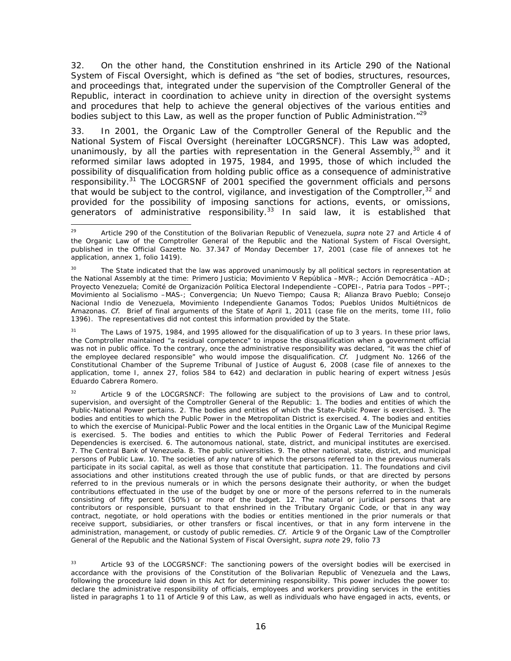32. On the other hand, the Constitution enshrined in its Article 290 of the National System of Fiscal Oversight, which is defined as "the set of bodies, structures, resources, and proceedings that, integrated under the supervision of the Comptroller General of the Republic, interact in coordination to achieve unity in direction of the oversight systems and procedures that help to achieve the general objectives of the various entities and bodies subject to this Law, as well as the proper function of Public Administration."<sup>29</sup>

33. In 2001, the Organic Law of the Comptroller General of the Republic and the National System of Fiscal Oversight (hereinafter LOCGRSNCF). This Law was adopted, unanimously, by all the parties with representation in the General Assembly,  $30$  and it reformed similar laws adopted in 1975, 1984, and 1995, those of which included the possibility of disqualification from holding public office as a consequence of administrative responsibility.31 The LOCGRSNF of 2001 specified the government officials and persons that would be subject to the control, vigilance, and investigation of the Comptroller, $32$  and provided for the possibility of imposing sanctions for actions, events, or omissions, generators of administrative responsibility. $33$  In said law, it is established that

The Laws of 1975, 1984, and 1995 allowed for the disqualification of up to 3 years. In these prior laws, the Comptroller maintained "a residual competence" to impose the disqualification when a government official was not in public office. To the contrary, once the administrative responsibility was declared, "it was the chief of the employee declared responsible" who would impose the disqualification. *Cf.* Judgment No. 1266 of the Constitutional Chamber of the Supreme Tribunal of Justice of August 6, 2008 (case file of annexes to the application, tome I, annex 27, folios 584 to 642) and declaration in public hearing of expert witness Jesús Eduardo Cabrera Romero.

Article 9 of the LOCGRSNCF: The following are subject to the provisions of Law and to control, supervision, and oversight of the Comptroller General of the Republic: 1. The bodies and entities of which the Public-National Power pertains. 2. The bodies and entities of which the State-Public Power is exercised. 3. The bodies and entities to which the Public Power in the Metropolitan District is exercised. 4. The bodies and entities to which the exercise of Municipal-Public Power and the local entities in the Organic Law of the Municipal Regime is exercised. 5. The bodies and entities to which the Public Power of Federal Territories and Federal Dependencies is exercised. 6. The autonomous national, state, district, and municipal institutes are exercised. 7. The Central Bank of Venezuela. 8. The public universities. 9. The other national, state, district, and municipal persons of Public Law. 10. The societies of any nature of which the persons referred to in the previous numerals participate in its social capital, as well as those that constitute that participation. 11. The foundations and civil associations and other institutions created through the use of public funds, or that are directed by persons referred to in the previous numerals or in which the persons designate their authority, or when the budget contributions effectuated in the use of the budget by one or more of the persons referred to in the numerals consisting of fifty percent (50%) or more of the budget. 12. The natural or juridical persons that are contributors or responsible, pursuant to that enshrined in the Tributary Organic Code, or that in any way contract, negotiate, or hold operations with the bodies or entities mentioned in the prior numerals or that receive support, subsidiaries, or other transfers or fiscal incentives, or that in any form intervene in the administration, management, or custody of public remedies. *Cf.* Article 9 of the Organic Law of the Comptroller General of the Republic and the National System of Fiscal Oversight, *supra note* 29, folio 73

<sup>33</sup> Article 93 of the LOCGRSNCF: The sanctioning powers of the oversight bodies will be exercised in accordance with the provisions of the Constitution of the Bolivarian Republic of Venezuela and the Laws, following the procedure laid down in this Act for determining responsibility. This power includes the power to: declare the administrative responsibility of officials, employees and workers providing services in the entities listed in paragraphs 1 to 11 of Article 9 of this Law, as well as individuals who have engaged in acts, events, or

<sup>29</sup> 29 Article 290 of the Constitution of the Bolivarian Republic of Venezuela, *supra* note 27 and Article 4 of the Organic Law of the Comptroller General of the Republic and the National System of Fiscal Oversight, published in the Official Gazette No. 37.347 of Monday December 17, 2001 (case file of annexes tot he application, annex 1, folio 1419).

<sup>&</sup>lt;sup>30</sup> The State indicated that the law was approved unanimously by all political sectors in representation at the National Assembly at the time: Primero Justicia; Movimiento V República –MVR-; Acción Democrática –AD-; Proyecto Venezuela; Comité de Organización Política Electoral Independiente –COPEI-, Patria para Todos –PPT-; Movimiento al Socialismo –MAS-; Convergencia; Un Nuevo Tiempo; Causa R; Alianza Bravo Pueblo; Consejo Nacional Indio de Venezuela, Movimiento Independiente Ganamos Todos; Pueblos Unidos Multiétnicos de Amazonas. *Cf.* Brief of final arguments of the State of April 1, 2011 (case file on the merits, tome III, folio 1396). The representatives did not contest this information provided by the State.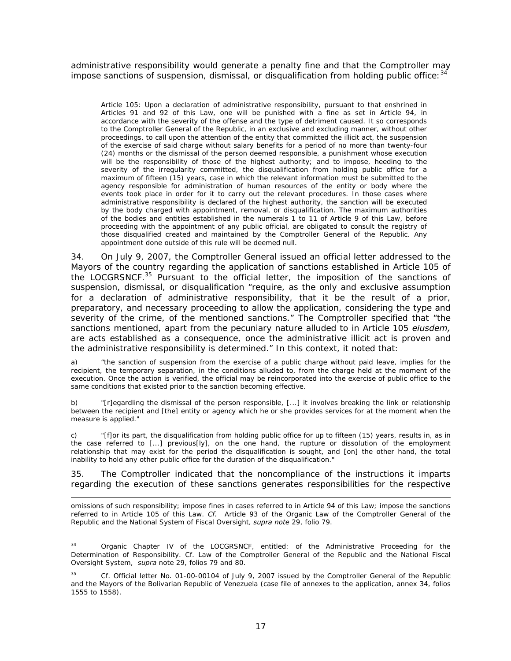administrative responsibility would generate a penalty fine and that the Comptroller may impose sanctions of suspension, dismissal, or disqualification from holding public office:  $34$ 

Article 105: Upon a declaration of administrative responsibility, pursuant to that enshrined in Articles 91 and 92 of this Law, one will be punished with a fine as set in Article 94, in accordance with the severity of the offense and the type of detriment caused. It so corresponds to the Comptroller General of the Republic, in an exclusive and excluding manner, without other proceedings, to call upon the attention of the entity that committed the illicit act, the suspension of the exercise of said charge without salary benefits for a period of no more than twenty-four (24) months or the dismissal of the person deemed responsible, a punishment whose execution will be the responsibility of those of the highest authority; and to impose, heeding to the severity of the irregularity committed, the disqualification from holding public office for a maximum of fifteen (15) years, case in which the relevant information must be submitted to the agency responsible for administration of human resources of the entity or body where the events took place in order for it to carry out the relevant procedures. In those cases where administrative responsibility is declared of the highest authority, the sanction will be executed by the body charged with appointment, removal, or disqualification. The maximum authorities of the bodies and entities established in the numerals 1 to 11 of Article 9 of this Law, before proceeding with the appointment of any public official, are obligated to consult the registry of those disqualified created and maintained by the Comptroller General of the Republic. Any appointment done outside of this rule will be deemed null.

34. On July 9, 2007, the Comptroller General issued an official letter addressed to the Mayors of the country regarding the application of sanctions established in Article 105 of the LOCGRSNCF.35 Pursuant to the official letter, the imposition of the sanctions of suspension, dismissal, or disqualification "require, as the only and exclusive assumption for a declaration of administrative responsibility, that it be the result of a prior, preparatory, and necessary proceeding to allow the application, considering the type and severity of the crime, of the mentioned sanctions." The Comptroller specified that "the sanctions mentioned, apart from the pecuniary nature alluded to in Article 105 *eiusdem,*  are acts established as a consequence, once the administrative illicit act is proven and the administrative responsibility is determined." In this context, it noted that:

a) "the sanction of suspension from the exercise of a public charge without paid leave, implies for the recipient, the temporary separation, in the conditions alluded to, from the charge held at the moment of the execution. Once the action is verified, the official may be reincorporated into the exercise of public office to the same conditions that existed prior to the sanction becoming effective.

b) "[r]egardling the dismissal of the person responsible, [...] it involves breaking the link or relationship between the recipient and [the] entity or agency which he or she provides services for at the moment when the measure is applied."

c) "[f]or its part, the disqualification from holding public office for up to fifteen (15) years, results in, as in the case referred to [...] previous[ly], on the one hand, the rupture or dissolution of the employment relationship that may exist for the period the disqualification is sought, and [on] the other hand, the total inability to hold any other public office for the duration of the disqualification."

35. The Comptroller indicated that the noncompliance of the instructions it imparts regarding the execution of these sanctions generates responsibilities for the respective

omissions of such responsibility; impose fines in cases referred to in Article 94 of this Law; impose the sanctions referred to in Article 105 of this Law. *Cf.* Article 93 of the Organic Law of the Comptroller General of the Republic and the National System of Fiscal Oversight, *supra note* 29, folio 79.

-

Organic Chapter IV of the LOCGRSNCF, entitled: of the Administrative Proceeding for the Determination of Responsibility. Cf. Law of the Comptroller General of the Republic and the National Fiscal Oversight System, *supra* note 29, folios 79 and 80.

Cf. Official letter No. 01-00-00104 of July 9, 2007 issued by the Comptroller General of the Republic and the Mayors of the Bolivarian Republic of Venezuela (case file of annexes to the application, annex 34, folios 1555 to 1558).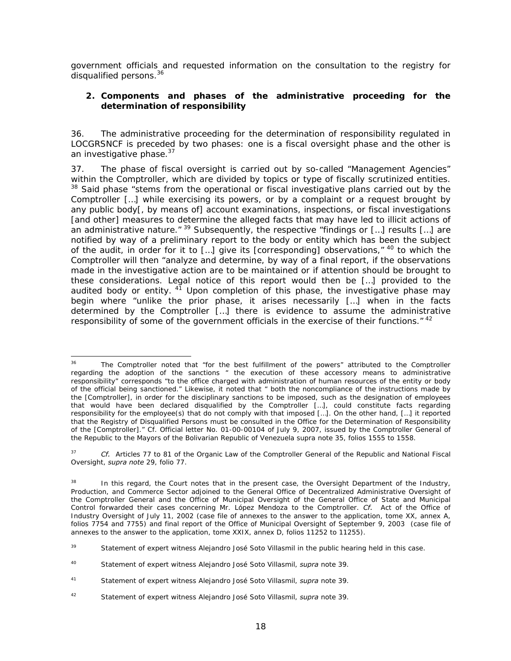government officials and requested information on the consultation to the registry for disqualified persons.<sup>36</sup>

## **2. Components and phases of the administrative proceeding for the determination of responsibility**

36. The administrative proceeding for the determination of responsibility regulated in LOCGRSNCF is preceded by two phases: one is a fiscal oversight phase and the other is an investigative phase.<sup>37</sup>

37. The phase of fiscal oversight is carried out by so-called "Management Agencies" within the Comptroller, which are divided by topics or type of fiscally scrutinized entities. <sup>38</sup> Said phase "stems from the operational or fiscal investigative plans carried out by the Comptroller […] while exercising its powers, or by a complaint or a request brought by any public body[, by means of] account examinations, inspections, or fiscal investigations [and other] measures to determine the alleged facts that may have led to illicit actions of an administrative nature." <sup>39</sup> Subsequently, the respective "findings or [...] results [...] are notified by way of a preliminary report to the body or entity which has been the subject of the audit, in order for it to [...] give its [corresponding] observations,"  $40$  to which the Comptroller will then "analyze and determine, by way of a final report, if the observations made in the investigative action are to be maintained or if attention should be brought to these considerations. Legal notice of this report would then be […] provided to the audited body or entity.  $4^7$  Upon completion of this phase, the investigative phase may begin where "unlike the prior phase, it arises necessarily […] when in the facts determined by the Comptroller […] there is evidence to assume the administrative responsibility of some of the government officials in the exercise of their functions."<sup>42</sup>

42 Statement of expert witness Alejandro José Soto Villasmil, *supra* note 39.

 $36$ The Comptroller noted that "for the best fulfillment of the powers" attributed to the Comptroller regarding the adoption of the sanctions " the execution of these accessory means to administrative responsibility" corresponds "to the office charged with administration of human resources of the entity or body of the official being sanctioned." Likewise, it noted that " both the noncompliance of the instructions made by the [Comptroller], in order for the disciplinary sanctions to be imposed, such as the designation of employees that would have been declared disqualified by the Comptroller […], could constitute facts regarding responsibility for the employee(s) that do not comply with that imposed […]. On the other hand, […] it reported that the Registry of Disqualified Persons must be consulted in the Office for the Determination of Responsibility of the [Comptroller]." Cf. Official letter No. 01-00-00104 of July 9, 2007, issued by the Comptroller General of the Republic to the Mayors of the Bolivarian Republic of Venezuela supra note 35, folios 1555 to 1558.

<sup>37</sup> *Cf.* Articles 77 to 81 of the Organic Law of the Comptroller General of the Republic and National Fiscal Oversight, *supra note* 29, folio 77.

<sup>&</sup>lt;sup>38</sup> In this regard, the Court notes that in the present case, the Oversight Department of the Industry, Production, and Commerce Sector adjoined to the General Office of Decentralized Administrative Oversight of the Comptroller General and the Office of Municipal Oversight of the General Office of State and Municipal Control forwarded their cases concerning Mr. López Mendoza to the Comptroller. *Cf.* Act of the Office of Industry Oversight of July 11, 2002 (case file of annexes to the answer to the application, tome XX, annex A, folios 7754 and 7755) and final report of the Office of Municipal Oversight of September 9, 2003 (case file of annexes to the answer to the application, tome XXIX, annex D, folios 11252 to 11255).

<sup>&</sup>lt;sup>39</sup> Statement of expert witness Alejandro José Soto Villasmil in the public hearing held in this case.

<sup>40</sup> Statement of expert witness Alejandro José Soto Villasmil, *supra* note 39.

<sup>41</sup> Statement of expert witness Alejandro José Soto Villasmil, *supra* note 39.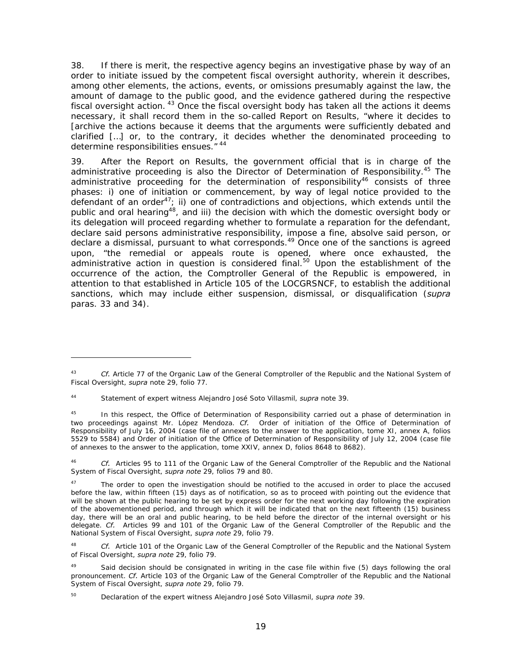38. If there is merit, the respective agency begins an investigative phase by way of an order to initiate issued by the competent fiscal oversight authority, wherein it describes, among other elements, the actions, events, or omissions presumably against the law, the amount of damage to the public good, and the evidence gathered during the respective fiscal oversight action. <sup>43</sup> Once the fiscal oversight body has taken all the actions it deems necessary, it shall record them in the so-called Report on Results, "where it decides to [archive the actions because it deems that the arguments were sufficiently debated and clarified […] or, to the contrary, it decides whether the denominated proceeding to determine responsibilities ensues." 44

39. After the Report on Results, the government official that is in charge of the administrative proceeding is also the Director of Determination of Responsibility.<sup>45</sup> The administrative proceeding for the determination of responsibility<sup>46</sup> consists of three phases: i) one of initiation or commencement, by way of legal notice provided to the defendant of an order<sup>47</sup>; ii) one of contradictions and objections, which extends until the public and oral hearing<sup>48</sup>, and iii) the decision with which the domestic oversight body or its delegation will proceed regarding whether to formulate a reparation for the defendant, declare said persons administrative responsibility, impose a fine, absolve said person, or declare a dismissal, pursuant to what corresponds.<sup>49</sup> Once one of the sanctions is agreed upon, "the remedial or appeals route is opened, where once exhausted, the administrative action in question is considered final.<sup>50</sup> Upon the establishment of the occurrence of the action, the Comptroller General of the Republic is empowered, in attention to that established in Article 105 of the LOCGRSNCF, to establish the additional sanctions, which may include either suspension, dismissal, or disqualification (*supra*  paras. 33 and 34).

<sup>43</sup> *Cf.* Article 77 of the Organic Law of the General Comptroller of the Republic and the National System of Fiscal Oversight, *supra* note 29, folio 77.

<sup>44</sup> Statement of expert witness Alejandro José Soto Villasmil, *supra* note 39.

<sup>&</sup>lt;sup>45</sup> In this respect, the Office of Determination of Responsibility carried out a phase of determination in two proceedings against Mr. López Mendoza. *Cf.* Order of initiation of the Office of Determination of Responsibility of July 16, 2004 (case file of annexes to the answer to the application, tome XI, annex A, folios 5529 to 5584) and Order of initiation of the Office of Determination of Responsibility of July 12, 2004 (case file of annexes to the answer to the application, tome XXIV, annex D, folios 8648 to 8682).

<sup>46</sup> *Cf.* Articles 95 to 111 of the Organic Law of the General Comptroller of the Republic and the National System of Fiscal Oversight, *supra note* 29, folios 79 and 80.

The order to open the investigation should be notified to the accused in order to place the accused before the law, within fifteen (15) days as of notification, so as to proceed with pointing out the evidence that will be shown at the public hearing to be set by express order for the next working day following the expiration of the abovementioned period, and through which it will be indicated that on the next fifteenth (15) business day, there will be an oral and public hearing, to be held before the director of the internal oversight or his delegate. *Cf.* Articles 99 and 101 of the Organic Law of the General Comptroller of the Republic and the National System of Fiscal Oversight, *supra note* 29, folio 79.

Cf. Article 101 of the Organic Law of the General Comptroller of the Republic and the National System of Fiscal Oversight, *supra note* 29, folio 79.

<sup>49</sup> Said decision should be consignated in writing in the case file within five (5) days following the oral pronouncement. *Cf.* Article 103 of the Organic Law of the General Comptroller of the Republic and the National System of Fiscal Oversight, *supra note* 29, folio 79.

<sup>50</sup> Declaration of the expert witness Alejandro José Soto Villasmil, *supra note* 39.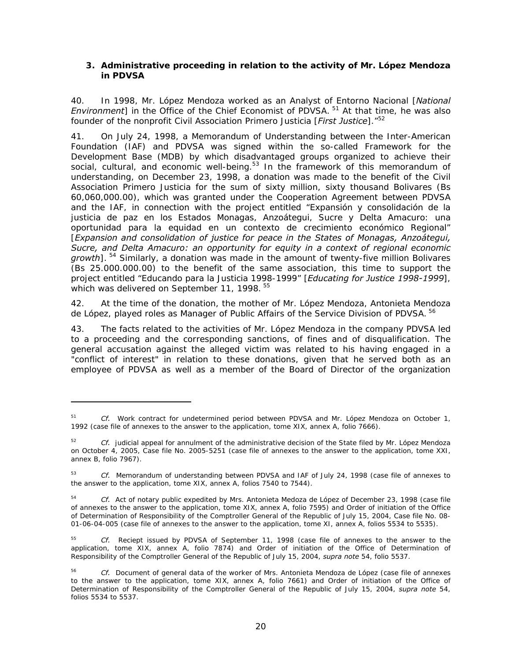### **3. Administrative proceeding in relation to the activity of Mr. López Mendoza in PDVSA**

40. In 1998, Mr. López Mendoza worked as an Analyst of Entorno Nacional [*National Environment*] in the Office of the Chief Economist of PDVSA.<sup>51</sup> At that time, he was also founder of the nonprofit Civil Association Primero Justicia [*First Justice*]."52

41. On July 24, 1998, a Memorandum of Understanding between the Inter-American Foundation (IAF) and PDVSA was signed within the so-called Framework for the Development Base (MDB) by which disadvantaged groups organized to achieve their social, cultural, and economic well-being.<sup>53</sup> In the framework of this memorandum of understanding, on December 23, 1998, a donation was made to the benefit of the Civil Association Primero Justicia for the sum of sixty million, sixty thousand Bolivares (Bs 60,060,000.00), which was granted under the Cooperation Agreement between PDVSA and the IAF, in connection with the project entitled "Expansión y consolidación de la justicia de paz en los Estados Monagas, Anzoátegui, Sucre y Delta Amacuro: una oportunidad para la equidad en un contexto de crecimiento económico Regional" [*Expansion and consolidation of justice for peace in the States of Monagas, Anzoátegui, Sucre, and Delta Amacuro: an opportunity for equity in a context of regional economic growth*]. 54 Similarly, a donation was made in the amount of twenty-five million Bolivares (Bs 25.000.000.00) to the benefit of the same association, this time to support the project entitled "Educando para la Justicia 1998-1999" [*Educating for Justice 1998-1999*], which was delivered on September 11, 1998.<sup>55</sup>

42. At the time of the donation, the mother of Mr. López Mendoza, Antonieta Mendoza de López, played roles as Manager of Public Affairs of the Service Division of PDVSA. <sup>56</sup>

43. The facts related to the activities of Mr. López Mendoza in the company PDVSA led to a proceeding and the corresponding sanctions, of fines and of disqualification. The general accusation against the alleged victim was related to his having engaged in a "conflict of interest" in relation to these donations, given that he served both as an employee of PDVSA as well as a member of the Board of Director of the organization

<sup>51</sup> *Cf.* Work contract for undetermined period between PDVSA and Mr. López Mendoza on October 1, 1992 (case file of annexes to the answer to the application, tome XIX, annex A, folio 7666).

<sup>52</sup> *Cf.* judicial appeal for annulment of the administrative decision of the State filed by Mr. López Mendoza on October 4, 2005, Case file No. 2005-5251 (case file of annexes to the answer to the application, tome XXI, annex B, folio 7967).

<sup>53</sup> *Cf.* Memorandum of understanding between PDVSA and IAF of July 24, 1998 (case file of annexes to the answer to the application, tome XIX, annex A, folios 7540 to 7544).

<sup>54</sup> *Cf.* Act of notary public expedited by Mrs. Antonieta Medoza de López of December 23, 1998 (case file of annexes to the answer to the application, tome XIX, annex A, folio 7595) and Order of initiation of the Office of Determination of Responsibility of the Comptroller General of the Republic of July 15, 2004, Case file No. 08- 01-06-04-005 (case file of annexes to the answer to the application, tome XI, annex A, folios 5534 to 5535).

<sup>55</sup> *Cf.* Reciept issued by PDVSA of September 11, 1998 (case file of annexes to the answer to the application, tome XIX, annex A, folio 7874) and Order of initiation of the Office of Determination of Responsibility of the Comptroller General of the Republic of July 15, 2004, *supra note* 54, folio 5537.

<sup>56</sup> *Cf.* Document of general data of the worker of Mrs. Antonieta Mendoza de López (case file of annexes to the answer to the application, tome XIX, annex A, folio 7661) and Order of initiation of the Office of Determination of Responsibility of the Comptroller General of the Republic of July 15, 2004, *supra note* 54, folios 5534 to 5537.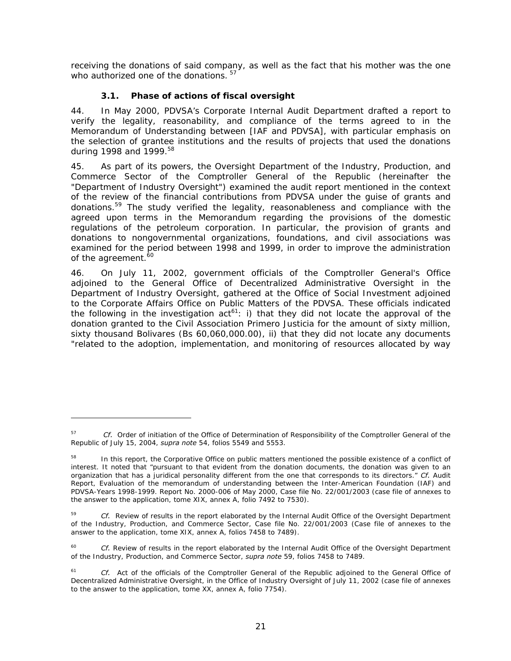receiving the donations of said company, as well as the fact that his mother was the one who authorized one of the donations.  $57$ 

# *3.1. Phase of actions of fiscal oversight*

-

44. In May 2000, PDVSA's Corporate Internal Audit Department drafted a report to verify the legality, reasonability, and compliance of the terms agreed to in the Memorandum of Understanding between [IAF and PDVSA], with particular emphasis on the selection of grantee institutions and the results of projects that used the donations during 1998 and 1999.58

45. As part of its powers, the Oversight Department of the Industry, Production, and Commerce Sector of the Comptroller General of the Republic (hereinafter the "Department of Industry Oversight") examined the audit report mentioned in the context of the review of the financial contributions from PDVSA under the guise of grants and donations.59 The study verified the legality, reasonableness and compliance with the agreed upon terms in the Memorandum regarding the provisions of the domestic regulations of the petroleum corporation. In particular, the provision of grants and donations to nongovernmental organizations, foundations, and civil associations was examined for the period between 1998 and 1999, in order to improve the administration of the agreement.<sup>60</sup>

46. On July 11, 2002, government officials of the Comptroller General's Office adjoined to the General Office of Decentralized Administrative Oversight in the Department of Industry Oversight, gathered at the Office of Social Investment adjoined to the Corporate Affairs Office on Public Matters of the PDVSA. These officials indicated the following in the investigation act<sup>61</sup>: i) that they did not locate the approval of the donation granted to the Civil Association Primero Justicia for the amount of sixty million, sixty thousand Bolivares (Bs 60,060,000.00), ii) that they did not locate any documents "related to the adoption, implementation, and monitoring of resources allocated by way

<sup>&</sup>lt;sup>57</sup> *Cf.* Order of initiation of the Office of Determination of Responsibility of the Comptroller General of the Republic of July 15, 2004, *supra note* 54, folios 5549 and 5553.

In this report, the Corporative Office on public matters mentioned the possible existence of a conflict of interest. It noted that "pursuant to that evident from the donation documents, the donation was given to an organization that has a juridical personality different from the one that corresponds to its directors." *Cf.* Audit Report, Evaluation of the memorandum of understanding between the Inter-American Foundation (IAF) and PDVSA-Years 1998-1999. Report No. 2000-006 of May 2000, Case file No. 22/001/2003 (case file of annexes to the answer to the application, tome XIX, annex A, folio 7492 to 7530).

<sup>&</sup>lt;sup>59</sup> *Cf.* Review of results in the report elaborated by the Internal Audit Office of the Oversight Department of the Industry, Production, and Commerce Sector, Case file No. 22/001/2003 (Case file of annexes to the answer to the application, tome XIX, annex A, folios 7458 to 7489).

Cf. Review of results in the report elaborated by the Internal Audit Office of the Oversight Department of the Industry, Production, and Commerce Sector, *supra note* 59, folios 7458 to 7489.

<sup>&</sup>lt;sup>61</sup> *Cf.* Act of the officials of the Comptroller General of the Republic adjoined to the General Office of Decentralized Administrative Oversight, in the Office of Industry Oversight of July 11, 2002 (case file of annexes to the answer to the application, tome XX, annex A, folio 7754).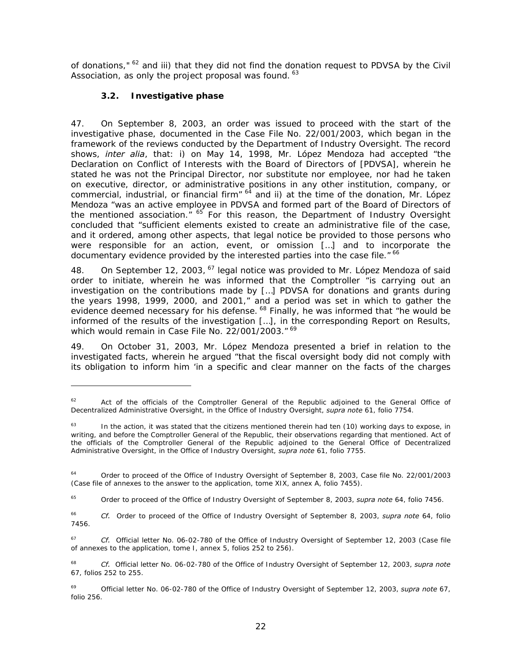of donations," <sup>62</sup> and iii) that they did not find the donation request to PDVSA by the Civil Association, as only the project proposal was found.  $63$ 

# *3.2. Investigative phase*

-

47. On September 8, 2003, an order was issued to proceed with the start of the investigative phase, documented in the Case File No. 22/001/2003, which began in the framework of the reviews conducted by the Department of Industry Oversight. The record shows, *inter alia*, that: i) on May 14, 1998, Mr. López Mendoza had accepted "the Declaration on Conflict of Interests with the Board of Directors of [PDVSA], wherein he stated he was not the Principal Director, nor substitute nor employee, nor had he taken on executive, director, or administrative positions in any other institution, company, or commercial, industrial, or financial firm"  $64$  and ii) at the time of the donation, Mr. López Mendoza "was an active employee in PDVSA and formed part of the Board of Directors of the mentioned association." <sup>65</sup> For this reason, the Department of Industry Oversight concluded that "sufficient elements existed to create an administrative file of the case, and it ordered, among other aspects, that legal notice be provided to those persons who were responsible for an action, event, or omission […] and to incorporate the documentary evidence provided by the interested parties into the case file." <sup>66</sup>

48. On September 12, 2003, <sup>67</sup> legal notice was provided to Mr. López Mendoza of said order to initiate, wherein he was informed that the Comptroller "is carrying out an investigation on the contributions made by […] PDVSA for donations and grants during the years 1998, 1999, 2000, and 2001," and a period was set in which to gather the evidence deemed necessary for his defense. <sup>68</sup> Finally, he was informed that "he would be informed of the results of the investigation […], in the corresponding Report on Results, which would remain in Case File No. 22/001/2003." 69

49. On October 31, 2003, Mr. López Mendoza presented a brief in relation to the investigated facts, wherein he argued "that the fiscal oversight body did not comply with its obligation to inform him 'in a specific and clear manner on the facts of the charges

65 Order to proceed of the Office of Industry Oversight of September 8, 2003, *supra note* 64, folio 7456.

66 *Cf.* Order to proceed of the Office of Industry Oversight of September 8, 2003, *supra note* 64, folio 7456.

67 *Cf.* Official letter No. 06-02-780 of the Office of Industry Oversight of September 12, 2003 (Case file of annexes to the application, tome I, annex 5, folios 252 to 256).

68 *Cf.* Official letter No. 06-02-780 of the Office of Industry Oversight of September 12, 2003, *supra note* 67, folios 252 to 255.

69 Official letter No. 06-02-780 of the Office of Industry Oversight of September 12, 2003, *supra note* 67, folio 256.

<sup>&</sup>lt;sup>62</sup> Act of the officials of the Comptroller General of the Republic adjoined to the General Office of Decentralized Administrative Oversight, in the Office of Industry Oversight, *supra note* 61, folio 7754.

 $63$  In the action, it was stated that the citizens mentioned therein had ten (10) working days to expose, in writing, and before the Comptroller General of the Republic, their observations regarding that mentioned. Act of the officials of the Comptroller General of the Republic adjoined to the General Office of Decentralized Administrative Oversight, in the Office of Industry Oversight, *supra note* 61, folio 7755.

<sup>&</sup>lt;sup>64</sup> Order to proceed of the Office of Industry Oversight of September 8, 2003, Case file No. 22/001/2003 (Case file of annexes to the answer to the application, tome XIX, annex A, folio 7455).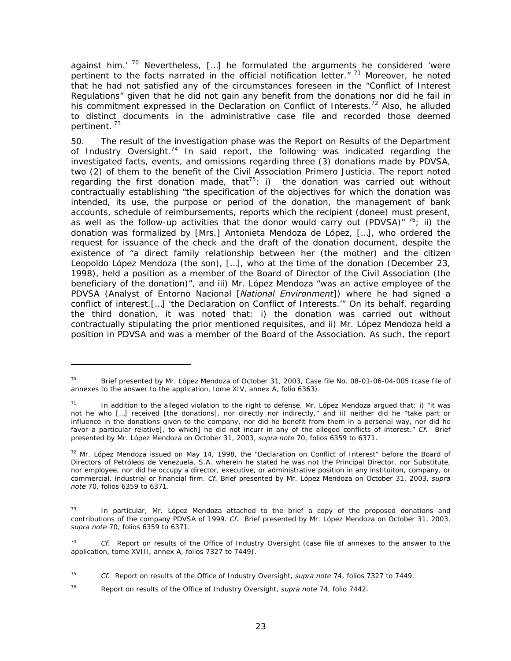against him.'  $70$  Nevertheless, [...] he formulated the arguments he considered 'were pertinent to the facts narrated in the official notification letter."  $71$  Moreover, he noted that he had not satisfied any of the circumstances foreseen in the "Conflict of Interest Regulations" given that he did not gain any benefit from the donations nor did he fail in his commitment expressed in the Declaration on Conflict of Interests.<sup>72</sup> Also, he alluded to distinct documents in the administrative case file and recorded those deemed pertinent. 73

50. The result of the investigation phase was the Report on Results of the Department of Industry Oversight.<sup>74</sup> In said report, the following was indicated regarding the investigated facts, events, and omissions regarding three (3) donations made by PDVSA, two (2) of them to the benefit of the Civil Association Primero Justicia. The report noted regarding the first donation made, that<sup>75</sup>: i) the donation was carried out without contractually establishing "the specification of the objectives for which the donation was intended, its use, the purpose or period of the donation, the management of bank accounts, schedule of reimbursements, reports which the recipient (donee) must present, as well as the follow-up activities that the donor would carry out (PDVSA)"  $76$ ; ii) the donation was formalized by [Mrs.] Antonieta Mendoza de López, […], who ordered the request for issuance of the check and the draft of the donation document, despite the existence of "a direct family relationship between her (the mother) and the citizen Leopoldo López Mendoza (the son), […], who at the time of the donation (December 23, 1998), held a position as a member of the Board of Director of the Civil Association (the beneficiary of the donation)", and iii) Mr. López Mendoza "was an active employee of the PDVSA (Analyst of Entorno Nacional [*National Environment*]) where he had signed a conflict of interest.[…] 'the Declaration on Conflict of Interests.'" On its behalf, regarding the third donation, it was noted that: i) the donation was carried out without contractually stipulating the prior mentioned requisites, and ii) Mr. López Mendoza held a position in PDVSA and was a member of the Board of the Association. As such, the report

Brief presented by Mr. López Mendoza of October 31, 2003, Case file No. 08-01-06-04-005 (case file of annexes to the answer to the application, tome XIV, annex A, folio 6363).

In addition to the alleged violation to the right to defense, Mr. López Mendoza argued that: i) "it was not he who […] received [the donations], nor directly nor indirectly," and ii) neither did he "take part or influence in the donations given to the company, nor did he benefit from them in a personal way, nor did he favor a particular relative[, to which] he did not incurr in any of the alleged conflicts of interest." *Cf.* Brief presented by Mr. López Mendoza on October 31, 2003, *supra note* 70, folios 6359 to 6371.

 $<sup>72</sup>$  Mr. López Mendoza issued on May 14, 1998, the "Declaration on Conflict of Interest" before the Board of</sup> Directors of Petróleos de Venezuela, S.A. wherein he stated he was not the Principal Director, nor Substitute, nor employee, nor did he occupy a director, executive, or administrative position in any instituiton, company, or commercial, industrial or financial firm. *Cf.* Brief presented by Mr. López Mendoza on October 31, 2003, *supra note* 70, folios 6359 to 6371.

In particular, Mr. López Mendoza attached to the brief a copy of the proposed donations and contributions of the company PDVSA of 1999. *Cf.* Brief presented by Mr. López Mendoza on October 31, 2003, *supra note* 70, folios 6359 to 6371.

Cf. Report on results of the Office of Industry Oversight (case file of annexes to the answer to the application, tome XVIII, annex A, folios 7327 to 7449).

<sup>75</sup> *Cf.* Report on results of the Office of Industry Oversight, *supra note* 74, folios 7327 to 7449.

<sup>76</sup> Report on results of the Office of Industry Oversight, *supra note* 74, folio 7442.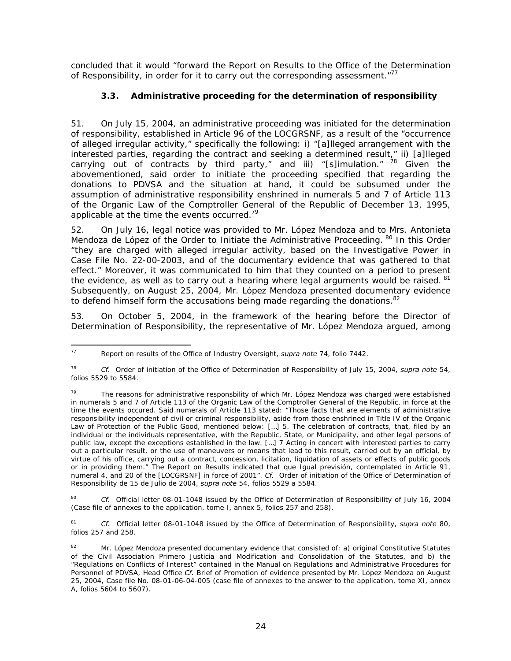concluded that it would "forward the Report on Results to the Office of the Determination of Responsibility, in order for it to carry out the corresponding assessment."<sup>77</sup>

# *3.3. Administrative proceeding for the determination of responsibility*

51. On July 15, 2004, an administrative proceeding was initiated for the determination of responsibility, established in Article 96 of the LOCGRSNF, as a result of the "occurrence of alleged irregular activity," specifically the following: i) "[a]lleged arrangement with the interested parties, regarding the contract and seeking a determined result," ii) [a]lleged carrying out of contracts by third party," and iii) "[s]imulation."  $78$  Given the abovementioned, said order to initiate the proceeding specified that regarding the donations to PDVSA and the situation at hand, it could be subsumed under the assumption of administrative responsibility enshrined in numerals 5 and 7 of Article 113 of the Organic Law of the Comptroller General of the Republic of December 13, 1995, applicable at the time the events occurred.<sup>79</sup>

52. On July 16, legal notice was provided to Mr. López Mendoza and to Mrs. Antonieta Mendoza de López of the Order to Initiate the Administrative Proceeding. <sup>80</sup> In this Order "they are charged with alleged irregular activity, based on the Investigative Power in Case File No. 22-00-2003, and of the documentary evidence that was gathered to that effect." Moreover, it was communicated to him that they counted on a period to present the evidence, as well as to carry out a hearing where legal arguments would be raised.  $81$ Subsequently, on August 25, 2004, Mr. López Mendoza presented documentary evidence to defend himself form the accusations being made regarding the donations. $82$ 

53. On October 5, 2004, in the framework of the hearing before the Director of Determination of Responsibility, the representative of Mr. López Mendoza argued, among

80 *Cf.* Official letter 08-01-1048 issued by the Office of Determination of Responsibility of July 16, 2004 (Case file of annexes to the application, tome I, annex 5, folios 257 and 258).

81 *Cf.* Official letter 08-01-1048 issued by the Office of Determination of Responsibility, *supra note* 80, folios 257 and 258.

<sup>77</sup> 77 Report on results of the Office of Industry Oversight, *supra note* 74, folio 7442.

<sup>78</sup> *Cf.* Order of initiation of the Office of Determination of Responsibility of July 15, 2004, *supra note* 54, folios 5529 to 5584.

 $79$  The reasons for administrative responsbility of which Mr. López Mendoza was charged were established in numerals 5 and 7 of Article 113 of the Organic Law of the Comptroller General of the Republic, in force at the time the events occured. Said numerals of Article 113 stated: "Those facts that are elements of administrative responsibility independent of civil or criminal responsibility, aside from those enshrined in Title IV of the Organic Law of Protection of the Public Good, mentioned below: [...] 5. The celebration of contracts, that, filed by an individual or the individuals representative, with the Republic, State, or Municipality, and other legal persons of public law, except the exceptions established in the law. […] 7 Acting in concert with interested parties to carry out a particular result, or the use of maneuvers or means that lead to this result, carried out by an official, by virtue of his office, carrying out a contract, concession, licitation, liquidation of assets or effects of public goods or in providing them." The Report on Results indicated that que Igual previsión, contemplated in Article 91, numeral 4, and 20 of the [LOCGRSNF] in force of 2001". *Cf.* Order of initiation of the Office of Determination of Responsibility de 15 de Julio de 2004, *supra note* 54, folios 5529 a 5584.

<sup>82</sup> Mr. López Mendoza presented documentary evidence that consisted of: a) original Constitutive Statutes of the Civil Association Primero Justicia and Modification and Consolidation of the Statutes, and b) the "Regulations on Conflicts of Interest" contained in the Manual on Regulations and Administrative Procedures for Personnel of PDVSA, Head Office *Cf.* Brief of Promotion of evidence presented by Mr. López Mendoza on August 25, 2004, Case file No. 08-01-06-04-005 (case file of annexes to the answer to the application, tome XI, annex A, folios 5604 to 5607).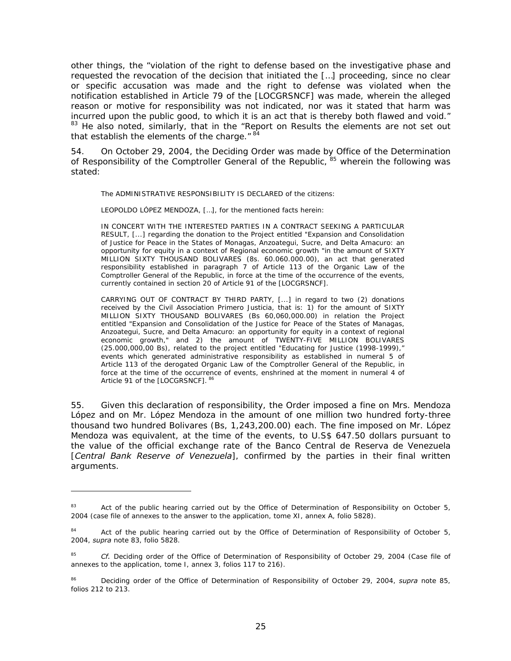other things, the "violation of the right to defense based on the investigative phase and requested the revocation of the decision that initiated the […] proceeding, since no clear or specific accusation was made and the right to defense was violated when the notification established in Article 79 of the [LOCGRSNCF] was made, wherein the alleged reason or motive for responsibility was not indicated, nor was it stated that harm was incurred upon the public good, to which it is an act that is thereby both flawed and void." <sup>83</sup> He also noted, similarly, that in the "Report on Results the elements are not set out that establish the elements of the charge." 84

54. On October 29, 2004, the Deciding Order was made by Office of the Determination of Responsibility of the Comptroller General of the Republic, <sup>85</sup> wherein the following was stated:

The ADMINISTRATIVE RESPONSIBILITY IS DECLARED of the citizens:

LEOPOLDO LÓPEZ MENDOZA, […], for the mentioned facts herein:

IN CONCERT WITH THE INTERESTED PARTIES IN A CONTRACT SEEKING A PARTICULAR RESULT, [...] regarding the donation to the Project entitled "Expansion and Consolidation of Justice for Peace in the States of Monagas, Anzoategui, Sucre, and Delta Amacuro: an opportunity for equity in a context of Regional economic growth "in the amount of SIXTY MILLION SIXTY THOUSAND BOLIVARES (8s. 60.060.000.00), an act that generated responsibility established in paragraph 7 of Article 113 of the Organic Law of the Comptroller General of the Republic, in force at the time of the occurrence of the events, currently contained in section 20 of Article 91 of the [LOCGRSNCF].

CARRYING OUT OF CONTRACT BY THIRD PARTY, [...] in regard to two (2) donations received by the Civil Association Primero Justicia, that is: 1) for the amount of SIXTY MILLION SIXTY THOUSAND BOLIVARES (Bs 60,060,000.00) in relation the Project entitled "Expansion and Consolidation of the Justice for Peace of the States of Managas, Anzoategui, Sucre, and Delta Amacuro: an opportunity for equity in a context of regional economic growth," and 2) the amount of TWENTY-FIVE MILLION BOLIVARES (25.000,000,00 Bs), related to the project entitled "Educating for Justice (1998-1999)," events which generated administrative responsibility as established in numeral 5 of Article 113 of the derogated Organic Law of the Comptroller General of the Republic, in force at the time of the occurrence of events, enshrined at the moment in numeral 4 of Article 91 of the [LOCGRSNCF]. 86

55. Given this declaration of responsibility, the Order imposed a fine on Mrs. Mendoza López and on Mr. López Mendoza in the amount of one million two hundred forty-three thousand two hundred Bolivares (Bs, 1,243,200.00) each. The fine imposed on Mr. López Mendoza was equivalent, at the time of the events, to U.S\$ 647.50 dollars pursuant to the value of the official exchange rate of the Banco Central de Reserva de Venezuela [*Central Bank Reserve of Venezuela*], confirmed by the parties in their final written arguments.

<sup>&</sup>lt;sup>83</sup> Act of the public hearing carried out by the Office of Determination of Responsibility on October 5, 2004 (case file of annexes to the answer to the application, tome XI, annex A, folio 5828).

<sup>&</sup>lt;sup>84</sup> Act of the public hearing carried out by the Office of Determination of Responsibility of October 5, 2004, *supra* note 83, folio 5828.

<sup>85</sup> *Cf.* Deciding order of the Office of Determination of Responsibility of October 29, 2004 (Case file of annexes to the application, tome I, annex 3, folios 117 to 216).

<sup>86</sup> Deciding order of the Office of Determination of Responsibility of October 29, 2004, *supra* note 85, folios 212 to 213.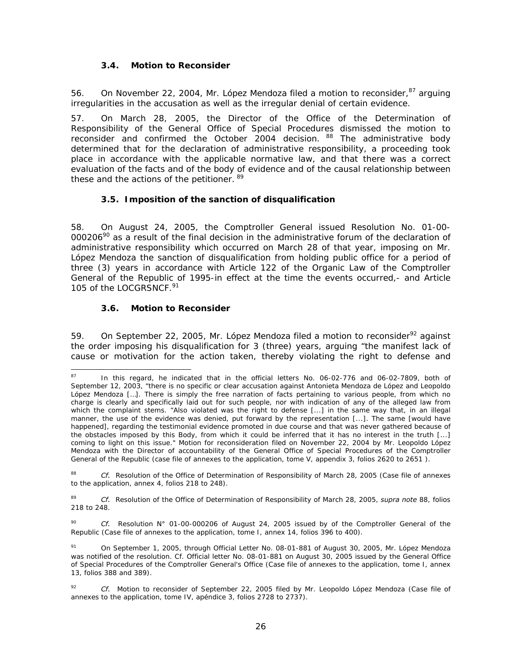## *3.4. Motion to Reconsider*

56. On November 22, 2004, Mr. López Mendoza filed a motion to reconsider, <sup>87</sup> arguing irregularities in the accusation as well as the irregular denial of certain evidence.

57. On March 28, 2005, the Director of the Office of the Determination of Responsibility of the General Office of Special Procedures dismissed the motion to reconsider and confirmed the October 2004 decision. <sup>88</sup> The administrative body determined that for the declaration of administrative responsibility, a proceeding took place in accordance with the applicable normative law, and that there was a correct evaluation of the facts and of the body of evidence and of the causal relationship between these and the actions of the petitioner. 89

## *3.5. Imposition of the sanction of disqualification*

58. On August 24, 2005, the Comptroller General issued Resolution No. 01-00-  $000206<sup>90</sup>$  as a result of the final decision in the administrative forum of the declaration of administrative responsibility which occurred on March 28 of that year, imposing on Mr. López Mendoza the sanction of disqualification from holding public office for a period of three (3) years in accordance with Article 122 of the Organic Law of the Comptroller General of the Republic of 1995-in effect at the time the events occurred,- and Article 105 of the LOCGRSNCF.<sup>91</sup>

## *3.6. Motion to Reconsider*

59. On September 22, 2005, Mr. López Mendoza filed a motion to reconsider<sup>92</sup> against the order imposing his disqualification for 3 (three) years, arguing "the manifest lack of cause or motivation for the action taken, thereby violating the right to defense and

88 *Cf.* Resolution of the Office of Determination of Responsibility of March 28, 2005 (Case file of annexes to the application, annex 4, folios 218 to 248).

89 *Cf.* Resolution of the Office of Determination of Responsibility of March 28, 2005, *supra note* 88, folios 218 to 248.

90 *Cf.* Resolution N° 01-00-000206 of August 24, 2005 issued by of the Comptroller General of the Republic (Case file of annexes to the application, tome I, annex 14, folios 396 to 400).

<sup>87</sup> 87 In this regard, he indicated that in the official letters No. 06-02-776 and 06-02-7809, both of September 12, 2003, "there is no specific or clear accusation against Antonieta Mendoza de López and Leopoldo López Mendoza […]. There is simply the free narration of facts pertaining to various people, from which no charge is clearly and specifically laid out for such people, nor with indication of any of the alleged law from which the complaint stems. "Also violated was the right to defense [...] in the same way that, in an illegal manner, the use of the evidence was denied, put forward by the representation [...]. The same [would have happened], regarding the testimonial evidence promoted in due course and that was never gathered because of the obstacles imposed by this Body, from which it could be inferred that it has no interest in the truth [...] coming to light on this issue." Motion for reconsideration filed on November 22, 2004 by Mr. Leopoldo López Mendoza with the Director of accountability of the General Office of Special Procedures of the Comptroller General of the Republic (case file of annexes to the application, tome V, appendix 3, folios 2620 to 2651 ).

<sup>91</sup> On September 1, 2005, through Official Letter No. 08-01-881 of August 30, 2005, Mr. López Mendoza was notified of the resolution. Cf. Official letter No. 08-01-881 on August 30, 2005 issued by the General Office of Special Procedures of the Comptroller General's Office (Case file of annexes to the application, tome I, annex 13, folios 388 and 389).

<sup>&</sup>lt;sup>92</sup> *Cf.* Motion to reconsider of September 22, 2005 filed by Mr. Leopoldo López Mendoza (Case file of annexes to the application, tome IV, apéndice 3, folios 2728 to 2737).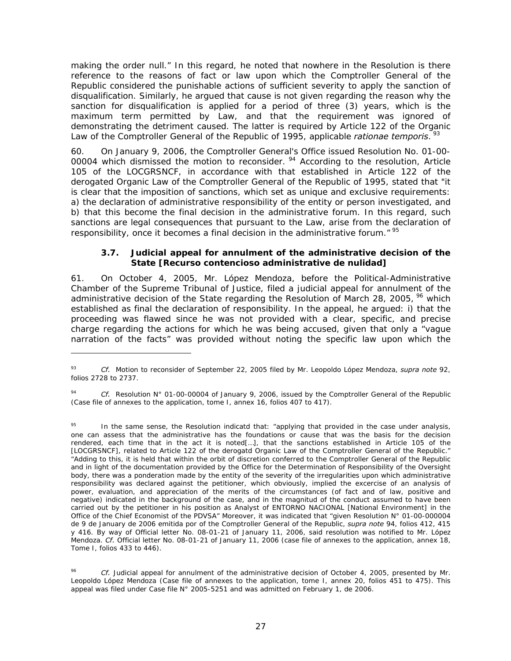making the order null." In this regard, he noted that nowhere in the Resolution is there reference to the reasons of fact or law upon which the Comptroller General of the Republic considered the punishable actions of sufficient severity to apply the sanction of disqualification. Similarly, he argued that cause is not given regarding the reason why the sanction for disqualification is applied for a period of three (3) years, which is the maximum term permitted by Law, and that the requirement was ignored of demonstrating the detriment caused. The latter is required by Article 122 of the Organic Law of the Comptroller General of the Republic of 1995, applicable *rationae temporis*.<sup>93</sup>

60. On January 9, 2006, the Comptroller General's Office issued Resolution No. 01-00- 00004 which dismissed the motion to reconsider.<sup>94</sup> According to the resolution, Article 105 of the LOCGRSNCF, in accordance with that established in Article 122 of the derogated Organic Law of the Comptroller General of the Republic of 1995, stated that "it is clear that the imposition of sanctions, which set as unique and exclusive requirements: a) the declaration of administrative responsibility of the entity or person investigated, and b) that this become the final decision in the administrative forum. In this regard, such sanctions are legal consequences that pursuant to the Law, arise from the declaration of responsibility, once it becomes a final decision in the administrative forum." <sup>95</sup>

### **3.7.** *Judicial appeal for annulment of the administrative decision of the State* **[Recurso contencioso administrative de nulidad]**

61. On October 4, 2005, Mr. López Mendoza, before the Political-Administrative Chamber of the Supreme Tribunal of Justice, filed a judicial appeal for annulment of the administrative decision of the State regarding the Resolution of March 28, 2005, <sup>96</sup> which established as final the declaration of responsibility. In the appeal, he argued: i) that the proceeding was flawed since he was not provided with a clear, specific, and precise charge regarding the actions for which he was being accused, given that only a "vague narration of the facts" was provided without noting the specific law upon which the

<sup>93</sup> *Cf.* Motion to reconsider of September 22, 2005 filed by Mr. Leopoldo López Mendoza, *supra note* 92, folios 2728 to 2737.

Cf. Resolution N° 01-00-00004 of January 9, 2006, issued by the Comptroller General of the Republic (Case file of annexes to the application, tome I, annex 16, folios 407 to 417).

<sup>&</sup>lt;sup>95</sup> In the same sense, the Resolution indicatd that: "applying that provided in the case under analysis, one can assess that the administrative has the foundations or cause that was the basis for the decision rendered, each time that in the act it is noted[…], that the sanctions established in Article 105 of the [LOCGRSNCF], related to Article 122 of the derogatd Organic Law of the Comptroller General of the Republic." "Adding to this, it is held that within the orbit of discretion conferred to the Comptroller General of the Republic and in light of the documentation provided by the Office for the Determination of Responsibility of the Oversight body, there was a ponderation made by the entity of the severity of the irregularities upon which administrative responsibility was declared against the petitioner, which obviously, implied the excercise of an analysis of power, evaluation, and appreciation of the merits of the circumstances (of fact and of law, positive and negative) indicated in the background of the case, and in the magnitud of the conduct assumed to have been carried out by the petitioner in his position as Analyst of ENTORNO NACIONAL [National Environment] in the Office of the Chief Economist of the PDVSA" Moreover, it was indicated that "given Resolution N° 01-00-000004 de 9 de January de 2006 emitida por of the Comptroller General of the Republic, *supra note* 94, folios 412, 415 y 416. By way of Official letter No. 08-01-21 of January 11, 2006, said resolution was notified to Mr. López Mendoza. *Cf.* Official letter No. 08-01-21 of January 11, 2006 (case file of annexes to the application, annex 18, Tome I, folios 433 to 446).

<sup>96</sup> *Cf.* Judicial appeal for annulment of the administrative decision of October 4, 2005, presented by Mr. Leopoldo López Mendoza (Case file of annexes to the application, tome I, annex 20, folios 451 to 475). This appeal was filed under Case file N° 2005-5251 and was admitted on February 1, de 2006.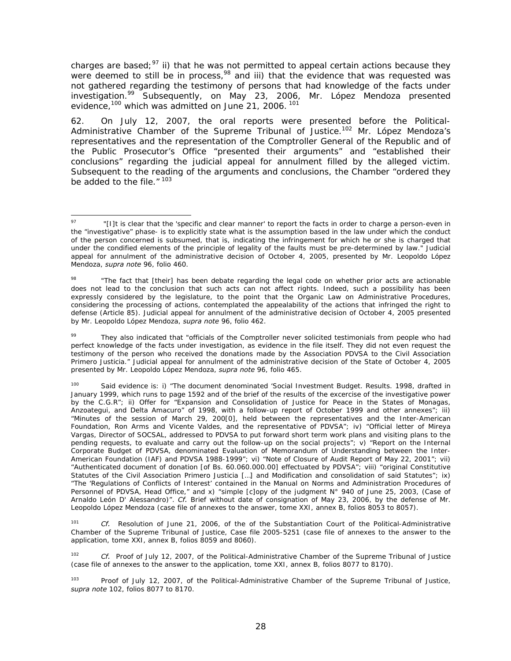charges are based;<sup>97</sup> ii) that he was not permitted to appeal certain actions because they were deemed to still be in process,<sup>98</sup> and iii) that the evidence that was requested was not gathered regarding the testimony of persons that had knowledge of the facts under investigation.<sup>99</sup> Subsequently, on May 23, 2006, Mr. López Mendoza presented evidence,<sup>100</sup> which was admitted on June 21, 2006.<sup>101</sup>

62. On July 12, 2007, the oral reports were presented before the Political-Administrative Chamber of the Supreme Tribunal of Justice.<sup>102</sup> Mr. López Mendoza's representatives and the representation of the Comptroller General of the Republic and of the Public Prosecutor's Office "presented their arguments" and "established their conclusions" regarding the judicial appeal for annulment filled by the alleged victim. Subsequent to the reading of the arguments and conclusions, the Chamber "ordered they be added to the file." 103

<sup>103</sup> Proof of July 12, 2007, of the Political-Administrative Chamber of the Supreme Tribunal of Justice, *supra note* 102, folios 8077 to 8170.

<sup>-</sup><sup>97</sup> "[I]t is clear that the 'specific and clear manner' to report the facts in order to charge a person-even in the "investigative" phase- is to explicitly state what is the assumption based in the law under which the conduct of the person concerned is subsumed, that is, indicating the infringement for which he or she is charged that under the condified elements of the principle of legality of the faults must be pre-determined by law." Judicial appeal for annulment of the administrative decision of October 4, 2005, presented by Mr. Leopoldo López Mendoza, *supra note* 96, folio 460.

<sup>&</sup>lt;sup>98</sup> "The fact that [their] has been debate regarding the legal code on whether prior acts are actionable does not lead to the conclusion that such acts can not affect rights. Indeed, such a possibility has been expressly considered by the legislature, to the point that the Organic Law on Administrative Procedures, considering the processing of actions, contemplated the appealability of the actions that infringed the right to defense (Article 85). Judicial appeal for annulment of the administrative decision of October 4, 2005 presented by Mr. Leopoldo López Mendoza, *supra note* 96, folio 462.

They also indicated that "officials of the Comptroller never solicited testimonials from people who had perfect knowledge of the facts under investigation, as evidence in the file itself. They did not even request the testimony of the person who received the donations made by the Association PDVSA to the Civil Association Primero Justicia." Judicial appeal for annulment of the administrative decision of the State of October 4, 2005 presented by Mr. Leopoldo López Mendoza, *supra note* 96, folio 465.

<sup>100</sup> Said evidence is: i) "The document denominated 'Social Investment Budget. Results. 1998, drafted in January 1999, which runs to page 1592 and of the brief of the results of the excercise of the investigative power by the C.G.R"; ii) Offer for "Expansion and Consolidation of Justice for Peace in the States of Monagas, Anzoategui, and Delta Amacuro" of 1998, with a follow-up report of October 1999 and other annexes"; iii) "Minutes of the session of March 29, 200[0], held between the representatives and the Inter-American Foundation, Ron Arms and Vicente Valdes, and the representative of PDVSA"; iv) "Official letter of Mireya Vargas, Director of SOCSAL, addressed to PDVSA to put forward short term work plans and visiting plans to the pending requests, to evaluate and carry out the follow-up on the social projects"; v) "Report on the Internal Corporate Budget of PDVSA, denominated Evaluation of Memorandum of Understanding between the Inter-American Foundation (IAF) and PDVSA 1988-1999"; vi) "Note of Closure of Audit Report of May 22, 2001"; vii) "Authenticated document of donation [of Bs. 60.060.000.00] effectuated by PDVSA"; viii) "original Constitutive Statutes of the Civil Association Primero Justicia […] and Modification and consolidation of said Statutes"; ix) "The 'Regulations of Conflicts of Interest' contained in the Manual on Norms and Administration Procedures of Personnel of PDVSA, Head Office," and x) "simple [c]opy of the judgment N° 940 of June 25, 2003, (Case of Arnaldo León D' Alessandro)". *Cf.* Brief without date of consignation of May 23, 2006, by the defense of Mr. Leopoldo López Mendoza (case file of annexes to the answer, tome XXI, annex B, folios 8053 to 8057).

<sup>101</sup> *Cf.* Resolution of June 21, 2006, of the of the Substantiation Court of the Political-Administrative Chamber of the Supreme Tribunal of Justice, Case file 2005-5251 (case file of annexes to the answer to the application, tome XXI, annex B, folios 8059 and 8060).

<sup>102</sup> *Cf.* Proof of July 12, 2007, of the Political-Administrative Chamber of the Supreme Tribunal of Justice (case file of annexes to the answer to the application, tome XXI, annex B, folios 8077 to 8170).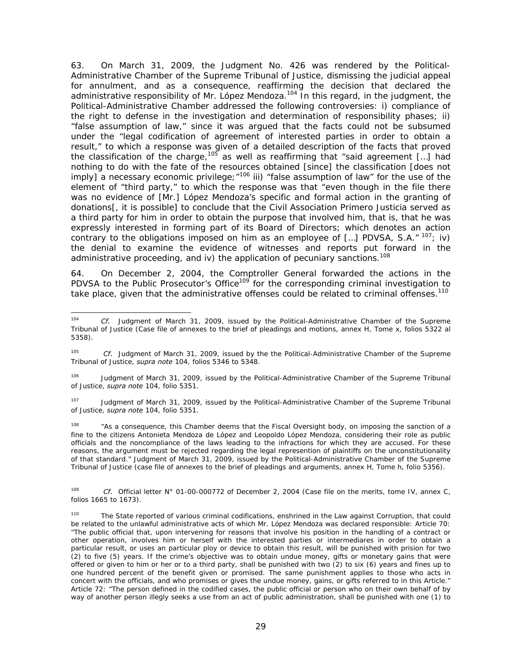63. On March 31, 2009, the Judgment No. 426 was rendered by the Political-Administrative Chamber of the Supreme Tribunal of Justice, dismissing the judicial appeal for annulment, and as a consequence, reaffirming the decision that declared the administrative responsibility of Mr. López Mendoza.<sup>104</sup> In this regard, in the judgment, the Political-Administrative Chamber addressed the following controversies: i) compliance of the right to defense in the investigation and determination of responsibility phases; ii) "false assumption of law," since it was argued that the facts could not be subsumed under the "legal codification of agreement of interested parties in order to obtain a result," to which a response was given of a detailed description of the facts that proved the classification of the charge,105 as well as reaffirming that "said agreement […] had nothing to do with the fate of the resources obtained [since] the classification [does not imply] a necessary economic privilege;  $n^{106}$  iii) "false assumption of law" for the use of the element of "third party," to which the response was that "even though in the file there was no evidence of [Mr.] López Mendoza's specific and formal action in the granting of donations[, it is possible] to conclude that the Civil Association Primero Justicia served as a third party for him in order to obtain the purpose that involved him, that is, that he was expressly interested in forming part of its Board of Directors; which denotes an action contrary to the obligations imposed on him as an employee of [...] PDVSA, S.A."  $107$ ; iv) the denial to examine the evidence of witnesses and reports put forward in the administrative proceeding, and iv) the application of pecuniary sanctions.<sup>108</sup>

64. On December 2, 2004, the Comptroller General forwarded the actions in the PDVSA to the Public Prosecutor's Office<sup>109</sup> for the corresponding criminal investigation to take place, given that the administrative offenses could be related to criminal offenses.<sup>110</sup>

106 Judgment of March 31, 2009, issued by the Political-Administrative Chamber of the Supreme Tribunal of Justice, *supra note* 104, folio 5351.

<sup>107</sup> Judgment of March 31, 2009, issued by the Political-Administrative Chamber of the Supreme Tribunal of Justice, *supra note* 104, folio 5351.

<sup>108</sup> "As a consequence, this Chamber deems that the Fiscal Oversight body, on imposing the sanction of a fine to the citizens Antonieta Mendoza de López and Leopoldo López Mendoza, considering their role as public officials and the noncompliance of the laws leading to the infractions for which they are accused. For these reasons, the argument must be rejected regarding the legal represention of plaintiffs on the unconstitutionality of that standard." Judgment of March 31, 2009, issued by the Political-Administrative Chamber of the Supreme Tribunal of Justice (case file of annexes to the brief of pleadings and arguments, annex H, Tome h, folio 5356).

109 *Cf.* Official letter N° 01-00-000772 of December 2, 2004 (Case file on the merits, tome IV, annex C, folios 1665 to 1673).

<sup>104</sup> Cf. Judgment of March 31, 2009, issued by the Political-Administrative Chamber of the Supreme Tribunal of Justice (Case file of annexes to the brief of pleadings and motions, annex H, Tome x, folios 5322 al 5358).

<sup>105</sup> *Cf.* Judgment of March 31, 2009, issued by the the Political-Administrative Chamber of the Supreme Tribunal of Justice, *supra note* 104, folios 5346 to 5348.

<sup>&</sup>lt;sup>110</sup> The State reported of various criminal codifications, enshrined in the Law against Corruption, that could be related to the unlawful administrative acts of which Mr. López Mendoza was declared responsible: Article 70: "The public official that, upon intervening for reasons that involve his position in the handling of a contract or other operation, involves him or herself with the interested parties or intermediares in order to obtain a particular result, or uses an particular ploy or device to obtain this result, will be punished with prision for two (2) to five (5) years. If the crime's objective was to obtain undue money, gifts or monetary gains that were offered or given to him or her or to a third party, shall be punished with two (2) to six (6) years and fines up to one hundred percent of the benefit given or promised. The same punishment applies to those who acts in concert with the officials, and who promises or gives the undue money, gains, or gifts referred to in this Article." Article 72: "The person defined in the codified cases, the public official or person who on their own behalf of by way of another person illegly seeks a use from an act of public administration, shall be punished with one (1) to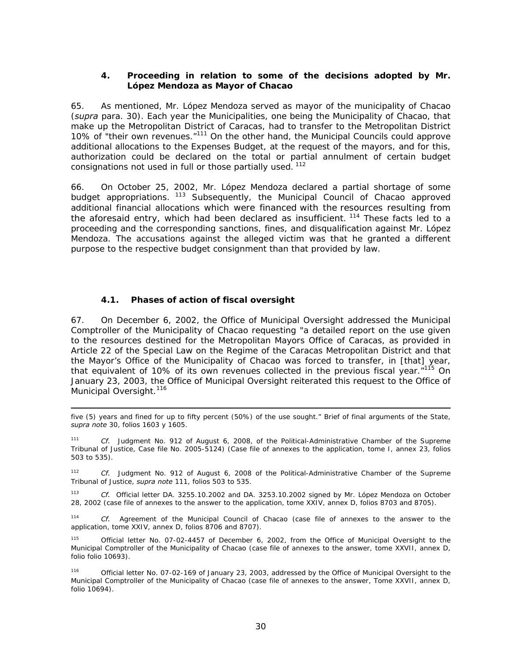## **4. Proceeding in relation to some of the decisions adopted by Mr. López Mendoza as Mayor of Chacao**

65. As mentioned, Mr. López Mendoza served as mayor of the municipality of Chacao (*supra* para. 30). Each year the Municipalities, one being the Municipality of Chacao, that make up the Metropolitan District of Caracas, had to transfer to the Metropolitan District 10% of "their own revenues."<sup>111</sup> On the other hand, the Municipal Councils could approve additional allocations to the Expenses Budget, at the request of the mayors, and for this, authorization could be declared on the total or partial annulment of certain budget consignations not used in full or those partially used.  $112$ 

66. On October 25, 2002, Mr. López Mendoza declared a partial shortage of some budget appropriations. <sup>113</sup> Subsequently, the Municipal Council of Chacao approved additional financial allocations which were financed with the resources resulting from the aforesaid entry, which had been declared as insufficient.  $114$  These facts led to a proceeding and the corresponding sanctions, fines, and disqualification against Mr. López Mendoza. The accusations against the alleged victim was that he granted a different purpose to the respective budget consignment than that provided by law.

## *4.1. Phases of action of fiscal oversight*

-

67. On December 6, 2002, the Office of Municipal Oversight addressed the Municipal Comptroller of the Municipality of Chacao requesting "a detailed report on the use given to the resources destined for the Metropolitan Mayors Office of Caracas, as provided in Article 22 of the Special Law on the Regime of the Caracas Metropolitan District and that the Mayor's Office of the Municipality of Chacao was forced to transfer, in [that] year, that equivalent of 10% of its own revenues collected in the previous fiscal year."<sup>115</sup> On January 23, 2003, the Office of Municipal Oversight reiterated this request to the Office of Municipal Oversight.<sup>116</sup>

five (5) years and fined for up to fifty percent (50%) of the use sought." Brief of final arguments of the State, *supra note* 30, folios 1603 y 1605.

111 *Cf.* Judgment No. 912 of August 6, 2008, of the Political-Administrative Chamber of the Supreme Tribunal of Justice, Case file No. 2005-5124) (Case file of annexes to the application, tome I, annex 23, folios 503 to 535).

112 *Cf.* Judgment No. 912 of August 6, 2008 of the Political-Administrative Chamber of the Supreme Tribunal of Justice, *supra note* 111, folios 503 to 535.

113 *Cf.* Official letter DA. 3255.10.2002 and DA. 3253.10.2002 signed by Mr. López Mendoza on October 28, 2002 (case file of annexes to the answer to the application, tome XXIV, annex D, folios 8703 and 8705).

114 *Cf.* Agreement of the Municipal Council of Chacao (case file of annexes to the answer to the application, tome XXIV, annex D, folios 8706 and 8707).

Official letter No. 07-02-4457 of December 6, 2002, from the Office of Municipal Oversight to the Municipal Comptroller of the Municipality of Chacao (case file of annexes to the answer, tome XXVII, annex D, folio folio 10693).

116 Official letter No. 07-02-169 of January 23, 2003, addressed by the Office of Municipal Oversight to the Municipal Comptroller of the Municipality of Chacao (case file of annexes to the answer, Tome XXVII, annex D, folio 10694).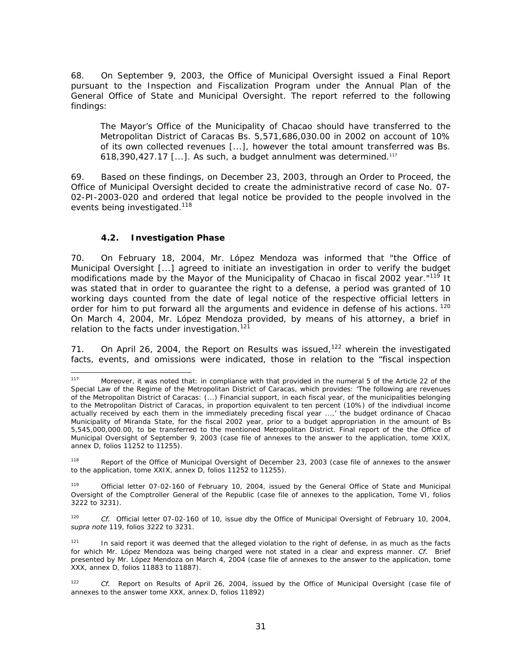68. On September 9, 2003, the Office of Municipal Oversight issued a Final Report pursuant to the Inspection and Fiscalization Program under the Annual Plan of the General Office of State and Municipal Oversight. The report referred to the following findings:

The Mayor's Office of the Municipality of Chacao should have transferred to the Metropolitan District of Caracas Bs. 5,571,686,030.00 in 2002 on account of 10% of its own collected revenues [...], however the total amount transferred was Bs. 618,390,427.17  $[\ldots]$ . As such, a budget annulment was determined.<sup>117</sup>

69. Based on these findings, on December 23, 2003, through an Order to Proceed, the Office of Municipal Oversight decided to create the administrative record of case No. 07- 02-PI-2003-020 and ordered that legal notice be provided to the people involved in the events being investigated.<sup>118</sup>

### *4.2. Investigation Phase*

70. On February 18, 2004, Mr. López Mendoza was informed that "the Office of Municipal Oversight [...] agreed to initiate an investigation in order to verify the budget modifications made by the Mayor of the Municipality of Chacao in fiscal 2002 year."119 It was stated that in order to guarantee the right to a defense, a period was granted of 10 working days counted from the date of legal notice of the respective official letters in order for him to put forward all the arguments and evidence in defense of his actions. <sup>120</sup> On March 4, 2004, Mr. López Mendoza provided, by means of his attorney, a brief in relation to the facts under investigation.<sup>121</sup>

71. On April 26, 2004, the Report on Results was issued,<sup>122</sup> wherein the investigated facts, events, and omissions were indicated, those in relation to the "fiscal inspection

<sup>118</sup> Report of the Office of Municipal Oversight of December 23, 2003 (case file of annexes to the answer to the application, tome XXIX, annex D, folios 11252 to 11255).

Official letter 07-02-160 of February 10, 2004, issued by the General Office of State and Municipal Oversight of the Comptroller General of the Republic (case file of annexes to the application, Tome VI, folios 3222 to 3231).

<sup>120</sup> *Cf.* Official letter 07-02-160 of 10, issue dby the Office of Municipal Oversight of February 10, 2004, *supra note* 119, folios 3222 to 3231.

 $121$  In said report it was deemed that the alleged violation to the right of defense, in as much as the facts for which Mr. López Mendoza was being charged were not stated in a clear and express manner. *Cf.* Brief presented by Mr. López Mendoza on March 4, 2004 (case file of annexes to the answer to the application, tome XXX, annex D, folios 11883 to 11887).

122 *Cf.* Report on Results of April 26, 2004, issued by the Office of Municipal Oversight (case file of annexes to the answer tome XXX, annex D, folios 11892)

<sup>117</sup> Moreover, it was noted that: in compliance with that provided in the numeral 5 of the Article 22 of the Special Law of the Regime of the Metropolitan District of Caracas, which provides: 'The following are revenues of the Metropolitan District of Caracas: (...) Financial support, in each fiscal year, of the municipalities belonging to the Metropolitan District of Caracas, in proportion equivalent to ten percent (10%) of the indivdiual income actually received by each them in the immediately preceding fiscal year ...,' the budget ordinance of Chacao Municipality of Miranda State, for the fiscal 2002 year, prior to a budget appropriation in the amount of Bs 5,545,000,000.00, to be transferred to the mentioned Metropolitan District. Final report of the the Office of Municipal Oversight of September 9, 2003 (case file of annexes to the answer to the application, tome XXIX, annex D, folios 11252 to 11255).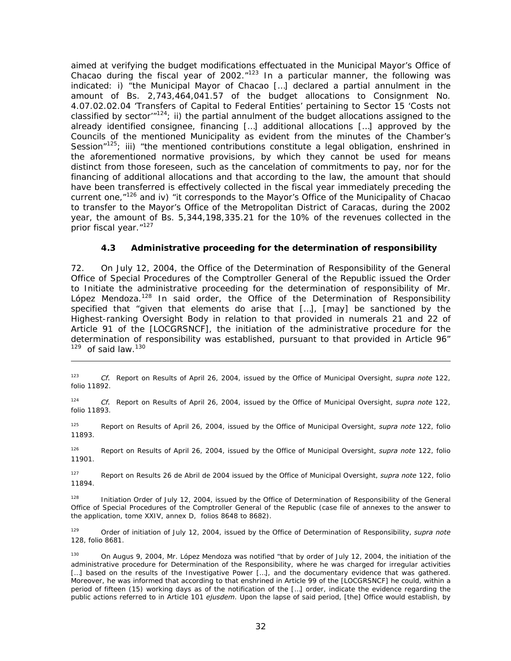aimed at verifying the budget modifications effectuated in the Municipal Mayor's Office of Chacao during the fiscal year of 2002. $n^{123}$  In a particular manner, the following was indicated: i) "the Municipal Mayor of Chacao […] declared a partial annulment in the amount of Bs. 2,743,464,041.57 of the budget allocations to Consignment No. 4.07.02.02.04 'Transfers of Capital to Federal Entities' pertaining to Sector 15 'Costs not classified by sector<sup> $m$ 124</sup>; ii) the partial annulment of the budget allocations assigned to the already identified consignee, financing […] additional allocations […] approved by the Councils of the mentioned Municipality as evident from the minutes of the Chamber's Session"<sup>125</sup>; iii) "the mentioned contributions constitute a legal obligation, enshrined in the aforementioned normative provisions, by which they cannot be used for means distinct from those foreseen, such as the cancelation of commitments to pay, nor for the financing of additional allocations and that according to the law, the amount that should have been transferred is effectively collected in the fiscal year immediately preceding the current one,<sup>"126</sup> and iv) "it corresponds to the Mayor's Office of the Municipality of Chacao to transfer to the Mayor's Office of the Metropolitan District of Caracas, during the 2002 year, the amount of Bs. 5,344,198,335.21 for the 10% of the revenues collected in the prior fiscal year."127

### *4.3 Administrative proceeding for the determination of responsibility*

72. On July 12, 2004, the Office of the Determination of Responsibility of the General Office of Special Procedures of the Comptroller General of the Republic issued the Order to Initiate the administrative proceeding for the determination of responsibility of Mr. López Mendoza.<sup>128</sup> In said order, the Office of the Determination of Responsibility specified that "given that elements do arise that […], [may] be sanctioned by the Highest-ranking Oversight Body in relation to that provided in numerals 21 and 22 of Article 91 of the [LOCGRSNCF], the initiation of the administrative procedure for the determination of responsibility was established, pursuant to that provided in Article 96"  $129$  of said law.<sup>130</sup>

-

124 *Cf.* Report on Results of April 26, 2004, issued by the Office of Municipal Oversight, *supra note* 122, folio 11893.

125 Report on Results of April 26, 2004, issued by the Office of Municipal Oversight, *supra note* 122, folio 11893.

126 Report on Results of April 26, 2004, issued by the Office of Municipal Oversight, *supra note* 122, folio 11901.

127 Report on Results 26 de Abril de 2004 issued by the Office of Municipal Oversight, *supra note* 122, folio 11894.

128 Initiation Order of July 12, 2004, issued by the Office of Determination of Responsibility of the General Office of Special Procedures of the Comptroller General of the Republic (case file of annexes to the answer to the application, tome XXIV, annex D, folios 8648 to 8682).

129 Order of initiation of July 12, 2004, issued by the Office of Determination of Responsibility, *supra note* 128, folio 8681.

<sup>130</sup> On Augus 9, 2004, Mr. López Mendoza was notified "that by order of July 12, 2004, the initiation of the administrative procedure for Determination of the Responsibility, where he was charged for irregular activities [...] based on the results of the Investigative Power [...], and the documentary evidence that was gathered. Moreover, he was informed that according to that enshrined in Article 99 of the [LOCGRSNCF] he could, within a period of fifteen (15) working days as of the notification of the […] order, indicate the evidence regarding the public actions referred to in Article 101 *ejusdem*. Upon the lapse of said period, [the] Office would establish, by

<sup>123</sup> *Cf.* Report on Results of April 26, 2004, issued by the Office of Municipal Oversight, *supra note* 122, folio 11892.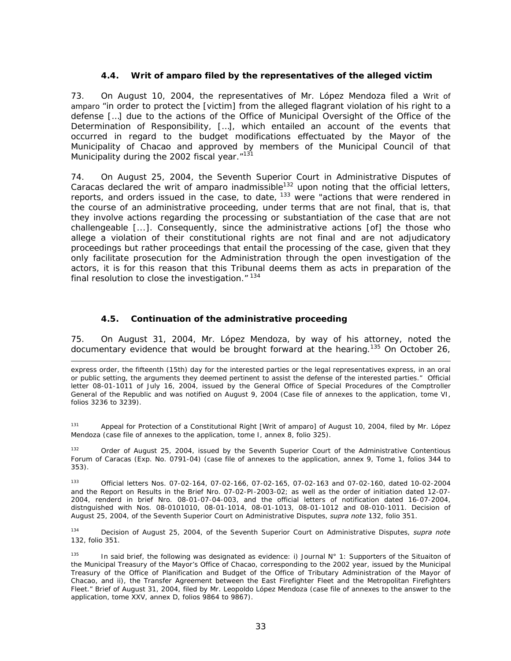## *4.4. Writ of amparo filed by the representatives of the alleged victim*

73. On August 10, 2004, the representatives of Mr. López Mendoza filed a Writ of amparo "in order to protect the [victim] from the alleged flagrant violation of his right to a defense […] due to the actions of the Office of Municipal Oversight of the Office of the Determination of Responsibility, […], which entailed an account of the events that occurred in regard to the budget modifications effectuated by the Mayor of the Municipality of Chacao and approved by members of the Municipal Council of that Municipality during the 2002 fiscal year."<sup>131</sup>

74. On August 25, 2004, the Seventh Superior Court in Administrative Disputes of Caracas declared the writ of amparo inadmissible<sup>132</sup> upon noting that the official letters, reports, and orders issued in the case, to date,  $133$  were "actions that were rendered in the course of an administrative proceeding, under terms that are not final, that is, that they involve actions regarding the processing or substantiation of the case that are not challengeable [...]. Consequently, since the administrative actions [of] the those who allege a violation of their constitutional rights are not final and are not adjudicatory proceedings but rather proceedings that entail the processing of the case, given that they only facilitate prosecution for the Administration through the open investigation of the actors, it is for this reason that this Tribunal deems them as acts in preparation of the final resolution to close the investigation. $"$ <sup>134</sup>

## *4.5. Continuation of the administrative proceeding*

-

75. On August 31, 2004, Mr. López Mendoza, by way of his attorney, noted the documentary evidence that would be brought forward at the hearing.<sup>135</sup> On October 26,

express order, the fifteenth (15th) day for the interested parties or the legal representatives express, in an oral or public setting, the arguments they deemed pertinent to assist the defense of the interested parties." Official letter 08-01-1011 of July 16, 2004, issued by the General Office of Special Procedures of the Comptroller General of the Republic and was notified on August 9, 2004 (Case file of annexes to the application, tome VI, folios 3236 to 3239).

131 Appeal for Protection of a Constitutional Right [Writ of amparo] of August 10, 2004, filed by Mr. López Mendoza (case file of annexes to the application, tome I, annex 8, folio 325).

Order of August 25, 2004, issued by the Seventh Superior Court of the Administrative Contentious Forum of Caracas (Exp. No. 0791-04) (case file of annexes to the application, annex 9, Tome 1, folios 344 to 353).

133 Official letters Nos. 07-02-164, 07-02-166, 07-02-165, 07-02-163 and 07-02-160, dated 10-02-2004 and the Report on Results in the Brief Nro. 07-02-PI-2003-02; as well as the order of initiation dated 12-07- 2004, renderd in brief Nro. 08-01-07-04-003, and the official letters of notification dated 16-07-2004, distnguished with Nos. 08-0101010, 08-01-1014, 08-01-1013, 08-01-1012 and 08-010-1011. Decision of August 25, 2004, of the Seventh Superior Court on Administrative Disputes, *supra note* 132, folio 351.

134 Decision of August 25, 2004, of the Seventh Superior Court on Administrative Disputes, *supra note* 132, folio 351.

<sup>135</sup> In said brief, the following was designated as evidence: i) Journal N° 1: Supporters of the Situaiton of the Municipal Treasury of the Mayor's Office of Chacao, corresponding to the 2002 year, issued by the Municipal Treasury of the Office of Planification and Budget of the Office of Tributary Administration of the Mayor of Chacao, and ii), the Transfer Agreement between the East Firefighter Fleet and the Metropolitan Firefighters Fleet." Brief of August 31, 2004, filed by Mr. Leopoldo López Mendoza (case file of annexes to the answer to the application, tome XXV, annex D, folios 9864 to 9867).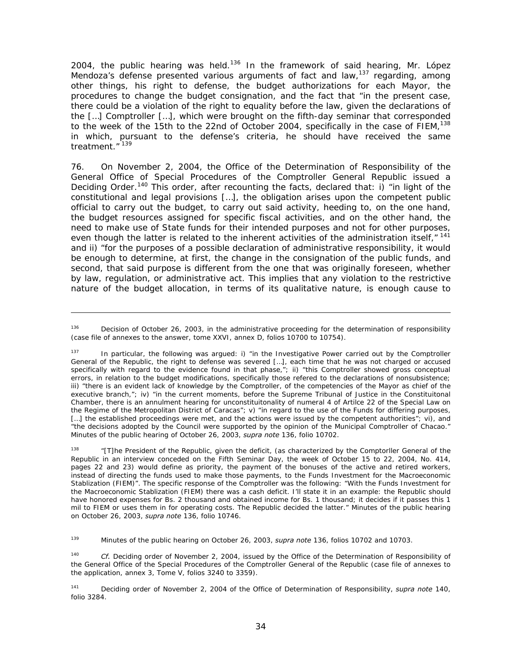2004, the public hearing was held.<sup>136</sup> In the framework of said hearing, Mr. López Mendoza's defense presented various arguments of fact and law,<sup>137</sup> regarding, among other things, his right to defense, the budget authorizations for each Mayor, the procedures to change the budget consignation, and the fact that "in the present case, there could be a violation of the right to equality before the law, given the declarations of the […] Comptroller […], which were brought on the fifth-day seminar that corresponded to the week of the 15th to the 22nd of October 2004, specifically in the case of  $FICM<sub>1</sub><sup>138</sup>$ in which, pursuant to the defense's criteria, he should have received the same treatment."<sup>139</sup>

76. On November 2, 2004, the Office of the Determination of Responsibility of the General Office of Special Procedures of the Comptroller General Republic issued a Deciding Order.<sup>140</sup> This order, after recounting the facts, declared that: i) "in light of the constitutional and legal provisions […], the obligation arises upon the competent public official to carry out the budget, to carry out said activity, heeding to, on the one hand, the budget resources assigned for specific fiscal activities, and on the other hand, the need to make use of State funds for their intended purposes and not for other purposes, even though the latter is related to the inherent activities of the administration itself,"<sup>141</sup> and ii) "for the purposes of a possible declaration of administrative responsibility, it would be enough to determine, at first, the change in the consignation of the public funds, and second, that said purpose is different from the one that was originally foreseen, whether by law, regulation, or administrative act. This implies that any violation to the restrictive nature of the budget allocation, in terms of its qualitative nature, is enough cause to

-

"[T]he President of the Republic, given the deficit, (as characterized by the Comptorller General of the Republic in an interview conceded on the Fifth Seminar Day, the week of October 15 to 22, 2004, No. 414, pages 22 and 23) would define as priority, the payment of the bonuses of the active and retired workers, instead of directing the funds used to make those payments, to the Funds Investment for the Macroeconomic Stablization (FIEM)". The specific response of the Comptroller was the following: "With the Funds Investment for the Macroeconomic Stablization (FIEM) there was a cash deficit. I'll state it in an example: the Republic should have honored expenses for Bs. 2 thousand and obtained income for Bs. 1 thousand; it decides if it passes this 1 mil to FIEM or uses them in for operating costs. The Republic decided the latter." Minutes of the public hearing on October 26, 2003, *supra note* 136, folio 10746.

139 Minutes of the public hearing on October 26, 2003, *supra note* 136, folios 10702 and 10703.

<sup>140</sup> *Cf.* Deciding order of November 2, 2004, issued by the Office of the Determination of Responsibility of the General Office of the Special Procedures of the Comptroller General of the Republic (case file of annexes to the application, annex 3, Tome V, folios 3240 to 3359).

141 Deciding order of November 2, 2004 of the Office of Determination of Responsibility, *supra note* 140, folio 3284.

<sup>136</sup> Decision of October 26, 2003, in the administrative proceeding for the determination of responsibility (case file of annexes to the answer, tome XXVI, annex D, folios 10700 to 10754).

<sup>137</sup> In particular, the following was argued: i) "in the Investigative Power carried out by the Comptroller General of the Republic, the right to defense was severed […], each time that he was not charged or accused specifically with regard to the evidence found in that phase,"; ii) "this Comptroller showed gross conceptual errors, in relation to the budget modifications, specifically those refered to the declarations of nonsubsistence; iii) "there is an evident lack of knowledge by the Comptroller, of the competencies of the Mayor as chief of the executive branch,"; iv) "in the current moments, before the Supreme Tribunal of Justice in the Constituitonal Chamber, there is an annulment hearing for unconstituitonality of numeral 4 of Artilce 22 of the Special Law on the Regime of the Metropolitan District of Caracas"; v) "in regard to the use of the Funds for differing purposes, [...] the established proceedings were met, and the actions were issued by the competent authorities"; vi), and "the decisions adopted by the Council were supported by the opinion of the Municipal Comptroller of Chacao." Minutes of the public hearing of October 26, 2003, *supra note* 136, folio 10702.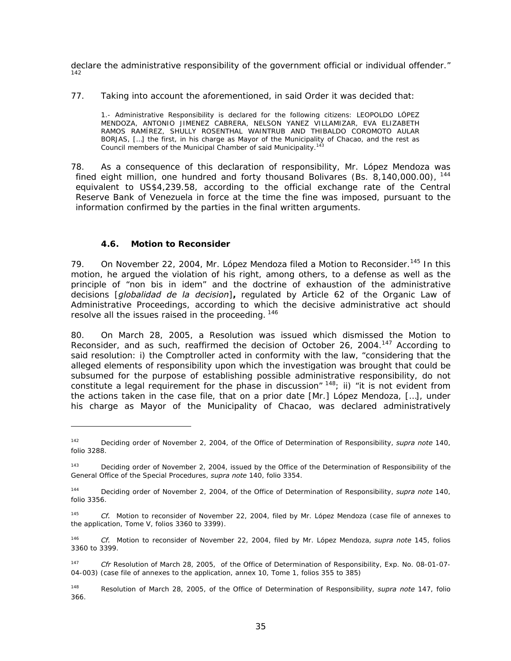declare the administrative responsibility of the government official or individual offender." 142

77. Taking into account the aforementioned, in said Order it was decided that:

1.- Administrative Responsibility is declared for the following citizens: LEOPOLDO LÓPEZ MENDOZA, ANTONIO JIMENEZ CABRERA, NELSON YANEZ VILLAMIZAR, EVA ELIZABETH RAMOS RAMÍREZ, SHULLY ROSENTHAL WAINTRUB AND THIBALDO COROMOTO AULAR BORJAS, […] the first, in his charge as Mayor of the Municipality of Chacao, and the rest as Council members of the Municipal Chamber of said Municipality.<sup>14</sup>

78. As a consequence of this declaration of responsibility, Mr. López Mendoza was fined eight million, one hundred and forty thousand Bolivares (Bs. 8,140,000.00), <sup>144</sup> equivalent to US\$4,239.58, according to the official exchange rate of the Central Reserve Bank of Venezuela in force at the time the fine was imposed, pursuant to the information confirmed by the parties in the final written arguments.

## *4.6. Motion to Reconsider*

-

79. On November 22, 2004, Mr. López Mendoza filed a Motion to Reconsider.<sup>145</sup> In this motion, he argued the violation of his right, among others, to a defense as well as the principle of "non bis in idem" and the doctrine of exhaustion of the administrative decisions [*globalidad de la decision*]**,** regulated by Article 62 of the Organic Law of Administrative Proceedings, according to which the decisive administrative act should resolve all the issues raised in the proceeding. <sup>146</sup>

80. On March 28, 2005, a Resolution was issued which dismissed the Motion to Reconsider, and as such, reaffirmed the decision of October 26, 2004.<sup>147</sup> According to said resolution: i) the Comptroller acted in conformity with the law, "considering that the alleged elements of responsibility upon which the investigation was brought that could be subsumed for the purpose of establishing possible administrative responsibility, do not constitute a legal requirement for the phase in discussion"  $148$ ; ii) "it is not evident from the actions taken in the case file, that on a prior date [Mr.] López Mendoza, […], under his charge as Mayor of the Municipality of Chacao, was declared administratively

<sup>142</sup> Deciding order of November 2, 2004, of the Office of Determination of Responsibility, *supra note* 140, folio 3288.

<sup>&</sup>lt;sup>143</sup> Deciding order of November 2, 2004, issued by the Office of the Determination of Responsibility of the General Office of the Special Procedures, *supra note* 140, folio 3354.

<sup>144</sup> Deciding order of November 2, 2004, of the Office of Determination of Responsibility, *supra note* 140, folio 3356.

<sup>145</sup> *Cf.* Motion to reconsider of November 22, 2004, filed by Mr. López Mendoza (case file of annexes to the application, Tome V, folios 3360 to 3399).

<sup>146</sup> *Cf.* Motion to reconsider of November 22, 2004, filed by Mr. López Mendoza, *supra note* 145, folios 3360 to 3399.

<sup>147</sup> *Cfr* Resolution of March 28, 2005, of the Office of Determination of Responsibility, Exp. No. 08-01-07- 04-003) (case file of annexes to the application, annex 10, Tome 1, folios 355 to 385)

<sup>148</sup> Resolution of March 28, 2005, of the Office of Determination of Responsibility, *supra note* 147, folio 366.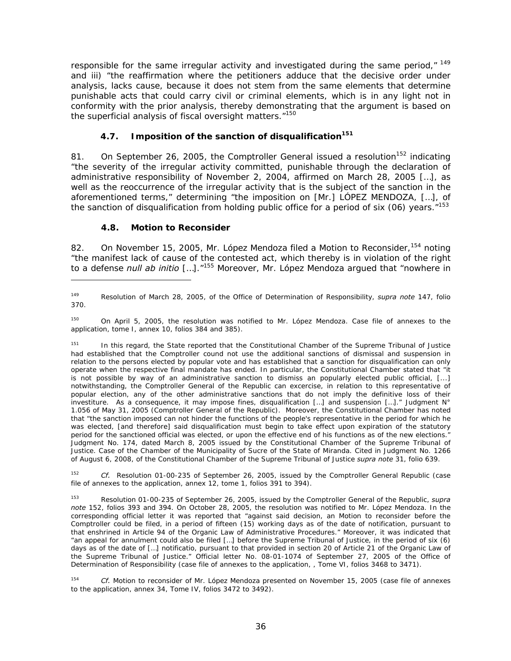responsible for the same irregular activity and investigated during the same period,"  $149$ and iii) "the reaffirmation where the petitioners adduce that the decisive order under analysis, lacks cause, because it does not stem from the same elements that determine punishable acts that could carry civil or criminal elements, which is in any light not in conformity with the prior analysis, thereby demonstrating that the argument is based on the superficial analysis of fiscal oversight matters.<sup>"150</sup>

## *4.7. Imposition of the sanction of disqualification151*

81. On September 26, 2005, the Comptroller General issued a resolution<sup>152</sup> indicating "the severity of the irregular activity committed, punishable through the declaration of administrative responsibility of November 2, 2004, affirmed on March 28, 2005 […], as well as the reoccurrence of the irregular activity that is the subject of the sanction in the aforementioned terms," determining "the imposition on [Mr.] LÓPEZ MENDOZA, […], of the sanction of disqualification from holding public office for a period of six (06) years.  $7153$ 

## *4.8. Motion to Reconsider*

-

82. On November 15, 2005, Mr. López Mendoza filed a Motion to Reconsider, <sup>154</sup> noting "the manifest lack of cause of the contested act, which thereby is in violation of the right to a defense *null ab initio* […]."155 Moreover, Mr. López Mendoza argued that "nowhere in

150 On April 5, 2005, the resolution was notified to Mr. López Mendoza. Case file of annexes to the application, tome I, annex 10, folios 384 and 385).

<sup>151</sup> In this regard, the State reported that the Constitutional Chamber of the Supreme Tribunal of Justice had established that the Comptroller cound not use the additional sanctions of dismissal and suspension in relation to the persons elected by popular vote and has established that a sanction for disqualification can only operate when the respective final mandate has ended. In particular, the Constitutional Chamber stated that "it is not possible by way of an administrative sanction to dismiss an popularly elected public official, [...] notwithstanding, the Comptroller General of the Republic can excercise, in relation to this representative of popular election, any of the other administrative sanctions that do not imply the definitive loss of their investiture. As a consequence, it may impose fines, disqualification […] and suspension […]." Judgment N° 1.056 of May 31, 2005 (Comptroller General of the Republic). Moreover, the Constitutional Chamber has noted that "the sanction imposed can not hinder the functions of the people's representative in the period for which he was elected, [and therefore] said disqualification must begin to take effect upon expiration of the statutory period for the sanctioned official was elected, or upon the effective end of his functions as of the new elections." Judgment No. 174, dated March 8, 2005 issued by the Constitutional Chamber of the Supreme Tribunal of Justice. Case of the Chamber of the Municipality of Sucre of the State of Miranda. Cited in Judgment No. 1266 of August 6, 2008, of the Constitutional Chamber of the Supreme Tribunal of Justice *supra note* 31, folio 639.

152 *Cf.* Resolution 01-00-235 of September 26, 2005, issued by the Comptroller General Republic (case file of annexes to the application, annex 12, tome 1, folios 391 to 394).

153 Resolution 01-00-235 of September 26, 2005, issued by the Comptroller General of the Republic, *supra note* 152, folios 393 and 394. On October 28, 2005, the resolution was notified to Mr. López Mendoza. In the corresponding official letter it was reported that "against said decision, an Motion to reconsider before the Comptroller could be filed, in a period of fifteen (15) working days as of the date of notification, pursuant to that enshrined in Article 94 of the Organic Law of Administrative Procedures." Moreover, it was indicated that "an appeal for annulment could also be filed […] before the Supreme Tribunal of Justice, in the period of six (6) days as of the date of […] notificatio, pursuant to that provided in section 20 of Article 21 of the Organic Law of the Supreme Tribunal of Justice." Official letter No. 08-01-1074 of September 27, 2005 of the Office of Determination of Responsibility (case file of annexes to the application, , Tome VI, folios 3468 to 3471).

154 *Cf.* Motion to reconsider of Mr. López Mendoza presented on November 15, 2005 (case file of annexes to the application, annex 34, Tome IV, folios 3472 to 3492).

<sup>149</sup> Resolution of March 28, 2005, of the Office of Determination of Responsibility, *supra note* 147, folio 370.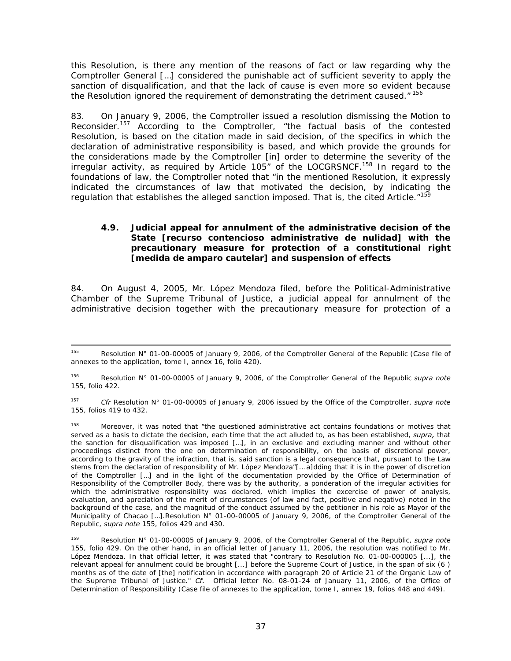this Resolution, is there any mention of the reasons of fact or law regarding why the Comptroller General […] considered the punishable act of sufficient severity to apply the sanction of disqualification, and that the lack of cause is even more so evident because the Resolution ignored the requirement of demonstrating the detriment caused."<sup>156</sup>

83. On January 9, 2006, the Comptroller issued a resolution dismissing the Motion to Reconsider.157 According to the Comptroller, "the factual basis of the contested Resolution, is based on the citation made in said decision, of the specifics in which the declaration of administrative responsibility is based, and which provide the grounds for the considerations made by the Comptroller [in] order to determine the severity of the irregular activity, as required by Article 105" of the LOCGRSNCF.158 In regard to the foundations of law, the Comptroller noted that "in the mentioned Resolution, it expressly indicated the circumstances of law that motivated the decision, by indicating the regulation that establishes the alleged sanction imposed. That is, the cited Article."<sup>159</sup>

#### *4.9. Judicial appeal for annulment of the administrative decision of the State [recurso contencioso administrative de nulidad] with the precautionary measure for protection of a constitutional right [medida de amparo cautelar] and suspension of effects*

84. On August 4, 2005, Mr. López Mendoza filed, before the Political-Administrative Chamber of the Supreme Tribunal of Justice, a judicial appeal for annulment of the administrative decision together with the precautionary measure for protection of a

<sup>155</sup> Resolution N° 01-00-00005 of January 9, 2006, of the Comptroller General of the Republic (Case file of annexes to the application, tome I, annex 16, folio 420).

<sup>156</sup> Resolution N° 01-00-00005 of January 9, 2006, of the Comptroller General of the Republic *supra note* 155, folio 422.

<sup>157</sup> *Cfr* Resolution N° 01-00-00005 of January 9, 2006 issued by the Office of the Comptroller, *supra note* 155, folios 419 to 432.

<sup>158</sup> Moreover, it was noted that "the questioned administrative act contains foundations or motives that served as a basis to dictate the decision, each time that the act alluded to, as has been established, *supra,* that the sanction for disqualification was imposed […], in an exclusive and excluding manner and without other proceedings distinct from the one on determination of responsibility, on the basis of discretional power, according to the gravity of the infraction, that is, said sanction is a legal consequence that, pursuant to the Law stems from the declaration of responsibility of Mr. López Mendoza"[...a]dding that it is in the power of discretion of the Comptroller […] and in the light of the documentation provided by the Office of Determination of Responsibility of the Comptroller Body, there was by the authority, a ponderation of the irregular activities for which the administrative responsibility was declared, which implies the excercise of power of analysis, evaluation, and apreciation of the merit of circumstances (of law and fact, positive and negative) noted in the background of the case, and the magnitud of the conduct assumed by the petitioner in his role as Mayor of the Municipality of Chacao [...].Resolution N° 01-00-00005 of January 9, 2006, of the Comptroller General of the Republic, *supra note* 155, folios 429 and 430.

Resolution N° 01-00-00005 of January 9, 2006, of the Comptroller General of the Republic, *supra note* 155, folio 429. On the other hand, in an official letter of January 11, 2006, the resolution was notified to Mr. López Mendoza. In that official letter, it was stated that "contrary to Resolution No. 01-00-000005 [...], the relevant appeal for annulment could be brought [...] before the Supreme Court of Justice, in the span of six (6 ) months as of the date of [the] notification in accordance with paragraph 20 of Article 21 of the Organic Law of the Supreme Tribunal of Justice." *Cf.* Official letter No. 08-01-24 of January 11, 2006, of the Office of Determination of Responsibility (Case file of annexes to the application, tome I, annex 19, folios 448 and 449).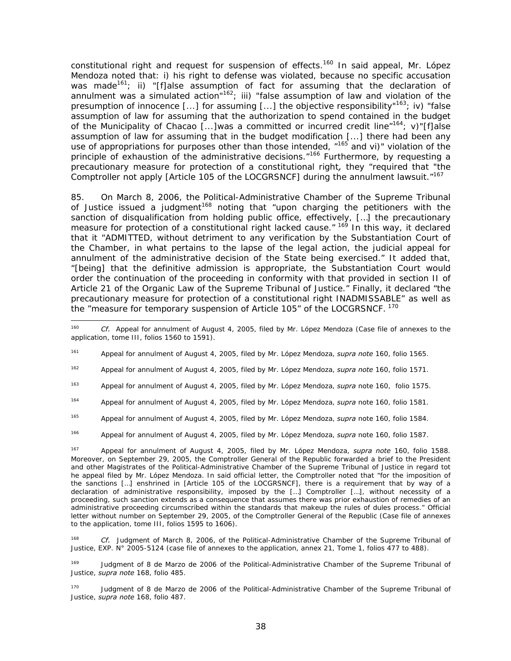constitutional right and request for suspension of effects.<sup>160</sup> In said appeal, Mr. López Mendoza noted that: i) his right to defense was violated, because no specific accusation was made<sup>161</sup>; ii) "[f]alse assumption of fact for assuming that the declaration of annulment was a simulated action"<sup>162</sup>; iii) "false assumption of law and violation of the presumption of innocence [...] for assuming [...] the objective responsibility"<sup>163</sup>; iv) "false assumption of law for assuming that the authorization to spend contained in the budget of the Municipality of Chacao [...]was a committed or incurred credit line<sup>"164</sup>; v)"[f]alse assumption of law for assuming that in the budget modification [...] there had been any use of appropriations for purposes other than those intended,  $n^{165}$  and vi)" violation of the principle of exhaustion of the administrative decisions."<sup>166</sup> Furthermore, by requesting a precautionary measure for protection of a constitutional right*,* they "required that "the Comptroller not apply [Article 105 of the LOCGRSNCF] during the annulment lawsuit."<sup>167</sup>

85. On March 8, 2006, the Political-Administrative Chamber of the Supreme Tribunal of Justice issued a judgment<sup>168</sup> noting that "upon charging the petitioners with the sanction of disqualification from holding public office, effectively, […] the precautionary measure for protection of a constitutional right lacked cause."  $169$  In this way, it declared that it "ADMITTED, without detriment to any verification by the Substantiation Court of the Chamber, in what pertains to the lapse of the legal action, the judicial appeal for annulment of the administrative decision of the State being exercised." It added that, "[being] that the definitive admission is appropriate, the Substantiation Court would order the continuation of the proceeding in conformity with that provided in section II of Article 21 of the Organic Law of the Supreme Tribunal of Justice." Finally, it declared "the precautionary measure for protection of a constitutional right INADMISSABLE" as well as the "measure for temporary suspension of Article 105" of the LOCGRSNCF. 170

162 Appeal for annulment of August 4, 2005, filed by Mr. López Mendoza, *supra note* 160, folio 1571.

- 164 Appeal for annulment of August 4, 2005, filed by Mr. López Mendoza, *supra* note 160, folio 1581.
- 165 Appeal for annulment of August 4, 2005, filed by Mr. López Mendoza, *supra* note 160, folio 1584.

166 Appeal for annulment of August 4, 2005, filed by Mr. López Mendoza, *supra* note 160, folio 1587.

167 Appeal for annulment of August 4, 2005, filed by Mr. López Mendoza, *supra note* 160, folio 1588. Moreover, on September 29, 2005, the Comptroller General of the Republic forwarded a brief to the President and other Magistrates of the Political-Administrative Chamber of the Supreme Tribunal of Justice in regard tot he appeal filed by Mr. López Mendoza. In said official letter, the Comptroller noted that "for the imposition of the sanctions […] enshrined in [Article 105 of the LOCGRSNCF], there is a requirement that by way of a declaration of administrative responsibility, imposed by the […] Comptroller […], without necessity of a proceeding, such sanction extends as a consequence that assumes there was prior exhaustion of remedies of an administrative proceeding circumscribed within the standards that makeup the rules of dules process." Official letter without number on September 29, 2005, of the Comptroller General of the Republic (Case file of annexes to the application, tome III, folios 1595 to 1606).

168 *Cf.* Judgment of March 8, 2006, of the Political-Administrative Chamber of the Supreme Tribunal of Justice, EXP. N° 2005-5124 (case file of annexes to the application, annex 21, Tome 1, folios 477 to 488).

<sup>169</sup> Judgment of 8 de Marzo de 2006 of the Political-Administrative Chamber of the Supreme Tribunal of Justice, *supra note* 168, folio 485.

<sup>170</sup> Judgment of 8 de Marzo de 2006 of the Political-Administrative Chamber of the Supreme Tribunal of Justice, *supra note* 168, folio 487.

<sup>160</sup> Cf. Appeal for annulment of August 4, 2005, filed by Mr. López Mendoza (Case file of annexes to the application, tome III, folios 1560 to 1591).

<sup>161</sup> Appeal for annulment of August 4, 2005, filed by Mr. López Mendoza, *supra note* 160, folio 1565.

<sup>163</sup> Appeal for annulment of August 4, 2005, filed by Mr. López Mendoza, *supra* note 160, folio 1575.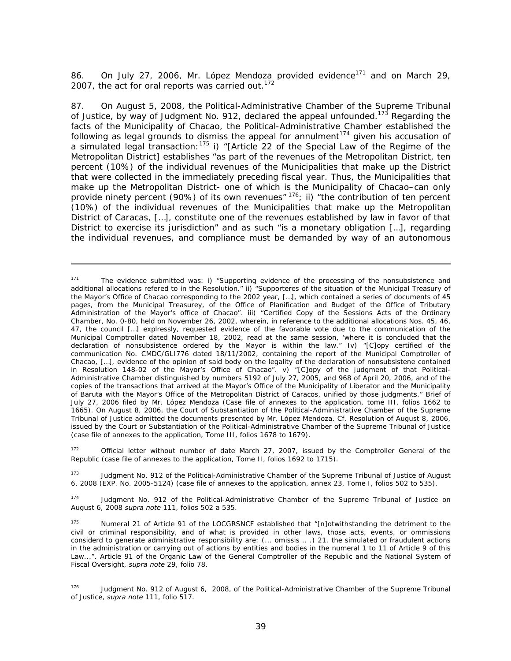86. On July 27, 2006, Mr. López Mendoza provided evidence<sup>171</sup> and on March 29, 2007, the act for oral reports was carried out. $172$ 

87. On August 5, 2008, the Political-Administrative Chamber of the Supreme Tribunal of Justice, by way of Judgment No. 912, declared the appeal unfounded.<sup>173</sup> Regarding the facts of the Municipality of Chacao, the Political-Administrative Chamber established the following as legal grounds to dismiss the appeal for annulment $174$  given his accusation of a simulated legal transaction:<sup>175</sup> i) "[Article 22 of the Special Law of the Regime of the Metropolitan District] establishes "as part of the revenues of the Metropolitan District, ten percent (10%) of the individual revenues of the Municipalities that make up the District that were collected in the immediately preceding fiscal year. Thus, the Municipalities that make up the Metropolitan District- one of which is the Municipality of Chacao–can only provide ninety percent (90%) of its own revenues"  $176$ ; ii) "the contribution of ten percent (10%) of the individual revenues of the Municipalities that make up the Metropolitan District of Caracas, […], constitute one of the revenues established by law in favor of that District to exercise its jurisdiction" and as such "is a monetary obligation […], regarding the individual revenues, and compliance must be demanded by way of an autonomous

-

<sup>172</sup> Official letter without number of date March 27, 2007, issued by the Comptroller General of the Republic (case file of annexes to the application, Tome II, folios 1692 to 1715).

<sup>173</sup> Judgment No. 912 of the Political-Administrative Chamber of the Supreme Tribunal of Justice of August 6, 2008 (EXP. No. 2005-5124) (case file of annexes to the application, annex 23, Tome I, folios 502 to 535).

174 Judgment No. 912 of the Political-Administrative Chamber of the Supreme Tribunal of Justice on August 6, 2008 *supra note* 111, folios 502 a 535.

<sup>&</sup>lt;sup>171</sup> The evidence submitted was: i) "Supporting evidence of the processing of the nonsubsistence and additional allocations refered to in the Resolution." ii) "Supporteres of the situation of the Municipal Treasury of the Mayor's Office of Chacao corresponding to the 2002 year, […], which contained a series of documents of 45 pages, from the Municipal Treasurey, of the Office of Planification and Budget of the Office of Tributary Administration of the Mayor's office of Chacao". iii) "Certified Copy of the Sessions Acts of the Ordinary Chamber, No. 0-80, held on November 26, 2002, wherein, in reference to the additional allocations Nos. 45, 46, 47, the council […] explressly, requested evidence of the favorable vote due to the communication of the Municipal Comptroller dated November 18, 2002, read at the same session, 'where it is concluded that the declaration of nonsubsistence ordered by the Mayor is within the law." Iv) "[C]opy certified of the communication No. CMDC/GLI776 dated 18/11/2002, containing the report of the Municipal Comptroller of Chacao, […], evidence of the opinion of said body on the legality of the declaration of nonsubsistene contained in Resolution 148-02 of the Mayor's Office of Chacao". v) "[C]opy of the judgment of that Political-Administrative Chamber distinguished by numbers 5192 of July 27, 2005, and 968 of April 20, 2006, and of the copies of the transactions that arrived at the Mayor's Office of the Municipality of Liberator and the Municipality of Baruta with the Mayor's Office of the Metropolitan District of Caracos, unified by those judgments." Brief of July 27, 2006 filed by Mr. López Mendoza (Case file of annexes to the application, tome III, folios 1662 to 1665). On August 8, 2006, the Court of Substantiation of the Political-Administrative Chamber of the Supreme Tribunal of Justice admitted the documents presented by Mr. López Mendoza. Cf. Resolution of August 8, 2006, issued by the Court or Substantiation of the Political-Administrative Chamber of the Supreme Tribunal of Justice (case file of annexes to the application, Tome III, folios 1678 to 1679).

<sup>175</sup> Numeral 21 of Article 91 of the LOCGRSNCF established that "[n]otwithstanding the detriment to the civil or criminal responsibility, and of what is provided in other laws, those acts, events, or ommissions considerd to generate administrative responsibility are: (... omissis .. .) 21. the simulated or fraudulent actions in the administration or carrying out of actions by entities and bodies in the numeral 1 to 11 of Article 9 of this Law...". Article 91 of the Organic Law of the General Comptroller of the Republic and the National System of Fiscal Oversight, *supra note* 29, folio 78.

<sup>&</sup>lt;sup>176</sup> Judgment No. 912 of August 6, 2008, of the Political-Administrative Chamber of the Supreme Tribunal of Justice, *supra note* 111, folio 517.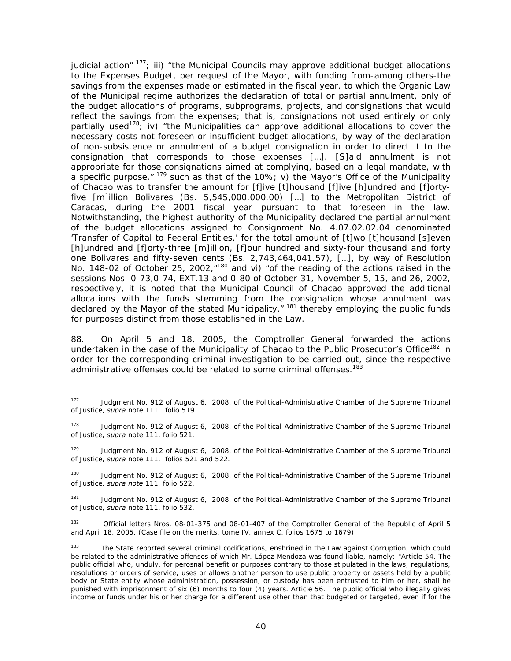judicial action"  $177$ ; iii) "the Municipal Councils may approve additional budget allocations to the Expenses Budget, per request of the Mayor, with funding from-among others-the savings from the expenses made or estimated in the fiscal year, to which the Organic Law of the Municipal regime authorizes the declaration of total or partial annulment, only of the budget allocations of programs, subprograms, projects, and consignations that would reflect the savings from the expenses; that is, consignations not used entirely or only partially used<sup>178</sup>; iv) "the Municipalities can approve additional allocations to cover the necessary costs not foreseen or insufficient budget allocations, by way of the declaration of non-subsistence or annulment of a budget consignation in order to direct it to the consignation that corresponds to those expenses […]. [S]aid annulment is not appropriate for those consignations aimed at complying, based on a legal mandate, with a specific purpose,"  $179$  such as that of the 10%; v) the Mayor's Office of the Municipality of Chacao was to transfer the amount for [f]ive [t]housand [f]ive [h]undred and [f]ortyfive [m]illion Bolivares (Bs. 5,545,000,000.00) […] to the Metropolitan District of Caracas, during the 2001 fiscal year pursuant to that foreseen in the law. Notwithstanding, the highest authority of the Municipality declared the partial annulment of the budget allocations assigned to Consignment No. 4.07.02.02.04 denominated 'Transfer of Capital to Federal Entities,' for the total amount of [t]wo [t]housand [s]even [h]undred and [f]orty-three [m]illion, [f]our hundred and sixty-four thousand and forty one Bolivares and fifty-seven cents (Bs. 2,743,464,041.57), […], by way of Resolution No. 148-02 of October 25, 2002,<sup>"180</sup> and vi) "of the reading of the actions raised in the sessions Nos. 0-73,0-74, EXT.13 and 0-80 of October 31, November 5, 15, and 26, 2002, respectively, it is noted that the Municipal Council of Chacao approved the additional allocations with the funds stemming from the consignation whose annulment was declared by the Mayor of the stated Municipality,"<sup>181</sup> thereby employing the public funds for purposes distinct from those established in the Law.

88. On April 5 and 18, 2005, the Comptroller General forwarded the actions undertaken in the case of the Municipality of Chacao to the Public Prosecutor's Office<sup>182</sup> in order for the corresponding criminal investigation to be carried out, since the respective administrative offenses could be related to some criminal offenses.<sup>183</sup>

-

<sup>177</sup> Judgment No. 912 of August 6, 2008, of the Political-Administrative Chamber of the Supreme Tribunal of Justice, *supra* note 111, folio 519.

<sup>&</sup>lt;sup>178</sup> Judgment No. 912 of August 6, 2008, of the Political-Administrative Chamber of the Supreme Tribunal of Justice, *supra* note 111, folio 521.

<sup>&</sup>lt;sup>179</sup> Judgment No. 912 of August 6, 2008, of the Political-Administrative Chamber of the Supreme Tribunal of Justice, *supra* note 111, folios 521 and 522.

<sup>&</sup>lt;sup>180</sup> Judgment No. 912 of August 6, 2008, of the Political-Administrative Chamber of the Supreme Tribunal of Justice, *supra note* 111, folio 522.

<sup>181</sup> Judgment No. 912 of August 6, 2008, of the Political-Administrative Chamber of the Supreme Tribunal of Justice, *supra* note 111, folio 532.

<sup>&</sup>lt;sup>182</sup> Official letters Nros. 08-01-375 and 08-01-407 of the Comptroller General of the Republic of April 5 and April 18, 2005, (Case file on the merits, tome IV, annex C, folios 1675 to 1679).

<sup>&</sup>lt;sup>183</sup> The State reported several criminal codifications, enshrined in the Law against Corruption, which could be related to the administrative offenses of which Mr. López Mendoza was found liable, namely: "Article 54. The public official who, unduly, for perosnal benefit or purposes contrary to those stipulated in the laws, regulations, resolutions or orders of service, uses or allows another person to use public property or assets held by a public body or State entity whose administration, possession, or custody has been entrusted to him or her, shall be punished with imprisonment of six (6) months to four (4) years. Article 56. The public official who illegally gives income or funds under his or her charge for a different use other than that budgeted or targeted, even if for the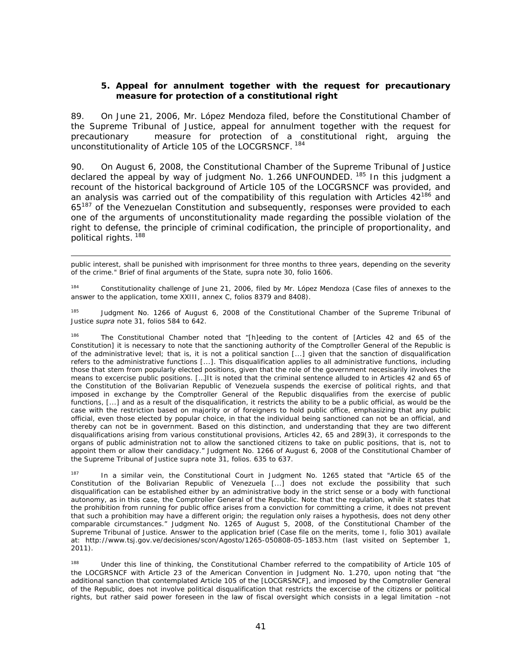#### **5. Appeal for annulment together with the request for precautionary measure for protection of a constitutional right**

89. On June 21, 2006, Mr. López Mendoza filed, before the Constitutional Chamber of the Supreme Tribunal of Justice, appeal for annulment together with the request for precautionary measure for protection of a constitutional right, arguing the unconstitutionality of Article 105 of the LOCGRSNCF. 184

90. On August 6, 2008, the Constitutional Chamber of the Supreme Tribunal of Justice declared the appeal by way of judgment No. 1.266 UNFOUNDED. <sup>185</sup> In this judgment a recount of the historical background of Article 105 of the LOCGRSNCF was provided, and an analysis was carried out of the compatibility of this regulation with Articles  $42^{186}$  and 65<sup>187</sup> of the Venezuelan Constitution and subsequently, responses were provided to each one of the arguments of unconstitutionality made regarding the possible violation of the right to defense, the principle of criminal codification, the principle of proportionality, and political rights. 188

public interest, shall be punished with imprisonment for three months to three years, depending on the severity of the crime." Brief of final arguments of the State, supra note 30, folio 1606.

<sup>184</sup> Constitutionality challenge of June 21, 2006, filed by Mr. López Mendoza (Case files of annexes to the answer to the application, tome XXIII, annex C, folios 8379 and 8408).

<sup>185</sup> Judgment No. 1266 of August 6, 2008 of the Constitutional Chamber of the Supreme Tribunal of Justice *supra* note 31, folios 584 to 642.

186 The Constitutional Chamber noted that "[h]eeding to the content of [Articles 42 and 65 of the Constitution] it is necessary to note that the sanctioning authority of the Comptroller General of the Republic is of the administrative level; that is, it is not a political sanction [...] given that the sanction of disqualification refers to the administrative functions [...]. This disqualification applies to all administrative functions, including those that stem from popularly elected positions, given that the role of the government necesisarily involves the means to excercise public positions. […]It is noted that the criminal sentence alluded to in Articles 42 and 65 of the Constitution of the Bolivarian Republic of Venezuela suspends the exercise of political rights, and that imposed in exchange by the Comptroller General of the Republic disqualifies from the exercise of public functions, [...] and as a result of the disqualification, it restricts the ability to be a public official, as would be the case with the restriction based on majority or of foreigners to hold public office, emphasizing that any public official, even those elected by popular choice, in that the individual being sanctioned can not be an official, and thereby can not be in government. Based on this distinction, and understanding that they are two different disqualifications arising from various constitutional provisions, Articles 42, 65 and 289(3), it corresponds to the organs of public administration not to allow the sanctioned citizens to take on public positions, that is, not to appoint them or allow their candidacy." Judgment No. 1266 of August 6, 2008 of the Constitutional Chamber of the Supreme Tribunal of Justice supra note 31, folios. 635 to 637.

<sup>187</sup> In a similar vein, the Constitutional Court in Judgment No. 1265 stated that "Article 65 of the Constitution of the Bolivarian Republic of Venezuela [...] does not exclude the possibility that such disqualification can be established either by an administrative body in the strict sense or a body with functional autonomy, as in this case, the Comptroller General of the Republic. Note that the regulation, while it states that the prohibition from running for public office arises from a conviction for committing a crime, it does not prevent that such a prohibition may have a different origin; the regulation only raises a hypothesis, does not deny other comparable circumstances." Judgment No. 1265 of August 5, 2008, of the Constitutional Chamber of the Supreme Tribunal of Justice. Answer to the application brief (Case file on the merits, tome I, folio 301) availale at: http://www.tsj.gov.ve/decisiones/scon/Agosto/1265-050808-05-1853.htm (last visited on September 1, 2011).

Under this line of thinking, the Constitutional Chamber referred to the compatibility of Article 105 of the LOCGRSNCF with Article 23 of the American Convention in Judgment No. 1.270, upon noting that "the additional sanction that contemplated Article 105 of the [LOCGRSNCF], and imposed by the Comptroller General of the Republic, does not involve political disqualification that restricts the excercise of the citizens or political rights, but rather said power foreseen in the law of fiscal oversight which consists in a legal limitation –not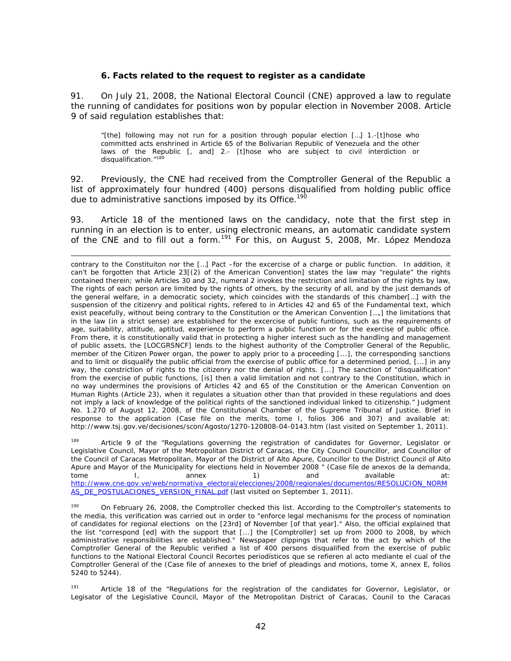#### **6. Facts related to the request to register as a candidate**

91. On July 21, 2008, the National Electoral Council (CNE) approved a law to regulate the running of candidates for positions won by popular election in November 2008. Article 9 of said regulation establishes that:

"[the] following may not run for a position through popular election […] 1.-[t]hose who committed acts enshrined in Article 65 of the Bolivarian Republic of Venezuela and the other laws of the Republic [, and] 2.- [t]hose who are subject to civil interdiction or disqualification."<sup>18</sup>

92. Previously, the CNE had received from the Comptroller General of the Republic a list of approximately four hundred (400) persons disqualified from holding public office due to administrative sanctions imposed by its Office.<sup>190</sup>

93. Article 18 of the mentioned laws on the candidacy, note that the first step in running in an election is to enter, using electronic means, an automatic candidate system of the CNE and to fill out a form.<sup>191</sup> For this, on August 5, 2008, Mr. López Mendoza

Article 9 of the "Regulations governing the registration of candidates for Governor, Legislator or Legislative Council, Mayor of the Metropolitan District of Caracas, the City Council Councillor, and Councillor of the Council of Caracas Metropolitan, Mayor of the District of Alto Apure, Councillor to the District Council of Alto Apure and Mayor of the Municipality for elections held in November 2008 " (Case file de anexos de la demanda, tome I, annex 1) and available at: http://www.cne.gov.ve/web/normativa\_electoral/elecciones/2008/regionales/documentos/RESOLUCION\_NORM AS\_DE\_POSTULACIONES\_VERSION\_FINAL.pdf (last visited on September 1, 2011).

<sup>190</sup> On February 26, 2008, the Comptroller checked this list. According to the Comptroller's statements to the media, this verification was carried out in order to "enforce legal mechanisms for the process of nomination of candidates for regional elections on the [23rd] of November [of that year]." Also, the official explained that the list "correspond [ed] with the support that [...] the [Comptroller] set up from 2000 to 2008, by which administrative responsibilities are established." Newspaper clippings that refer to the act by which of the Comptroller General of the Republic verified a list of 400 persons disqualified from the exercise of public functions to the National Electoral Council Recortes periodísticos que se refieren al acto mediante el cual of the Comptroller General of the (Case file of annexes to the brief of pleadings and motions, tome X, annex E, folios 5240 to 5244).

<sup>191</sup> Article 18 of the "Regulations for the registration of the candidates for Governor, Legislator, or Legisator of the Legislative Council, Mayor of the Metropolitan District of Caracas, Counil to the Caracas

contrary to the Constituiton nor the […] Pact –for the excercise of a charge or public function. In addition, it can't be forgotten that Article 23[(2) of the American Convention] states the law may "regulate" the rights contained therein; while Articles 30 and 32, numeral 2 invokes the restriction and limitation of the rights by law, The rights of each person are limited by the rights of others, by the security of all, and by the just demands of the general welfare, in a democratic society, which coincides with the standards of this chamber[…] with the suspension of the citizenry and political rights, refered to in Articles 42 and 65 of the Fundamental text, which exist peacefully, without being contrary to the Constitution or the American Convention […,] the limitations that in the law (in a strict sense) are established for the excercise of public funtions, such as the requirements of age, suitability, attitude, aptitud, experience to perform a public function or for the exercise of public office. From there, it is constitutionally valid that in protecting a higher interest such as the handling and management of public assets, the [LOCGRSNCF] lends to the highest authority of the Comptroller General of the Republic, member of the Citizen Power organ, the power to apply prior to a proceeding [...], the corresponding sanctions and to limit or disqualify the public official from the exercise of public office for a determined period, [...] in any way, the constriction of rights to the citizenry nor the denial of rights. [...] The sanction of "disqualification" from the exercise of public functions, [is] then a valid limitation and not contrary to the Constitution, which in no way undermines the provisions of Articles 42 and 65 of the Constitution or the American Convention on Human Rights (Article 23), when it regulates a situation other than that provided in these regulations and does not imply a lack of knowledge of the political rights of the sanctioned individual linked to citizenship." Judgment No. 1.270 of August 12, 2008, of the Constitutional Chamber of the Supreme Tribunal of Justice. Brief in response to the application (Case file on the merits, tome I, folios 306 and 307) and available at: http://www.tsj.gov.ve/decisiones/scon/Agosto/1270-120808-04-0143.htm (last visited on September 1, 2011).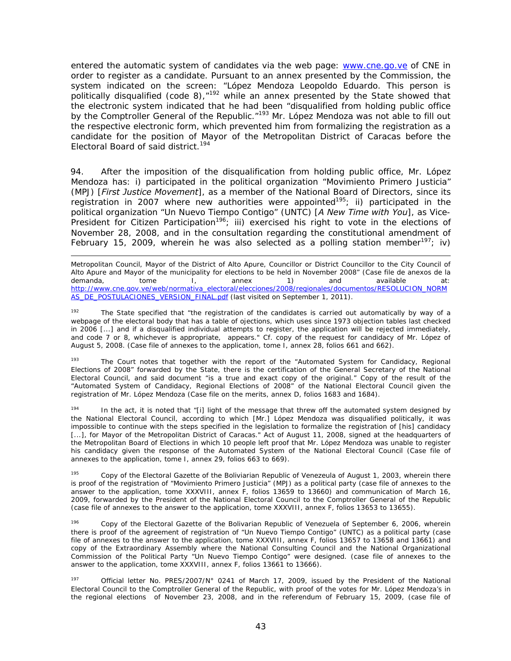entered the automatic system of candidates via the web page: www.cne.go.ve of CNE in order to register as a candidate. Pursuant to an annex presented by the Commission, the system indicated on the screen: "López Mendoza Leopoldo Eduardo. This person is politically disqualified (code 8),<sup>"192</sup> while an annex presented by the State showed that the electronic system indicated that he had been "disqualified from holding public office by the Comptroller General of the Republic.<sup>"193</sup> Mr. López Mendoza was not able to fill out the respective electronic form, which prevented him from formalizing the registration as a candidate for the position of Mayor of the Metropolitan District of Caracas before the Electoral Board of said district.<sup>194</sup>

94. After the imposition of the disqualification from holding public office, Mr. López Mendoza has: i) participated in the political organization "Movimiento Primero Justicia" (MPJ) [*First Justice Movement*], as a member of the National Board of Directors, since its registration in 2007 where new authorities were appointed<sup>195</sup>; ii) participated in the political organization "Un Nuevo Tiempo Contigo" (UNTC) [*A New Time with You*], as Vice-President for Citizen Participation<sup>196</sup>; iii) exercised his right to vote in the elections of November 28, 2008, and in the consultation regarding the constitutional amendment of February 15, 2009, wherein he was also selected as a polling station member<sup>197</sup>; iv)

-Metropolitan Council, Mayor of the District of Alto Apure, Councillor or District Councillor to the City Council of Alto Apure and Mayor of the municipality for elections to be held in November 2008" (Case file de anexos de la<br>demanda, demanda, demanda, demanda, demanda, demanda, demanda, demanda, demanda, demanda, demanda, demanda, de demanda, tome I, annex 1) and available at: http://www.cne.gov.ve/web/normativa\_electoral/elecciones/2008/regionales/documentos/RESOLUCION\_NORM AS\_DE\_POSTULACIONES\_VERSION\_FINAL.pdf (last visited on September 1, 2011).

<sup>192</sup> The State specified that "the registration of the candidates is carried out automatically by way of a webpage of the electoral body that has a table of ojections, which uses since 1973 objection tables last checked in 2006 [...] and if a disqualified individual attempts to register, the application will be rejected immediately, and code 7 or 8, whichever is appropriate, appears." Cf. copy of the request for candidacy of Mr. López of August 5, 2008. (Case file of annexes to the application, tome I, annex 28, folios 661 and 662).

The Court notes that together with the report of the "Automated System for Candidacy, Regional Elections of 2008" forwarded by the State, there is the certification of the General Secretary of the National Electoral Council, and said document "is a true and exact copy of the original." Copy of the result of the "Automated System of Candidacy, Regional Elections of 2008" of the National Electoral Council given the registration of Mr. López Mendoza (Case file on the merits, annex D, folios 1683 and 1684).

<sup>194</sup> In the act, it is noted that "[i] light of the message that threw off the automated system designed by the National Electoral Council, according to which [Mr.] López Mendoza was disqualified politically, it was impossible to continue with the steps specified in the legislation to formalize the registration of [his] candidacy [...], for Mayor of the Metropolitan District of Caracas." Act of August 11, 2008, signed at the headquarters of the Metropolitan Board of Elections in which 10 people left proof that Mr. López Mendoza was unable to register his candidacy given the response of the Automated System of the National Electoral Council (Case file of annexes to the application, tome I, annex 29, folios 663 to 669).

<sup>195</sup> Copy of the Electoral Gazette of the Boliviarian Republic of Venezeula of August 1, 2003, wherein there is proof of the registration of "Movimiento Primero Justicia" (MPJ) as a political party (case file of annexes to the answer to the application, tome XXXVIII, annex F, folios 13659 to 13660) and communication of March 16, 2009, forwarded by the President of the National Electoral Council to the Comptroller General of the Republic (case file of annexes to the answer to the application, tome XXXVIII, annex F, folios 13653 to 13655).

196 Copy of the Electoral Gazette of the Bolivarian Republic of Venezuela of September 6, 2006, wherein there is proof of the agreement of registration of "Un Nuevo Tiempo Contigo" (UNTC) as a political party (case file of annexes to the answer to the application, tome XXXVIII, annex F, folios 13657 to 13658 and 13661) and copy of the Extraordinary Assembly where the National Consulting Council and the National Organizational Commission of the Political Party "Un Nuevo Tiempo Contigo" were designed. (case file of annexes to the answer to the application, tome XXXVIII, annex F, folios 13661 to 13666).

<sup>197</sup> Official letter No. PRES/2007/N° 0241 of March 17, 2009, issued by the President of the National Electoral Council to the Comptroller General of the Republic, with proof of the votes for Mr. López Mendoza's in the regional elections of November 23, 2008, and in the referendum of February 15, 2009, (case file of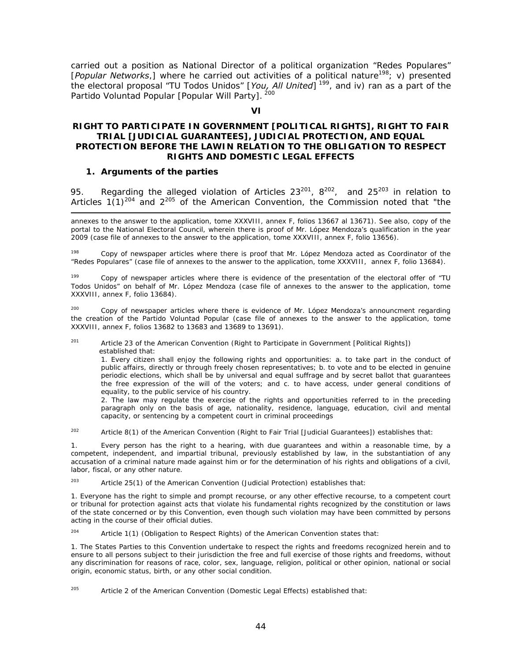carried out a position as National Director of a political organization "Redes Populares" [*Popular Networks*,] where he carried out activities of a political nature<sup>198</sup>; v) presented the electoral proposal "TU Todos Unidos" [You, All United]<sup>199</sup>, and iv) ran as a part of the Partido Voluntad Popular [Popular Will Party]. 200

#### **VI**

#### **RIGHT TO PARTICIPATE IN GOVERNMENT [POLITICAL RIGHTS], RIGHT TO FAIR TRIAL [JUDICIAL GUARANTEES], JUDICIAL PROTECTION, AND EQUAL PROTECTION BEFORE THE LAWIN RELATION TO THE OBLIGATION TO RESPECT RIGHTS AND DOMESTIC LEGAL EFFECTS**

#### **1. Arguments of the parties**

-

95. Regarding the alleged violation of Articles  $23^{201}$ ,  $8^{202}$ , and  $25^{203}$  in relation to Articles  $1(1)^{204}$  and  $2^{205}$  of the American Convention, the Commission noted that "the

annexes to the answer to the application, tome XXXVIII, annex F, folios 13667 al 13671). See also, copy of the portal to the National Electoral Council, wherein there is proof of Mr. López Mendoza's qualification in the year 2009 (case file of annexes to the answer to the application, tome XXXVIII, annex F, folio 13656).

198 Copy of newspaper articles where there is proof that Mr. López Mendoza acted as Coordinator of the "Redes Populares" (case file of annexes to the answer to the application, tome XXXVIII, annex F, folio 13684).

199 Copy of newspaper articles where there is evidence of the presentation of the electoral offer of "TU Todos Unidos" on behalf of Mr. López Mendoza (case file of annexes to the answer to the application, tome XXXVIII, annex F, folio 13684).

<sup>200</sup> Copy of newspaper articles where there is evidence of Mr. López Mendoza's announcment regarding the creation of the Partido Voluntad Popular (case file of annexes to the answer to the application, tome XXXVIII, annex F, folios 13682 to 13683 and 13689 to 13691).

<sup>201</sup> Article 23 of the American Convention (Right to Participate in Government [Political Rights]) established that:

1. Every citizen shall enjoy the following rights and opportunities: a. to take part in the conduct of public affairs, directly or through freely chosen representatives; b. to vote and to be elected in genuine periodic elections, which shall be by universal and equal suffrage and by secret ballot that guarantees the free expression of the will of the voters; and c. to have access, under general conditions of equality, to the public service of his country.

2. The law may regulate the exercise of the rights and opportunities referred to in the preceding paragraph only on the basis of age, nationality, residence, language, education, civil and mental capacity, or sentencing by a competent court in criminal proceedings

<sup>202</sup> Article 8(1) of the American Convention (Right to Fair Trial [Judicial Guarantees]) establishes that:

1. Every person has the right to a hearing, with due guarantees and within a reasonable time, by a competent, independent, and impartial tribunal, previously established by law, in the substantiation of any accusation of a criminal nature made against him or for the determination of his rights and obligations of a civil, labor, fiscal, or any other nature.

<sup>203</sup> Article 25(1) of the American Convention (Judicial Protection) establishes that:

1. Everyone has the right to simple and prompt recourse, or any other effective recourse, to a competent court or tribunal for protection against acts that violate his fundamental rights recognized by the constitution or laws of the state concerned or by this Convention, even though such violation may have been committed by persons acting in the course of their official duties.

 $204$  Article 1(1) (Obligation to Respect Rights) of the American Convention states that:

1. The States Parties to this Convention undertake to respect the rights and freedoms recognized herein and to ensure to all persons subject to their jurisdiction the free and full exercise of those rights and freedoms, without any discrimination for reasons of race, color, sex, language, religion, political or other opinion, national or social origin, economic status, birth, or any other social condition.

 $205$  Article 2 of the American Convention (Domestic Legal Effects) established that: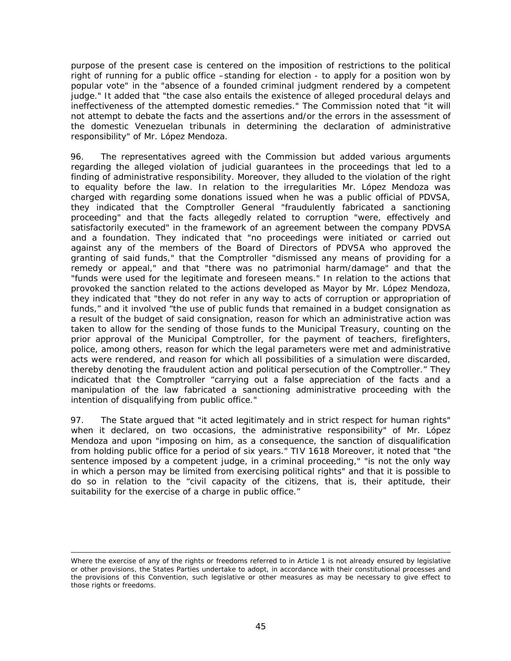purpose of the present case is centered on the imposition of restrictions to the political right of running for a public office –standing for election - to apply for a position won by popular vote" in the "absence of a founded criminal judgment rendered by a competent judge." It added that "the case also entails the existence of alleged procedural delays and ineffectiveness of the attempted domestic remedies." The Commission noted that "it will not attempt to debate the facts and the assertions and/or the errors in the assessment of the domestic Venezuelan tribunals in determining the declaration of administrative responsibility" of Mr. López Mendoza.

96. The representatives agreed with the Commission but added various arguments regarding the alleged violation of judicial guarantees in the proceedings that led to a finding of administrative responsibility. Moreover, they alluded to the violation of the right to equality before the law. In relation to the irregularities Mr. López Mendoza was charged with regarding some donations issued when he was a public official of PDVSA, they indicated that the Comptroller General "fraudulently fabricated a sanctioning proceeding" and that the facts allegedly related to corruption "were, effectively and satisfactorily executed" in the framework of an agreement between the company PDVSA and a foundation. They indicated that "no proceedings were initiated or carried out against any of the members of the Board of Directors of PDVSA who approved the granting of said funds," that the Comptroller "dismissed any means of providing for a remedy or appeal," and that "there was no patrimonial harm/damage" and that the "funds were used for the legitimate and foreseen means." In relation to the actions that provoked the sanction related to the actions developed as Mayor by Mr. López Mendoza, they indicated that "they do not refer in any way to acts of corruption or appropriation of funds," and it involved "the use of public funds that remained in a budget consignation as a result of the budget of said consignation, reason for which an administrative action was taken to allow for the sending of those funds to the Municipal Treasury, counting on the prior approval of the Municipal Comptroller, for the payment of teachers, firefighters, police, among others, reason for which the legal parameters were met and administrative acts were rendered, and reason for which all possibilities of a simulation were discarded, thereby denoting the fraudulent action and political persecution of the Comptroller." They indicated that the Comptroller "carrying out a false appreciation of the facts and a manipulation of the law fabricated a sanctioning administrative proceeding with the intention of disqualifying from public office."

97. The State argued that "it acted legitimately and in strict respect for human rights" when it declared, on two occasions, the administrative responsibility" of Mr. López Mendoza and upon "imposing on him, as a consequence, the sanction of disqualification from holding public office for a period of six years." TIV 1618 Moreover, it noted that "the sentence imposed by a competent judge, in a criminal proceeding," "is not the only way in which a person may be limited from exercising political rights" and that it is possible to do so in relation to the "civil capacity of the citizens, that is, their aptitude, their suitability for the exercise of a charge in public office."

<sup>-</sup>Where the exercise of any of the rights or freedoms referred to in Article 1 is not already ensured by legislative or other provisions, the States Parties undertake to adopt, in accordance with their constitutional processes and the provisions of this Convention, such legislative or other measures as may be necessary to give effect to those rights or freedoms.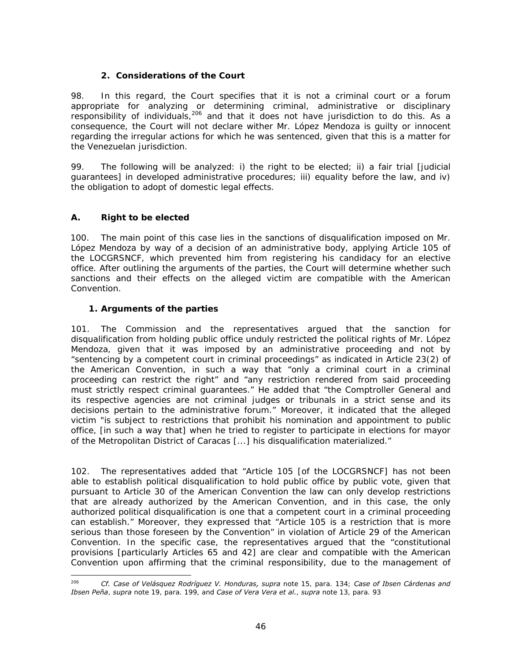# **2. Considerations of the Court**

98. In this regard, the Court specifies that it is not a criminal court or a forum appropriate for analyzing or determining criminal, administrative or disciplinary responsibility of individuals,<sup>206</sup> and that it does not have jurisdiction to do this. As a consequence, the Court will not declare wither Mr. López Mendoza is guilty or innocent regarding the irregular actions for which he was sentenced, given that this is a matter for the Venezuelan jurisdiction.

99. The following will be analyzed: i) the right to be elected; ii) a fair trial [judicial guarantees] in developed administrative procedures; iii) equality before the law, and iv) the obligation to adopt of domestic legal effects.

# **A. Right to be elected**

100. The main point of this case lies in the sanctions of disqualification imposed on Mr. López Mendoza by way of a decision of an administrative body, applying Article 105 of the LOCGRSNCF, which prevented him from registering his candidacy for an elective office. After outlining the arguments of the parties, the Court will determine whether such sanctions and their effects on the alleged victim are compatible with the American Convention.

# **1. Arguments of the parties**

101. The Commission and the representatives argued that the sanction for disqualification from holding public office unduly restricted the political rights of Mr. López Mendoza, given that it was imposed by an administrative proceeding and not by "sentencing by a competent court in criminal proceedings" as indicated in Article 23(2) of the American Convention, in such a way that "only a criminal court in a criminal proceeding can restrict the right" and "any restriction rendered from said proceeding must strictly respect criminal guarantees." He added that "the Comptroller General and its respective agencies are not criminal judges or tribunals in a strict sense and its decisions pertain to the administrative forum." Moreover, it indicated that the alleged victim "is subject to restrictions that prohibit his nomination and appointment to public office, [in such a way that] when he tried to register to participate in elections for mayor of the Metropolitan District of Caracas [...] his disqualification materialized."

102. The representatives added that "Article 105 [of the LOCGRSNCF] has not been able to establish political disqualification to hold public office by public vote, given that pursuant to Article 30 of the American Convention the law can only develop restrictions that are already authorized by the American Convention, and in this case, the only authorized political disqualification is one that a competent court in a criminal proceeding can establish." Moreover, they expressed that "Article 105 is a restriction that is more serious than those foreseen by the Convention" in violation of Article 29 of the American Convention. In the specific case, the representatives argued that the "constitutional provisions [particularly Articles 65 and 42] are clear and compatible with the American Convention upon affirming that the criminal responsibility, due to the management of

<sup>206</sup> 206 *Cf. Case of Velásquez Rodríguez V. Honduras, supra* note 15, para. 134; *Case of Ibsen Cárdenas and Ibsen Peña*, *supra* note 19, para. 199, and *Case of Vera Vera et al.*, *supra* note 13, para. 93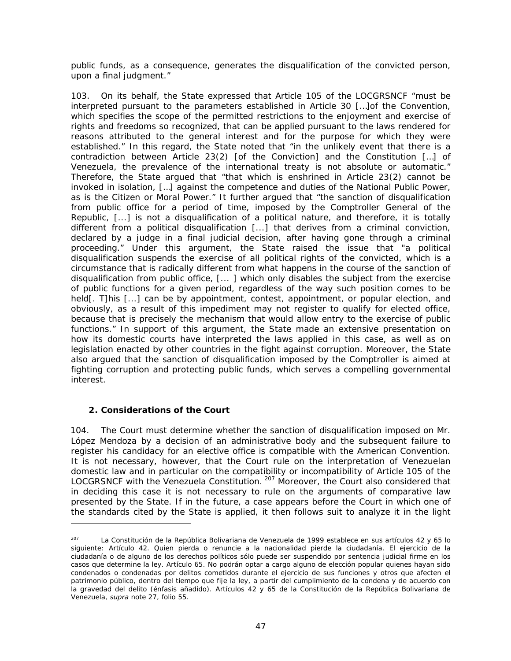public funds, as a consequence, generates the disqualification of the convicted person, upon a final judgment."

103. On its behalf, the State expressed that Article 105 of the LOCGRSNCF "must be interpreted pursuant to the parameters established in Article 30 […]of the Convention, which specifies the scope of the permitted restrictions to the enjoyment and exercise of rights and freedoms so recognized, that can be applied pursuant to the laws rendered for reasons attributed to the general interest and for the purpose for which they were established." In this regard, the State noted that "in the unlikely event that there is a contradiction between Article 23(2) [of the Conviction] and the Constitution […] of Venezuela, the prevalence of the international treaty is not absolute or automatic." Therefore, the State argued that "that which is enshrined in Article 23(2) cannot be invoked in isolation, […] against the competence and duties of the National Public Power, as is the Citizen or Moral Power." It further argued that "the sanction of disqualification from public office for a period of time, imposed by the Comptroller General of the Republic, [...] is not a disqualification of a political nature, and therefore, it is totally different from a political disqualification [...] that derives from a criminal conviction, declared by a judge in a final judicial decision, after having gone through a criminal proceeding." Under this argument, the State raised the issue that "a political disqualification suspends the exercise of all political rights of the convicted, which is a circumstance that is radically different from what happens in the course of the sanction of disqualification from public office, [... ] which only disables the subject from the exercise of public functions for a given period, regardless of the way such position comes to be held[. T]his [...] can be by appointment, contest, appointment, or popular election, and obviously, as a result of this impediment may not register to qualify for elected office, because that is precisely the mechanism that would allow entry to the exercise of public functions." In support of this argument, the State made an extensive presentation on how its domestic courts have interpreted the laws applied in this case, as well as on legislation enacted by other countries in the fight against corruption. Moreover, the State also argued that the sanction of disqualification imposed by the Comptroller is aimed at fighting corruption and protecting public funds, which serves a compelling governmental interest.

# **2. Considerations of the Court**

-

104. The Court must determine whether the sanction of disqualification imposed on Mr. López Mendoza by a decision of an administrative body and the subsequent failure to register his candidacy for an elective office is compatible with the American Convention. It is not necessary, however, that the Court rule on the interpretation of Venezuelan domestic law and in particular on the compatibility or incompatibility of Article 105 of the LOCGRSNCF with the Venezuela Constitution. <sup>207</sup> Moreover, the Court also considered that in deciding this case it is not necessary to rule on the arguments of comparative law presented by the State. If in the future, a case appears before the Court in which one of the standards cited by the State is applied, it then follows suit to analyze it in the light

<sup>&</sup>lt;sup>207</sup> La Constitución de la República Bolivariana de Venezuela de 1999 establece en sus artículos 42 y 65 lo siguiente: Artículo 42. Quien pierda o renuncie a la nacionalidad pierde la ciudadanía. El ejercicio de la ciudadanía o de alguno de los derechos políticos sólo puede ser suspendido por sentencia judicial firme en los casos que determine la ley. Artículo 65. No podrán optar a cargo alguno de elección popular quienes hayan sido condenados o condenadas por delitos cometidos durante el ejercicio de sus funciones y otros que afecten el patrimonio público, dentro del tiempo que fije la ley, a partir del cumplimiento de la condena y de acuerdo con la gravedad del delito (énfasis añadido). Artículos 42 y 65 de la Constitución de la República Bolivariana de Venezuela, *supra* note 27, folio 55.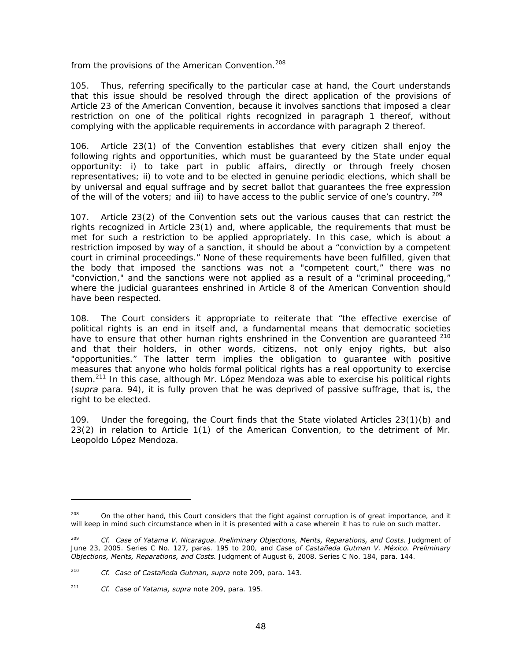from the provisions of the American Convention.<sup>208</sup>

105. Thus, referring specifically to the particular case at hand, the Court understands that this issue should be resolved through the direct application of the provisions of Article 23 of the American Convention, because it involves sanctions that imposed a clear restriction on one of the political rights recognized in paragraph 1 thereof, without complying with the applicable requirements in accordance with paragraph 2 thereof.

106. Article 23(1) of the Convention establishes that every citizen shall enjoy the following rights and opportunities, which must be guaranteed by the State under equal opportunity: i) to take part in public affairs, directly or through freely chosen representatives; ii) to vote and to be elected in genuine periodic elections, which shall be by universal and equal suffrage and by secret ballot that guarantees the free expression of the will of the voters; and iii) to have access to the public service of one's country.  $^{209}$ 

107. Article 23(2) of the Convention sets out the various causes that can restrict the rights recognized in Article 23(1) and, where applicable, the requirements that must be met for such a restriction to be applied appropriately. In this case, which is about a restriction imposed by way of a sanction, it should be about a "conviction by a competent court in criminal proceedings." None of these requirements have been fulfilled, given that the body that imposed the sanctions was not a "competent court," there was no "conviction," and the sanctions were not applied as a result of a "criminal proceeding," where the judicial guarantees enshrined in Article 8 of the American Convention should have been respected.

108. The Court considers it appropriate to reiterate that "the effective exercise of political rights is an end in itself and, a fundamental means that democratic societies have to ensure that other human rights enshrined in the Convention are guaranteed <sup>210</sup> and that their holders, in other words, citizens, not only enjoy rights, but also "opportunities." The latter term implies the obligation to guarantee with positive measures that anyone who holds formal political rights has a real opportunity to exercise them.<sup>211</sup> In this case, although Mr. López Mendoza was able to exercise his political rights (*supra* para. 94), it is fully proven that he was deprived of passive suffrage, that is, the right to be elected.

109. Under the foregoing, the Court finds that the State violated Articles 23(1)(b) and 23(2) in relation to Article 1(1) of the American Convention, to the detriment of Mr. Leopoldo López Mendoza.

-

<sup>&</sup>lt;sup>208</sup> On the other hand, this Court considers that the fight against corruption is of great importance, and it will keep in mind such circumstance when in it is presented with a case wherein it has to rule on such matter.

<sup>209</sup> *Cf. Case of Yatama V. Nicaragua. Preliminary Objections, Merits, Reparations, and Costs.* Judgment of June 23, 2005. Series C No. 127*,* paras. 195 to 200, and *Case of Castañeda Gutman V. México. Preliminary Objections, Merits, Reparations, and Costs.* Judgment of August 6, 2008. Series C No. 184, para. 144.

<sup>210</sup> *Cf. Case of Castañeda Gutman, supra* note 209, para. 143.

<sup>211</sup> *Cf. Case of Yatama, supra* note 209, para. 195.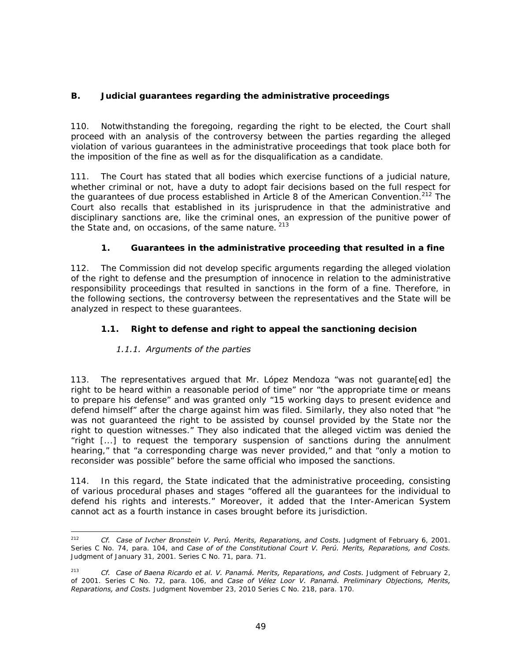# **B. Judicial guarantees regarding the administrative proceedings**

110. Notwithstanding the foregoing, regarding the right to be elected, the Court shall proceed with an analysis of the controversy between the parties regarding the alleged violation of various guarantees in the administrative proceedings that took place both for the imposition of the fine as well as for the disqualification as a candidate.

111. The Court has stated that all bodies which exercise functions of a judicial nature, whether criminal or not, have a duty to adopt fair decisions based on the full respect for the guarantees of due process established in Article 8 of the American Convention.<sup>212</sup> The Court also recalls that established in its jurisprudence in that the administrative and disciplinary sanctions are, like the criminal ones, an expression of the punitive power of the State and, on occasions, of the same nature. <sup>213</sup>

# **1. Guarantees in the administrative proceeding that resulted in a fine**

112. The Commission did not develop specific arguments regarding the alleged violation of the right to defense and the presumption of innocence in relation to the administrative responsibility proceedings that resulted in sanctions in the form of a fine. Therefore, in the following sections, the controversy between the representatives and the State will be analyzed in respect to these guarantees.

# *1.1. Right to defense and right to appeal the sanctioning decision*

# *1.1.1. Arguments of the parties*

113. The representatives argued that Mr. López Mendoza "was not guarante[ed] the right to be heard within a reasonable period of time" nor "the appropriate time or means to prepare his defense" and was granted only "15 working days to present evidence and defend himself" after the charge against him was filed. Similarly, they also noted that "he was not guaranteed the right to be assisted by counsel provided by the State nor the right to question witnesses." They also indicated that the alleged victim was denied the "right [...] to request the temporary suspension of sanctions during the annulment hearing," that "a corresponding charge was never provided," and that "only a motion to reconsider was possible" before the same official who imposed the sanctions.

114. In this regard, the State indicated that the administrative proceeding, consisting of various procedural phases and stages "offered all the guarantees for the individual to defend his rights and interests." Moreover, it added that the Inter-American System cannot act as a fourth instance in cases brought before its jurisdiction.

 $212$ 212 *Cf. Case of Ivcher Bronstein V. Perú. Merits, Reparations, and Costs.* Judgment of February 6, 2001. Series C No. 74, para. 104, and *Case of of the Constitutional Court V. Perú. Merits, Reparations, and Costs.*  Judgment of January 31, 2001. Series C No. 71, para. 71.

<sup>213</sup> *Cf. Case of Baena Ricardo et al. V. Panamá. Merits, Reparations, and Costs.* Judgment of February 2, of 2001. Series C No. 72, para. 106, and *Case of Vélez Loor V. Panamá. Preliminary Objections, Merits, Reparations, and Costs.* Judgment November 23, 2010 Series C No. 218, para. 170.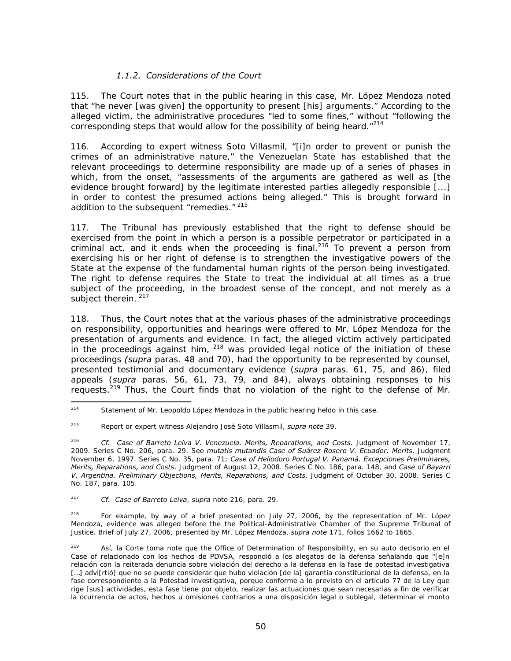## *1.1.2. Considerations of the Court*

115. The Court notes that in the public hearing in this case, Mr. López Mendoza noted that "he never [was given] the opportunity to present [his] arguments." According to the alleged victim, the administrative procedures "led to some fines," without "following the corresponding steps that would allow for the possibility of being heard. $"^{214}$ 

116. According to expert witness Soto Villasmil, "[i]n order to prevent or punish the crimes of an administrative nature," the Venezuelan State has established that the relevant proceedings to determine responsibility are made up of a series of phases in which, from the onset, "assessments of the arguments are gathered as well as [the evidence brought forward] by the legitimate interested parties allegedly responsible [...] in order to contest the presumed actions being alleged." This is brought forward in addition to the subsequent "remedies." 215

117. The Tribunal has previously established that the right to defense should be exercised from the point in which a person is a possible perpetrator or participated in a criminal act, and it ends when the proceeding is final.<sup>216</sup> To prevent a person from exercising his or her right of defense is to strengthen the investigative powers of the State at the expense of the fundamental human rights of the person being investigated. The right to defense requires the State to treat the individual at all times as a true subject of the proceeding, in the broadest sense of the concept, and not merely as a subject therein. 217

118. Thus, the Court notes that at the various phases of the administrative proceedings on responsibility, opportunities and hearings were offered to Mr. López Mendoza for the presentation of arguments and evidence. In fact, the alleged victim actively participated in the proceedings against him,  $218$  was provided legal notice of the initiation of these proceedings *(supra* paras. 48 and 70), had the opportunity to be represented by counsel, presented testimonial and documentary evidence (*supra* paras. 61, 75, and 86), filed appeals (*supra* paras. 56, 61, 73, 79, and 84), always obtaining responses to his requests.<sup>219</sup> Thus, the Court finds that no violation of the right to the defense of Mr.

<sup>214</sup> Statement of Mr. Leopoldo López Mendoza in the public hearing heldo in this case.

<sup>215</sup> Report or expert witness Alejandro José Soto Villasmil, *supra note* 39.

<sup>&</sup>lt;sup>216</sup> *Cf. Case of Barreto Leiva V. Venezuela. Merits, Reparations, and Costs. Judgment of November 17,* 2009. Series C No. 206, para. 29. See *mutatis mutandis Case of Suárez Rosero V. Ecuador. Merits.* Judgment November 6, 1997. Series C No. 35, para. 71; *Case of Heliodoro Portugal V. Panamá. Excepciones Preliminares, Merits, Reparations, and Costs.* Judgment of August 12, 2008. Series C No. 186, para. 148, and *Case of Bayarri V. Argentina. Preliminary Objections, Merits, Reparations, and Costs*. Judgment of October 30, 2008. Series C No. 187, para. 105.

<sup>217</sup> *Cf. Case of Barreto Leiva*, *supra* note 216, para. 29.

<sup>&</sup>lt;sup>218</sup> For example, by way of a brief presented on July 27, 2006, by the representation of Mr. López Mendoza, evidence was alleged before the the Political-Administrative Chamber of the Supreme Tribunal of Justice. Brief of July 27, 2006, presented by Mr. López Mendoza, *supra note* 171, folios 1662 to 1665.

<sup>&</sup>lt;sup>219</sup> Así, la Corte toma note que the Office of Determination of Responsibility, en su auto decisorio en el Case of relacionado con los hechos de PDVSA, respondió a los alegatos de la defensa señalando que "[e]n relación con la reiterada denuncia sobre violación del derecho a la defensa en la fase de potestad investigativa [...] advi[rtió] que no se puede considerar que hubo violación [de la] garantía constitucional de la defensa, en la fase correspondiente a la Potestad Investigativa, porque conforme a lo previsto en el artículo 77 de la Ley que rige [sus] actividades, esta fase tiene por objeto, realizar las actuaciones que sean necesarias a fin de verificar la ocurrencia de actos, hechos u omisiones contrarios a una disposición legal o sublegal, determinar el monto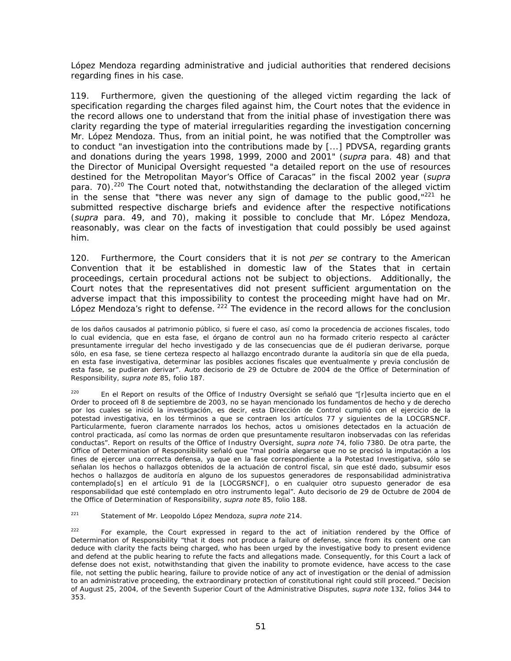López Mendoza regarding administrative and judicial authorities that rendered decisions regarding fines in his case.

119. Furthermore, given the questioning of the alleged victim regarding the lack of specification regarding the charges filed against him, the Court notes that the evidence in the record allows one to understand that from the initial phase of investigation there was clarity regarding the type of material irregularities regarding the investigation concerning Mr. López Mendoza. Thus, from an initial point, he was notified that the Comptroller was to conduct "an investigation into the contributions made by [...] PDVSA, regarding grants and donations during the years 1998, 1999, 2000 and 2001" (*supra* para. 48) and that the Director of Municipal Oversight requested "a detailed report on the use of resources destined for the Metropolitan Mayor's Office of Caracas" in the fiscal 2002 year (*supra* para. 70).<sup>220</sup> The Court noted that, notwithstanding the declaration of the alleged victim in the sense that "there was never any sign of damage to the public good, $1221$  he submitted respective discharge briefs and evidence after the respective notifications (*supra* para. 49, and 70), making it possible to conclude that Mr. López Mendoza, reasonably, was clear on the facts of investigation that could possibly be used against him.

120. Furthermore, the Court considers that it is not *per se* contrary to the American Convention that it be established in domestic law of the States that in certain proceedings, certain procedural actions not be subject to objections. Additionally, the Court notes that the representatives did not present sufficient argumentation on the adverse impact that this impossibility to contest the proceeding might have had on Mr. López Mendoza's right to defense. <sup>222</sup> The evidence in the record allows for the conclusion

<sup>220</sup> En el Report on results of the Office of Industry Oversight se señaló que "[r]esulta incierto que en el Order to proceed ofl 8 de septiembre de 2003, no se hayan mencionado los fundamentos de hecho y de derecho por los cuales se inició la investigación, es decir, esta Dirección de Control cumplió con el ejercicio de la potestad investigativa, en los términos a que se contraen los artículos 77 y siguientes de la LOCGRSNCF. Particularmente, fueron claramente narrados los hechos, actos u omisiones detectados en la actuación de control practicada, así como las normas de orden que presuntamente resultaron inobservadas con las referidas conductas". Report on results of the Office of Industry Oversight, *supra note* 74, folio 7380. De otra parte, the Office of Determination of Responsibility señaló que "mal podría alegarse que no se precisó la imputación a los fines de ejercer una correcta defensa, ya que en la fase correspondiente a la Potestad Investigativa, sólo se señalan los hechos o hallazgos obtenidos de la actuación de control fiscal, sin que esté dado, subsumir esos hechos o hallazgos de auditoría en alguno de los supuestos generadores de responsabilidad administrativa contemplado[s] en el artículo 91 de la [LOCGRSNCF], o en cualquier otro supuesto generador de esa responsabilidad que esté contemplado en otro instrumento legal". Auto decisorio de 29 de Octubre de 2004 de the Office of Determination of Responsibility, *supra note* 85, folio 188.

221 Statement of Mr. Leopoldo López Mendoza, *supra note* 214.

-

<sup>222</sup> For example, the Court expressed in regard to the act of initiation rendered by the Office of Determination of Responsibility "that it does not produce a failure of defense, since from its content one can deduce with clarity the facts being charged, who has been urged by the investigative body to present evidence and defend at the public hearing to refute the facts and allegations made. Consequently, for this Court a lack of defense does not exist, notwithstanding that given the inability to promote evidence, have access to the case file, not setting the public hearing, failure to provide notice of any act of investigation or the denial of admission to an administrative proceeding, the extraordinary protection of constitutional right could still proceed." Decision of August 25, 2004, of the Seventh Superior Court of the Administrative Disputes, *supra note* 132, folios 344 to 353.

de los daños causados al patrimonio público, si fuere el caso, así como la procedencia de acciones fiscales, todo lo cual evidencia, que en esta fase, el órgano de control aun no ha formado criterio respecto al carácter presuntamente irregular del hecho investigado y de las consecuencias que de él pudieran derivarse, porque sólo, en esa fase, se tiene certeza respecto al hallazgo encontrado durante la auditoría sin que de ella pueda, en esta fase investigativa, determinar las posibles acciones fiscales que eventualmente y previa conclusión de esta fase, se pudieran derivar". Auto decisorio de 29 de Octubre de 2004 de the Office of Determination of Responsibility, *supra note* 85, folio 187.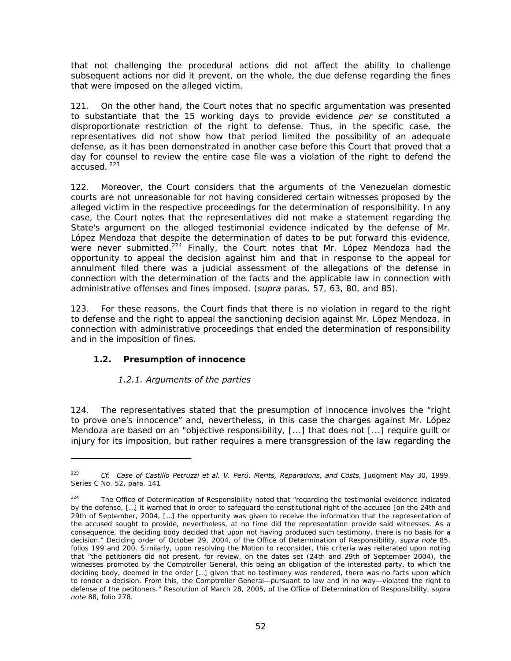that not challenging the procedural actions did not affect the ability to challenge subsequent actions nor did it prevent, on the whole, the due defense regarding the fines that were imposed on the alleged victim.

121. On the other hand, the Court notes that no specific argumentation was presented to substantiate that the 15 working days to provide evidence *per se* constituted a disproportionate restriction of the right to defense. Thus, in the specific case, the representatives did not show how that period limited the possibility of an adequate defense, as it has been demonstrated in another case before this Court that proved that a day for counsel to review the entire case file was a violation of the right to defend the accused. 223

122. Moreover, the Court considers that the arguments of the Venezuelan domestic courts are not unreasonable for not having considered certain witnesses proposed by the alleged victim in the respective proceedings for the determination of responsibility. In any case, the Court notes that the representatives did not make a statement regarding the State's argument on the alleged testimonial evidence indicated by the defense of Mr. López Mendoza that despite the determination of dates to be put forward this evidence, were never submitted.<sup>224</sup> Finally, the Court notes that Mr. López Mendoza had the opportunity to appeal the decision against him and that in response to the appeal for annulment filed there was a judicial assessment of the allegations of the defense in connection with the determination of the facts and the applicable law in connection with administrative offenses and fines imposed. (*supra* paras. 57, 63, 80, and 85).

123. For these reasons, the Court finds that there is no violation in regard to the right to defense and the right to appeal the sanctioning decision against Mr. López Mendoza, in connection with administrative proceedings that ended the determination of responsibility and in the imposition of fines.

# *1.2. Presumption of innocence*

-

# *1.2.1. Arguments of the parties*

124. The representatives stated that the presumption of innocence involves the "right to prove one's innocence" and, nevertheless, in this case the charges against Mr. López Mendoza are based on an "objective responsibility, [...] that does not [...] require guilt or injury for its imposition, but rather requires a mere transgression of the law regarding the

<sup>223</sup> *Cf. Case of Castillo Petruzzi et al. V. Perú. Merits, Reparations, and Costs*, Judgment May 30, 1999. Series C No. 52, para. 141

<sup>&</sup>lt;sup>224</sup> The Office of Determination of Responsibility noted that "regarding the testimonial eveidence indicated by the defense, […] it warned that in order to safeguard the constitutional right of the accused [on the 24th and 29th of September, 2004, […] the opportunity was given to receive the information that the representation of the accused sought to provide, nevertheless, at no time did the representation provide said witnesses. As a consequence, the deciding body decided that upon not having produced such testimony, there is no basis for a decision." Deciding order of October 29, 2004, of the Office of Determination of Responsibility, *supra note* 85, folios 199 and 200. Similarly, upon resolving the Motion to reconsider, this criteria was reiterated upon noting that "the petitioners did not present, for review, on the dates set (24th and 29th of September 2004), the witnesses promoted by the Comptroller General, this being an obligation of the interested party, to which the deciding body, deemed in the order […] given that no testimony was rendered, there was no facts upon which to render a decision. From this, the Comptroller General—pursuant to law and in no way—violated the right to defense of the petitoners." Resolution of March 28, 2005, of the Office of Determination of Responsibility, *supra note* 88, folio 278.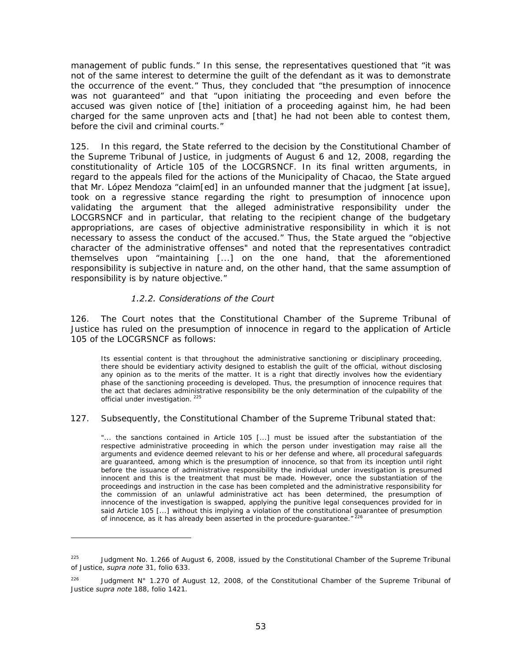management of public funds." In this sense, the representatives questioned that "it was not of the same interest to determine the guilt of the defendant as it was to demonstrate the occurrence of the event." Thus, they concluded that "the presumption of innocence was not guaranteed" and that "upon initiating the proceeding and even before the accused was given notice of [the] initiation of a proceeding against him, he had been charged for the same unproven acts and [that] he had not been able to contest them, before the civil and criminal courts."

125. In this regard, the State referred to the decision by the Constitutional Chamber of the Supreme Tribunal of Justice, in judgments of August 6 and 12, 2008, regarding the constitutionality of Article 105 of the LOCGRSNCF. In its final written arguments, in regard to the appeals filed for the actions of the Municipality of Chacao, the State argued that Mr. López Mendoza "claim[ed] in an unfounded manner that the judgment [at issue], took on a regressive stance regarding the right to presumption of innocence upon validating the argument that the alleged administrative responsibility under the LOCGRSNCF and in particular, that relating to the recipient change of the budgetary appropriations, are cases of objective administrative responsibility in which it is not necessary to assess the conduct of the accused." Thus, the State argued the "objective character of the administrative offenses" and noted that the representatives contradict themselves upon "maintaining [...] on the one hand, that the aforementioned responsibility is subjective in nature and, on the other hand, that the same assumption of responsibility is by nature objective."

#### *1.2.2. Considerations of the Court*

-

126. The Court notes that the Constitutional Chamber of the Supreme Tribunal of Justice has ruled on the presumption of innocence in regard to the application of Article 105 of the LOCGRSNCF as follows:

Its essential content is that throughout the administrative sanctioning or disciplinary proceeding, there should be evidentiary activity designed to establish the guilt of the official, without disclosing any opinion as to the merits of the matter. It is a right that directly involves how the evidentiary phase of the sanctioning proceeding is developed. Thus, the presumption of innocence requires that the act that declares administrative responsibility be the only determination of the culpability of the official under investigation.<sup>225</sup>

#### 127. Subsequently, the Constitutional Chamber of the Supreme Tribunal stated that:

"... the sanctions contained in Article 105 [...] must be issued after the substantiation of the respective administrative proceeding in which the person under investigation may raise all the arguments and evidence deemed relevant to his or her defense and where, all procedural safeguards are guaranteed, among which is the presumption of innocence, so that from its inception until right before the issuance of administrative responsibility the individual under investigation is presumed innocent and this is the treatment that must be made. However, once the substantiation of the proceedings and instruction in the case has been completed and the administrative responsibility for the commission of an unlawful administrative act has been determined, the presumption of innocence of the investigation is swapped, applying the punitive legal consequences provided for in said Article 105 [...] without this implying a violation of the constitutional guarantee of presumption of innocence, as it has already been asserted in the procedure-guarantee."  $^{226}$ 

<sup>&</sup>lt;sup>225</sup> Judgment No. 1.266 of August 6, 2008, issued by the Constitutional Chamber of the Supreme Tribunal of Justice, *supra note* 31, folio 633.

<sup>&</sup>lt;sup>226</sup> Judgment N° 1.270 of August 12, 2008, of the Constitutional Chamber of the Supreme Tribunal of Justice *supra note* 188, folio 1421.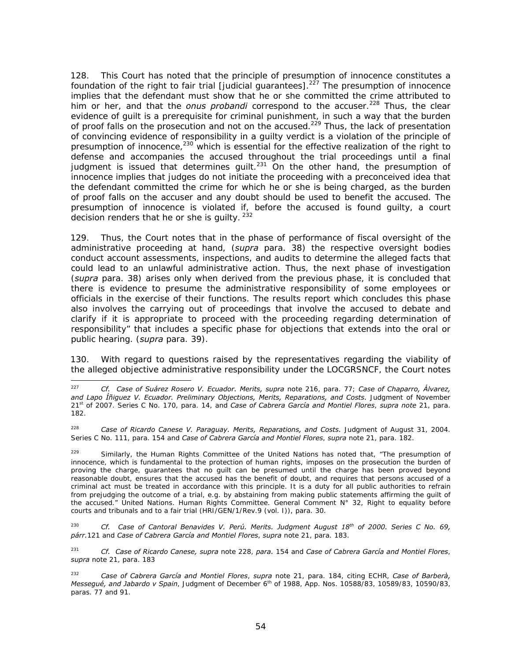128. This Court has noted that the principle of presumption of innocence constitutes a foundation of the right to fair trial [judicial guarantees].<sup>227</sup> The presumption of innocence implies that the defendant must show that he or she committed the crime attributed to him or her, and that the *onus probandi* correspond to the accuser.<sup>228</sup> Thus, the clear evidence of guilt is a prerequisite for criminal punishment, in such a way that the burden of proof falls on the prosecution and not on the accused.<sup>229</sup> Thus, the lack of presentation of convincing evidence of responsibility in a guilty verdict is a violation of the principle of presumption of innocence, $^{230}$  which is essential for the effective realization of the right to defense and accompanies the accused throughout the trial proceedings until a final judgment is issued that determines quilt.<sup>231</sup> On the other hand, the presumption of innocence implies that judges do not initiate the proceeding with a preconceived idea that the defendant committed the crime for which he or she is being charged, as the burden of proof falls on the accuser and any doubt should be used to benefit the accused. The presumption of innocence is violated if, before the accused is found guilty, a court decision renders that he or she is quilty. <sup>232</sup>

129. Thus, the Court notes that in the phase of performance of fiscal oversight of the administrative proceeding at hand, (*supra* para. 38) the respective oversight bodies conduct account assessments, inspections, and audits to determine the alleged facts that could lead to an unlawful administrative action. Thus, the next phase of investigation (*supra* para. 38) arises only when derived from the previous phase, it is concluded that there is evidence to presume the administrative responsibility of some employees or officials in the exercise of their functions. The results report which concludes this phase also involves the carrying out of proceedings that involve the accused to debate and clarify if it is appropriate to proceed with the proceeding regarding determination of responsibility" that includes a specific phase for objections that extends into the oral or public hearing. (*supra* para. 39).

130. With regard to questions raised by the representatives regarding the viability of the alleged objective administrative responsibility under the LOCGRSNCF, the Court notes

 $227$ 227 *Cf. Case of Suárez Rosero V. Ecuador. Merits, supra* note 216, para. 77; *Case of Chaparro, Álvarez,*  and Lapo Íñiguez V. Ecuador. Preliminary Objections, Merits, Reparations, and Costs. Judgment of November 21st of 2007. Series C No. 170, para. 14, and *Case of Cabrera García and Montiel Flores*, *supra note* 21, para. 182.

<sup>228</sup> *Case of Ricardo Canese V. Paraguay. Merits, Reparations, and Costs.* Judgment of August 31, 2004. Series C No. 111, para. 154 and *Case of Cabrera García and Montiel Flores*, *supra* note 21, para. 182.

 $229$  Similarly, the Human Rights Committee of the United Nations has noted that, "The presumption of innocence, which is fundamental to the protection of human rights, imposes on the prosecution the burden of proving the charge, guarantees that no guilt can be presumed until the charge has been proved beyond reasonable doubt, ensures that the accused has the benefit of doubt, and requires that persons accused of a criminal act must be treated in accordance with this principle. It is a duty for all public authorities to refrain from prejudging the outcome of a trial, e.g. by abstaining from making public statements affirming the guilt of the accused." United Nations. Human Rights Committee. General Comment N° 32, Right to equality before courts and tribunals and to a fair trial (HRI/GEN/1/Rev.9 (vol. I)), para. 30.

<sup>230</sup> *Cf. Case of Cantoral Benavides V. Perú. Merits. Judgment August 18th of 2000. Series C No. 69, párr.*121 and *Case of Cabrera García and Montiel Flores*, *supra* note 21, para. 183.

<sup>231</sup> *Cf. Case of Ricardo Canese, supra* note 228, *para.* 154 and *Case of Cabrera García and Montiel Flores*, *supra* note 21, para. 183

<sup>232</sup> *Case of Cabrera García and Montiel Flores*, *supra* note 21, para. 184, citing ECHR, *Case of Barberà, Messegué, and Jabardo v Spain*, Judgment of December 6th of 1988, App. Nos. 10588/83, 10589/83, 10590/83, paras. 77 and 91.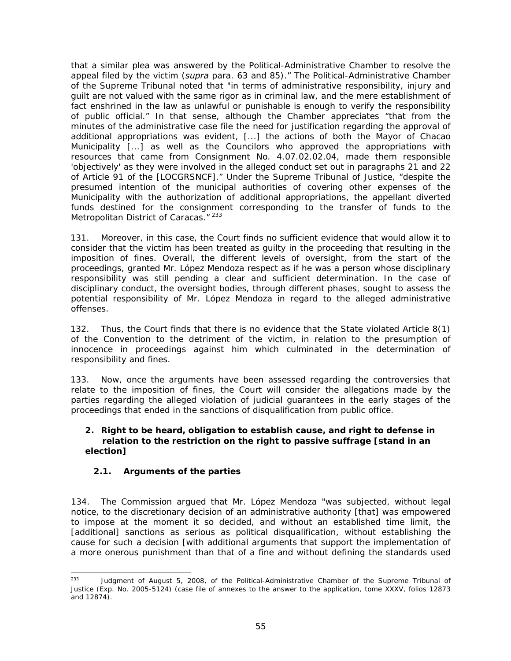that a similar plea was answered by the Political-Administrative Chamber to resolve the appeal filed by the victim (*supra* para. 63 and 85)." The Political-Administrative Chamber of the Supreme Tribunal noted that "in terms of administrative responsibility, injury and guilt are not valued with the same rigor as in criminal law, and the mere establishment of fact enshrined in the law as unlawful or punishable is enough to verify the responsibility of public official." In that sense, although the Chamber appreciates "that from the minutes of the administrative case file the need for justification regarding the approval of additional appropriations was evident, [...] the actions of both the Mayor of Chacao Municipality [...] as well as the Councilors who approved the appropriations with resources that came from Consignment No. 4.07.02.02.04, made them responsible 'objectively' as they were involved in the alleged conduct set out in paragraphs 21 and 22 of Article 91 of the [LOCGRSNCF]." Under the Supreme Tribunal of Justice, "despite the presumed intention of the municipal authorities of covering other expenses of the Municipality with the authorization of additional appropriations, the appellant diverted funds destined for the consignment corresponding to the transfer of funds to the Metropolitan District of Caracas."<sup>233</sup>

131. Moreover, in this case, the Court finds no sufficient evidence that would allow it to consider that the victim has been treated as guilty in the proceeding that resulting in the imposition of fines. Overall, the different levels of oversight, from the start of the proceedings, granted Mr. López Mendoza respect as if he was a person whose disciplinary responsibility was still pending a clear and sufficient determination. In the case of disciplinary conduct, the oversight bodies, through different phases, sought to assess the potential responsibility of Mr. López Mendoza in regard to the alleged administrative offenses.

132. Thus, the Court finds that there is no evidence that the State violated Article 8(1) of the Convention to the detriment of the victim, in relation to the presumption of innocence in proceedings against him which culminated in the determination of responsibility and fines.

133. Now, once the arguments have been assessed regarding the controversies that relate to the imposition of fines, the Court will consider the allegations made by the parties regarding the alleged violation of judicial guarantees in the early stages of the proceedings that ended in the sanctions of disqualification from public office.

#### **2. Right to be heard, obligation to establish cause, and right to defense in relation to the restriction on the right to passive suffrage [stand in an election]**

# *2.1. Arguments of the parties*

134. The Commission argued that Mr. López Mendoza "was subjected, without legal notice, to the discretionary decision of an administrative authority [that] was empowered to impose at the moment it so decided, and without an established time limit, the [additional] sanctions as serious as political disqualification, without establishing the cause for such a decision [with additional arguments that support the implementation of a more onerous punishment than that of a fine and without defining the standards used

 $233$ Judgment of August 5, 2008, of the Political-Administrative Chamber of the Supreme Tribunal of Justice (Exp. No. 2005-5124) (case file of annexes to the answer to the application, tome XXXV, folios 12873 and 12874).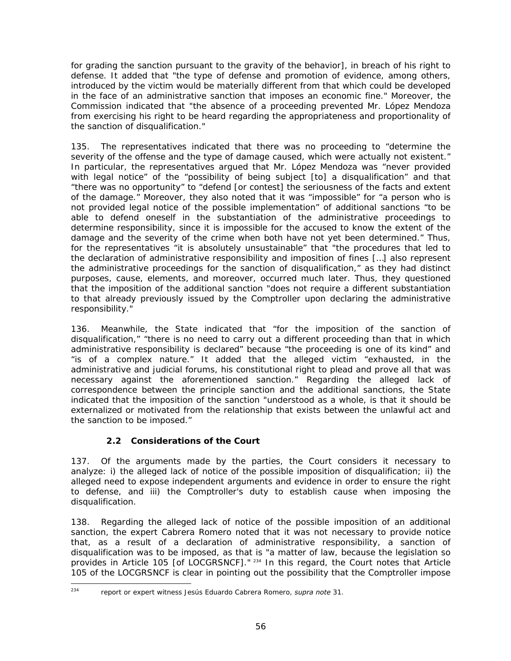for grading the sanction pursuant to the gravity of the behavior], in breach of his right to defense. It added that "the type of defense and promotion of evidence, among others, introduced by the victim would be materially different from that which could be developed in the face of an administrative sanction that imposes an economic fine." Moreover, the Commission indicated that "the absence of a proceeding prevented Mr. López Mendoza from exercising his right to be heard regarding the appropriateness and proportionality of the sanction of disqualification."

135. The representatives indicated that there was no proceeding to "determine the severity of the offense and the type of damage caused, which were actually not existent." In particular, the representatives argued that Mr. López Mendoza was "never provided with legal notice" of the "possibility of being subject [to] a disqualification" and that "there was no opportunity" to "defend [or contest] the seriousness of the facts and extent of the damage." Moreover, they also noted that it was "impossible" for "a person who is not provided legal notice of the possible implementation" of additional sanctions "to be able to defend oneself in the substantiation of the administrative proceedings to determine responsibility, since it is impossible for the accused to know the extent of the damage and the severity of the crime when both have not yet been determined." Thus, for the representatives "it is absolutely unsustainable" that "the procedures that led to the declaration of administrative responsibility and imposition of fines […] also represent the administrative proceedings for the sanction of disqualification," as they had distinct purposes, cause, elements, and moreover, occurred much later. Thus, they questioned that the imposition of the additional sanction "does not require a different substantiation to that already previously issued by the Comptroller upon declaring the administrative responsibility."

136. Meanwhile, the State indicated that "for the imposition of the sanction of disqualification," "there is no need to carry out a different proceeding than that in which administrative responsibility is declared" because "the proceeding is one of its kind" and "is of a complex nature." It added that the alleged victim "exhausted, in the administrative and judicial forums, his constitutional right to plead and prove all that was necessary against the aforementioned sanction." Regarding the alleged lack of correspondence between the principle sanction and the additional sanctions, the State indicated that the imposition of the sanction "understood as a whole, is that it should be externalized or motivated from the relationship that exists between the unlawful act and the sanction to be imposed."

# *2.2 Considerations of the Court*

137. Of the arguments made by the parties, the Court considers it necessary to analyze: i) the alleged lack of notice of the possible imposition of disqualification; ii) the alleged need to expose independent arguments and evidence in order to ensure the right to defense, and iii) the Comptroller's duty to establish cause when imposing the disqualification.

138. Regarding the alleged lack of notice of the possible imposition of an additional sanction, the expert Cabrera Romero noted that it was not necessary to provide notice that, as a result of a declaration of administrative responsibility, a sanction of disqualification was to be imposed, as that is "a matter of law, because the legislation so provides in Article 105 [of LOCGRSNCF]." 234 In this regard, the Court notes that Article 105 of the LOCGRSNCF is clear in pointing out the possibility that the Comptroller impose

<sup>234</sup> 

<sup>234</sup> report or expert witness Jesús Eduardo Cabrera Romero, *supra note* 31.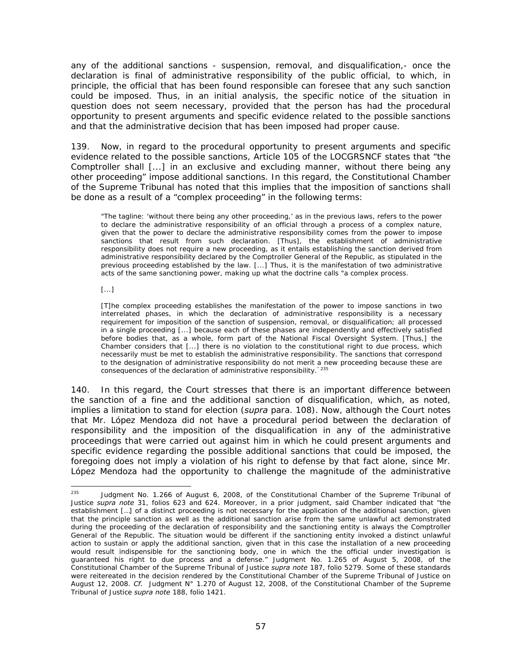any of the additional sanctions - suspension, removal, and disqualification,- once the declaration is final of administrative responsibility of the public official, to which, in principle, the official that has been found responsible can foresee that any such sanction could be imposed. Thus, in an initial analysis, the specific notice of the situation in question does not seem necessary, provided that the person has had the procedural opportunity to present arguments and specific evidence related to the possible sanctions and that the administrative decision that has been imposed had proper cause.

139. Now, in regard to the procedural opportunity to present arguments and specific evidence related to the possible sanctions, Article 105 of the LOCGRSNCF states that "the Comptroller shall [...] in an exclusive and excluding manner, without there being any other proceeding" impose additional sanctions. In this regard, the Constitutional Chamber of the Supreme Tribunal has noted that this implies that the imposition of sanctions shall be done as a result of a "complex proceeding" in the following terms:

"The tagline: 'without there being any other proceeding,' as in the previous laws, refers to the power to declare the administrative responsibility of an official through a process of a complex nature, given that the power to declare the administrative responsibility comes from the power to impose sanctions that result from such declaration. [Thus], the establishment of administrative responsibility does not require a new proceeding, as it entails establishing the sanction derived from administrative responsibility declared by the Comptroller General of the Republic, as stipulated in the previous proceeding established by the law. [...] Thus, it is the manifestation of two administrative acts of the same sanctioning power, making up what the doctrine calls "a complex process.

[...]

[T]he complex proceeding establishes the manifestation of the power to impose sanctions in two interrelated phases, in which the declaration of administrative responsibility is a necessary requirement for imposition of the sanction of suspension, removal, or disqualification; all processed in a single proceeding [...] because each of these phases are independently and effectively satisfied before bodies that, as a whole, form part of the National Fiscal Oversight System. [Thus,] the Chamber considers that [...] there is no violation to the constitutional right to due process, which necessarily must be met to establish the administrative responsibility. The sanctions that correspond to the designation of administrative responsibility do not merit a new proceeding because these are consequences of the declaration of administrative responsibility." 235

140. In this regard, the Court stresses that there is an important difference between the sanction of a fine and the additional sanction of disqualification, which, as noted, implies a limitation to stand for election (*supra* para. 108). Now, although the Court notes that Mr. López Mendoza did not have a procedural period between the declaration of responsibility and the imposition of the disqualification in any of the administrative proceedings that were carried out against him in which he could present arguments and specific evidence regarding the possible additional sanctions that could be imposed, the foregoing does not imply a violation of his right to defense by that fact alone, since Mr. López Mendoza had the opportunity to challenge the magnitude of the administrative

<sup>235</sup> Judgment No. 1.266 of August 6, 2008, of the Constitutional Chamber of the Supreme Tribunal of Justice *supra note* 31, folios 623 and 624. Moreover, in a prior judgment, said Chamber indicated that "the establishment […] of a distinct proceeding is not necessary for the application of the additional sanction, given that the principle sanction as well as the additional sanction arise from the same unlawful act demonstrated during the proceeding of the declaration of responsibility and the sanctioning entity is always the Comptroller General of the Republic. The situation would be different if the sanctioning entity invoked a distinct unlawful action to sustain or apply the additional sanction, given that in this case the installation of a new proceeding would result indispensible for the sanctioning body, one in which the the official under investigation is guaranteed his right to due process and a defense." Judgment No. 1.265 of August 5, 2008, of the Constitutional Chamber of the Supreme Tribunal of Justice *supra note* 187, folio 5279. Some of these standards were reitereated in the decision rendered by the Constitutional Chamber of the Supreme Tribunal of Justice on August 12, 2008. *Cf.* Judgment N° 1.270 of August 12, 2008, of the Constitutional Chamber of the Supreme Tribunal of Justice *supra note* 188, folio 1421.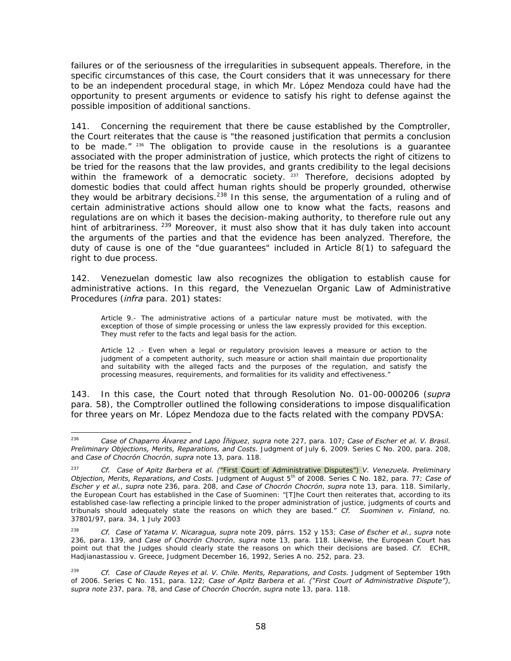failures or of the seriousness of the irregularities in subsequent appeals. Therefore, in the specific circumstances of this case, the Court considers that it was unnecessary for there to be an independent procedural stage, in which Mr. López Mendoza could have had the opportunity to present arguments or evidence to satisfy his right to defense against the possible imposition of additional sanctions.

141. Concerning the requirement that there be cause established by the Comptroller, the Court reiterates that the cause is "the reasoned justification that permits a conclusion to be made." 236 The obligation to provide cause in the resolutions is a guarantee associated with the proper administration of justice, which protects the right of citizens to be tried for the reasons that the law provides, and grants credibility to the legal decisions within the framework of a democratic society. <sup>237</sup> Therefore, decisions adopted by domestic bodies that could affect human rights should be properly grounded, otherwise they would be arbitrary decisions.<sup>238</sup> In this sense, the argumentation of a ruling and of certain administrative actions should allow one to know what the facts, reasons and regulations are on which it bases the decision-making authority, to therefore rule out any hint of arbitrariness. <sup>239</sup> Moreover, it must also show that it has duly taken into account the arguments of the parties and that the evidence has been analyzed. Therefore, the duty of cause is one of the "due guarantees" included in Article 8(1) to safeguard the right to due process.

142. Venezuelan domestic law also recognizes the obligation to establish cause for administrative actions. In this regard, the Venezuelan Organic Law of Administrative Procedures (*infra* para. 201) states:

Article 9.- The administrative actions of a particular nature must be motivated, with the exception of those of simple processing or unless the law expressly provided for this exception. They must refer to the facts and legal basis for the action.

Article 12 .- Even when a legal or regulatory provision leaves a measure or action to the judgment of a competent authority, such measure or action shall maintain due proportionality and suitability with the alleged facts and the purposes of the regulation, and satisfy the processing measures, requirements, and formalities for its validity and effectiveness."

143. In this case, the Court noted that through Resolution No. 01-00-000206 (*supra*  para. 58), the Comptroller outlined the following considerations to impose disqualification for three years on Mr. López Mendoza due to the facts related with the company PDVSA:

<sup>236</sup> 236 *Case of Chaparro Álvarez and Lapo Íñiguez*, *supra* note 227, para. 107*; Case of Escher et al. V. Brasil. Preliminary Objections, Merits, Reparations, and Costs.* Judgment of July 6, 2009. Series C No. 200, para. 208, and *Case of Chocrón Chocrón*, *supra* note 13, para. 118.

<sup>237</sup> *Cf. Case of Apitz Barbera et al. (*"First Court of Administrative Disputes") *V. Venezuela. Preliminary Objection, Merits, Reparations, and Costs.* Judgment of August 5th of 2008. Series C No. 182, para. 77; *Case of Escher y et al.*, *supra* note 236, para. 208, and *Case of Chocrón Chocrón*, *supra* note 13, para. 118. Similarly, the European Court has established in the Case of Suominen: "[T]he Court then reiterates that, according to its established case-law reflecting a principle linked to the proper administration of justice, judgments of courts and tribunals should adequately state the reasons on which they are based." *Cf. Suominen v. Finland*, no. 37801/97, para. 34, 1 July 2003

<sup>238</sup> *Cf. Case of Yatama V. Nicaragua, supra* note 209, párrs. 152 y 153; *Case of Escher et al.*, *supra* note 236, para. 139, and *Case of Chocrón Chocrón*, *supra* note 13, para. 118. Likewise, the European Court has point out that the Judges should clearly state the reasons on which their decisions are based. *Cf.* ECHR, Hadjianastassiou v. Greece, Judgment December 16, 1992, Series A no. 252, para. 23.

<sup>239</sup> *Cf. Case of Claude Reyes et al. V. Chile. Merits, Reparations, and Costs.* Judgment of September 19th of 2006. Series C No. 151, para. 122; *Case of Apitz Barbera et al. ("First Court of Administrative Dispute")*, *supra note* 237, para. 78, and *Case of Chocrón Chocrón*, *supra* note 13, para. 118.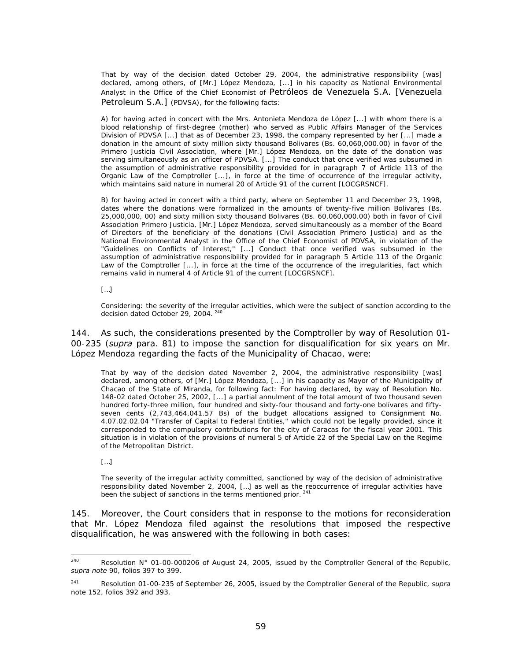That by way of the decision dated October 29, 2004, the administrative responsibility [was] declared, among others, of [Mr.] López Mendoza, [...] in his capacity as National Environmental Analyst in the Office of the Chief Economist of Petróleos de Venezuela S.A. [Venezuela Petroleum S.A.] (PDVSA), for the following facts:

A) for having acted in concert with the Mrs. Antonieta Mendoza de López [...] with whom there is a blood relationship of first-degree (mother) who served as Public Affairs Manager of the Services Division of PDVSA [...] that as of December 23, 1998, the company represented by her [...] made a donation in the amount of sixty million sixty thousand Bolivares (Bs. 60,060,000.00) in favor of the Primero Justicia Civil Association, where [Mr.] López Mendoza, on the date of the donation was serving simultaneously as an officer of PDVSA. [...] The conduct that once verified was subsumed in the assumption of administrative responsibility provided for in paragraph 7 of Article 113 of the Organic Law of the Comptroller [...], in force at the time of occurrence of the irregular activity, which maintains said nature in numeral 20 of Article 91 of the current [LOCGRSNCF].

B) for having acted in concert with a third party, where on September 11 and December 23, 1998, dates where the donations were formalized in the amounts of twenty-five million Bolivares (Bs. 25,000,000, 00) and sixty million sixty thousand Bolivares (Bs. 60,060,000.00) both in favor of Civil Association Primero Justicia, [Mr.] López Mendoza, served simultaneously as a member of the Board of Directors of the beneficiary of the donations (Civil Association Primero Justicia) and as the National Environmental Analyst in the Office of the Chief Economist of PDVSA, in violation of the "Guidelines on Conflicts of Interest," [...] Conduct that once verified was subsumed in the assumption of administrative responsibility provided for in paragraph 5 Article 113 of the Organic Law of the Comptroller [...], in force at the time of the occurrence of the irregularities, fact which remains valid in numeral 4 of Article 91 of the current [LOCGRSNCF].

[…]

Considering: the severity of the irregular activities, which were the subject of sanction according to the decision dated October 29, 2004. 240

144. As such, the considerations presented by the Comptroller by way of Resolution 01- 00-235 (*supra* para. 81) to impose the sanction for disqualification for six years on Mr. López Mendoza regarding the facts of the Municipality of Chacao, were:

That by way of the decision dated November 2, 2004, the administrative responsibility [was] declared, among others, of [Mr.] López Mendoza, [...] in his capacity as Mayor of the Municipality of Chacao of the State of Miranda, for following fact: For having declared, by way of Resolution No. 148-02 dated October 25, 2002, [...] a partial annulment of the total amount of two thousand seven hundred forty-three million, four hundred and sixty-four thousand and forty-one bolívares and fiftyseven cents (2,743,464,041.57 Bs) of the budget allocations assigned to Consignment No. 4.07.02.02.04 "Transfer of Capital to Federal Entities," which could not be legally provided, since it corresponded to the compulsory contributions for the city of Caracas for the fiscal year 2001. This situation is in violation of the provisions of numeral 5 of Article 22 of the Special Law on the Regime of the Metropolitan District.

[…]

The severity of the irregular activity committed, sanctioned by way of the decision of administrative responsibility dated November 2, 2004, […] as well as the reoccurrence of irregular activities have been the subject of sanctions in the terms mentioned prior. <sup>241</sup>

145. Moreover, the Court considers that in response to the motions for reconsideration that Mr. López Mendoza filed against the resolutions that imposed the respective disqualification, he was answered with the following in both cases:

<sup>240</sup> Resolution N° 01-00-000206 of August 24, 2005, issued by the Comptroller General of the Republic, *supra note* 90, folios 397 to 399.

<sup>241</sup> Resolution 01-00-235 of September 26, 2005, issued by the Comptroller General of the Republic, *supra* note 152, folios 392 and 393.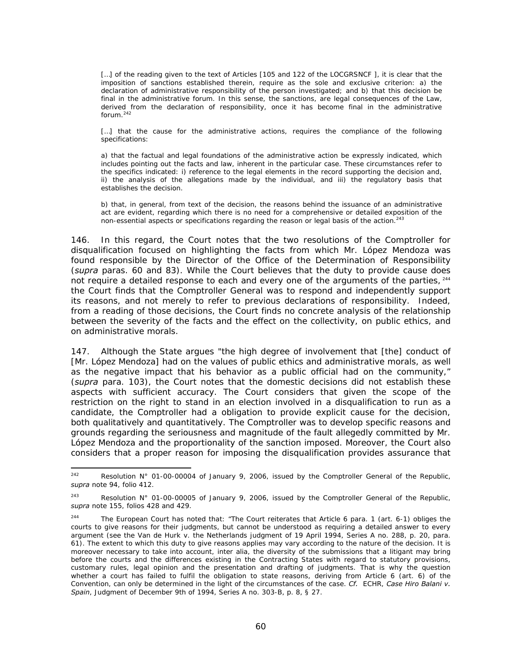[...] of the reading given to the text of Articles [105 and 122 of the LOCGRSNCF], it is clear that the imposition of sanctions established therein, require as the sole and exclusive criterion: a) the declaration of administrative responsibility of the person investigated; and b) that this decision be final in the administrative forum. In this sense, the sanctions, are legal consequences of the Law, derived from the declaration of responsibility, once it has become final in the administrative forum.<sup>242</sup>

[...] that the cause for the administrative actions, requires the compliance of the following specifications:

a) that the factual and legal foundations of the administrative action be expressly indicated, which includes pointing out the facts and law, inherent in the particular case. These circumstances refer to the specifics indicated: i) reference to the legal elements in the record supporting the decision and, ii) the analysis of the allegations made by the individual, and iii) the regulatory basis that establishes the decision.

b) that, in general, from text of the decision, the reasons behind the issuance of an administrative act are evident, regarding which there is no need for a comprehensive or detailed exposition of the non-essential aspects or specifications regarding the reason or legal basis of the action.<sup>243</sup>

146. In this regard, the Court notes that the two resolutions of the Comptroller for disqualification focused on highlighting the facts from which Mr. López Mendoza was found responsible by the Director of the Office of the Determination of Responsibility (*supra* paras. 60 and 83). While the Court believes that the duty to provide cause does not require a detailed response to each and every one of the arguments of the parties,  $244$ the Court finds that the Comptroller General was to respond and independently support its reasons, and not merely to refer to previous declarations of responsibility. Indeed, from a reading of those decisions, the Court finds no concrete analysis of the relationship between the severity of the facts and the effect on the collectivity, on public ethics, and on administrative morals.

147. Although the State argues "the high degree of involvement that [the] conduct of [Mr. López Mendoza] had on the values of public ethics and administrative morals, as well as the negative impact that his behavior as a public official had on the community," (*supra* para. 103), the Court notes that the domestic decisions did not establish these aspects with sufficient accuracy. The Court considers that given the scope of the restriction on the right to stand in an election involved in a disqualification to run as a candidate, the Comptroller had a obligation to provide explicit cause for the decision, both qualitatively and quantitatively. The Comptroller was to develop specific reasons and grounds regarding the seriousness and magnitude of the fault allegedly committed by Mr. López Mendoza and the proportionality of the sanction imposed. Moreover, the Court also considers that a proper reason for imposing the disqualification provides assurance that

<sup>242</sup> Resolution N° 01-00-00004 of January 9, 2006, issued by the Comptroller General of the Republic, *supra* note 94, folio 412.

<sup>&</sup>lt;sup>243</sup> Resolution N° 01-00-00005 of January 9, 2006, issued by the Comptroller General of the Republic, *supra* note 155, folios 428 and 429.

<sup>&</sup>lt;sup>244</sup> The European Court has noted that: "The Court reiterates that Article 6 para. 1 (art. 6-1) obliges the courts to give reasons for their judgments, but cannot be understood as requiring a detailed answer to every argument (see the Van de Hurk v. the Netherlands judgment of 19 April 1994, Series A no. 288, p. 20, para. 61). The extent to which this duty to give reasons applies may vary according to the nature of the decision. It is moreover necessary to take into account, inter alia, the diversity of the submissions that a litigant may bring before the courts and the differences existing in the Contracting States with regard to statutory provisions, customary rules, legal opinion and the presentation and drafting of judgments. That is why the question whether a court has failed to fulfil the obligation to state reasons, deriving from Article 6 (art. 6) of the Convention, can only be determined in the light of the circumstances of the case. *Cf.* ECHR, *Case Hiro Balani v. Spain*, Judgment of December 9th of 1994, Series A no. 303-B, p. 8, § 27.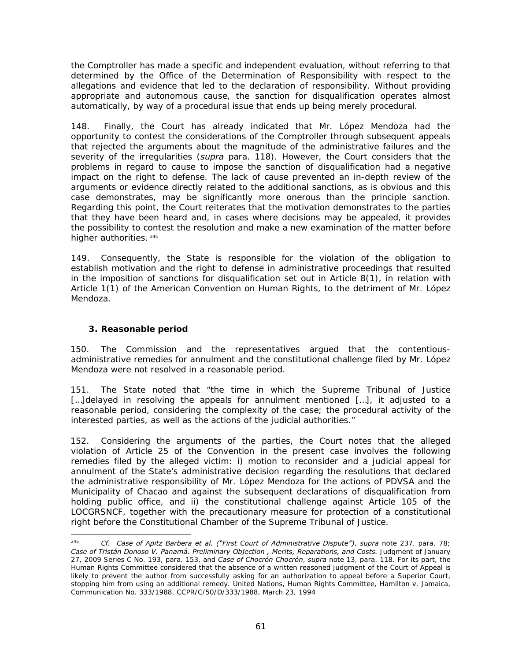the Comptroller has made a specific and independent evaluation, without referring to that determined by the Office of the Determination of Responsibility with respect to the allegations and evidence that led to the declaration of responsibility. Without providing appropriate and autonomous cause, the sanction for disqualification operates almost automatically, by way of a procedural issue that ends up being merely procedural.

148. Finally, the Court has already indicated that Mr. López Mendoza had the opportunity to contest the considerations of the Comptroller through subsequent appeals that rejected the arguments about the magnitude of the administrative failures and the severity of the irregularities (*supra* para. 118). However, the Court considers that the problems in regard to cause to impose the sanction of disqualification had a negative impact on the right to defense. The lack of cause prevented an in-depth review of the arguments or evidence directly related to the additional sanctions, as is obvious and this case demonstrates, may be significantly more onerous than the principle sanction. Regarding this point, the Court reiterates that the motivation demonstrates to the parties that they have been heard and, in cases where decisions may be appealed, it provides the possibility to contest the resolution and make a new examination of the matter before higher authorities. 245

149. Consequently, the State is responsible for the violation of the obligation to establish motivation and the right to defense in administrative proceedings that resulted in the imposition of sanctions for disqualification set out in Article 8(1), in relation with Article 1(1) of the American Convention on Human Rights, to the detriment of Mr. López Mendoza.

### **3. Reasonable period**

150. The Commission and the representatives argued that the contentiousadministrative remedies for annulment and the constitutional challenge filed by Mr. López Mendoza were not resolved in a reasonable period.

151. The State noted that "the time in which the Supreme Tribunal of Justice [...]delayed in resolving the appeals for annulment mentioned [...], it adjusted to a reasonable period, considering the complexity of the case; the procedural activity of the interested parties, as well as the actions of the judicial authorities."

152. Considering the arguments of the parties, the Court notes that the alleged violation of Article 25 of the Convention in the present case involves the following remedies filed by the alleged victim: i) motion to reconsider and a judicial appeal for annulment of the State's administrative decision regarding the resolutions that declared the administrative responsibility of Mr. López Mendoza for the actions of PDVSA and the Municipality of Chacao and against the subsequent declarations of disqualification from holding public office, and ii) the constitutional challenge against Article 105 of the LOCGRSNCF, together with the precautionary measure for protection of a constitutional right before the Constitutional Chamber of the Supreme Tribunal of Justice.

<sup>245</sup> 245 *Cf. Case of Apitz Barbera et al. ("First Court of Administrative Dispute")*, *supra* note 237, para. 78; *Case of Tristán Donoso V. Panamá. Preliminary Objection , Merits, Reparations, and Costs.* Judgment of January 27, 2009 Series C No. 193, para. 153, and *Case of Chocrón Chocrón*, *supra* note 13, para. 118. For its part, the Human Rights Committee considered that the absence of a written reasoned judgment of the Court of Appeal is likely to prevent the author from successfully asking for an authorization to appeal before a Superior Court, stopping him from using an additional remedy. United Nations, Human Rights Committee, Hamilton v. Jamaica, Communication No. 333/1988, CCPR/C/50/D/333/1988, March 23, 1994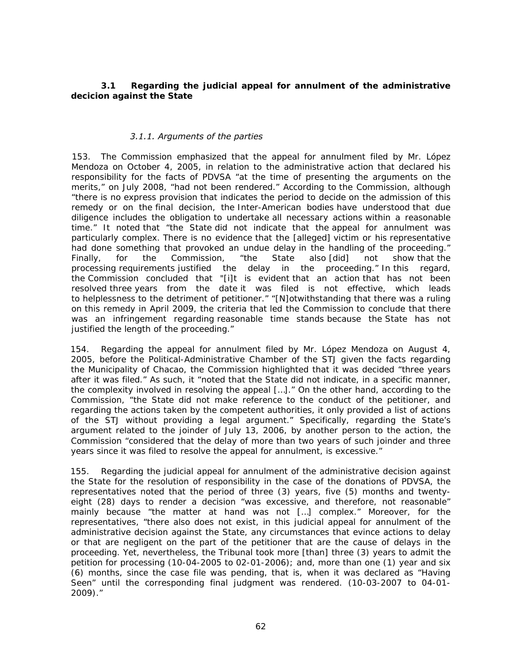### *3.1 Regarding the judicial appeal for annulment of the administrative decicion against the State*

#### *3.1.1. Arguments of the parties*

153. The Commission emphasized that the appeal for annulment filed by Mr. López Mendoza on October 4, 2005, in relation to the administrative action that declared his responsibility for the facts of PDVSA "at the time of presenting the arguments on the merits," on July 2008, "had not been rendered." According to the Commission, although "there is no express provision that indicates the period to decide on the admission of this remedy or on the final decision, the Inter-American bodies have understood that due diligence includes the obligation to undertake all necessary actions within a reasonable time." It noted that "the State did not indicate that the appeal for annulment was particularly complex. There is no evidence that the [alleged] victim or his representative had done something that provoked an undue delay in the handling of the proceeding." Finally, for the Commission, "the State also [did] not show that the processing requirements justified the delay in the proceeding." In this regard, the Commission concluded that "[i]t is evident that an action that has not been resolved three years from the date it was filed is not effective, which leads to helplessness to the detriment of petitioner." "[N]otwithstanding that there was a ruling on this remedy in April 2009, the criteria that led the Commission to conclude that there was an infringement regarding reasonable time stands because the State has not justified the length of the proceeding."

154. Regarding the appeal for annulment filed by Mr. López Mendoza on August 4, 2005, before the Political-Administrative Chamber of the STJ given the facts regarding the Municipality of Chacao, the Commission highlighted that it was decided "three years after it was filed." As such, it "noted that the State did not indicate, in a specific manner, the complexity involved in resolving the appeal […]." On the other hand, according to the Commission, "the State did not make reference to the conduct of the petitioner, and regarding the actions taken by the competent authorities, it only provided a list of actions of the STJ without providing a legal argument." Specifically, regarding the State's argument related to the joinder of July 13, 2006, by another person to the action, the Commission "considered that the delay of more than two years of such joinder and three years since it was filed to resolve the appeal for annulment, is excessive."

155. Regarding the judicial appeal for annulment of the administrative decision against the State for the resolution of responsibility in the case of the donations of PDVSA, the representatives noted that the period of three (3) years, five (5) months and twentyeight (28) days to render a decision "was excessive, and therefore, not reasonable" mainly because "the matter at hand was not […] complex." Moreover, for the representatives, "there also does not exist, in this judicial appeal for annulment of the administrative decision against the State, any circumstances that evince actions to delay or that are negligent on the part of the petitioner that are the cause of delays in the proceeding. Yet, nevertheless, the Tribunal took more [than] three (3) years to admit the petition for processing (10-04-2005 to 02-01-2006); and, more than one (1) year and six (6) months, since the case file was pending, that is, when it was declared as "Having Seen" until the corresponding final judgment was rendered. (10-03-2007 to 04-01- 2009)."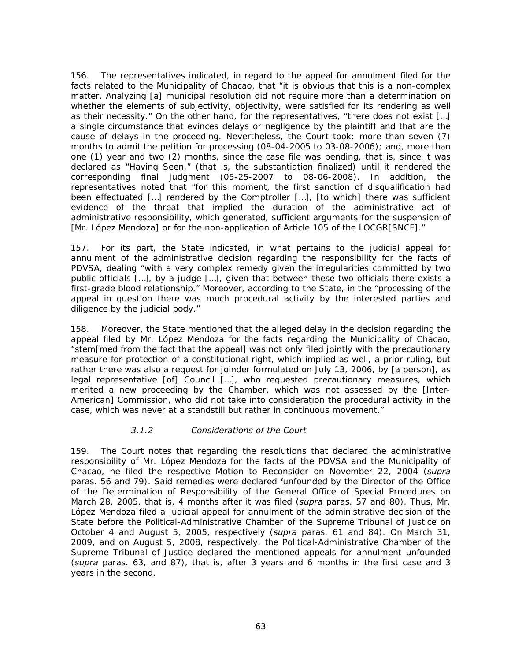156. The representatives indicated, in regard to the appeal for annulment filed for the facts related to the Municipality of Chacao, that "it is obvious that this is a non-complex matter. Analyzing [a] municipal resolution did not require more than a determination on whether the elements of subjectivity, objectivity, were satisfied for its rendering as well as their necessity." On the other hand, for the representatives, "there does not exist […] a single circumstance that evinces delays or negligence by the plaintiff and that are the cause of delays in the proceeding. Nevertheless, the Court took: more than seven (7) months to admit the petition for processing (08-04-2005 to 03-08-2006); and, more than one (1) year and two (2) months, since the case file was pending, that is, since it was declared as "Having Seen," (that is, the substantiation finalized) until it rendered the corresponding final judgment (05-25-2007 to 08-06-2008). In addition, the representatives noted that "for this moment, the first sanction of disqualification had been effectuated […] rendered by the Comptroller […], [to which] there was sufficient evidence of the threat that implied the duration of the administrative act of administrative responsibility, which generated, sufficient arguments for the suspension of [Mr. López Mendoza] or for the non-application of Article 105 of the LOCGR[SNCF]."

157. For its part, the State indicated, in what pertains to the judicial appeal for annulment of the administrative decision regarding the responsibility for the facts of PDVSA, dealing "with a very complex remedy given the irregularities committed by two public officials […], by a judge […], given that between these two officials there exists a first-grade blood relationship." Moreover, according to the State, in the "processing of the appeal in question there was much procedural activity by the interested parties and diligence by the judicial body."

158. Moreover, the State mentioned that the alleged delay in the decision regarding the appeal filed by Mr. López Mendoza for the facts regarding the Municipality of Chacao, "stem[med from the fact that the appeal] was not only filed jointly with the precautionary measure for protection of a constitutional right, which implied as well, a prior ruling, but rather there was also a request for joinder formulated on July 13, 2006, by [a person], as legal representative [of] Council […], who requested precautionary measures, which merited a new proceeding by the Chamber, which was not assessed by the [Inter-American] Commission, who did not take into consideration the procedural activity in the case, which was never at a standstill but rather in continuous movement."

#### *3.1.2 Considerations of the Court*

159. The Court notes that regarding the resolutions that declared the administrative responsibility of Mr. López Mendoza for the facts of the PDVSA and the Municipality of Chacao, he filed the respective Motion to Reconsider on November 22, 2004 (*supra* paras. 56 and 79). Said remedies were declared **'**unfounded by the Director of the Office of the Determination of Responsibility of the General Office of Special Procedures on March 28, 2005, that is, 4 months after it was filed (*supra* paras. 57 and 80). Thus, Mr. López Mendoza filed a judicial appeal for annulment of the administrative decision of the State before the Political-Administrative Chamber of the Supreme Tribunal of Justice on October 4 and August 5, 2005, respectively (*supra* paras. 61 and 84). On March 31, 2009, and on August 5, 2008, respectively, the Political-Administrative Chamber of the Supreme Tribunal of Justice declared the mentioned appeals for annulment unfounded (*supra* paras. 63, and 87), that is, after 3 years and 6 months in the first case and 3 years in the second.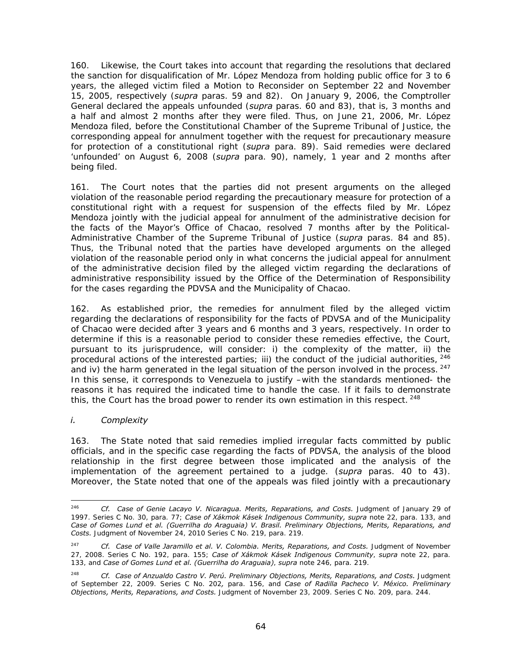160. Likewise, the Court takes into account that regarding the resolutions that declared the sanction for disqualification of Mr. López Mendoza from holding public office for 3 to 6 years, the alleged victim filed a Motion to Reconsider on September 22 and November 15, 2005, respectively (*supra* paras. 59 and 82). On January 9, 2006, the Comptroller General declared the appeals unfounded (*supra* paras. 60 and 83), that is, 3 months and a half and almost 2 months after they were filed. Thus, on June 21, 2006, Mr. López Mendoza filed, before the Constitutional Chamber of the Supreme Tribunal of Justice, the corresponding appeal for annulment together with the request for precautionary measure for protection of a constitutional right (*supra* para. 89). Said remedies were declared 'unfounded' on August 6, 2008 (*supra* para. 90), namely, 1 year and 2 months after being filed.

161. The Court notes that the parties did not present arguments on the alleged violation of the reasonable period regarding the precautionary measure for protection of a constitutional right with a request for suspension of the effects filed by Mr. López Mendoza jointly with the judicial appeal for annulment of the administrative decision for the facts of the Mayor's Office of Chacao, resolved 7 months after by the Political-Administrative Chamber of the Supreme Tribunal of Justice (*supra* paras. 84 and 85). Thus, the Tribunal noted that the parties have developed arguments on the alleged violation of the reasonable period only in what concerns the judicial appeal for annulment of the administrative decision filed by the alleged victim regarding the declarations of administrative responsibility issued by the Office of the Determination of Responsibility for the cases regarding the PDVSA and the Municipality of Chacao.

162. As established prior, the remedies for annulment filed by the alleged victim regarding the declarations of responsibility for the facts of PDVSA and of the Municipality of Chacao were decided after 3 years and 6 months and 3 years, respectively. In order to determine if this is a reasonable period to consider these remedies effective, the Court, pursuant to its jurisprudence, will consider: i) the complexity of the matter, ii) the procedural actions of the interested parties; iii) the conduct of the judicial authorities, <sup>246</sup> and iv) the harm generated in the legal situation of the person involved in the process. <sup>247</sup> In this sense, it corresponds to Venezuela to justify –with the standards mentioned- the reasons it has required the indicated time to handle the case. If it fails to demonstrate this, the Court has the broad power to render its own estimation in this respect.  $^{248}$ 

# *i. Complexity*

163. The State noted that said remedies implied irregular facts committed by public officials, and in the specific case regarding the facts of PDVSA, the analysis of the blood relationship in the first degree between those implicated and the analysis of the implementation of the agreement pertained to a judge. (*supra* paras. 40 to 43). Moreover, the State noted that one of the appeals was filed jointly with a precautionary

<sup>246</sup> 246 *Cf. Case of Genie Lacayo V. Nicaragua. Merits, Reparations, and Costs.* Judgment of January 29 of 1997. Series C No. 30, para. 77; *Case of Xákmok Kásek Indigenous Community, supra* note 22, para. 133, and *Case of Gomes Lund et al. (Guerrilha do Araguaia) V. Brasil. Preliminary Objections, Merits, Reparations, and Costs.* Judgment of November 24, 2010 Series C No. 219, para. 219.

<sup>&</sup>lt;sup>247</sup> *Cf. Case of Valle Jaramillo et al. V. Colombia. Merits, Reparations, and Costs. Judgment of November* 27, 2008. Series C No. 192, para. 155; *Case of Xákmok Kásek Indigenous Community*, *supra* note 22, para. 133, and *Case of Gomes Lund et al. (Guerrilha do Araguaia)*, *supra* note 246, para. 219.

<sup>&</sup>lt;sup>248</sup> *Cf. Case of Anzualdo Castro V. Perú. Preliminary Objections, Merits, Reparations, and Costs. Judgment* of September 22, 2009. Series C No. 202*,* para. 156, and *Case of Radilla Pacheco V. México. Preliminary Objections, Merits, Reparations, and Costs.* Judgment of November 23, 2009. Series C No. 209, para. 244.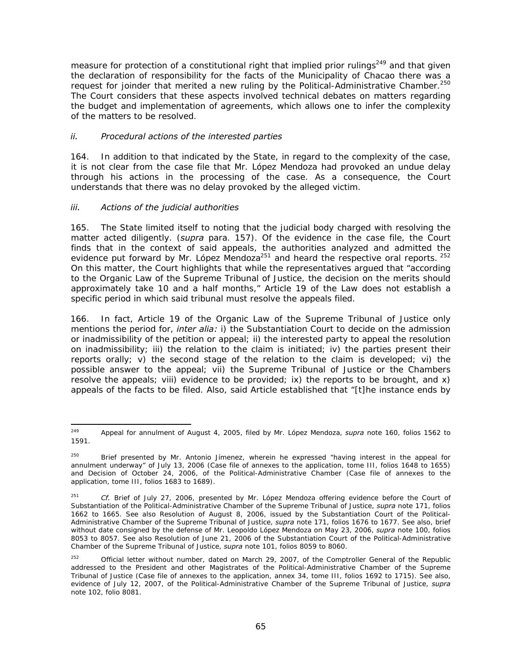measure for protection of a constitutional right that implied prior rulings<sup>249</sup> and that given the declaration of responsibility for the facts of the Municipality of Chacao there was a request for joinder that merited a new ruling by the Political-Administrative Chamber.<sup>250</sup> The Court considers that these aspects involved technical debates on matters regarding the budget and implementation of agreements, which allows one to infer the complexity of the matters to be resolved.

#### *ii. Procedural actions of the interested parties*

164. In addition to that indicated by the State, in regard to the complexity of the case, it is not clear from the case file that Mr. López Mendoza had provoked an undue delay through his actions in the processing of the case. As a consequence, the Court understands that there was no delay provoked by the alleged victim.

### *iii. Actions of the judicial authorities*

165. The State limited itself to noting that the judicial body charged with resolving the matter acted diligently. (*supra* para. 157). Of the evidence in the case file, the Court finds that in the context of said appeals, the authorities analyzed and admitted the evidence put forward by Mr. López Mendoza<sup>251</sup> and heard the respective oral reports.  $252$ On this matter, the Court highlights that while the representatives argued that "according to the Organic Law of the Supreme Tribunal of Justice, the decision on the merits should approximately take 10 and a half months," Article 19 of the Law does not establish a specific period in which said tribunal must resolve the appeals filed.

166. In fact, Article 19 of the Organic Law of the Supreme Tribunal of Justice only mentions the period for, *inter alia:* i) the Substantiation Court to decide on the admission or inadmissibility of the petition or appeal; ii) the interested party to appeal the resolution on inadmissibility; iii) the relation to the claim is initiated; iv) the parties present their reports orally; v) the second stage of the relation to the claim is developed; vi) the possible answer to the appeal; vii) the Supreme Tribunal of Justice or the Chambers resolve the appeals; viii) evidence to be provided; ix) the reports to be brought, and x) appeals of the facts to be filed. Also, said Article established that "[t]he instance ends by

 $249$ 249 Appeal for annulment of August 4, 2005, filed by Mr. López Mendoza, *supra* note 160, folios 1562 to 1591.

<sup>&</sup>lt;sup>250</sup> Brief presented by Mr. Antonio Jímenez, wherein he expressed "having interest in the appeal for annulment underway" of July 13, 2006 (Case file of annexes to the application, tome III, folios 1648 to 1655) and Decision of October 24, 2006, of the Political-Administrative Chamber (Case file of annexes to the application, tome III, folios 1683 to 1689).

<sup>251</sup> *Cf.* Brief of July 27, 2006, presented by Mr. López Mendoza offering evidence before the Court of Substantiation of the Political-Administrative Chamber of the Supreme Tribunal of Justice, *supra* note 171, folios 1662 to 1665. See also Resolution of August 8, 2006, issued by the Substantiation Court of the Political-Administrative Chamber of the Supreme Tribunal of Justice, *supra* note 171, folios 1676 to 1677. See also, brief without date consigned by the defense of Mr. Leopoldo López Mendoza on May 23, 2006, *supra* note 100, folios 8053 to 8057. See also Resolution of June 21, 2006 of the Substantiation Court of the Political-Administrative Chamber of the Supreme Tribunal of Justice, *supra* note 101, folios 8059 to 8060.

<sup>&</sup>lt;sup>252</sup> Official letter without number, dated on March 29, 2007, of the Comptroller General of the Republic addressed to the President and other Magistrates of the Political-Administrative Chamber of the Supreme Tribunal of Justice (Case file of annexes to the application, annex 34, tome III, folios 1692 to 1715). See also, evidence of July 12, 2007, of the Political-Administrative Chamber of the Supreme Tribunal of Justice, *supra* note 102, folio 8081.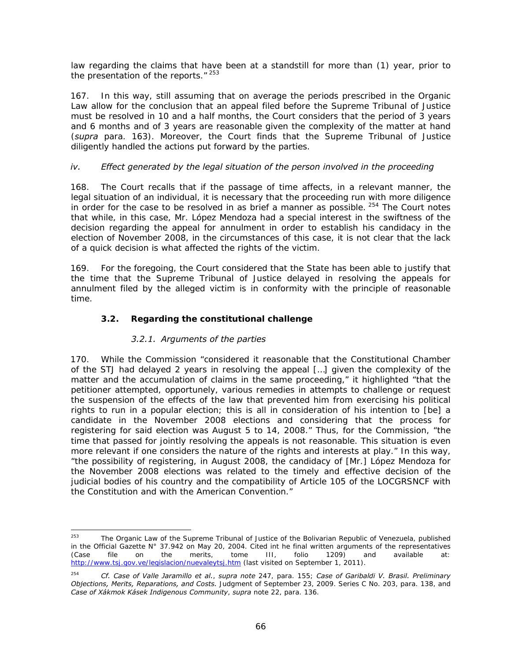law regarding the claims that have been at a standstill for more than (1) year, prior to the presentation of the reports. $"$ <sup>253</sup>

167. In this way, still assuming that on average the periods prescribed in the Organic Law allow for the conclusion that an appeal filed before the Supreme Tribunal of Justice must be resolved in 10 and a half months, the Court considers that the period of 3 years and 6 months and of 3 years are reasonable given the complexity of the matter at hand (*supra* para. 163). Moreover, the Court finds that the Supreme Tribunal of Justice diligently handled the actions put forward by the parties.

### *iv. Effect generated by the legal situation of the person involved in the proceeding*

168. The Court recalls that if the passage of time affects, in a relevant manner, the legal situation of an individual, it is necessary that the proceeding run with more diligence in order for the case to be resolved in as brief a manner as possible.  $254$  The Court notes that while, in this case, Mr. López Mendoza had a special interest in the swiftness of the decision regarding the appeal for annulment in order to establish his candidacy in the election of November 2008, in the circumstances of this case, it is not clear that the lack of a quick decision is what affected the rights of the victim.

169. For the foregoing, the Court considered that the State has been able to justify that the time that the Supreme Tribunal of Justice delayed in resolving the appeals for annulment filed by the alleged victim is in conformity with the principle of reasonable time.

# *3.2. Regarding the constitutional challenge*

# *3.2.1. Arguments of the parties*

170. While the Commission "considered it reasonable that the Constitutional Chamber of the STJ had delayed 2 years in resolving the appeal […] given the complexity of the matter and the accumulation of claims in the same proceeding," it highlighted "that the petitioner attempted, opportunely, various remedies in attempts to challenge or request the suspension of the effects of the law that prevented him from exercising his political rights to run in a popular election; this is all in consideration of his intention to [be] a candidate in the November 2008 elections and considering that the process for registering for said election was August 5 to 14, 2008." Thus, for the Commission, "the time that passed for jointly resolving the appeals is not reasonable. This situation is even more relevant if one considers the nature of the rights and interests at play." In this way, "the possibility of registering, in August 2008, the candidacy of [Mr.] López Mendoza for the November 2008 elections was related to the timely and effective decision of the judicial bodies of his country and the compatibility of Article 105 of the LOCGRSNCF with the Constitution and with the American Convention."

<sup>253</sup> The Organic Law of the Supreme Tribunal of Justice of the Bolivarian Republic of Venezuela, published in the Official Gazette N° 37.942 on May 20, 2004. Cited int he final written arguments of the representatives (Case file on the merits, tome III, folio 1209) and available at: http://www.tsj.gov.ve/legislacion/nuevaleytsj.htm (last visited on September 1, 2011).

<sup>254</sup> *Cf. Case of Valle Jaramillo et al.*, *supra note* 247, para. 155; *Case of Garibaldi V. Brasil. Preliminary Objections, Merits, Reparations, and Costs.* Judgment of September 23, 2009. Series C No. 203, para. 138, and *Case of Xákmok Kásek Indigenous Community*, *supra* note 22, para. 136.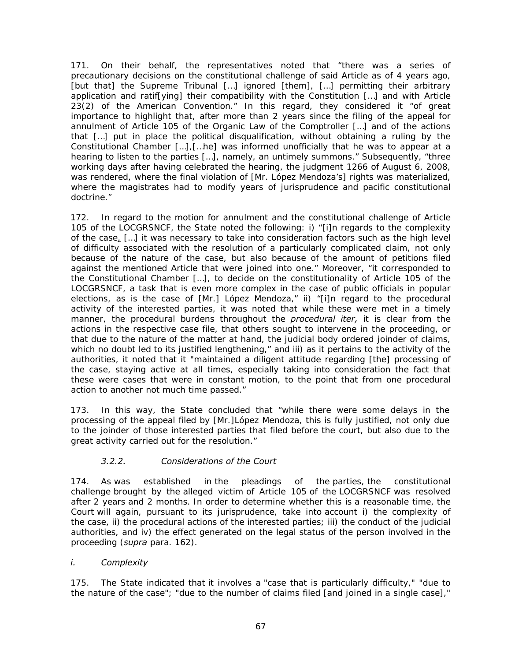171. On their behalf, the representatives noted that "there was a series of precautionary decisions on the constitutional challenge of said Article as of 4 years ago, [but that] the Supreme Tribunal […] ignored [them], […] permitting their arbitrary application and ratif[ying] their compatibility with the Constitution […] and with Article 23(2) of the American Convention." In this regard, they considered it "of great importance to highlight that, after more than 2 years since the filing of the appeal for annulment of Article 105 of the Organic Law of the Comptroller […] and of the actions that […] put in place the political disqualification, without obtaining a ruling by the Constitutional Chamber […],[…he] was informed unofficially that he was to appear at a hearing to listen to the parties […], namely, an untimely summons." Subsequently, "three working days after having celebrated the hearing, the judgment 1266 of August 6, 2008, was rendered, where the final violation of [Mr. López Mendoza's] rights was materialized, where the magistrates had to modify years of jurisprudence and pacific constitutional doctrine."

172. In regard to the motion for annulment and the constitutional challenge of Article 105 of the LOCGRSNCF, the State noted the following: i) "[i]n regards to the complexity of the case, […] it was necessary to take into consideration factors such as the high level of difficulty associated with the resolution of a particularly complicated claim, not only because of the nature of the case, but also because of the amount of petitions filed against the mentioned Article that were joined into one." Moreover, "it corresponded to the Constitutional Chamber […], to decide on the constitutionality of Article 105 of the LOCGRSNCF, a task that is even more complex in the case of public officials in popular elections, as is the case of [Mr.] López Mendoza," ii) "[i]n regard to the procedural activity of the interested parties, it was noted that while these were met in a timely manner, the procedural burdens throughout the *procedural iter,* it is clear from the actions in the respective case file, that others sought to intervene in the proceeding, or that due to the nature of the matter at hand, the judicial body ordered joinder of claims, which no doubt led to its justified lengthening," and iii) as it pertains to the activity of the authorities, it noted that it "maintained a diligent attitude regarding [the] processing of the case, staying active at all times, especially taking into consideration the fact that these were cases that were in constant motion, to the point that from one procedural action to another not much time passed."

173. In this way, the State concluded that "while there were some delays in the processing of the appeal filed by [Mr.]López Mendoza, this is fully justified, not only due to the joinder of those interested parties that filed before the court, but also due to the great activity carried out for the resolution."

# *3.2.2. Considerations of the Court*

174. As was established in the pleadings of the parties, the constitutional challenge brought by the alleged victim of Article 105 of the LOCGRSNCF was resolved after 2 years and 2 months. In order to determine whether this is a reasonable time, the Court will again, pursuant to its jurisprudence, take into account i) the complexity of the case, ii) the procedural actions of the interested parties; iii) the conduct of the judicial authorities, and iv) the effect generated on the legal status of the person involved in the proceeding (*supra* para. 162).

# *i. Complexity*

175. The State indicated that it involves a "case that is particularly difficulty," "due to the nature of the case"; "due to the number of claims filed [and joined in a single case],"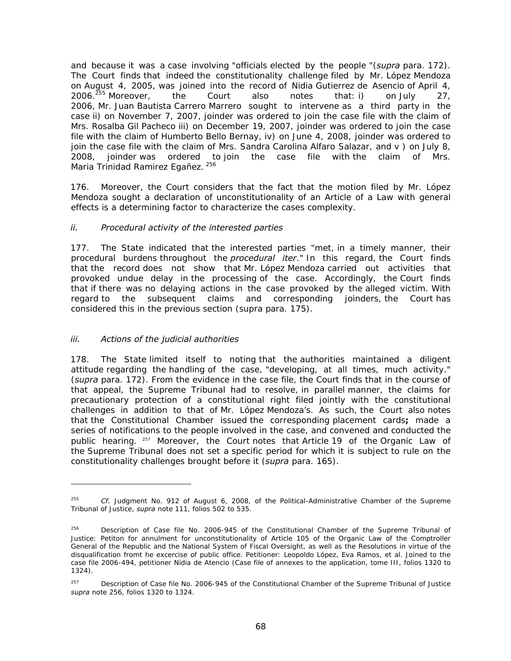and because it was a case involving "officials elected by the people "(*supra* para. 172). The Court finds that indeed the constitutionality challenge filed by Mr. López Mendoza on August 4, 2005, was joined into the record of Nidia Gutierrez de Asencio of April 4, 2006.<sup>255</sup> Moreover, the Court also notes that: i) on July 27, 2006, Mr. Juan Bautista Carrero Marrero sought to intervene as a third party in the case ii) on November 7, 2007, joinder was ordered to join the case file with the claim of Mrs. Rosalba Gil Pacheco iii) on December 19, 2007, joinder was ordered to join the case file with the claim of Humberto Bello Bernay, iv) on June 4, 2008, joinder was ordered to join the case file with the claim of Mrs. Sandra Carolina Alfaro Salazar, and v) on July 8, 2008, joinder was ordered to join the case file with the claim of Mrs. Maria Trinidad Ramirez Egañez. 256

176. Moreover, the Court considers that the fact that the motion filed by Mr. López Mendoza sought a declaration of unconstitutionality of an Article of a Law with general effects is a determining factor to characterize the cases complexity.

### *ii. Procedural activity of the interested parties*

177. The State indicated that the interested parties "met, in a timely manner, their procedural burdens throughout the *procedural iter*." In this regard, the Court finds that the record does not show that Mr. López Mendoza carried out activities that provoked undue delay in the processing of the case. Accordingly, the Court finds that if there was no delaying actions in the case provoked by the alleged victim. With regard to the subsequent claims and corresponding joinders, the Court has considered this in the previous section (supra para. 175).

#### *iii. Actions of the judicial authorities*

-

178. The State limited itself to noting that the authorities maintained a diligent attitude regarding the handling of the case, "developing, at all times, much activity." (*supra* para. 172). From the evidence in the case file, the Court finds that in the course of that appeal, the Supreme Tribunal had to resolve, in parallel manner, the claims for precautionary protection of a constitutional right filed jointly with the constitutional challenges in addition to that of Mr. López Mendoza's. As such, the Court also notes that the Constitutional Chamber issued the corresponding placement cards**;** made a series of notifications to the people involved in the case, and convened and conducted the public hearing. <sup>257</sup> Moreover, the Court notes that Article 19 of the Organic Law of the Supreme Tribunal does not set a specific period for which it is subject to rule on the constitutionality challenges brought before it (*supra* para. 165).

<sup>255</sup> *Cf.* Judgment No. 912 of August 6, 2008, of the Political-Administrative Chamber of the Supreme Tribunal of Justice, *supra* note 111, folios 502 to 535.

<sup>&</sup>lt;sup>256</sup> Description of Case file No. 2006-945 of the Constitutional Chamber of the Supreme Tribunal of Justice: Petiton for annulment for unconstitutionality of Article 105 of the Organic Law of the Comptroller General of the Republic and the National System of Fiscal Oversight, as well as the Resolutions in virtue of the disqualification fromt he excercise of public office. Petitioner: Leopoldo López, Eva Ramos, et al. Joined to the case file 2006-494, petitioner Nidia de Atencio (Case file of annexes to the application, tome III, folios 1320 to 1324).

<sup>&</sup>lt;sup>257</sup> Description of Case file No. 2006-945 of the Constitutional Chamber of the Supreme Tribunal of Justice *supra* note 256, folios 1320 to 1324.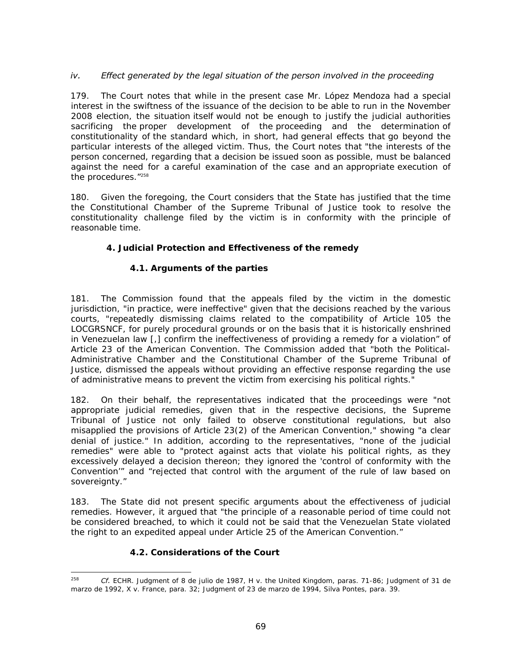# *iv.* Effect generated by the legal situation of the person involved in the proceeding

179. The Court notes that while in the present case Mr. López Mendoza had a special interest in the swiftness of the issuance of the decision to be able to run in the November 2008 election, the situation itself would not be enough to justify the judicial authorities sacrificing the proper development of the proceeding and the determination of constitutionality of the standard which, in short, had general effects that go beyond the particular interests of the alleged victim. Thus, the Court notes that "the interests of the person concerned, regarding that a decision be issued soon as possible, must be balanced against the need for a careful examination of the case and an appropriate execution of the procedures."258

180. Given the foregoing, the Court considers that the State has justified that the time the Constitutional Chamber of the Supreme Tribunal of Justice took to resolve the constitutionality challenge filed by the victim is in conformity with the principle of reasonable time.

# **4. Judicial Protection and Effectiveness of the remedy**

### *4.1. Arguments of the parties*

181. The Commission found that the appeals filed by the victim in the domestic jurisdiction, "in practice, were ineffective" given that the decisions reached by the various courts, "repeatedly dismissing claims related to the compatibility of Article 105 the LOCGRSNCF, for purely procedural grounds or on the basis that it is historically enshrined in Venezuelan law [,] confirm the ineffectiveness of providing a remedy for a violation" of Article 23 of the American Convention. The Commission added that "both the Political-Administrative Chamber and the Constitutional Chamber of the Supreme Tribunal of Justice, dismissed the appeals without providing an effective response regarding the use of administrative means to prevent the victim from exercising his political rights."

182. On their behalf, the representatives indicated that the proceedings were "not appropriate judicial remedies, given that in the respective decisions, the Supreme Tribunal of Justice not only failed to observe constitutional regulations, but also misapplied the provisions of Article 23(2) of the American Convention," showing "a clear denial of justice." In addition, according to the representatives, "none of the judicial remedies" were able to "protect against acts that violate his political rights, as they excessively delayed a decision thereon; they ignored the 'control of conformity with the Convention'" and "rejected that control with the argument of the rule of law based on sovereignty."

183. The State did not present specific arguments about the effectiveness of judicial remedies. However, it argued that "the principle of a reasonable period of time could not be considered breached, to which it could not be said that the Venezuelan State violated the right to an expedited appeal under Article 25 of the American Convention."

#### *4.2. Considerations of the Court*

<sup>258</sup> 258 *Cf.* ECHR. Judgment of 8 de julio de 1987, H v. the United Kingdom, paras. 71-86; Judgment of 31 de marzo de 1992, X v. France, para. 32; Judgment of 23 de marzo de 1994, Silva Pontes, para. 39.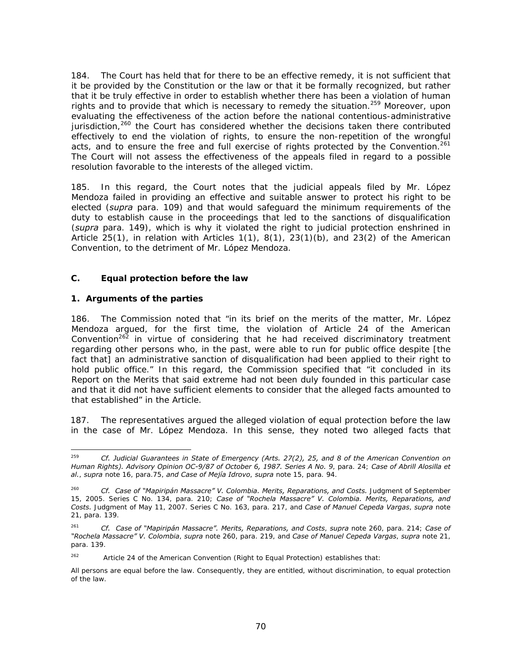184. The Court has held that for there to be an effective remedy, it is not sufficient that it be provided by the Constitution or the law or that it be formally recognized, but rather that it be truly effective in order to establish whether there has been a violation of human rights and to provide that which is necessary to remedy the situation.<sup>259</sup> Moreover, upon evaluating the effectiveness of the action before the national contentious-administrative jurisdiction, $260$  the Court has considered whether the decisions taken there contributed effectively to end the violation of rights, to ensure the non-repetition of the wrongful acts, and to ensure the free and full exercise of rights protected by the Convention.<sup>261</sup> The Court will not assess the effectiveness of the appeals filed in regard to a possible resolution favorable to the interests of the alleged victim.

185. In this regard, the Court notes that the judicial appeals filed by Mr. López Mendoza failed in providing an effective and suitable answer to protect his right to be elected (*supra* para. 109) and that would safeguard the minimum requirements of the duty to establish cause in the proceedings that led to the sanctions of disqualification (*supra* para. 149), which is why it violated the right to judicial protection enshrined in Article 25(1), in relation with Articles  $1(1)$ ,  $8(1)$ ,  $23(1)(b)$ , and  $23(2)$  of the American Convention, to the detriment of Mr. López Mendoza.

#### **C. Equal protection before the law**

### **1. Arguments of the parties**

186. The Commission noted that "in its brief on the merits of the matter, Mr. López Mendoza argued, for the first time, the violation of Article 24 of the American Convention<sup>262</sup> in virtue of considering that he had received discriminatory treatment regarding other persons who, in the past, were able to run for public office despite [the fact that] an administrative sanction of disqualification had been applied to their right to hold public office." In this regard, the Commission specified that "it concluded in its Report on the Merits that said extreme had not been duly founded in this particular case and that it did not have sufficient elements to consider that the alleged facts amounted to that established" in the Article.

187. The representatives argued the alleged violation of equal protection before the law in the case of Mr. López Mendoza. In this sense, they noted two alleged facts that

 $262$  Article 24 of the American Convention (Right to Equal Protection) establishes that:

<sup>-</sup>259 *Cf. Judicial Guarantees in State of Emergency (Arts. 27(2), 25, and 8 of the American Convention on Human Rights). Advisory Opinion OC-9/87 of October 6, 1987. Series A No. 9*, para. 24; *Case of Abrill Alosilla et al.*, *supra* note 16, para.75, *and Case of Mejía Idrovo*, *supra* note 15, para. 94.

<sup>260</sup> *Cf. Case of "Mapiripán Massacre" V. Colombia. Merits, Reparations, and Costs.* Judgment of September 15, 2005. Series C No. 134, para. 210; *Case of "Rochela Massacre" V. Colombia. Merits, Reparations, and Costs.* Judgment of May 11, 2007. Series C No. 163, para. 217, and *Case of Manuel Cepeda Vargas*, *supra* note 21, para. 139.

<sup>261</sup> *Cf. Case of "Mapiripán Massacre". Merits, Reparations, and Costs*, *supra* note 260, para. 214; *Case of "Rochela Massacre" V. Colombia*, *supra* note 260, para. 219, and *Case of Manuel Cepeda Vargas*, *supra* note 21, para. 139.

All persons are equal before the law. Consequently, they are entitled, without discrimination, to equal protection of the law.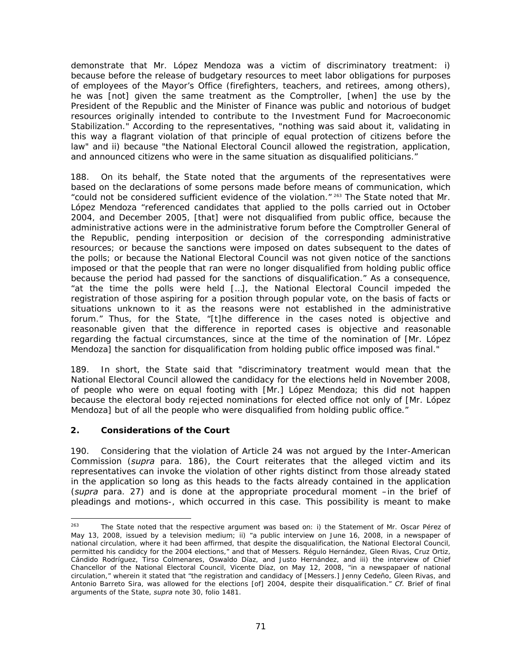demonstrate that Mr. López Mendoza was a victim of discriminatory treatment: i) because before the release of budgetary resources to meet labor obligations for purposes of employees of the Mayor's Office (firefighters, teachers, and retirees, among others), he was [not] given the same treatment as the Comptroller, [when] the use by the President of the Republic and the Minister of Finance was public and notorious of budget resources originally intended to contribute to the Investment Fund for Macroeconomic Stabilization." According to the representatives, "nothing was said about it, validating in this way a flagrant violation of that principle of equal protection of citizens before the law" and ii) because "the National Electoral Council allowed the registration, application, and announced citizens who were in the same situation as disqualified politicians."

188. On its behalf, the State noted that the arguments of the representatives were based on the declarations of some persons made before means of communication, which "could not be considered sufficient evidence of the violation." <sup>263</sup> The State noted that Mr. López Mendoza "referenced candidates that applied to the polls carried out in October 2004, and December 2005, [that] were not disqualified from public office, because the administrative actions were in the administrative forum before the Comptroller General of the Republic, pending interposition or decision of the corresponding administrative resources; or because the sanctions were imposed on dates subsequent to the dates of the polls; or because the National Electoral Council was not given notice of the sanctions imposed or that the people that ran were no longer disqualified from holding public office because the period had passed for the sanctions of disqualification." As a consequence, "at the time the polls were held […], the National Electoral Council impeded the registration of those aspiring for a position through popular vote, on the basis of facts or situations unknown to it as the reasons were not established in the administrative forum." Thus, for the State, "[t]he difference in the cases noted is objective and reasonable given that the difference in reported cases is objective and reasonable regarding the factual circumstances, since at the time of the nomination of [Mr. López Mendoza] the sanction for disqualification from holding public office imposed was final."

189. In short, the State said that "discriminatory treatment would mean that the National Electoral Council allowed the candidacy for the elections held in November 2008, of people who were on equal footing with [Mr.] López Mendoza; this did not happen because the electoral body rejected nominations for elected office not only of [Mr. López Mendoza] but of all the people who were disqualified from holding public office."

#### **2. Considerations of the Court**

190. Considering that the violation of Article 24 was not argued by the Inter-American Commission (*supra* para. 186), the Court reiterates that the alleged victim and its representatives can invoke the violation of other rights distinct from those already stated in the application so long as this heads to the facts already contained in the application (*supra* para. 27) and is done at the appropriate procedural moment –in the brief of pleadings and motions-, which occurred in this case. This possibility is meant to make

<sup>263</sup> The State noted that the respective argument was based on: i) the Statement of Mr. Oscar Pérez of May 13, 2008, issued by a television medium; ii) "a public interview on June 16, 2008, in a newspaper of national circulation, where it had been affirmed, that despite the disqualification, the National Electoral Council, permitted his candidcy for the 2004 elections," and that of Messers. Régulo Hernández, Gleen Rivas, Cruz Ortiz, Cándido Rodríguez, Tirso Colmenares, Oswaldo Díaz, and Justo Hernández, and iii) the interview of Chief Chancellor of the National Electoral Council, Vicente Díaz, on May 12, 2008, "in a newspapaer of national circulation," wherein it stated that "the registration and candidacy of [Messers.] Jenny Cedeño, Gleen Rivas, and Antonio Barreto Sira, was allowed for the elections [of] 2004, despite their disqualification." *Cf*. Brief of final arguments of the State, *supra* note 30, folio 1481.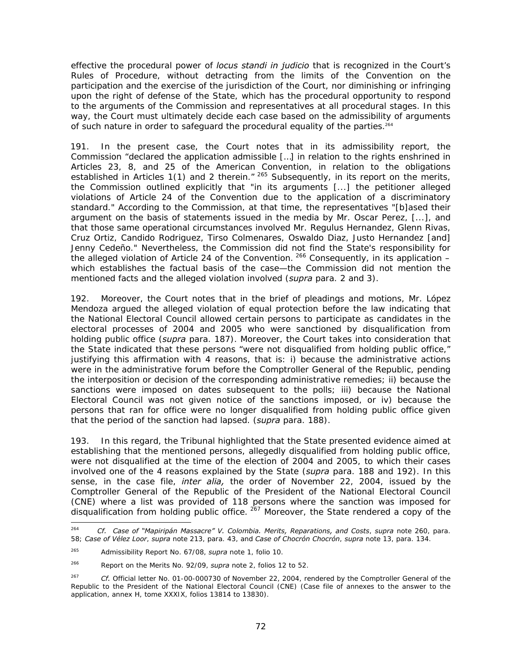effective the procedural power of *locus standi in judicio* that is recognized in the Court's Rules of Procedure, without detracting from the limits of the Convention on the participation and the exercise of the jurisdiction of the Court, nor diminishing or infringing upon the right of defense of the State, which has the procedural opportunity to respond to the arguments of the Commission and representatives at all procedural stages. In this way, the Court must ultimately decide each case based on the admissibility of arguments of such nature in order to safeguard the procedural equality of the parties.<sup>264</sup>

191. In the present case, the Court notes that in its admissibility report, the Commission "declared the application admissible […] in relation to the rights enshrined in Articles 23, 8, and 25 of the American Convention, in relation to the obligations established in Articles 1(1) and 2 therein." <sup>265</sup> Subsequently, in its report on the merits, the Commission outlined explicitly that "in its arguments [...] the petitioner alleged violations of Article 24 of the Convention due to the application of a discriminatory standard." According to the Commission, at that time, the representatives "[b]ased their argument on the basis of statements issued in the media by Mr. Oscar Perez, [...], and that those same operational circumstances involved Mr. Regulus Hernandez, Glenn Rivas, Cruz Ortiz, Candido Rodriguez, Tirso Colmenares, Oswaldo Diaz, Justo Hernandez [and] Jenny Cedeño." Nevertheless, the Commission did not find the State's responsibility for the alleged violation of Article 24 of the Convention.  $266$  Consequently, in its application – which establishes the factual basis of the case—the Commission did not mention the mentioned facts and the alleged violation involved (*supra* para. 2 and 3).

192. Moreover, the Court notes that in the brief of pleadings and motions, Mr. López Mendoza argued the alleged violation of equal protection before the law indicating that the National Electoral Council allowed certain persons to participate as candidates in the electoral processes of 2004 and 2005 who were sanctioned by disqualification from holding public office (*supra* para. 187). Moreover, the Court takes into consideration that the State indicated that these persons "were not disqualified from holding public office," justifying this affirmation with 4 reasons, that is: i) because the administrative actions were in the administrative forum before the Comptroller General of the Republic, pending the interposition or decision of the corresponding administrative remedies; ii) because the sanctions were imposed on dates subsequent to the polls; iii) because the National Electoral Council was not given notice of the sanctions imposed, or iv) because the persons that ran for office were no longer disqualified from holding public office given that the period of the sanction had lapsed. (*supra* para. 188).

193. In this regard, the Tribunal highlighted that the State presented evidence aimed at establishing that the mentioned persons, allegedly disqualified from holding public office, were not disqualified at the time of the election of 2004 and 2005, to which their cases involved one of the 4 reasons explained by the State (*supra* para. 188 and 192). In this sense, in the case file, *inter alia,* the order of November 22, 2004, issued by the Comptroller General of the Republic of the President of the National Electoral Council (CNE) where a list was provided of 118 persons where the sanction was imposed for disqualification from holding public office.  $267$  Moreover, the State rendered a copy of the

<sup>-</sup><sup>264</sup> *Cf. Case of "Mapiripán Massacre" V. Colombia. Merits, Reparations, and Costs*, *supra* note 260, para. 58; *Case of Vélez Loor*, *supra* note 213, para. 43, and *Case of Chocrón Chocrón*, *supra* note 13, para. 134.

<sup>265</sup> Admissibility Report No. 67/08, *supra* note 1, folio 10.

<sup>266</sup> Report on the Merits No. 92/09, *supra* note 2, folios 12 to 52.

<sup>267</sup> *Cf.* Official letter No. 01-00-000730 of November 22, 2004, rendered by the Comptroller General of the Republic to the President of the National Electoral Council (CNE) (Case file of annexes to the answer to the application, annex H, tome XXXIX, folios 13814 to 13830).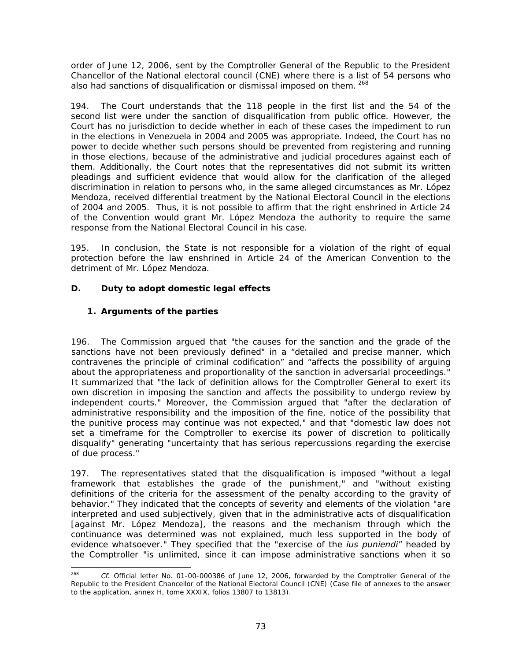order of June 12, 2006, sent by the Comptroller General of the Republic to the President Chancellor of the National electoral council (CNE) where there is a list of 54 persons who also had sanctions of disqualification or dismissal imposed on them. 268

194. The Court understands that the 118 people in the first list and the 54 of the second list were under the sanction of disqualification from public office. However, the Court has no jurisdiction to decide whether in each of these cases the impediment to run in the elections in Venezuela in 2004 and 2005 was appropriate. Indeed, the Court has no power to decide whether such persons should be prevented from registering and running in those elections, because of the administrative and judicial procedures against each of them. Additionally, the Court notes that the representatives did not submit its written pleadings and sufficient evidence that would allow for the clarification of the alleged discrimination in relation to persons who, in the same alleged circumstances as Mr. López Mendoza, received differential treatment by the National Electoral Council in the elections of 2004 and 2005. Thus, it is not possible to affirm that the right enshrined in Article 24 of the Convention would grant Mr. López Mendoza the authority to require the same response from the National Electoral Council in his case.

195. In conclusion, the State is not responsible for a violation of the right of equal protection before the law enshrined in Article 24 of the American Convention to the detriment of Mr. López Mendoza.

# *D.* **Duty to adopt domestic legal effects**

# **1. Arguments of the parties**

196. The Commission argued that "the causes for the sanction and the grade of the sanctions have not been previously defined" in a "detailed and precise manner, which contravenes the principle of criminal codification" and "affects the possibility of arguing about the appropriateness and proportionality of the sanction in adversarial proceedings." It summarized that "the lack of definition allows for the Comptroller General to exert its own discretion in imposing the sanction and affects the possibility to undergo review by independent courts." Moreover, the Commission argued that "after the declaration of administrative responsibility and the imposition of the fine, notice of the possibility that the punitive process may continue was not expected," and that "domestic law does not set a timeframe for the Comptroller to exercise its power of discretion to politically disqualify" generating "uncertainty that has serious repercussions regarding the exercise of due process."

197. The representatives stated that the disqualification is imposed "without a legal framework that establishes the grade of the punishment," and "without existing definitions of the criteria for the assessment of the penalty according to the gravity of behavior." They indicated that the concepts of severity and elements of the violation "are interpreted and used subjectively, given that in the administrative acts of disqualification [against Mr. López Mendoza], the reasons and the mechanism through which the continuance was determined was not explained, much less supported in the body of evidence whatsoever." They specified that the "exercise of the *ius puniendi"* headed by the Comptroller "is unlimited, since it can impose administrative sanctions when it so

<sup>268</sup> Cf. Official letter No. 01-00-000386 of June 12, 2006, forwarded by the Comptroller General of the Republic to the President Chancellor of the National Electoral Council (CNE) (Case file of annexes to the answer to the application, annex H, tome XXXIX, folios 13807 to 13813).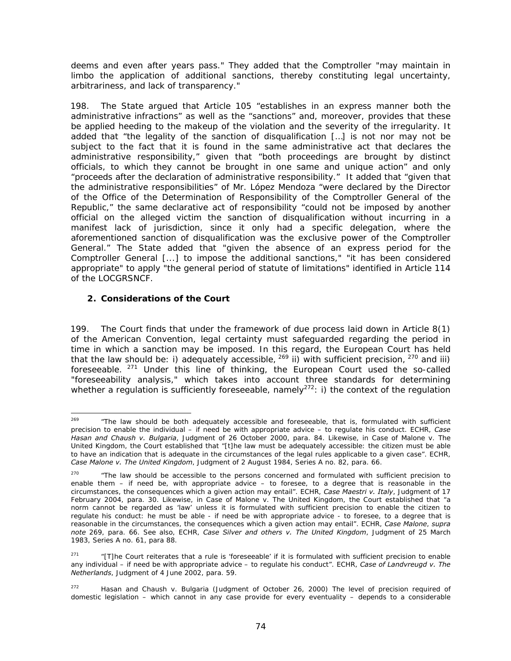deems and even after years pass." They added that the Comptroller "may maintain in limbo the application of additional sanctions, thereby constituting legal uncertainty, arbitrariness, and lack of transparency."

198. The State argued that Article 105 "establishes in an express manner both the administrative infractions" as well as the "sanctions" and, moreover, provides that these be applied heeding to the makeup of the violation and the severity of the irregularity. It added that "the legality of the sanction of disqualification […] is not nor may not be subject to the fact that it is found in the same administrative act that declares the administrative responsibility," given that "both proceedings are brought by distinct officials, to which they cannot be brought in one same and unique action" and only "proceeds after the declaration of administrative responsibility." It added that "given that the administrative responsibilities" of Mr. López Mendoza "were declared by the Director of the Office of the Determination of Responsibility of the Comptroller General of the Republic," the same declarative act of responsibility "could not be imposed by another official on the alleged victim the sanction of disqualification without incurring in a manifest lack of jurisdiction, since it only had a specific delegation, where the aforementioned sanction of disqualification was the exclusive power of the Comptroller General." The State added that "given the absence of an express period for the Comptroller General [...] to impose the additional sanctions," "it has been considered appropriate" to apply "the general period of statute of limitations" identified in Article 114 of the LOCGRSNCF.

# **2. Considerations of the Court**

199. The Court finds that under the framework of due process laid down in Article 8(1) of the American Convention, legal certainty must safeguarded regarding the period in time in which a sanction may be imposed. In this regard, the European Court has held that the law should be: i) adequately accessible,  $^{269}$  ii) with sufficient precision,  $^{270}$  and iii) foreseeable.  $271$  Under this line of thinking, the European Court used the so-called "foreseeability analysis," which takes into account three standards for determining whether a regulation is sufficiently foreseeable, namely<sup>272</sup>: i) the context of the regulation

<sup>269</sup> 269 "The law should be both adequately accessible and foreseeable, that is, formulated with sufficient precision to enable the individual – if need be with appropriate advice – to regulate his conduct. ECHR, *Case Hasan and Chaush v. Bulgaria*, Judgment of 26 October 2000, para. 84. Likewise, in Case of Malone v. The United Kingdom, the Court established that "[t]he law must be adequately accessible: the citizen must be able to have an indication that is adequate in the circumstances of the legal rules applicable to a given case". ECHR, *Case Malone v. The United Kingdom*, Judgment of 2 August 1984, Series A no. 82, para. 66.

 $270$  "The law should be accessible to the persons concerned and formulated with sufficient precision to enable them – if need be, with appropriate advice – to foresee, to a degree that is reasonable in the circumstances, the consequences which a given action may entail". ECHR, *Case Maestri v. Italy*, Judgment of 17 February 2004, para. 30. Likewise, in Case of Malone v. The United Kingdom, the Court established that "a norm cannot be regarded as 'law' unless it is formulated with sufficient precision to enable the citizen to regulate his conduct: he must be able - if need be with appropriate advice - to foresee, to a degree that is reasonable in the circumstances, the consequences which a given action may entail". ECHR, *Case Malone*, *supra note* 269, para. 66. See also, ECHR, *Case Silver and others v. The United Kingdom*, Judgment of 25 March 1983, Series A no. 61, para 88.

<sup>271 &</sup>quot;[T]he Court reiterates that a rule is 'foreseeable' if it is formulated with sufficient precision to enable any individual – if need be with appropriate advice – to regulate his conduct". ECHR, *Case of Landvreugd v. The Netherlands*, Judgment of 4 June 2002, para. 59.

<sup>&</sup>lt;sup>272</sup> Hasan and Chaush v. Bulgaria (Judgment of October 26, 2000) The level of precision required of domestic legislation – which cannot in any case provide for every eventuality – depends to a considerable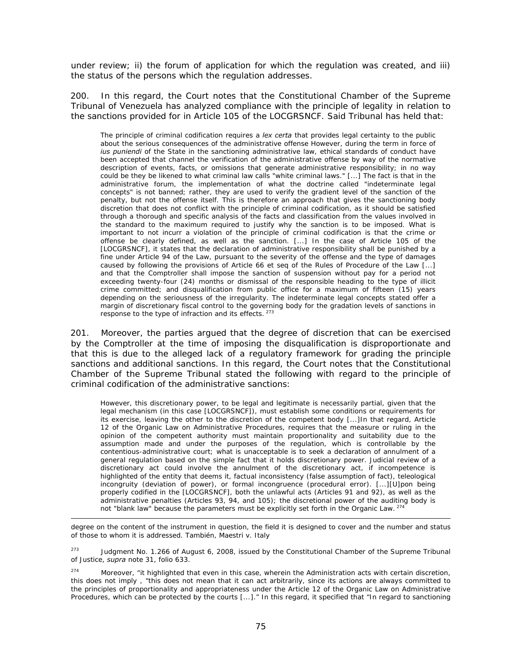under review; ii) the forum of application for which the regulation was created, and iii) the status of the persons which the regulation addresses.

200. In this regard, the Court notes that the Constitutional Chamber of the Supreme Tribunal of Venezuela has analyzed compliance with the principle of legality in relation to the sanctions provided for in Article 105 of the LOCGRSNCF. Said Tribunal has held that:

The principle of criminal codification requires a *lex certa* that provides legal certainty to the public about the serious consequences of the administrative offense However, during the term in force of *ius puniendi* of the State in the sanctioning administrative law, ethical standards of conduct have been accepted that channel the verification of the administrative offense by way of the normative description of events, facts, or omissions that generate administrative responsibility; in no way could be they be likened to what criminal law calls "white criminal laws." [...] The fact is that in the administrative forum, the implementation of what the doctrine called "indeterminate legal concepts" is not banned; rather, they are used to verify the gradient level of the sanction of the penalty, but not the offense itself. This is therefore an approach that gives the sanctioning body discretion that does not conflict with the principle of criminal codification, as it should be satisfied through a thorough and specific analysis of the facts and classification from the values involved in the standard to the maximum required to justify why the sanction is to be imposed. What is important to not incurr a violation of the principle of criminal codification is that the crime or offense be clearly defined, as well as the sanction. [...] In the case of Article 105 of the [LOCGRSNCF], it states that the declaration of administrative responsibility shall be punished by a fine under Article 94 of the Law, pursuant to the severity of the offense and the type of damages caused by following the provisions of Article 66 et seq of the Rules of Procedure of the Law [...] and that the Comptroller shall impose the sanction of suspension without pay for a period not exceeding twenty-four (24) months or dismissal of the responsible heading to the type of illicit crime committed; and disqualification from public office for a maximum of fifteen (15) years depending on the seriousness of the irregularity. The indeterminate legal concepts stated offer a margin of discretionary fiscal control to the governing body for the gradation levels of sanctions in response to the type of infraction and its effects.  $273$ 

201. Moreover, the parties argued that the degree of discretion that can be exercised by the Comptroller at the time of imposing the disqualification is disproportionate and that this is due to the alleged lack of a regulatory framework for grading the principle sanctions and additional sanctions. In this regard, the Court notes that the Constitutional Chamber of the Supreme Tribunal stated the following with regard to the principle of criminal codification of the administrative sanctions:

However, this discretionary power, to be legal and legitimate is necessarily partial, given that the legal mechanism (in this case [LOCGRSNCF]), must establish some conditions or requirements for its exercise, leaving the other to the discretion of the competent body [...]In that regard, Article 12 of the Organic Law on Administrative Procedures, requires that the measure or ruling in the opinion of the competent authority must maintain proportionality and suitability due to the assumption made and under the purposes of the regulation, which is controllable by the contentious-administrative court; what is unacceptable is to seek a declaration of annulment of a general regulation based on the simple fact that it holds discretionary power. Judicial review of a discretionary act could involve the annulment of the discretionary act, if incompetence is highlighted of the entity that deems it, factual inconsistency (false assumption of fact), teleological incongruity (deviation of power), or formal incongruence (procedural error). [...][U]pon being properly codified in the [LOCGRSNCF], both the unlawful acts (Articles 91 and 92), as well as the administrative penalties (Articles 93, 94, and 105); the discretional power of the auditing body is not "blank law" because the parameters must be explicitly set forth in the Organic Law.<sup>27</sup>

degree on the content of the instrument in question, the field it is designed to cover and the number and status of those to whom it is addressed. También, Maestri v. Italy

-

<sup>273</sup> Judgment No. 1.266 of August 6, 2008, issued by the Constitutional Chamber of the Supreme Tribunal of Justice, *supra* note 31, folio 633.

<sup>274</sup> Moreover, "it highlighted that even in this case, wherein the Administration acts with certain discretion, this does not imply , "this does not mean that it can act arbitrarily, since its actions are always committed to the principles of proportionality and appropriateness under the Article 12 of the Organic Law on Administrative Procedures, which can be protected by the courts [...]." In this regard, it specified that "In regard to sanctioning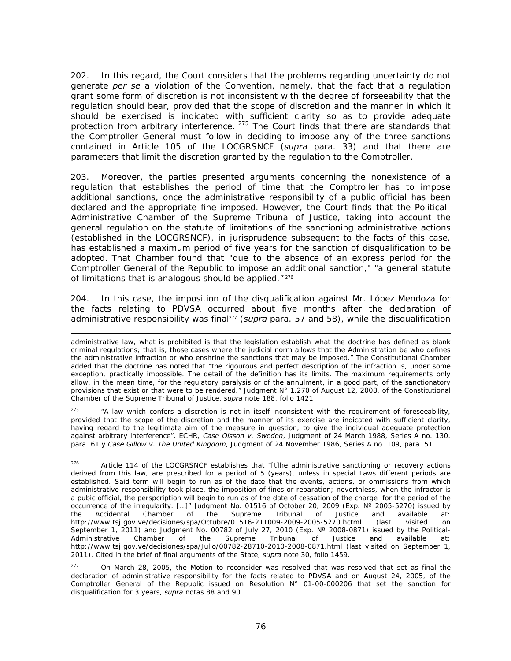202. In this regard, the Court considers that the problems regarding uncertainty do not generate *per se* a violation of the Convention, namely, that the fact that a regulation grant some form of discretion is not inconsistent with the degree of forseeability that the regulation should bear, provided that the scope of discretion and the manner in which it should be exercised is indicated with sufficient clarity so as to provide adequate protection from arbitrary interference. <sup>275</sup> The Court finds that there are standards that the Comptroller General must follow in deciding to impose any of the three sanctions contained in Article 105 of the LOCGRSNCF (*supra* para. 33) and that there are parameters that limit the discretion granted by the regulation to the Comptroller.

203. Moreover, the parties presented arguments concerning the nonexistence of a regulation that establishes the period of time that the Comptroller has to impose additional sanctions, once the administrative responsibility of a public official has been declared and the appropriate fine imposed. However, the Court finds that the Political-Administrative Chamber of the Supreme Tribunal of Justice, taking into account the general regulation on the statute of limitations of the sanctioning administrative actions (established in the LOCGRSNCF), in jurisprudence subsequent to the facts of this case, has established a maximum period of five years for the sanction of disqualification to be adopted. That Chamber found that "due to the absence of an express period for the Comptroller General of the Republic to impose an additional sanction," "a general statute of limitations that is analogous should be applied."<sup>276</sup>

204. In this case, the imposition of the disqualification against Mr. López Mendoza for the facts relating to PDVSA occurred about five months after the declaration of administrative responsibility was final<sup>277</sup> (*supra* para. 57 and 58), while the disqualification

-

<sup>275</sup> "A law which confers a discretion is not in itself inconsistent with the requirement of foreseeability, provided that the scope of the discretion and the manner of its exercise are indicated with sufficient clarity, having regard to the legitimate aim of the measure in question, to give the individual adequate protection against arbitrary interference". ECHR, *Case Olsson v. Sweden*, Judgment of 24 March 1988, Series A no. 130. para. 61 y *Case Gillow v. The United Kingdom*, Judgment of 24 November 1986, Series A no. 109, para. 51.

 $276$  Article 114 of the LOCGRSNCF establishes that "[t]he administrative sanctioning or recovery actions derived from this law, are prescribed for a period of 5 (years), unless in special Laws different periods are established. Said term will begin to run as of the date that the events, actions, or ommissions from which administrative responsibility took place, the imposition of fines or reparation; neverthless, when the infractor is a pubic official, the perspcription will begin to run as of the date of cessation of the charge for the period of the occurrence of the irregularity. […]" Judgment No. 01516 of October 20, 2009 (Exp. Nº 2005-5270) issued by the Accidental Chamber of the Supreme Tribunal of Justice and available at: http://www.tsj.gov.ve/decisiones/spa/Octubre/01516-211009-2009-2005-5270.hctml (last visited on September 1, 2011) and Judgment No. 00782 of July 27, 2010 (Exp. N° 2008-0871) issued by the Political-<br>Administrative Chamber of the Supreme Tribunal of Justice and available at: Administrative Chamber of the Supreme Tribunal of Justice and available at: http://www.tsj.gov.ve/decisiones/spa/Julio/00782-28710-2010-2008-0871.html (last visited on September 1, 2011). Cited in the brief of final arguments of the State, *supra* note 30, folio 1459.

 $277$  On March 28, 2005, the Motion to reconsider was resolved that was resolved that set as final the declaration of administrative responsibility for the facts related to PDVSA and on August 24, 2005, of the Comptroller General of the Republic issued on Resolution N° 01-00-000206 that set the sanction for disqualification for 3 years, *supra* notas 88 and 90.

administrative law, what is prohibited is that the legislation establish what the doctrine has defined as blank criminal regulations; that is, those cases where the judicial norm allows that the Administration be who defines the administrative infraction or who enshrine the sanctions that may be imposed." The Constitutional Chamber added that the doctrine has noted that "the rigourous and perfect description of the infraction is, under some exception, practically impossible. The detail of the definition has its limits. The maximum requirements only allow, in the mean time, for the regulatory paralysis or of the annulment, in a good part, of the sanctionatory provisions that exist or that were to be rendered." Judgment N° 1.270 of August 12, 2008, of the Constitutional Chamber of the Supreme Tribunal of Justice, *supra* note 188, folio 1421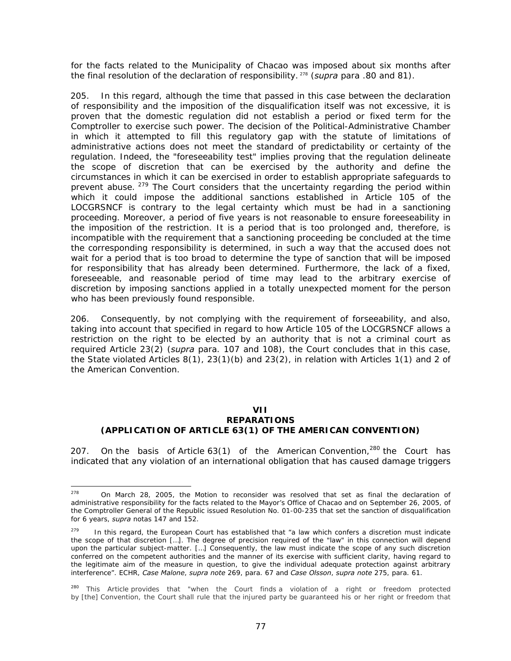for the facts related to the Municipality of Chacao was imposed about six months after the final resolution of the declaration of responsibility. 278 (*supra* para .80 and 81).

205. In this regard, although the time that passed in this case between the declaration of responsibility and the imposition of the disqualification itself was not excessive, it is proven that the domestic regulation did not establish a period or fixed term for the Comptroller to exercise such power. The decision of the Political-Administrative Chamber in which it attempted to fill this regulatory gap with the statute of limitations of administrative actions does not meet the standard of predictability or certainty of the regulation. Indeed, the "foreseeability test" implies proving that the regulation delineate the scope of discretion that can be exercised by the authority and define the circumstances in which it can be exercised in order to establish appropriate safeguards to prevent abuse. <sup>279</sup> The Court considers that the uncertainty regarding the period within which it could impose the additional sanctions established in Article 105 of the LOCGRSNCF is contrary to the legal certainty which must be had in a sanctioning proceeding. Moreover, a period of five years is not reasonable to ensure foreeseability in the imposition of the restriction. It is a period that is too prolonged and, therefore, is incompatible with the requirement that a sanctioning proceeding be concluded at the time the corresponding responsibility is determined, in such a way that the accused does not wait for a period that is too broad to determine the type of sanction that will be imposed for responsibility that has already been determined. Furthermore, the lack of a fixed, foreseeable, and reasonable period of time may lead to the arbitrary exercise of discretion by imposing sanctions applied in a totally unexpected moment for the person who has been previously found responsible.

206. Consequently, by not complying with the requirement of forseeability, and also, taking into account that specified in regard to how Article 105 of the LOCGRSNCF allows a restriction on the right to be elected by an authority that is not a criminal court as required Article 23(2) (*supra* para. 107 and 108), the Court concludes that in this case, the State violated Articles 8(1), 23(1)(b) and 23(2), in relation with Articles 1(1) and 2 of the American Convention.

# **VII**

#### **REPARATIONS (APPLICATION OF ARTICLE 63(1) OF THE AMERICAN CONVENTION)**

207. On the basis of Article 63(1) of the American Convention,  $280$  the Court has indicated that any violation of an international obligation that has caused damage triggers

-

 $278$  On March 28, 2005, the Motion to reconsider was resolved that set as final the declaration of administrative responsibility for the facts related to the Mayor's Office of Chacao and on September 26, 2005, of the Comptroller General of the Republic issued Resolution No. 01-00-235 that set the sanction of disqualification for 6 years, *supra* notas 147 and 152.

 $279$  In this regard, the European Court has established that "a law which confers a discretion must indicate the scope of that discretion […]. The degree of precision required of the "law" in this connection will depend upon the particular subject-matter. […] Consequently, the law must indicate the scope of any such discretion conferred on the competent authorities and the manner of its exercise with sufficient clarity, having regard to the legitimate aim of the measure in question, to give the individual adequate protection against arbitrary interference". ECHR, *Case Malone*, *supra note* 269, para. 67 and *Case Olsson*, *supra note* 275, para. 61.

<sup>&</sup>lt;sup>280</sup> This Article provides that "when the Court finds a violation of a right or freedom protected by [the] Convention, the Court shall rule that the injured party be guaranteed his or her right or freedom that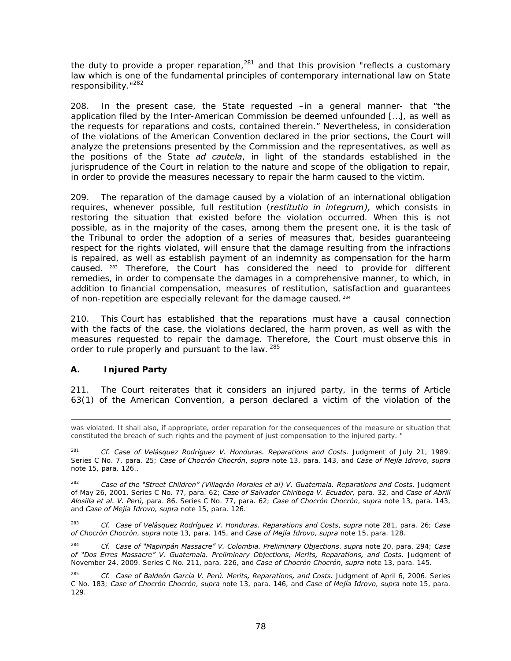the duty to provide a proper reparation, $^{281}$  and that this provision "reflects a customary law which is one of the fundamental principles of contemporary international law on State responsibility."<sup>282</sup>

208. In the present case, the State requested –in a general manner- that "the application filed by the Inter-American Commission be deemed unfounded […], as well as the requests for reparations and costs, contained therein." Nevertheless, in consideration of the violations of the American Convention declared in the prior sections, the Court will analyze the pretensions presented by the Commission and the representatives, as well as the positions of the State *ad cautela*, in light of the standards established in the jurisprudence of the Court in relation to the nature and scope of the obligation to repair, in order to provide the measures necessary to repair the harm caused to the victim.

209. The reparation of the damage caused by a violation of an international obligation requires, whenever possible, full restitution (*restitutio in integrum),* which consists in restoring the situation that existed before the violation occurred. When this is not possible, as in the majority of the cases, among them the present one, it is the task of the Tribunal to order the adoption of a series of measures that, besides guaranteeing respect for the rights violated, will ensure that the damage resulting from the infractions is repaired, as well as establish payment of an indemnity as compensation for the harm caused. 283 Therefore, the Court has considered the need to provide for different remedies, in order to compensate the damages in a comprehensive manner, to which, in addition to financial compensation, measures of restitution, satisfaction and guarantees of non-repetition are especially relevant for the damage caused. 284

210. This Court has established that the reparations must have a causal connection with the facts of the case, the violations declared, the harm proven, as well as with the measures requested to repair the damage. Therefore, the Court must observe this in order to rule properly and pursuant to the law. 285

# **A. Injured Party**

211. The Court reiterates that it considers an injured party, in the terms of Article 63(1) of the American Convention, a person declared a victim of the violation of the

was violated. It shall also, if appropriate, order reparation for the consequences of the measure or situation that constituted the breach of such rights and the payment of just compensation to the injured party. "

<sup>&</sup>lt;sup>281</sup> *Cf. Case of Velásquez Rodríguez V. Honduras. Reparations and Costs. Judgment of July 21, 1989.* Series C No. 7, para. 25; *Case of Chocrón Chocrón*, *supra* note 13, para. 143, and *Case of Mejía Idrovo*, *supra*  note 15, para. 126..

<sup>&</sup>lt;sup>282</sup> *Case of the "Street Children" (Villagrán Morales et al) V. Guatemala. Reparations and Costs. Judgment* of May 26, 2001. Series C No. 77, para. 62; *Case of Salvador Chiriboga V. Ecuador,* para. 32, and *Case of Abrill Alosilla et al. V. Perú,* para. 86. Series C No. 77, para. 62; *Case of Chocrón Chocrón*, *supra* note 13, para. 143, and *Case of Mejía Idrovo*, *supra* note 15, para. 126.

<sup>283</sup> *Cf. Case of Velásquez Rodríguez V. Honduras. Reparations and Costs*, *supra* note 281, para. 26; *Case of Chocrón Chocrón*, *supra* note 13, para. 145, and *Case of Mejía Idrovo*, *supra* note 15, para. 128.

<sup>284</sup> *Cf. Case of "Mapiripán Massacre" V. Colombia. Preliminary Objections*, *supra* note 20, para. 294; *Case*  of "Dos Erres Massacre" V. Guatemala. Preliminary Objections, Merits, Reparations, and Costs. Judgment of November 24, 2009. Series C No. 211, para. 226, and *Case of Chocrón Chocrón*, *supra* note 13, para. 145.

<sup>&</sup>lt;sup>285</sup> Cf. Case of Baldeón García V. Perú. Merits, Reparations, and Costs. Judgment of April 6, 2006. Series C No. 183; *Case of Chocrón Chocrón*, *supra* note 13, para. 146, and *Case of Mejía Idrovo*, *supra* note 15, para. 129.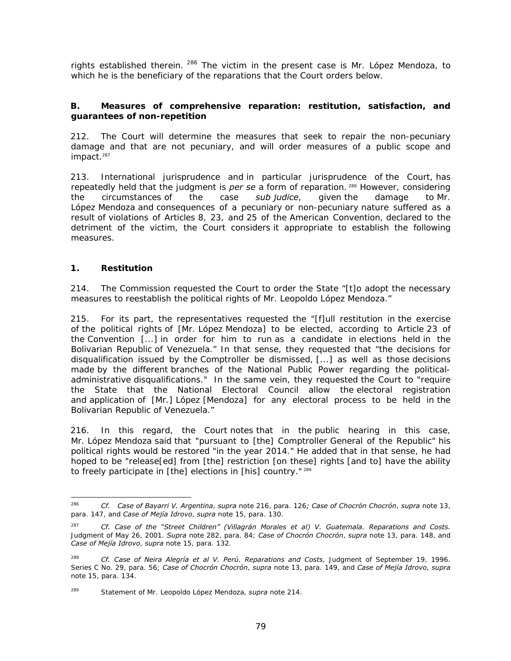rights established therein. <sup>286</sup> The victim in the present case is Mr. López Mendoza, to which he is the beneficiary of the reparations that the Court orders below.

# **B. Measures of comprehensive reparation: restitution, satisfaction, and guarantees of non-repetition**

212. The Court will determine the measures that seek to repair the non-pecuniary damage and that are not pecuniary, and will order measures of a public scope and impact.<sup>287</sup>

213. International jurisprudence and in particular jurisprudence of the Court, has repeatedly held that the judgment is *per se* a form of reparation.<sup>288</sup> However, considering<br>the circumstances of the case *sub judice*, given the damage to Mr. the circumstances of the case *sub judice*, given the damage to Mr. López Mendoza and consequences of a pecuniary or non-pecuniary nature suffered as a result of violations of Articles 8, 23, and 25 of the American Convention, declared to the detriment of the victim, the Court considers it appropriate to establish the following measures.

# **1. Restitution**

214. The Commission requested the Court to order the State "[t]o adopt the necessary measures to reestablish the political rights of Mr. Leopoldo López Mendoza."

215. For its part, the representatives requested the "[f]ull restitution in the exercise of the political rights of [Mr. López Mendoza] to be elected, according to Article 23 of the Convention [...] in order for him to run as a candidate in elections held in the Bolivarian Republic of Venezuela." In that sense, they requested that "the decisions for disqualification issued by the Comptroller be dismissed, [...] as well as those decisions made by the different branches of the National Public Power regarding the politicaladministrative disqualifications." In the same vein, they requested the Court to "require the State that the National Electoral Council allow the electoral registration and application of [Mr.] López [Mendoza] for any electoral process to be held in the Bolivarian Republic of Venezuela."

216. In this regard, the Court notes that in the public hearing in this case, Mr. López Mendoza said that "pursuant to [the] Comptroller General of the Republic" his political rights would be restored "in the year 2014." He added that in that sense, he had hoped to be "release[ed] from [the] restriction [on these] rights [and to] have the ability to freely participate in [the] elections in [his] country."<sup>289</sup>

<sup>286</sup> <sup>286</sup> *Cf. Case of Bayarri V. Argentina*, *supra* note 216, para. 126*; Case of Chocrón Chocrón*, *supra* note 13, para. 147, and *Case of Mejía Idrovo*, *supra* note 15, para. 130.

<sup>287</sup> *Cf. Case of the "Street Children" (Villagrán Morales et al) V. Guatemala. Reparations and Costs.* Judgment of May 26, 2001. *Supra* note 282, para. 84; *Case of Chocrón Chocrón*, *supra* note 13, para. 148, and *Case of Mejía Idrovo*, *supra* note 15, para. 132.

<sup>288</sup> *Cf. Case of Neira Alegría et al V. Perú. Reparations and Costs*, Judgment of September 19, 1996. Series C No. 29, para. 56; *Case of Chocrón Chocrón*, *supra* note 13, para. 149, and *Case of Mejía Idrovo*, *supra*  note 15, para. 134.

<sup>289</sup> Statement of Mr. Leopoldo López Mendoza, *supra* note 214.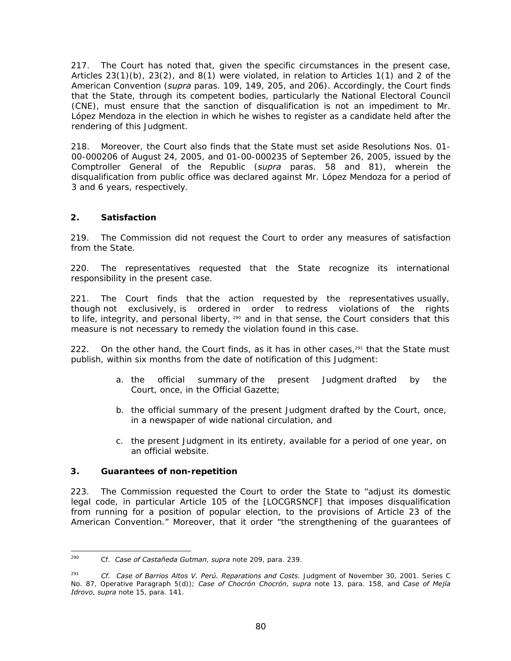217. The Court has noted that, given the specific circumstances in the present case, Articles 23(1)(b), 23(2), and 8(1) were violated, in relation to Articles 1(1) and 2 of the American Convention (*supra* paras. 109, 149, 205, and 206). Accordingly, the Court finds that the State, through its competent bodies, particularly the National Electoral Council (CNE), must ensure that the sanction of disqualification is not an impediment to Mr. López Mendoza in the election in which he wishes to register as a candidate held after the rendering of this Judgment.

218. Moreover, the Court also finds that the State must set aside Resolutions Nos. 01- 00-000206 of August 24, 2005, and 01-00-000235 of September 26, 2005, issued by the Comptroller General of the Republic (*supra* paras. 58 and 81), wherein the disqualification from public office was declared against Mr. López Mendoza for a period of 3 and 6 years, respectively.

# *2. Satisfaction*

219. The Commission did not request the Court to order any measures of satisfaction from the State.

220. The representatives requested that the State recognize its international responsibility in the present case.

221. The Court finds that the action requested by the representatives usually, though not exclusively, is ordered in order to redress violations of the rights to life, integrity, and personal liberty,  $290$  and in that sense, the Court considers that this measure is not necessary to remedy the violation found in this case.

222. On the other hand, the Court finds, as it has in other cases, $291$  that the State must publish, within six months from the date of notification of this Judgment:

- a. the official summary of the present Judgment drafted by the Court, once, in the Official Gazette;
- b. the official summary of the present Judgment drafted by the Court, once, in a newspaper of wide national circulation, and
- c. the present Judgment in its entirety, available for a period of one year, on an official website.

# **3. Guarantees of non-repetition**

223. The Commission requested the Court to order the State to "adjust its domestic legal code, in particular Article 105 of the [LOCGRSNCF] that imposes disqualification from running for a position of popular election, to the provisions of Article 23 of the American Convention." Moreover, that it order "the strengthening of the guarantees of

<sup>290</sup> 290 Cf. *Case of Castañeda Gutman*, *supra* note 209, para. 239.

<sup>291</sup> *Cf. Case of Barrios Altos V. Perú. Reparations and Costs*. Judgment of November 30, 2001. Series C No. 87, Operative Paragraph 5(d)); *Case of Chocrón Chocrón*, *supra* note 13, para. 158, and *Case of Mejía Idrovo*, *supra* note 15, para. 141.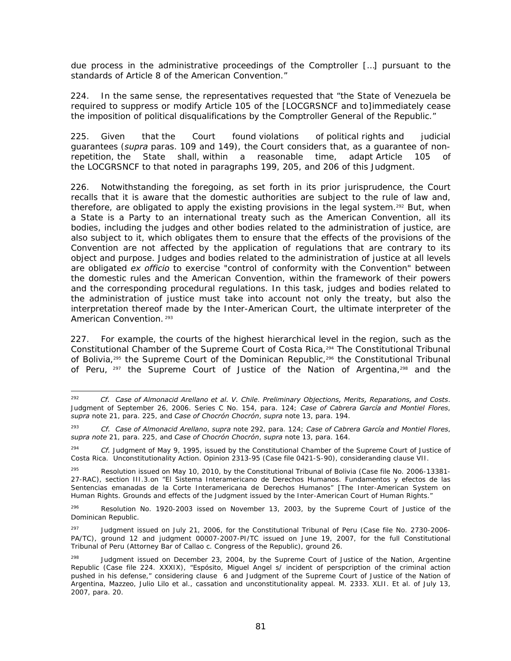due process in the administrative proceedings of the Comptroller […] pursuant to the standards of Article 8 of the American Convention."

224. In the same sense, the representatives requested that "the State of Venezuela be required to suppress or modify Article 105 of the [LOCGRSNCF and to]immediately cease the imposition of political disqualifications by the Comptroller General of the Republic."

225. Given that the Court found violations of political rights and judicial guarantees (*supra* paras. 109 and 149), the Court considers that, as a guarantee of nonrepetition, the State shall, within a reasonable time, adapt Article 105 of the LOCGRSNCF to that noted in paragraphs 199, 205, and 206 of this Judgment.

226. Notwithstanding the foregoing, as set forth in its prior jurisprudence, the Court recalls that it is aware that the domestic authorities are subject to the rule of law and, therefore, are obligated to apply the existing provisions in the legal system.<sup>292</sup> But, when a State is a Party to an international treaty such as the American Convention, all its bodies, including the judges and other bodies related to the administration of justice, are also subject to it, which obligates them to ensure that the effects of the provisions of the Convention are not affected by the application of regulations that are contrary to its object and purpose. Judges and bodies related to the administration of justice at all levels are obligated *ex officio* to exercise "control of conformity with the Convention" between the domestic rules and the American Convention, within the framework of their powers and the corresponding procedural regulations. In this task, judges and bodies related to the administration of justice must take into account not only the treaty, but also the interpretation thereof made by the Inter-American Court, the ultimate interpreter of the American Convention.<sup>293</sup>

227. For example, the courts of the highest hierarchical level in the region, such as the Constitutional Chamber of the Supreme Court of Costa Rica,294 The Constitutional Tribunal of Bolivia,<sup>295</sup> the Supreme Court of the Dominican Republic,<sup>296</sup> the Constitutional Tribunal of Peru, <sup>297</sup> the Supreme Court of Justice of the Nation of Argentina,<sup>298</sup> and the

<sup>292</sup> 292 *Cf. Case of Almonacid Arellano et al. V. Chile*. *Preliminary Objections, Merits, Reparations, and Costs*. Judgment of September 26, 2006. Series C No. 154, para. 124; *Case of Cabrera García and Montiel Flores*, *supra* note 21, para. 225, and *Case of Chocrón Chocrón*, *supra* note 13, para. 194.

<sup>293</sup> *Cf. Case of Almonacid Arellano*, *supra* note 292, para. 124; *Case of Cabrera García and Montiel Flores*, *supra note* 21, para. 225, and *Case of Chocrón Chocrón*, *supra* note 13, para. 164.

<sup>294</sup>*Cf.* Judgment of May 9, 1995, issued by the Constitutional Chamber of the Supreme Court of Justice of Costa Rica. Unconstitutionality Action. Opinion 2313-95 (Case file 0421-S-90), consideranding clause VII.

Resolution issued on May 10, 2010, by the Constitutional Tribunal of Bolivia (Case file No. 2006-13381-27-RAC), section III.3.on "El Sistema Interamericano de Derechos Humanos. Fundamentos y efectos de las Sentencias emanadas de la Corte Interamericana de Derechos Humanos" [The Inter-American System on Human Rights. Grounds and effects of the Judgment issued by the Inter-American Court of Human Rights."

 $296$  Resolution No. 1920-2003 issed on November 13, 2003, by the Supreme Court of Justice of the Dominican Republic.

<sup>&</sup>lt;sup>297</sup> Judgment issued on July 21, 2006, for the Constitutional Tribunal of Peru (Case file No. 2730-2006-PA/TC), ground 12 and judgment 00007-2007-PI/TC issued on June 19, 2007, for the full Constitutional Tribunal of Peru (Attorney Bar of Callao c. Congress of the Republic), ground 26.

Judgment issued on December 23, 2004, by the Supreme Court of Justice of the Nation, Argentine Republic (Case file 224. XXXIX), "Espósito, Miguel Angel s/ incident of perspcription of the criminal action pushed in his defense," considering clause 6 and Judgment of the Supreme Court of Justice of the Nation of Argentina, Mazzeo, Julio Lilo et al., cassation and unconstitutionality appeal. M. 2333. XLII. Et al. of July 13, 2007, para. 20.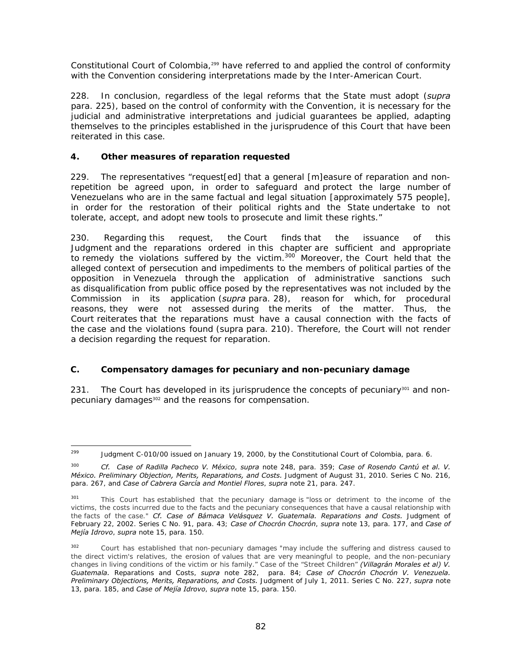Constitutional Court of Colombia,<sup>299</sup> have referred to and applied the control of conformity with the Convention considering interpretations made by the Inter-American Court.

228. In conclusion, regardless of the legal reforms that the State must adopt (*supra* para. 225), based on the control of conformity with the Convention, it is necessary for the judicial and administrative interpretations and judicial guarantees be applied, adapting themselves to the principles established in the jurisprudence of this Court that have been reiterated in this case.

# **4. Other measures of reparation requested**

229. The representatives "request[ed] that a general [m]easure of reparation and nonrepetition be agreed upon, in order to safeguard and protect the large number of Venezuelans who are in the same factual and legal situation [approximately 575 people], in order for the restoration of their political rights and the State undertake to not tolerate, accept, and adopt new tools to prosecute and limit these rights."

230. Regarding this request, the Court finds that the issuance of this Judgment and the reparations ordered in this chapter are sufficient and appropriate to remedy the violations suffered by the victim.<sup>300</sup> Moreover, the Court held that the alleged context of persecution and impediments to the members of political parties of the opposition in Venezuela through the application of administrative sanctions such as disqualification from public office posed by the representatives was not included by the Commission in its application (*supra* para. 28), reason for which, for procedural reasons, they were not assessed during the merits of the matter. Thus, the Court reiterates that the reparations must have a causal connection with the facts of the case and the violations found (supra para. 210). Therefore, the Court will not render a decision regarding the request for reparation.

# **C. Compensatory damages for pecuniary and non-pecuniary damage**

231. The Court has developed in its jurisprudence the concepts of pecuniary<sup>301</sup> and nonpecuniary damages<sup>302</sup> and the reasons for compensation.

<sup>299</sup> Judgment C-010/00 issued on January 19, 2000, by the Constitutional Court of Colombia, para. 6.

<sup>300</sup> *Cf. Case of Radilla Pacheco V. México*, *supra* note 248, para. 359; *Case of Rosendo Cantú et al. V. México. Preliminary Objection, Merits, Reparations, and Costs.* Judgment of August 31, 2010. Series C No. 216, para. 267, and *Case of Cabrera García and Montiel Flores*, *supra* note 21, para. 247.

<sup>&</sup>lt;sup>301</sup> This Court has established that the pecuniary damage is "loss or detriment to the income of the victims, the costs incurred due to the facts and the pecuniary consequences that have a causal relationship with the facts of the case." *Cf. Case of Bámaca Velásquez V. Guatemala. Reparations and Costs.* Judgment of February 22, 2002. Series C No. 91, para. 43; *Case of Chocrón Chocrón*, *supra* note 13, para. 177, and *Case of Mejía Idrovo*, *supra* note 15, para. 150.

<sup>&</sup>lt;sup>302</sup> Court has established that non-pecuniary damages "may include the suffering and distress caused to the direct victim's relatives, the erosion of values that are very meaningful to people, and the non-pecuniary changes in living conditions of the victim or his family." Case of the "Street Children" *(Villagrán Morales et al) V. Guatemala.* Reparations and Costs, *supra* note 282, para. 84; *Case of Chocrón Chocrón V. Venezuela. Preliminary Objections, Merits, Reparations, and Costs.* Judgment of July 1, 2011. Series C No. 227, *supra* note 13, para. 185, and *Case of Mejía Idrovo*, *supra* note 15, para. 150.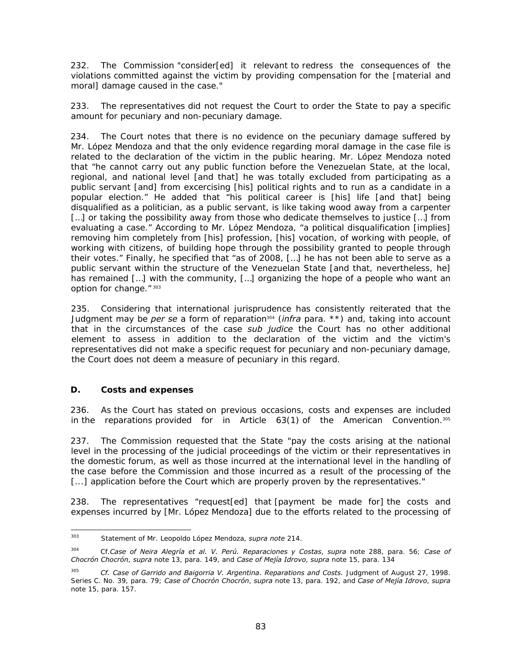232. The Commission "consider[ed] it relevant to redress the consequences of the violations committed against the victim by providing compensation for the [material and moral] damage caused in the case."

233. The representatives did not request the Court to order the State to pay a specific amount for pecuniary and non-pecuniary damage.

234. The Court notes that there is no evidence on the pecuniary damage suffered by Mr. López Mendoza and that the only evidence regarding moral damage in the case file is related to the declaration of the victim in the public hearing. Mr. López Mendoza noted that "he cannot carry out any public function before the Venezuelan State, at the local, regional, and national level [and that] he was totally excluded from participating as a public servant [and] from excercising [his] political rights and to run as a candidate in a popular election." He added that "his political career is [his] life [and that] being disqualified as a politician, as a public servant, is like taking wood away from a carpenter [...] or taking the possibility away from those who dedicate themselves to justice [...] from evaluating a case." According to Mr. López Mendoza, "a political disqualification [implies] removing him completely from [his] profession, [his] vocation, of working with people, of working with citizens, of building hope through the possibility granted to people through their votes." Finally, he specified that "as of 2008, […] he has not been able to serve as a public servant within the structure of the Venezuelan State [and that, nevertheless, he] has remained […] with the community, […] organizing the hope of a people who want an option for change." 303

235. Considering that international jurisprudence has consistently reiterated that the Judgment may be *per se* a form of reparation304 (*infra* para. \*\*) and, taking into account that in the circumstances of the case *sub judice* the Court has no other additional element to assess in addition to the declaration of the victim and the victim's representatives did not make a specific request for pecuniary and non-pecuniary damage, the Court does not deem a measure of pecuniary in this regard.

# **D. Costs and expenses**

236. As the Court has stated on previous occasions, costs and expenses are included in the reparations provided for in Article  $63(1)$  of the American Convention.<sup>305</sup>

237. The Commission requested that the State "pay the costs arising at the national level in the processing of the judicial proceedings of the victim or their representatives in the domestic forum, as well as those incurred at the international level in the handling of the case before the Commission and those incurred as a result of the processing of the [...] application before the Court which are properly proven by the representatives."

238. The representatives "request[ed] that [payment be made for] the costs and expenses incurred by [Mr. López Mendoza] due to the efforts related to the processing of

<sup>303</sup> 303 Statement of Mr. Leopoldo López Mendoza, *supra note* 214.

<sup>304</sup> Cf.*Case of Neira Alegría et al. V. Perú. Reparaciones y Costas*, *supra* note 288, para. 56; *Case of Chocrón Chocrón*, *supra* note 13, para. 149, and *Case of Mejía Idrovo*, *supra* note 15, para. 134

<sup>305</sup> *Cf. Case of Garrido and Baigorria V. Argentina. Reparations and Costs.* Judgment of August 27, 1998. Series C. No. 39, para. 79; *Case of Chocrón Chocrón*, *supra* note 13, para. 192, and *Case of Mejía Idrovo*, *supra*  note 15, para. 157.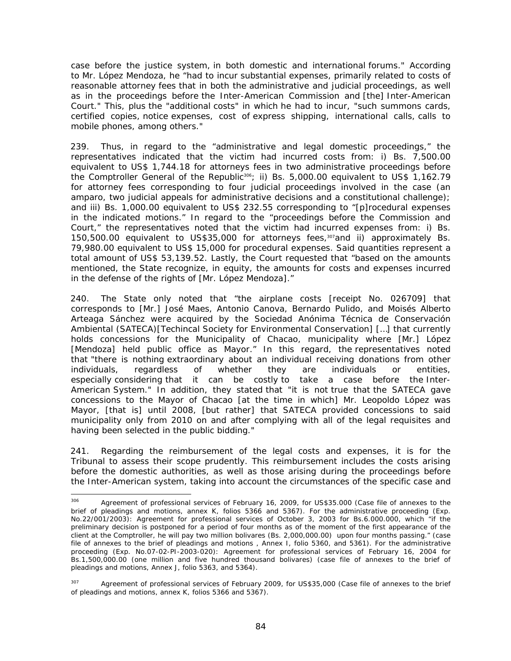case before the justice system, in both domestic and international forums." According to Mr. López Mendoza, he "had to incur substantial expenses, primarily related to costs of reasonable attorney fees that in both the administrative and judicial proceedings, as well as in the proceedings before the Inter-American Commission and [the] Inter-American Court." This, plus the "additional costs" in which he had to incur, "such summons cards, certified copies, notice expenses, cost of express shipping, international calls, calls to mobile phones, among others."

239. Thus, in regard to the "administrative and legal domestic proceedings," the representatives indicated that the victim had incurred costs from: i) Bs. 7,500.00 equivalent to US\$ 1,744.18 for attorneys fees in two administrative proceedings before the Comptroller General of the Republic<sup>306</sup>; ii) Bs. 5,000.00 equivalent to US\$ 1,162.79 for attorney fees corresponding to four judicial proceedings involved in the case (an amparo, two judicial appeals for administrative decisions and a constitutional challenge); and iii) Bs. 1,000.00 equivalent to US\$ 232.55 corresponding to "[p]rocedural expenses in the indicated motions." In regard to the "proceedings before the Commission and Court," the representatives noted that the victim had incurred expenses from: i) Bs. 150,500.00 equivalent to US\$35,000 for attorneys fees,<sup>307</sup>and ii) approximately Bs. 79,980.00 equivalent to US\$ 15,000 for procedural expenses. Said quantities represent a total amount of US\$ 53,139.52. Lastly, the Court requested that "based on the amounts mentioned, the State recognize, in equity, the amounts for costs and expenses incurred in the defense of the rights of [Mr. López Mendoza]."

240. The State only noted that "the airplane costs [receipt No. 026709] that corresponds to [Mr.] José Maes, Antonio Canova, Bernardo Pulido, and Moisés Alberto Arteaga Sánchez were acquired by the Sociedad Anónima Técnica de Conservación Ambiental (SATECA)[Techincal Society for Environmental Conservation] […] that currently holds concessions for the Municipality of Chacao, municipality where [Mr.] López [Mendoza] held public office as Mayor." In this regard, the representatives noted that "there is nothing extraordinary about an individual receiving donations from other individuals, regardless of whether they are individuals or entities, especially considering that it can be costly to take a case before the Inter-American System." In addition, they stated that "it is not true that the SATECA gave concessions to the Mayor of Chacao [at the time in which] Mr. Leopoldo López was Mayor, [that is] until 2008, [but rather] that SATECA provided concessions to said municipality only from 2010 on and after complying with all of the legal requisites and having been selected in the public bidding."

241. Regarding the reimbursement of the legal costs and expenses, it is for the Tribunal to assess their scope prudently. This reimbursement includes the costs arising before the domestic authorities, as well as those arising during the proceedings before the Inter-American system, taking into account the circumstances of the specific case and

<sup>306</sup> Agreement of professional services of February 16, 2009, for US\$35.000 (Case file of annexes to the brief of pleadings and motions, annex K, folios 5366 and 5367). For the administrative proceeding (Exp. No.22/001/2003): Agreement for professional services of October 3, 2003 for Bs.6.000.000, which "if the preliminary decision is postponed for a period of four months as of the moment of the first appearance of the client at the Comptroller, he will pay two million bolivares (Bs. 2,000,000.00) upon four months passing." (case file of annexes to the brief of pleadings and motions , Annex I, folio 5360, and 5361). For the administrative proceeding (Exp. No.07-02-PI-2003-020): Agreement for professional services of February 16, 2004 for Bs.1,500,000.00 (one million and five hundred thousand bolivares) (case file of annexes to the brief of pleadings and motions, Annex J, folio 5363, and 5364).

<sup>&</sup>lt;sup>307</sup> Agreement of professional services of February 2009, for US\$35,000 (Case file of annexes to the brief of pleadings and motions, annex K, folios 5366 and 5367).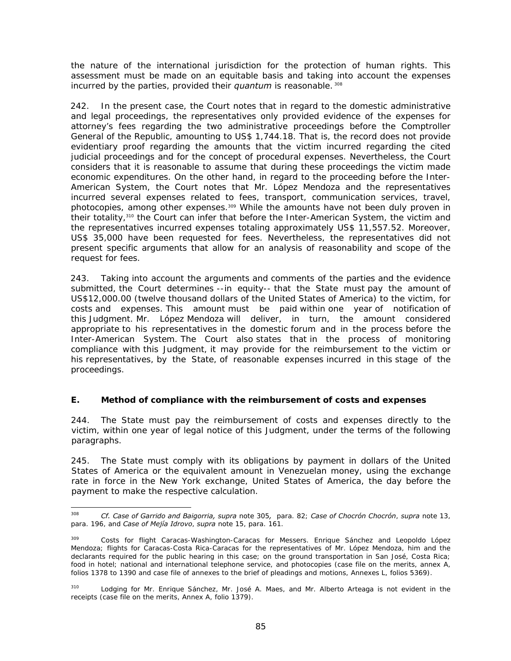the nature of the international jurisdiction for the protection of human rights. This assessment must be made on an equitable basis and taking into account the expenses incurred by the parties, provided their *quantum* is reasonable.<sup>308</sup>

242. In the present case, the Court notes that in regard to the domestic administrative and legal proceedings, the representatives only provided evidence of the expenses for attorney's fees regarding the two administrative proceedings before the Comptroller General of the Republic, amounting to US\$ 1,744.18. That is, the record does not provide evidentiary proof regarding the amounts that the victim incurred regarding the cited judicial proceedings and for the concept of procedural expenses. Nevertheless, the Court considers that it is reasonable to assume that during these proceedings the victim made economic expenditures. On the other hand, in regard to the proceeding before the Inter-American System, the Court notes that Mr. López Mendoza and the representatives incurred several expenses related to fees, transport, communication services, travel, photocopies, among other expenses.309 While the amounts have not been duly proven in their totality,310 the Court can infer that before the Inter-American System, the victim and the representatives incurred expenses totaling approximately US\$ 11,557.52. Moreover, US\$ 35,000 have been requested for fees. Nevertheless, the representatives did not present specific arguments that allow for an analysis of reasonability and scope of the request for fees.

243. Taking into account the arguments and comments of the parties and the evidence submitted, the Court determines --in equity-- that the State must pay the amount of US\$12,000.00 (twelve thousand dollars of the United States of America) to the victim, for costs and expenses. This amount must be paid within one year of notification of this Judgment. Mr. López Mendoza will deliver, in turn, the amount considered appropriate to his representatives in the domestic forum and in the process before the Inter-American System. The Court also states that in the process of monitoring compliance with this Judgment, it may provide for the reimbursement to the victim or his representatives, by the State, of reasonable expenses incurred in this stage of the proceedings.

# **E. Method of compliance with the reimbursement of costs and expenses**

244. The State must pay the reimbursement of costs and expenses directly to the victim, within one year of legal notice of this Judgment, under the terms of the following paragraphs.

245. The State must comply with its obligations by payment in dollars of the United States of America or the equivalent amount in Venezuelan money, using the exchange rate in force in the New York exchange, United States of America, the day before the payment to make the respective calculation.

<sup>308</sup> 308 *Cf. Case of Garrido and Baigorria, supra* note 305*,* para. 82; *Case of Chocrón Chocrón*, *supra* note 13, para. 196, and *Case of Mejía Idrovo*, *supra* note 15, para. 161.

Costs for flight Caracas-Washington-Caracas for Messers. Enrique Sánchez and Leopoldo López Mendoza; flights for Caracas-Costa Rica-Caracas for the representatives of Mr. López Mendoza, him and the declarants required for the public hearing in this case; on the ground transportation in San José, Costa Rica; food in hotel; national and international telephone service, and photocopies (case file on the merits, annex A, folios 1378 to 1390 and case file of annexes to the brief of pleadings and motions, Annexes L, folios 5369).

<sup>&</sup>lt;sup>310</sup> Lodging for Mr. Enrique Sánchez, Mr. José A. Maes, and Mr. Alberto Arteaga is not evident in the receipts (case file on the merits, Annex A, folio 1379).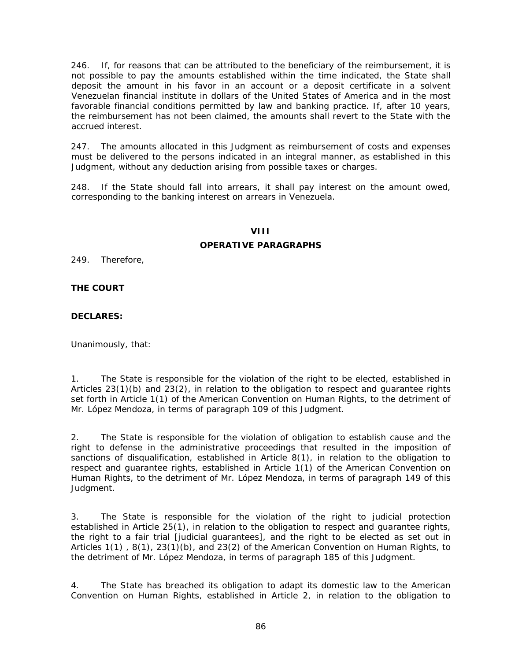246. If, for reasons that can be attributed to the beneficiary of the reimbursement, it is not possible to pay the amounts established within the time indicated, the State shall deposit the amount in his favor in an account or a deposit certificate in a solvent Venezuelan financial institute in dollars of the United States of America and in the most favorable financial conditions permitted by law and banking practice. If, after 10 years, the reimbursement has not been claimed, the amounts shall revert to the State with the accrued interest.

247. The amounts allocated in this Judgment as reimbursement of costs and expenses must be delivered to the persons indicated in an integral manner, as established in this Judgment, without any deduction arising from possible taxes or charges.

248. If the State should fall into arrears, it shall pay interest on the amount owed, corresponding to the banking interest on arrears in Venezuela.

### **VIII**

### **OPERATIVE PARAGRAPHS**

249. Therefore,

### **THE COURT**

### **DECLARES:**

Unanimously, that:

1. The State is responsible for the violation of the right to be elected, established in Articles 23(1)(b) and 23(2), in relation to the obligation to respect and guarantee rights set forth in Article 1(1) of the American Convention on Human Rights, to the detriment of Mr. López Mendoza, in terms of paragraph 109 of this Judgment.

2. The State is responsible for the violation of obligation to establish cause and the right to defense in the administrative proceedings that resulted in the imposition of sanctions of disqualification, established in Article 8(1), in relation to the obligation to respect and guarantee rights, established in Article 1(1) of the American Convention on Human Rights, to the detriment of Mr. López Mendoza, in terms of paragraph 149 of this Judgment.

3. The State is responsible for the violation of the right to judicial protection established in Article 25(1), in relation to the obligation to respect and guarantee rights, the right to a fair trial [judicial guarantees], and the right to be elected as set out in Articles 1(1) , 8(1), 23(1)(b), and 23(2) of the American Convention on Human Rights, to the detriment of Mr. López Mendoza, in terms of paragraph 185 of this Judgment.

4. The State has breached its obligation to adapt its domestic law to the American Convention on Human Rights, established in Article 2, in relation to the obligation to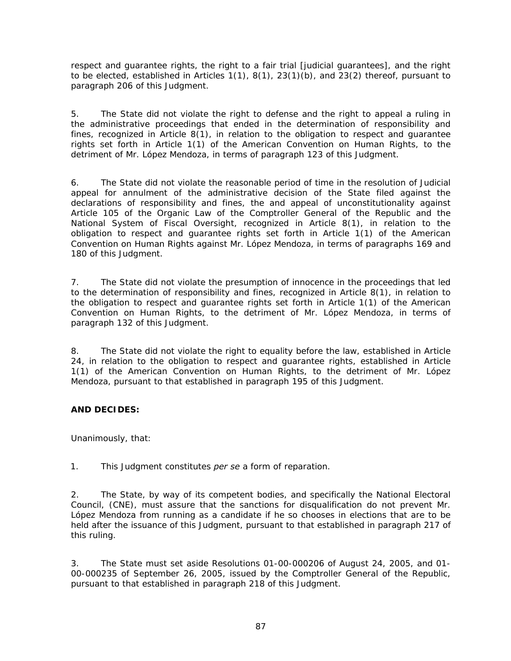respect and guarantee rights, the right to a fair trial [judicial guarantees], and the right to be elected, established in Articles 1(1), 8(1), 23(1)(b), and 23(2) thereof, pursuant to paragraph 206 of this Judgment.

5. The State did not violate the right to defense and the right to appeal a ruling in the administrative proceedings that ended in the determination of responsibility and fines, recognized in Article  $8(1)$ , in relation to the obligation to respect and guarantee rights set forth in Article 1(1) of the American Convention on Human Rights, to the detriment of Mr. López Mendoza, in terms of paragraph 123 of this Judgment.

6. The State did not violate the reasonable period of time in the resolution of Judicial appeal for annulment of the administrative decision of the State filed against the declarations of responsibility and fines, the and appeal of unconstitutionality against Article 105 of the Organic Law of the Comptroller General of the Republic and the National System of Fiscal Oversight, recognized in Article 8(1), in relation to the obligation to respect and guarantee rights set forth in Article 1(1) of the American Convention on Human Rights against Mr. López Mendoza, in terms of paragraphs 169 and 180 of this Judgment.

7. The State did not violate the presumption of innocence in the proceedings that led to the determination of responsibility and fines, recognized in Article 8(1), in relation to the obligation to respect and guarantee rights set forth in Article 1(1) of the American Convention on Human Rights, to the detriment of Mr. López Mendoza, in terms of paragraph 132 of this Judgment.

8. The State did not violate the right to equality before the law, established in Article 24, in relation to the obligation to respect and guarantee rights, established in Article 1(1) of the American Convention on Human Rights, to the detriment of Mr. López Mendoza, pursuant to that established in paragraph 195 of this Judgment.

# **AND DECIDES:**

Unanimously, that:

1. This Judgment constitutes *per se* a form of reparation.

2. The State, by way of its competent bodies, and specifically the National Electoral Council, (CNE), must assure that the sanctions for disqualification do not prevent Mr. López Mendoza from running as a candidate if he so chooses in elections that are to be held after the issuance of this Judgment, pursuant to that established in paragraph 217 of this ruling.

3. The State must set aside Resolutions 01-00-000206 of August 24, 2005, and 01- 00-000235 of September 26, 2005, issued by the Comptroller General of the Republic, pursuant to that established in paragraph 218 of this Judgment.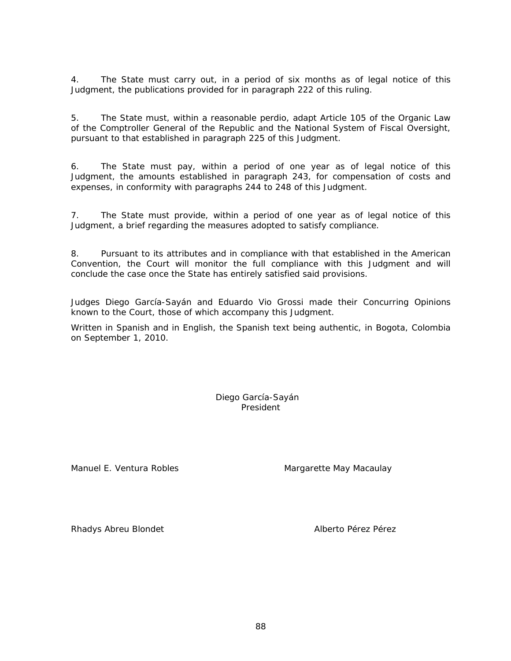4. The State must carry out, in a period of six months as of legal notice of this Judgment, the publications provided for in paragraph 222 of this ruling.

5. The State must, within a reasonable perdio, adapt Article 105 of the Organic Law of the Comptroller General of the Republic and the National System of Fiscal Oversight, pursuant to that established in paragraph 225 of this Judgment.

6. The State must pay, within a period of one year as of legal notice of this Judgment, the amounts established in paragraph 243, for compensation of costs and expenses, in conformity with paragraphs 244 to 248 of this Judgment.

7. The State must provide, within a period of one year as of legal notice of this Judgment, a brief regarding the measures adopted to satisfy compliance.

8. Pursuant to its attributes and in compliance with that established in the American Convention, the Court will monitor the full compliance with this Judgment and will conclude the case once the State has entirely satisfied said provisions.

Judges Diego García-Sayán and Eduardo Vio Grossi made their Concurring Opinions known to the Court, those of which accompany this Judgment.

Written in Spanish and in English, the Spanish text being authentic, in Bogota, Colombia on September 1, 2010.

> Diego García-Sayán President

Manuel E. Ventura Robles Manuel E. Ventura Robles

Rhadys Abreu Blondet Alberto Pérez Pérez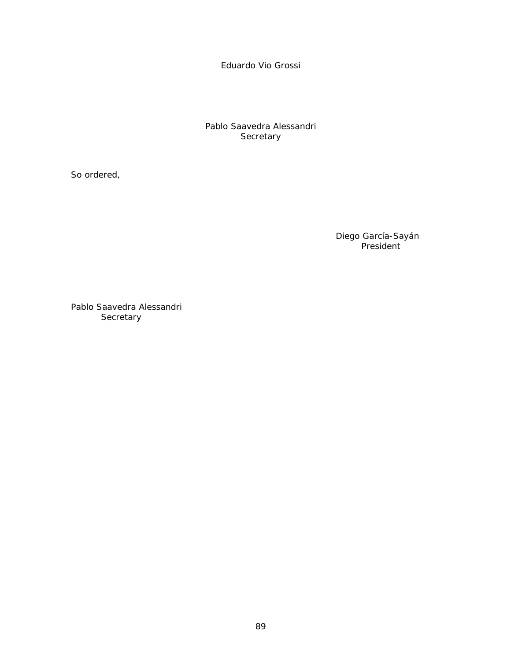Eduardo Vio Grossi

Pablo Saavedra Alessandri **Secretary** 

So ordered,

Diego García-Sayán President

Pablo Saavedra Alessandri **Secretary**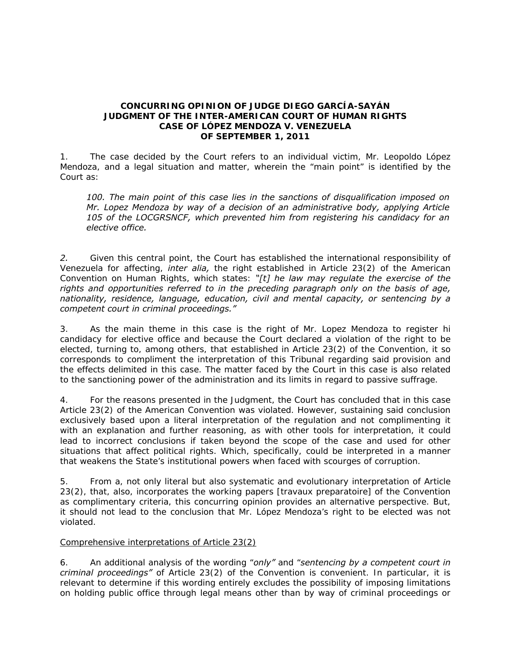### **CONCURRING OPINION OF JUDGE DIEGO GARCÍA-SAYÁN JUDGMENT OF THE INTER-AMERICAN COURT OF HUMAN RIGHTS CASE OF** *LÓPEZ MENDOZA V. VENEZUELA*  **OF SEPTEMBER 1, 2011**

1. The case decided by the Court refers to an individual victim, Mr. Leopoldo López Mendoza, and a legal situation and matter, wherein the "main point" is identified by the Court as:

*100. The main point of this case lies in the sanctions of disqualification imposed on Mr. Lopez Mendoza by way of a decision of an administrative body, applying Article 105 of the LOCGRSNCF, which prevented him from registering his candidacy for an elective office.* 

*2.* Given this central point, the Court has established the international responsibility of Venezuela for affecting, *inter alia,* the right established in Article 23(2) of the American Convention on Human Rights, which states: *"[t] he law may regulate the exercise of the rights and opportunities referred to in the preceding paragraph only on the basis of age, nationality, residence, language, education, civil and mental capacity, or sentencing by a competent court in criminal proceedings."* 

3. As the main theme in this case is the right of Mr. Lopez Mendoza to register hi candidacy for elective office and because the Court declared a violation of the right to be elected, turning to, among others, that established in Article 23(2) of the Convention, it so corresponds to compliment the interpretation of this Tribunal regarding said provision and the effects delimited in this case. The matter faced by the Court in this case is also related to the sanctioning power of the administration and its limits in regard to passive suffrage.

4. For the reasons presented in the Judgment, the Court has concluded that in this case Article 23(2) of the American Convention was violated. However, sustaining said conclusion exclusively based upon a literal interpretation of the regulation and not complimenting it with an explanation and further reasoning, as with other tools for interpretation, it could lead to incorrect conclusions if taken beyond the scope of the case and used for other situations that affect political rights. Which, specifically, could be interpreted in a manner that weakens the State's institutional powers when faced with scourges of corruption.

5. From a, not only literal but also systematic and evolutionary interpretation of Article 23(2), that, also, incorporates the working papers [travaux preparatoire] of the Convention as complimentary criteria, this concurring opinion provides an alternative perspective. But, it should not lead to the conclusion that Mr. López Mendoza's right to be elected was not violated.

# Comprehensive interpretations of Article 23(2)

6. An additional analysis of the wording "*only"* and "*sentencing by a competent court in criminal proceedings"* of Article 23(2) of the Convention is convenient. In particular, it is relevant to determine if this wording entirely excludes the possibility of imposing limitations on holding public office through legal means other than by way of criminal proceedings or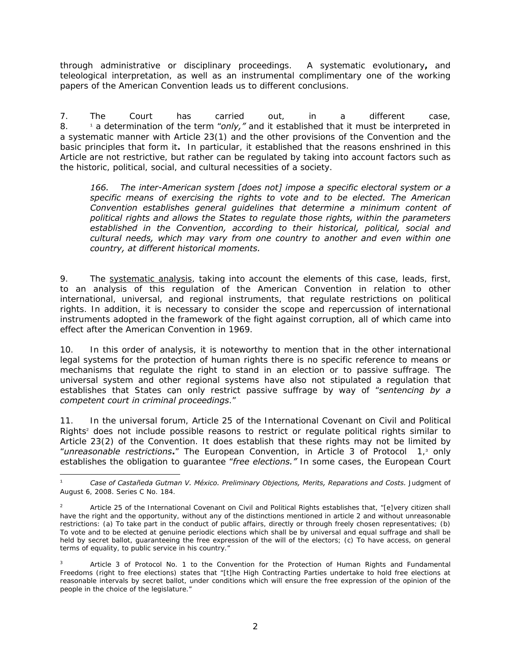through administrative or disciplinary proceedings. A systematic evolutionary**,** and teleological interpretation, as well as an instrumental complimentary one of the working papers of the American Convention leads us to different conclusions.

7. The Court has carried out, in a different case, 8. <sup>1</sup> a determination of the term "*only,*" and it established that it must be interpreted in a systematic manner with Article 23(1) and the other provisions of the Convention and the basic principles that form it**.** In particular, it established that the reasons enshrined in this Article are not restrictive, but rather can be regulated by taking into account factors such as the historic, political, social, and cultural necessities of a society.

*166. The inter-American system [does not] impose a specific electoral system or a specific means of exercising the rights to vote and to be elected. The American Convention establishes general guidelines that determine a minimum content of political rights and allows the States to regulate those rights, within the parameters established in the Convention, according to their historical, political, social and cultural needs, which may vary from one country to another and even within one country, at different historical moments.* 

9. The systematic analysis, taking into account the elements of this case, leads, first, to an analysis of this regulation of the American Convention in relation to other international, universal, and regional instruments, that regulate restrictions on political rights. In addition, it is necessary to consider the scope and repercussion of international instruments adopted in the framework of the fight against corruption, all of which came into effect after the American Convention in 1969.

10. In this order of analysis, it is noteworthy to mention that in the other international legal systems for the protection of human rights there is no specific reference to means or mechanisms that regulate the right to stand in an election or to passive suffrage. The universal system and other regional systems have also not stipulated a regulation that establishes that States can only restrict passive suffrage by way of "*sentencing by a competent court in criminal proceedings*."

11. In the universal forum, Article 25 of the International Covenant on Civil and Political Rights<sup>2</sup> does not include possible reasons to restrict or regulate political rights similar to Article 23(2) of the Convention. It does establish that these rights may not be limited by "*unreasonable restrictions***.**" The European Convention, in Article 3 of Protocol 1,<sup>3</sup> only establishes the obligation to guarantee "*free elections."* In some cases, the European Court

-

<sup>1</sup> *Case of Castañeda Gutman V. México. Preliminary Objections, Merits, Reparations and Costs.* Judgment of August 6, 2008. Series C No. 184.

<sup>2</sup> Article 25 of the International Covenant on Civil and Political Rights establishes that, "[e]very citizen shall have the right and the opportunity, without any of the distinctions mentioned in article 2 and without unreasonable restrictions: (a) To take part in the conduct of public affairs, directly or through freely chosen representatives; (b) To vote and to be elected at genuine periodic elections which shall be by universal and equal suffrage and shall be held by secret ballot, guaranteeing the free expression of the will of the electors; (c) To have access, on general terms of equality, to public service in his country."

<sup>3</sup> Article 3 of Protocol No. 1 to the Convention for the Protection of Human Rights and Fundamental Freedoms (right to free elections) states that "[t]he High Contracting Parties undertake to hold free elections at reasonable intervals by secret ballot, under conditions which will ensure the free expression of the opinion of the people in the choice of the legislature."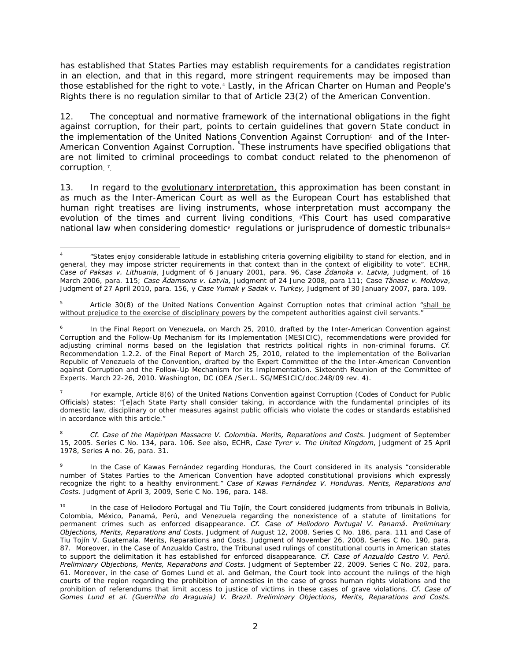has established that States Parties may establish requirements for a candidates registration in an election, and that in this regard, more stringent requirements may be imposed than those established for the right to vote.<sup>4</sup> Lastly, in the African Charter on Human and People's Rights there is no regulation similar to that of Article 23(2) of the American Convention.

12. The conceptual and normative framework of the international obligations in the fight against corruption, for their part, points to certain guidelines that govern State conduct in the implementation of the United Nations Convention Against Corruption<sup>5</sup> and of the Inter-American Convention Against Corruption. These instruments have specified obligations that are not limited to criminal proceedings to combat conduct related to the phenomenon of corruption. <sup>7</sup>.

13. In regard to the evolutionary interpretation, this approximation has been constant in as much as the Inter-American Court as well as the European Court has established that human right treatises are living instruments, whose interpretation must accompany the evolution of the times and current living conditions. <sup>\*</sup>This Court has used comparative national law when considering domestic<sup>9</sup> regulations or jurisprudence of domestic tribunals<sup>10</sup>

7 For example, Article 8(6) of the United Nations Convention against Corruption (Codes of Conduct for Public Officials) states: "[e]ach State Party shall consider taking, in accordance with the fundamental principles of its domestic law, disciplinary or other measures against public officials who violate the codes or standards established in accordance with this article."

8 *Cf. Case of the Mapiripan Massacre V. Colombia. Merits, Reparations and Costs.* Judgment of September 15, 2005. Series C No. 134, para. 106. See also, ECHR, *Case Tyrer v. The United Kingdom*, Judgment of 25 April 1978, Series A no. 26, para. 31.

9 In the Case of Kawas Fernández regarding Honduras, the Court considered in its analysis "considerable number of States Parties to the American Convention have adopted constitutional provisions which expressly recognize the right to a healthy environment." *Case of Kawas Fernández V. Honduras. Merits, Reparations and Costs.* Judgment of April 3, 2009, Serie C No. 196, para. 148.

In the case of Heliodoro Portugal and Tiu Tojín, the Court considered judgments from tribunals in Bolivia, Colombia, México, Panamá, Perú, and Venezuela regarding the nonexistence of a statute of limitations for permanent crimes such as enforced disappearance. *Cf. Case of Heliodoro Portugal V. Panamá. Preliminary Objections, Merits, Reparations and Costs.* Judgment of August 12, 2008. Series C No. 186, para. 111 and Case of Tiu Tojín V. Guatemala. Merits, Reparations and Costs. Judgment of November 26, 2008. Series C No. 190, para. 87. Moreover, in the Case of Anzualdo Castro, the Tribunal used rulings of constitutional courts in American states to support the delimitation it has established for enforced disappearance. *Cf. Case of Anzualdo Castro V. Perú. Preliminary Objections, Merits, Reparations and Costs.* Judgment of September 22, 2009. Series C No. 202, para. 61. Moreover, in the case of Gomes Lund et al. and Gelman, the Court took into account the rulings of the high courts of the region regarding the prohibition of amnesties in the case of gross human rights violations and the prohibition of referendums that limit access to justice of victims in these cases of grave violations. *Cf. Case of Gomes Lund et al. (Guerrilha do Araguaia) V. Brazil. Preliminary Objections, Merits, Reparations and Costs.* 

<sup>1</sup> 4 "States enjoy considerable latitude in establishing criteria governing eligibility to stand for election, and in general, they may impose stricter requirements in that context than in the context of eligibility to vote". ECHR, *Case of Paksas v. Lithuania*, Judgment of 6 January 2001, para. 96, *Case Ždanoka v. Latvia,* Judgment, of 16 March 2006, para. 115; *Case Ādamsons v. Latvia,* Judgment of 24 June 2008, para 111; Case *Tănase v. Moldova*, Judgment of 27 April 2010, para. 156, y *Case Yumak y Sadak v. Turkey,* Judgment of 30 January 2007, para. 109.

<sup>5</sup> Article 30(8) of the United Nations Convention Against Corruption notes that criminal action "shall be without prejudice to the exercise of disciplinary powers by the competent authorities against civil servants."

<sup>6</sup> In the Final Report on Venezuela, on March 25, 2010, drafted by the Inter-American Convention against Corruption and the Follow-Up Mechanism for its Implementation (MESICIC), recommendations were provided for adjusting criminal norms based on the legislation that restricts political rights in non-criminal forums. *Cf.*  Recommendation 1.2.2. of the Final Report of March 25, 2010, related to the implementation of the Bolivarian Republic of Venezuela of the Convention, drafted by the Expert Committee of the the Inter-American Convention against Corruption and the Follow-Up Mechanism for its Implementation. Sixteenth Reunion of the Committee of Experts. March 22-26, 2010. Washington, DC (OEA /Ser.L. SG/MESICIC/doc.248/09 rev. 4).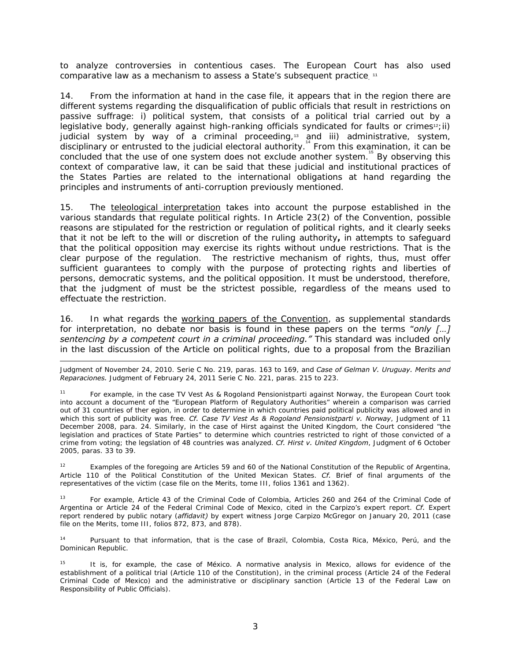to analyze controversies in contentious cases. The European Court has also used comparative law as a mechanism to assess a State's subsequent practice.  $^{\text{11}}$ 

14. From the information at hand in the case file, it appears that in the region there are different systems regarding the disqualification of public officials that result in restrictions on passive suffrage: i) political system, that consists of a political trial carried out by a legislative body, generally against high-ranking officials syndicated for faults or crimes $u_2$ ; ii) judicial system by way of a criminal proceeding, $13$  and iii) administrative, system, disciplinary or entrusted to the judicial electoral authority.<sup>14</sup> From this examination, it can be concluded that the use of one system does not exclude another system.<sup>4</sup> By observing this context of comparative law, it can be said that these judicial and institutional practices of the States Parties are related to the international obligations at hand regarding the principles and instruments of anti-corruption previously mentioned.

15. The teleological interpretation takes into account the purpose established in the various standards that regulate political rights. In Article 23(2) of the Convention, possible reasons are stipulated for the restriction or regulation of political rights, and it clearly seeks that it not be left to the will or discretion of the ruling authority**,** in attempts to safeguard that the political opposition may exercise its rights without undue restrictions. That is the clear purpose of the regulation. The restrictive mechanism of rights, thus, must offer sufficient guarantees to comply with the purpose of protecting rights and liberties of persons, democratic systems, and the political opposition. It must be understood, therefore, that the judgment of must be the strictest possible, regardless of the means used to effectuate the restriction.

16. In what regards the working papers of the Convention, as supplemental standards for interpretation, no debate nor basis is found in these papers on the terms "*only […]*  sentencing by a competent court in a criminal proceeding." This standard was included only in the last discussion of the Article on political rights, due to a proposal from the Brazilian

-Judgment of November 24, 2010. Serie C No. 219, paras. 163 to 169, and *Case of Gelman V. Uruguay. Merits and Reparaciones.* Judgment of February 24, 2011 Serie C No. 221, paras. 215 to 223.

For example, in the case TV Vest As & Rogoland Pensionistparti against Norway, the European Court took into account a document of the "European Platform of Regulatory Authorities" wherein a comparison was carried out of 31 countries of ther egion, in order to determine in which countries paid political publicity was allowed and in which this sort of publicity was free. *Cf. Case TV Vest As & Rogoland Pensionistparti v. Norway*, Judgment of 11 December 2008, para. 24. Similarly, in the case of Hirst against the United Kingdom, the Court considered "the legislation and practices of State Parties" to determine which countries restricted to right of those convicted of a crime from voting; the legslation of 48 countries was analyzed. *Cf. Hirst v. United Kingdom*, Judgment of 6 October 2005, paras. 33 to 39.

Examples of the foregoing are Articles 59 and 60 of the National Constitution of the Republic of Argentina, Article 110 of the Political Constitution of the United Mexican States. *Cf.* Brief of final arguments of the representatives of the victim (case file on the Merits, tome III, folios 1361 and 1362).

13 For example, Article 43 of the Criminal Code of Colombia, Articles 260 and 264 of the Criminal Code of Argentina or Article 24 of the Federal Criminal Code of Mexico, cited in the Carpizo's expert report. *Cf.* Expert report rendered by public notary (*affidavit)* by expert witness Jorge Carpizo McGregor on January 20, 2011 (case file on the Merits, tome III, folios 872, 873, and 878).

14 Pursuant to that information, that is the case of Brazil, Colombia, Costa Rica, México, Perú, and the Dominican Republic.

It is, for example, the case of México. A normative analysis in Mexico, allows for evidence of the establishment of a political trial (Article 110 of the Constitution), in the criminal process (Article 24 of the Federal Criminal Code of Mexico) and the administrative or disciplinary sanction (Article 13 of the Federal Law on Responsibility of Public Officials).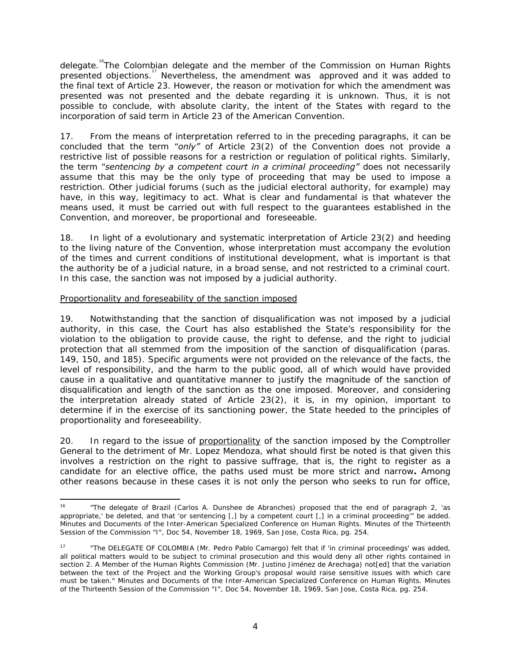delegate.<sup>16</sup>The Colombian delegate and the member of the Commission on Human Rights presented objections.<sup>17</sup> Nevertheless, the amendment was approved and it was added to the final text of Article 23. However, the reason or motivation for which the amendment was presented was not presented and the debate regarding it is unknown. Thus, it is not possible to conclude, with absolute clarity, the intent of the States with regard to the incorporation of said term in Article 23 of the American Convention.

17. From the means of interpretation referred to in the preceding paragraphs, it can be concluded that the term "*only"* of Article 23(2) of the Convention does not provide a restrictive list of possible reasons for a restriction or regulation of political rights. Similarly, the term "*sentencing by a competent court in a criminal proceeding"* does not necessarily assume that this may be the only type of proceeding that may be used to impose a restriction. Other judicial forums (such as the judicial electoral authority, for example) may have, in this way, legitimacy to act. What is clear and fundamental is that whatever the means used, it must be carried out with full respect to the guarantees established in the Convention, and moreover, be proportional and foreseeable.

18. In light of a evolutionary and systematic interpretation of Article 23(2) and heeding to the living nature of the Convention, whose interpretation must accompany the evolution of the times and current conditions of institutional development, what is important is that the authority be of a judicial nature, in a broad sense, and not restricted to a criminal court. In this case, the sanction was not imposed by a judicial authority.

# Proportionality and foreseability of the sanction imposed

19. Notwithstanding that the sanction of disqualification was not imposed by a judicial authority, in this case, the Court has also established the State's responsibility for the violation to the obligation to provide cause, the right to defense, and the right to judicial protection that all stemmed from the imposition of the sanction of disqualification (paras. 149, 150, and 185). Specific arguments were not provided on the relevance of the facts, the level of responsibility, and the harm to the public good, all of which would have provided cause in a qualitative and quantitative manner to justify the magnitude of the sanction of disqualification and length of the sanction as the one imposed. Moreover, and considering the interpretation already stated of Article 23(2), it is, in my opinion, important to determine if in the exercise of its sanctioning power, the State heeded to the principles of proportionality and foreseeability.

20. In regard to the issue of proportionality of the sanction imposed by the Comptroller General to the detriment of Mr. Lopez Mendoza, what should first be noted is that given this involves a restriction on the right to passive suffrage, that is, the right to register as a candidate for an elective office, the paths used must be more strict and narrow**.** Among other reasons because in these cases it is not only the person who seeks to run for office,

<sup>16 &</sup>quot;The delegate of Brazil (Carlos A. Dunshee de Abranches) proposed that the end of paragraph 2, 'as appropriate,' be deleted, and that 'or sentencing [,] by a competent court [,] in a criminal proceeding'" be added. Minutes and Documents of the Inter-American Specialized Conference on Human Rights. Minutes of the Thirteenth Session of the Commission "I", Doc 54, November 18, 1969, San Jose, Costa Rica, pg. 254.

<sup>&</sup>quot;The DELEGATE OF COLOMBIA (Mr. Pedro Pablo Camargo) felt that if 'in criminal proceedings' was added, all political matters would to be subject to criminal prosecution and this would deny all other rights contained in section 2. A Member of the Human Rights Commission (Mr. Justino Jiménez de Arechaga) not[ed] that the variation between the text of the Project and the Working Group's proposal would raise sensitive issues with which care must be taken." Minutes and Documents of the Inter-American Specialized Conference on Human Rights. Minutes of the Thirteenth Session of the Commission "I", Doc 54, November 18, 1969, San Jose, Costa Rica, pg. 254.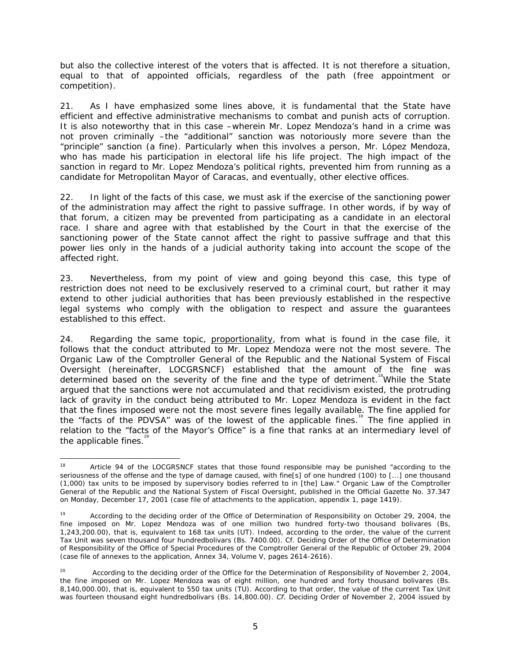but also the collective interest of the voters that is affected. It is not therefore a situation, equal to that of appointed officials, regardless of the path (free appointment or competition).

21. As I have emphasized some lines above, it is fundamental that the State have efficient and effective administrative mechanisms to combat and punish acts of corruption. It is also noteworthy that in this case –wherein Mr. Lopez Mendoza's hand in a crime was not proven criminally –the "additional" sanction was notoriously more severe than the "principle" sanction (a fine). Particularly when this involves a person, Mr. López Mendoza, who has made his participation in electoral life his life project. The high impact of the sanction in regard to Mr. Lopez Mendoza's political rights, prevented him from running as a candidate for Metropolitan Mayor of Caracas, and eventually, other elective offices.

22. In light of the facts of this case, we must ask if the exercise of the sanctioning power of the administration may affect the right to passive suffrage. In other words, if by way of that forum, a citizen may be prevented from participating as a candidate in an electoral race. I share and agree with that established by the Court in that the exercise of the sanctioning power of the State cannot affect the right to passive suffrage and that this power lies only in the hands of a judicial authority taking into account the scope of the affected right.

23. Nevertheless, from my point of view and going beyond this case, this type of restriction does not need to be exclusively reserved to a criminal court, but rather it may extend to other judicial authorities that has been previously established in the respective legal systems who comply with the obligation to respect and assure the guarantees established to this effect.

24. Regarding the same topic, proportionality, from what is found in the case file, it follows that the conduct attributed to Mr. Lopez Mendoza were not the most severe. The Organic Law of the Comptroller General of the Republic and the National System of Fiscal Oversight (hereinafter, LOCGRSNCF) established that the amount of the fine was determined based on the severity of the fine and the type of detriment.<sup>"</sup>While the State argued that the sanctions were not accumulated and that recidivism existed, the protruding lack of gravity in the conduct being attributed to Mr. Lopez Mendoza is evident in the fact that the fines imposed were not the most severe fines legally available. The fine applied for the "facts of the PDVSA" was of the lowest of the applicable fines.<sup>19</sup> The fine applied in relation to the "facts of the Mayor's Office" is a fine that ranks at an intermediary level of the applicable fines.<sup>1</sup>

<sup>18</sup> Article 94 of the LOCGRSNCF states that those found responsible may be punished "according to the seriousness of the offense and the type of damage caused, with fine[s] of one hundred (100) to [...] one thousand (1,000) tax units to be imposed by supervisory bodies referred to in [the] Law." Organic Law of the Comptroller General of the Republic and the National System of Fiscal Oversight, published in the Official Gazette No. 37.347 on Monday, December 17, 2001 (case file of attachments to the application, appendix 1, page 1419).

<sup>19</sup> According to the deciding order of the Office of Determination of Responsibility on October 29, 2004, the fine imposed on Mr. Lopez Mendoza was of one million two hundred forty-two thousand bolivares (Bs, 1,243,200.00), that is, equivalent to 168 tax units (UT). Indeed, according to the order, the value of the current Tax Unit was seven thousand four hundredbolivars (Bs. 7400.00). Cf. Deciding Order of the Office of Determination of Responsibility of the Office of Special Procedures of the Comptroller General of the Republic of October 29, 2004 (case file of annexes to the application, Annex 34, Volume V, pages 2614-2616).

<sup>&</sup>lt;sup>20</sup> According to the deciding order of the Office for the Determination of Responsibility of November 2, 2004, the fine imposed on Mr. Lopez Mendoza was of eight million, one hundred and forty thousand bolivares (Bs. 8,140,000.00), that is, equivalent to 550 tax units (TU). According to that order, the value of the current Tax Unit was fourteen thousand eight hundredbolivars (Bs. 14,800.00). *Cf.* Deciding Order of November 2, 2004 issued by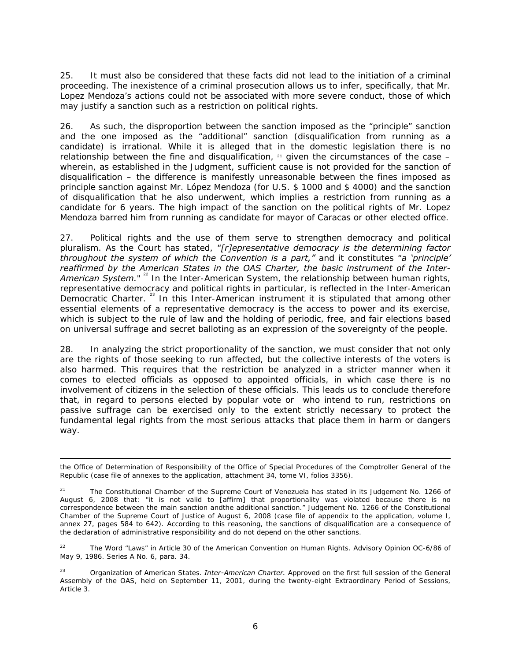25. It must also be considered that these facts did not lead to the initiation of a criminal proceeding. The inexistence of a criminal prosecution allows us to infer, specifically, that Mr. Lopez Mendoza's actions could not be associated with more severe conduct, those of which may justify a sanction such as a restriction on political rights.

26. As such, the disproportion between the sanction imposed as the "principle" sanction and the one imposed as the "additional" sanction (disqualification from running as a candidate) is irrational. While it is alleged that in the domestic legislation there is no relationship between the fine and disqualification,  $21$  given the circumstances of the case – wherein, as established in the Judgment, sufficient cause is not provided for the sanction of disqualification – the difference is manifestly unreasonable between the fines imposed as principle sanction against Mr. López Mendoza (for U.S. \$ 1000 and \$ 4000) and the sanction of disqualification that he also underwent, which implies a restriction from running as a candidate for 6 years. The high impact of the sanction on the political rights of Mr. Lopez Mendoza barred him from running as candidate for mayor of Caracas or other elected office.

27. Political rights and the use of them serve to strengthen democracy and political pluralism. As the Court has stated, "*[r]epresentative democracy is the determining factor throughout the system of which the Convention is a part,"* and it constitutes "*a 'principle' reaffirmed by the American States in the OAS Charter, the basic instrument of the Inter-*American System."<sup>22</sup> In the Inter-American System, the relationship between human rights, representative democracy and political rights in particular, is reflected in the Inter-American Democratic Charter.<sup>23</sup> In this Inter-American instrument it is stipulated that among other essential elements of a representative democracy is the access to power and its exercise, which is subject to the rule of law and the holding of periodic, free, and fair elections based on universal suffrage and secret balloting as an expression of the sovereignty of the people.

28. In analyzing the strict proportionality of the sanction, we must consider that not only are the rights of those seeking to run affected, but the collective interests of the voters is also harmed. This requires that the restriction be analyzed in a stricter manner when it comes to elected officials as opposed to appointed officials, in which case there is no involvement of citizens in the selection of these officials. This leads us to conclude therefore that, in regard to persons elected by popular vote or who intend to run, restrictions on passive suffrage can be exercised only to the extent strictly necessary to protect the fundamental legal rights from the most serious attacks that place them in harm or dangers way.

<sup>22</sup> The Word "Laws" in Article 30 of the American Convention on Human Rights. Advisory Opinion OC-6/86 of May 9, 1986. Series A No. 6, para. 34.

23 Organization of American States. *Inter-American Charter.* Approved on the first full session of the General Assembly of the OAS, held on September 11, 2001, during the twenty-eight Extraordinary Period of Sessions, Article 3.

<sup>1</sup> the Office of Determination of Responsibility of the Office of Special Procedures of the Comptroller General of the Republic (case file of annexes to the application, attachment 34, tome VI, folios 3356).

<sup>&</sup>lt;sup>21</sup> The Constitutional Chamber of the Supreme Court of Venezuela has stated in its Judgement No. 1266 of August 6, 2008 that: "it is not valid to [affirm] that proportionality was violated because there is no correspondence between the main sanction andthe additional sanction." Judgement No. 1266 of the Constitutional Chamber of the Supreme Court of Justice of August 6, 2008 (case file of appendix to the application, volume I, annex 27, pages 584 to 642). According to this reasoning, the sanctions of disqualification are a consequence of the declaration of administrative responsibility and do not depend on the other sanctions.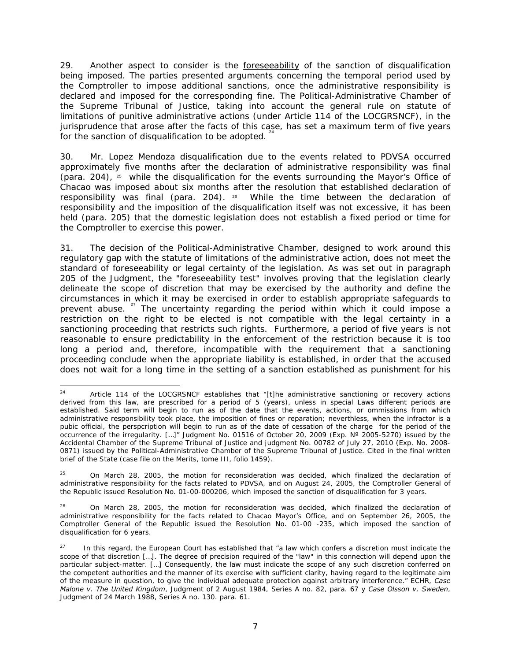29. Another aspect to consider is the foreseeability of the sanction of disqualification being imposed. The parties presented arguments concerning the temporal period used by the Comptroller to impose additional sanctions, once the administrative responsibility is declared and imposed for the corresponding fine. The Political-Administrative Chamber of the Supreme Tribunal of Justice, taking into account the general rule on statute of limitations of punitive administrative actions (under Article 114 of the LOCGRSNCF), in the jurisprudence that arose after the facts of this case, has set a maximum term of five years for the sanction of disqualification to be adopted.

30. Mr. Lopez Mendoza disqualification due to the events related to PDVSA occurred approximately five months after the declaration of administrative responsibility was final (para. 204),  $25$  while the disqualification for the events surrounding the Mayor's Office of Chacao was imposed about six months after the resolution that established declaration of responsibility was final (para. 204). <sup>26</sup> While the time between the declaration of responsibility and the imposition of the disqualification itself was not excessive, it has been held (para. 205) that the domestic legislation does not establish a fixed period or time for the Comptroller to exercise this power.

31. The decision of the Political-Administrative Chamber, designed to work around this regulatory gap with the statute of limitations of the administrative action, does not meet the standard of foreseeability or legal certainty of the legislation. As was set out in paragraph 205 of the Judgment, the "foreseeability test" involves proving that the legislation clearly delineate the scope of discretion that may be exercised by the authority and define the circumstances in which it may be exercised in order to establish appropriate safeguards to prevent abuse.<sup>27</sup> The uncertainty regarding the period within which it could impose a restriction on the right to be elected is not compatible with the legal certainty in a sanctioning proceeding that restricts such rights. Furthermore, a period of five years is not reasonable to ensure predictability in the enforcement of the restriction because it is too long a period and, therefore, incompatible with the requirement that a sanctioning proceeding conclude when the appropriate liability is established, in order that the accused does not wait for a long time in the setting of a sanction established as punishment for his

 $24$ Article 114 of the LOCGRSNCF establishes that "[t]he administrative sanctioning or recovery actions derived from this law, are prescribed for a period of 5 (years), unless in special Laws different periods are established. Said term will begin to run as of the date that the events, actions, or ommissions from which administrative responsibility took place, the imposition of fines or reparation; neverthless, when the infractor is a pubic official, the perspcription will begin to run as of the date of cessation of the charge for the period of the occurrence of the irregularity. […]" Judgment No. 01516 of October 20, 2009 (Exp. Nº 2005-5270) issued by the Accidental Chamber of the Supreme Tribunal of Justice and judgment No. 00782 of July 27, 2010 (Exp. No. 2008- 0871) issued by the Political-Administrative Chamber of the Supreme Tribunal of Justice. Cited in the final written brief of the State (case file on the Merits, tome III, folio 1459).

 $25$  On March 28, 2005, the motion for reconsideration was decided, which finalized the declaration of administrative responsibility for the facts related to PDVSA, and on August 24, 2005, the Comptroller General of the Republic issued Resolution No. 01-00-000206, which imposed the sanction of disqualification for 3 years.

<sup>26</sup> On March 28, 2005, the motion for reconsideration was decided, which finalized the declaration of administrative responsibility for the facts related to Chacao Mayor's Office, and on September 26, 2005, the Comptroller General of the Republic issued the Resolution No. 01-00 -235, which imposed the sanction of disqualification for 6 years.

In this regard, the European Court has established that "a law which confers a discretion must indicate the scope of that discretion […]. The degree of precision required of the "law" in this connection will depend upon the particular subject-matter. […] Consequently, the law must indicate the scope of any such discretion conferred on the competent authorities and the manner of its exercise with sufficient clarity, having regard to the legitimate aim of the measure in question, to give the individual adequate protection against arbitrary interference." ECHR, *Case Malone v. The United Kingdom*, Judgment of 2 August 1984, Series A no. 82, para. 67 y *Case Olsson v. Sweden*, Judgment of 24 March 1988, Series A no. 130. para. 61.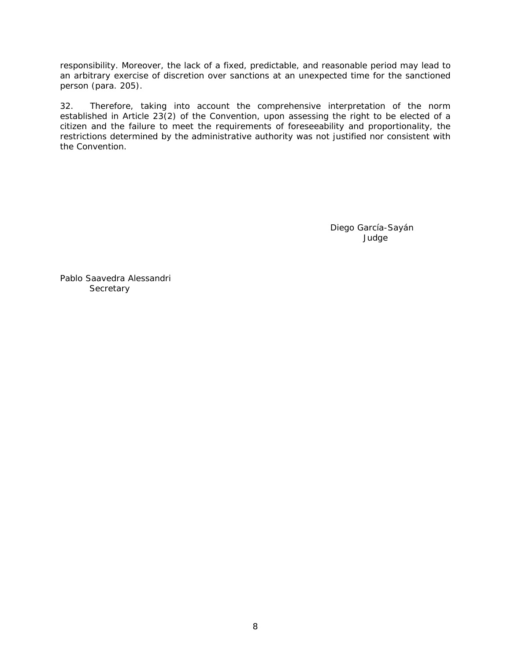responsibility. Moreover, the lack of a fixed, predictable, and reasonable period may lead to an arbitrary exercise of discretion over sanctions at an unexpected time for the sanctioned person (para. 205).

32. Therefore, taking into account the comprehensive interpretation of the norm established in Article 23(2) of the Convention, upon assessing the right to be elected of a citizen and the failure to meet the requirements of foreseeability and proportionality, the restrictions determined by the administrative authority was not justified nor consistent with the Convention.

> Diego García-Sayán Judge

Pablo Saavedra Alessandri **Secretary**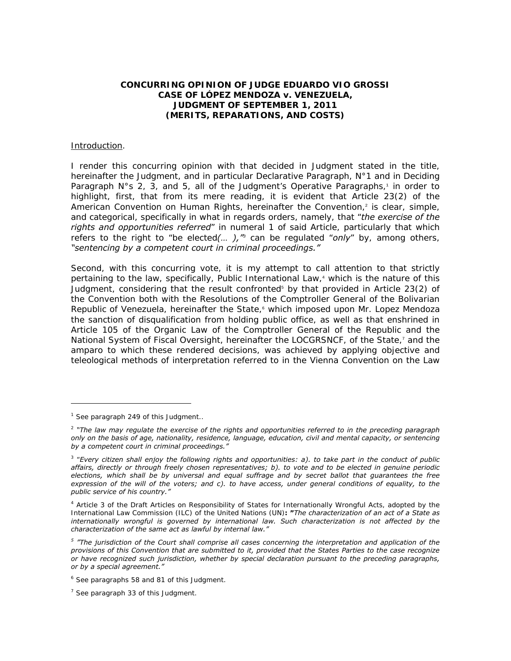### **CONCURRING OPINION OF JUDGE EDUARDO VIO GROSSI CASE OF LÓPEZ MENDOZA** *v***. VENEZUELA, JUDGMENT OF SEPTEMBER 1, 2011 (MERITS, REPARATIONS, AND COSTS)**

#### Introduction.

I render this concurring opinion with that decided in Judgment stated in the title, hereinafter the Judgment, and in particular Declarative Paragraph, N°1 and in Deciding Paragraph  $N^{\circ}$  s 2, 3, and 5, all of the Judgment's Operative Paragraphs,<sup>1</sup> in order to highlight, first, that from its mere reading, it is evident that Article 23(2) of the American Convention on Human Rights, hereinafter the Convention,<sup>2</sup> is clear, simple, and categorical, specifically in what in regards orders, namely, that "*the exercise of the rights and opportunities referred*" in numeral 1 of said Article, particularly that which refers to the right to "be elected*(… ),"<sup>3</sup>* can be regulated "*only*" by, among others, *"sentencing by a competent court in criminal proceedings."* 

Second, with this concurring vote, it is my attempt to call attention to that strictly pertaining to the law, specifically, Public International Law,<sup>4</sup> which is the nature of this Judgment, considering that the result confronted<sup>5</sup> by that provided in Article 23(2) of the Convention both with the Resolutions of the Comptroller General of the Bolivarian Republic of Venezuela, hereinafter the State, which imposed upon Mr. Lopez Mendoza the sanction of disqualification from holding public office, as well as that enshrined in Article 105 of the Organic Law of the Comptroller General of the Republic and the National System of Fiscal Oversight, hereinafter the LOCGRSNCF, of the State,<sup>7</sup> and the amparo to which these rendered decisions, was achieved by applying objective and teleological methods of interpretation referred to in the Vienna Convention on the Law

-

<sup>&</sup>lt;sup>1</sup> See paragraph 249 of this Judgment..

<sup>2</sup> *"The law may regulate the exercise of the rights and opportunities referred to in the preceding paragraph only on the basis of age, nationality, residence, language, education, civil and mental capacity, or sentencing by a competent court in criminal proceedings."*

<sup>3</sup> "*Every citizen shall enjoy the following rights and opportunities: a). to take part in the conduct of public affairs, directly or through freely chosen representatives; b). to vote and to be elected in genuine periodic elections, which shall be by universal and equal suffrage and by secret ballot that guarantees the free expression of the will of the voters; and c). to have access, under general conditions of equality, to the public service of his country."* 

<sup>4</sup> Article 3 of the Draft Articles on Responsibility of States for Internationally Wrongful Acts, adopted by the International Law Commission (ILC) of the United Nations (UN)**: "***The characterization of an act of a State as internationally wrongful is governed by international law. Such characterization is not affected by the characterization of the same act as lawful by internal law."*

<sup>&</sup>lt;sup>5</sup> "The jurisdiction of the Court shall comprise all cases concerning the interpretation and application of the *provisions of this Convention that are submitted to it, provided that the States Parties to the case recognize or have recognized such jurisdiction, whether by special declaration pursuant to the preceding paragraphs, or by a special agreement."* 

<sup>&</sup>lt;sup>6</sup> See paragraphs 58 and 81 of this Judgment.

 $<sup>7</sup>$  See paragraph 33 of this Judgment.</sup>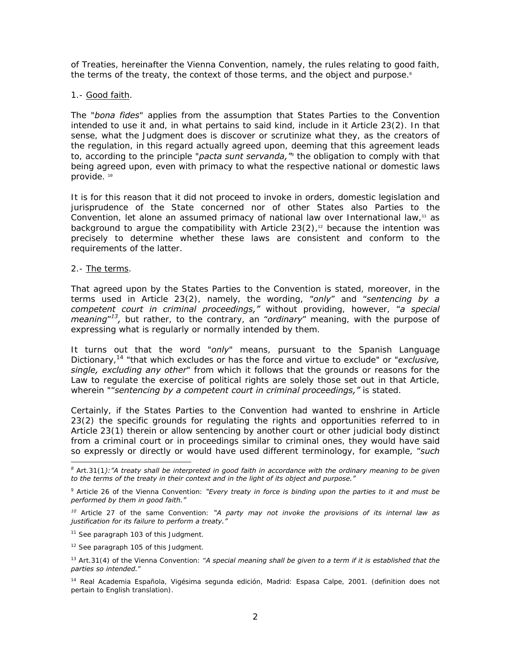of Treaties, hereinafter the Vienna Convention, namely, the rules relating to good faith, the terms of the treaty, the context of those terms, and the object and purpose.<sup>8</sup>

### 1.- Good faith.

The "*bona fides*" applies from the assumption that States Parties to the Convention intended to use it and, in what pertains to said kind, include in it Article 23(2). In that sense, what the Judgment does is discover or scrutinize what they, as the creators of the regulation, in this regard actually agreed upon, deeming that this agreement leads to, according to the principle "*pacta sunt servanda,"*<sup>9</sup> the obligation to comply with that being agreed upon, even with primacy to what the respective national or domestic laws provide.<sup>10</sup>

It is for this reason that it did not proceed to invoke in orders, domestic legislation and jurisprudence of the State concerned nor of other States also Parties to the Convention, let alone an assumed primacy of national law over International law, $11$  as background to argue the compatibility with Article  $23(2)$ ,<sup>12</sup> because the intention was precisely to determine whether these laws are consistent and conform to the requirements of the latter.

### 2.- The terms.

-

That agreed upon by the States Parties to the Convention is stated, moreover, in the terms used in Article 23(2), namely, the wording, "*only*" and "*sentencing by a competent court in criminal proceedings,"* without providing, however, "*a special meaning*"*13,* but rather, to the contrary, an "*ordinary*" meaning, with the purpose of expressing what is regularly or normally intended by them.

It turns out that the word "*only*" means, pursuant to the Spanish Language Dictionary,14 "that which excludes or has the force and virtue to exclude" or "*exclusive, single, excluding any other*" from which it follows that the grounds or reasons for the Law to regulate the exercise of political rights are solely those set out in that Article, wherein ""*sentencing by a competent court in criminal proceedings,"* is stated.

Certainly, if the States Parties to the Convention had wanted to enshrine in Article 23(2) the specific grounds for regulating the rights and opportunities referred to in Article 23(1) therein or allow sentencing by another court or other judicial body distinct from a criminal court or in proceedings similar to criminal ones, they would have said so expressly or directly or would have used different terminology, for example, "*such* 

*<sup>8</sup>* Art.31(1*):"A treaty shall be interpreted in good faith in accordance with the ordinary meaning to be given to the terms of the treaty in their context and in the light of its object and purpose."* 

<sup>9</sup> Article 26 of the Vienna Convention: *"Every treaty in force is binding upon the parties to it and must be performed by them in good faith."*

*<sup>10</sup>* Article 27 of the same Convention: *"A party may not invoke the provisions of its internal law as justification for its failure to perform a treaty."* 

<sup>&</sup>lt;sup>11</sup> See paragraph 103 of this Judgment.

<sup>&</sup>lt;sup>12</sup> See paragraph 105 of this Judgment.

<sup>13</sup> Art.31(4) of the Vienna Convention: "*A special meaning shall be given to a term if it is established that the parties so intended.*"

<sup>14</sup> Real Academia Española, Vigésima segunda edición, Madrid: Espasa Calpe, 2001. (definition does not pertain to English translation).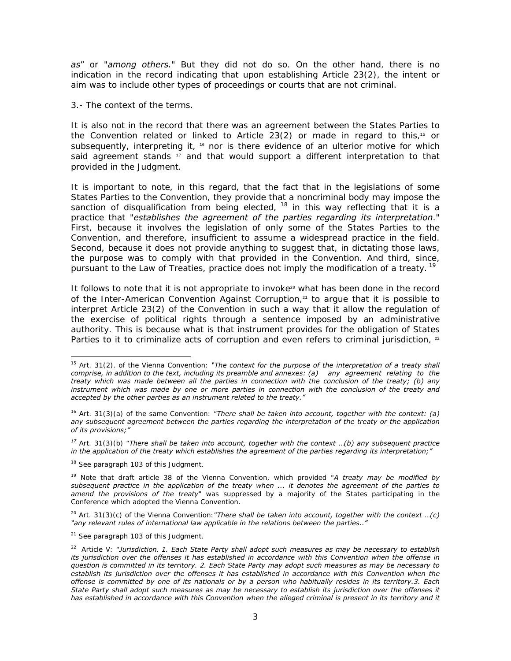*as*" or "*among others.*" But they did not do so. On the other hand, there is no indication in the record indicating that upon establishing Article 23(2), the intent or aim was to include other types of proceedings or courts that are not criminal.

#### 3.- The context of the terms.

It is also not in the record that there was an agreement between the States Parties to the Convention related or linked to Article 23(2) or made in regard to this,<sup>15</sup> or subsequently, interpreting it,  $16$  nor is there evidence of an ulterior motive for which said agreement stands  $17$  and that would support a different interpretation to that provided in the Judgment.

It is important to note, in this regard, that the fact that in the legislations of some States Parties to the Convention, they provide that a noncriminal body may impose the sanction of disqualification from being elected, <sup>18</sup> in this way reflecting that it is a practice that "*establishes the agreement of the parties regarding its interpretation*." First, because it involves the legislation of only some of the States Parties to the Convention, and therefore, insufficient to assume a widespread practice in the field. Second, because it does not provide anything to suggest that, in dictating those laws, the purpose was to comply with that provided in the Convention. And third, since, pursuant to the Law of Treaties, practice does not imply the modification of a treaty.<sup>19</sup>

It follows to note that it is not appropriate to invoke $20$  what has been done in the record of the Inter-American Convention Against Corruption, $21$  to argue that it is possible to interpret Article 23(2) of the Convention in such a way that it allow the regulation of the exercise of political rights through a sentence imposed by an administrative authority. This is because what is that instrument provides for the obligation of States Parties to it to criminalize acts of corruption and even refers to criminal jurisdiction,  $22$ 

<sup>18</sup> See paragraph 103 of this Judgment.

-

<sup>15</sup> Art. 31(2). of the Vienna Convention: *"The context for the purpose of the interpretation of a treaty shall comprise, in addition to the text, including its preamble and annexes: (a) any agreement relating to the treaty which was made between all the parties in connection with the conclusion of the treaty; (b) any instrument which was made by one or more parties in connection with the conclusion of the treaty and accepted by the other parties as an instrument related to the treaty."* 

<sup>16</sup> Art. 31(3)(a) of the same Convention: "*There shall be taken into account, together with the context: (a) any subsequent agreement between the parties regarding the interpretation of the treaty or the application of its provisions;"* 

*<sup>17</sup>* Art. 31(3)(b) "*There shall be taken into account, together with the context* …*(b) any subsequent practice in the application of the treaty which establishes the agreement of the parties regarding its interpretation;"*

<sup>19</sup> Note that draft article 38 of the Vienna Convention, which provided "*A treaty may be modified by subsequent practice in the application of the treaty when ... it denotes the agreement of the parties to amend the provisions of the treaty*" was suppressed by a majority of the States participating in the Conference which adopted the Vienna Convention.

<sup>20</sup> Art. 31(3)(c) of the Vienna Convention:"*There shall be taken into account, together with the context* …*(c) "any relevant rules of international law applicable in the relations between the parties.."*

<sup>&</sup>lt;sup>21</sup> See paragraph 103 of this Judgment.

<sup>22</sup> Article V: "*Jurisdiction. 1. Each State Party shall adopt such measures as may be necessary to establish its jurisdiction over the offenses it has established in accordance with this Convention when the offense in question is committed in its territory. 2. Each State Party may adopt such measures as may be necessary to establish its jurisdiction over the offenses it has established in accordance with this Convention when the offense is committed by one of its nationals or by a person who habitually resides in its territory.3. Each State Party shall adopt such measures as may be necessary to establish its jurisdiction over the offenses it has established in accordance with this Convention when the alleged criminal is present in its territory and it*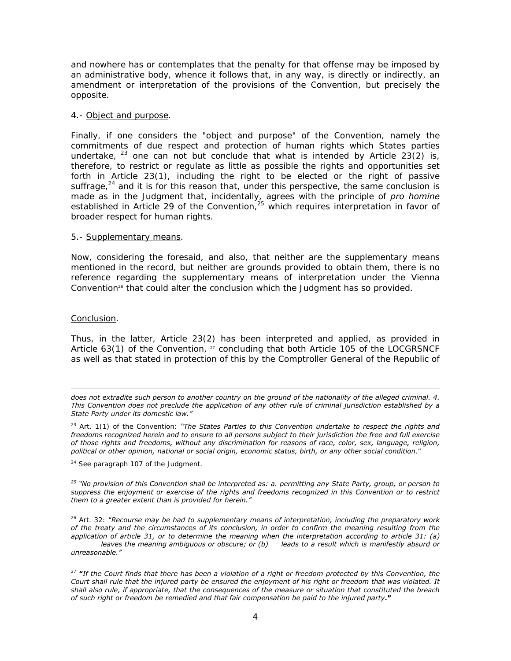and nowhere has or contemplates that the penalty for that offense may be imposed by an administrative body, whence it follows that, in any way, is directly or indirectly, an amendment or interpretation of the provisions of the Convention, but precisely the opposite.

#### 4.- Object and purpose.

Finally, if one considers the "object and purpose" of the Convention, namely the commitments of due respect and protection of human rights which States parties undertake,  $^{23}$  one can not but conclude that what is intended by Article 23(2) is, therefore, to restrict or regulate as little as possible the rights and opportunities set forth in Article 23(1), including the right to be elected or the right of passive suffrage, $^{24}$  and it is for this reason that, under this perspective, the same conclusion is made as in the Judgment that, incidentally, agrees with the principle of *pro homine* established in Article 29 of the Convention, $25$  which requires interpretation in favor of broader respect for human rights.

#### 5.- Supplementary means.

Now, considering the foresaid, and also, that neither are the supplementary means mentioned in the record, but neither are grounds provided to obtain them, there is no reference regarding the supplementary means of interpretation under the Vienna Convention<sup>26</sup> that could alter the conclusion which the Judgment has so provided.

### Conclusion.

-

Thus, in the latter, Article 23(2) has been interpreted and applied, as provided in Article  $63(1)$  of the Convention,  $27$  concluding that both Article 105 of the LOCGRSNCF as well as that stated in protection of this by the Comptroller General of the Republic of

23 Art. 1(1) of the Convention: *"The States Parties to this Convention undertake to respect the rights and freedoms recognized herein and to ensure to all persons subject to their jurisdiction the free and full exercise of those rights and freedoms, without any discrimination for reasons of race, color, sex, language, religion, political or other opinion, national or social origin, economic status, birth, or any other social condition*."

<sup>24</sup> See paragraph 107 of the Judgment.

*25 "No provision of this Convention shall be interpreted as: a. permitting any State Party, group, or person to suppress the enjoyment or exercise of the rights and freedoms recognized in this Convention or to restrict them to a greater extent than is provided for herein."* 

26 Art. 32: "*Recourse may be had to supplementary means of interpretation, including the preparatory work of the treaty and the circumstances of its conclusion, in order to confirm the meaning resulting from the application of article 31, or to determine the meaning when the interpretation according to article 31: (a)*

*leaves the meaning ambiguous or obscure; or (b)* leads to a result which is manifestly absurd or *unreasonable."* 

<sup>27</sup> *"If the Court finds that there has been a violation of a right or freedom protected by this Convention, the Court shall rule that the injured party be ensured the enjoyment of his right or freedom that was violated. It shall also rule, if appropriate, that the consequences of the measure or situation that constituted the breach of such right or freedom be remedied and that fair compensation be paid to the injured party."* 

*does not extradite such person to another country on the ground of the nationality of the alleged criminal. 4. This Convention does not preclude the application of any other rule of criminal jurisdiction established by a State Party under its domestic law."*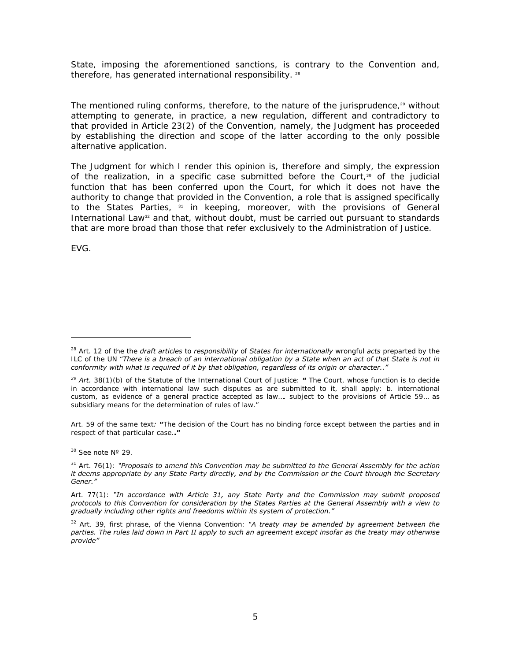State, imposing the aforementioned sanctions, is contrary to the Convention and, therefore, has generated international responsibility.<sup>28</sup>

The mentioned ruling conforms, therefore, to the nature of the jurisprudence, $29$  without attempting to generate, in practice, a new regulation, different and contradictory to that provided in Article 23(2) of the Convention, namely, the Judgment has proceeded by establishing the direction and scope of the latter according to the only possible alternative application.

The Judgment for which I render this opinion is, therefore and simply, the expression of the realization, in a specific case submitted before the Court, $30$  of the judicial function that has been conferred upon the Court, for which it does not have the authority to change that provided in the Convention, a role that is assigned specifically to the States Parties,  $31$  in keeping, moreover, with the provisions of General International Law<sup>32</sup> and that, without doubt, must be carried out pursuant to standards that are more broad than those that refer exclusively to the Administration of Justice.

EVG.

-

Art. 59 of the same text*: "*The decision of the Court has no binding force except between the parties and in respect of that particular case.*."*

 $30$  See note  $N^{\circ}$  29.

<sup>28</sup> Art. 12 of the the *draft articles* to *responsibility* of *States for internationally* wrongful *acts* preparted by the ILC of the UN "*There is a breach of an international obligation by a State when an act of that State is not in conformity with what is required of it by that obligation, regardless of its origin or character.."*

*<sup>29</sup> Art.* 38(1)(b) of the Statute of the International Court of Justice: *"* The Court, whose function is to decide in accordance with international law such disputes as are submitted to it, shall apply: b. international custom, as evidence of a general practice accepted as law…. subject to the provisions of Article 59… as subsidiary means for the determination of rules of law."

<sup>31</sup> Art. 76(1): *"Proposals to amend this Convention may be submitted to the General Assembly for the action it deems appropriate by any State Party directly, and by the Commission or the Court through the Secretary Gener."*

Art. 77(1): *"In accordance with Article 31, any State Party and the Commission may submit proposed protocols to this Convention for consideration by the States Parties at the General Assembly with a view to gradually including other rights and freedoms within its system of protection."* 

<sup>32</sup> Art. 39, first phrase, of the Vienna Convention: "*A treaty may be amended by agreement between the parties. The rules laid down in Part II apply to such an agreement except insofar as the treaty may otherwise provide"*